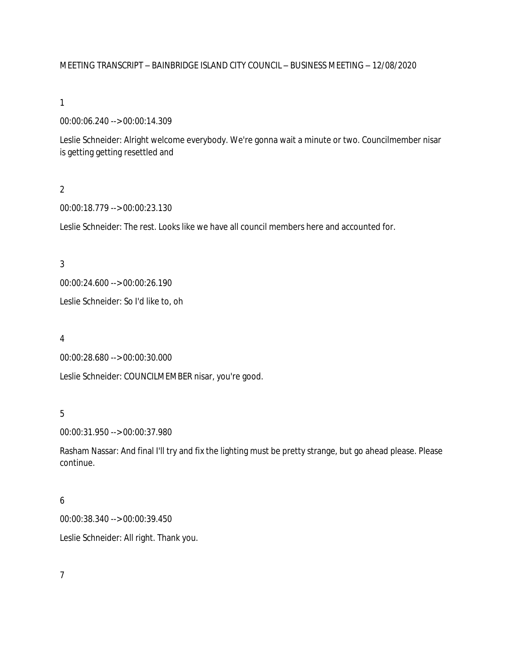### MEETING TRANSCRIPT – BAINBRIDGE ISLAND CITY COUNCIL – BUSINESS MEETING – 12/08/2020

#### 1

00:00:06.240 --> 00:00:14.309

Leslie Schneider: Alright welcome everybody. We're gonna wait a minute or two. Councilmember nisar is getting getting resettled and

## $\overline{2}$

00:00:18.779 --> 00:00:23.130

Leslie Schneider: The rest. Looks like we have all council members here and accounted for.

#### 3

00:00:24.600 --> 00:00:26.190

Leslie Schneider: So I'd like to, oh

#### 4

00:00:28.680 --> 00:00:30.000

Leslie Schneider: COUNCILMEMBER nisar, you're good.

### 5

00:00:31.950 --> 00:00:37.980

Rasham Nassar: And final I'll try and fix the lighting must be pretty strange, but go ahead please. Please continue.

### 6

00:00:38.340 --> 00:00:39.450

Leslie Schneider: All right. Thank you.

# 7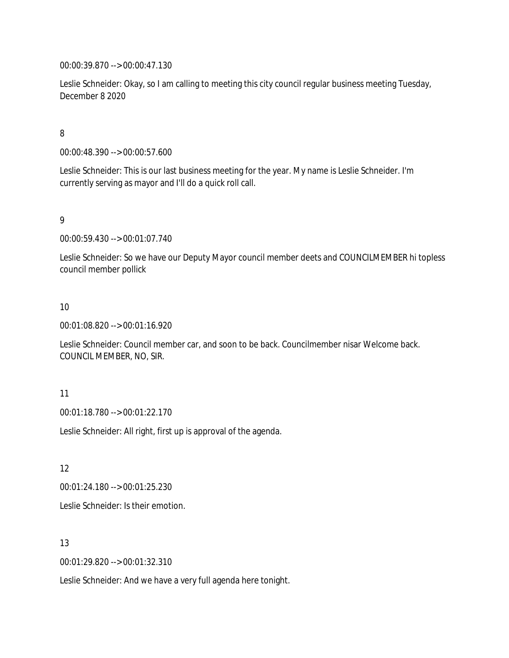00:00:39.870 --> 00:00:47.130

Leslie Schneider: Okay, so I am calling to meeting this city council regular business meeting Tuesday, December 8 2020

# 8

00:00:48.390 --> 00:00:57.600

Leslie Schneider: This is our last business meeting for the year. My name is Leslie Schneider. I'm currently serving as mayor and I'll do a quick roll call.

### 9

00:00:59.430 --> 00:01:07.740

Leslie Schneider: So we have our Deputy Mayor council member deets and COUNCILMEMBER hi topless council member pollick

### 10

00:01:08.820 --> 00:01:16.920

Leslie Schneider: Council member car, and soon to be back. Councilmember nisar Welcome back. COUNCIL MEMBER, NO, SIR.

### 11

00:01:18.780 --> 00:01:22.170

Leslie Schneider: All right, first up is approval of the agenda.

12

00:01:24.180 --> 00:01:25.230

Leslie Schneider: Is their emotion.

### 13

00:01:29.820 --> 00:01:32.310

Leslie Schneider: And we have a very full agenda here tonight.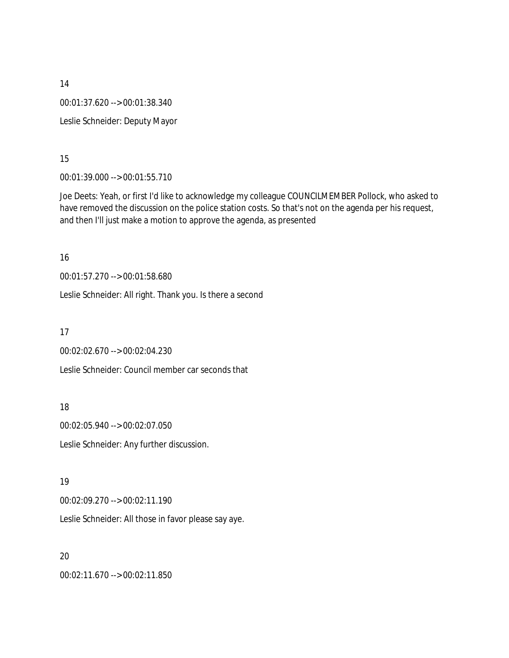14 00:01:37.620 --> 00:01:38.340 Leslie Schneider: Deputy Mayor

15

00:01:39.000 --> 00:01:55.710

Joe Deets: Yeah, or first I'd like to acknowledge my colleague COUNCILMEMBER Pollock, who asked to have removed the discussion on the police station costs. So that's not on the agenda per his request, and then I'll just make a motion to approve the agenda, as presented

16

00:01:57.270 --> 00:01:58.680

Leslie Schneider: All right. Thank you. Is there a second

17

00:02:02.670 --> 00:02:04.230

Leslie Schneider: Council member car seconds that

18

00:02:05.940 --> 00:02:07.050

Leslie Schneider: Any further discussion.

19

00:02:09.270 --> 00:02:11.190

Leslie Schneider: All those in favor please say aye.

20

00:02:11.670 --> 00:02:11.850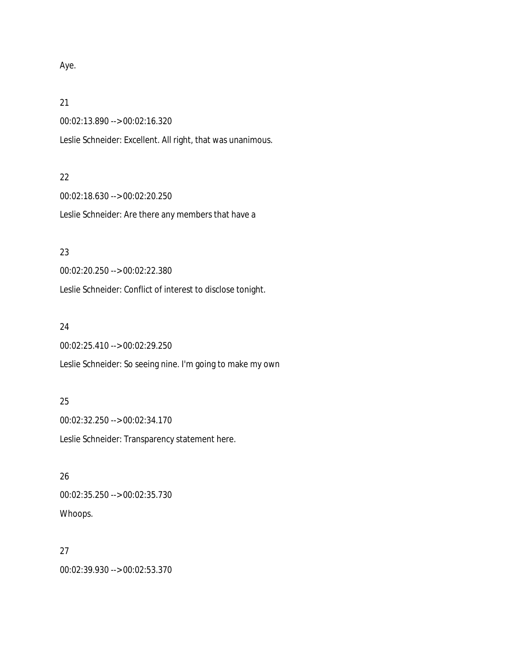### Aye.

#### 21

00:02:13.890 --> 00:02:16.320

Leslie Schneider: Excellent. All right, that was unanimous.

#### 22

00:02:18.630 --> 00:02:20.250 Leslie Schneider: Are there any members that have a

## 23

00:02:20.250 --> 00:02:22.380

Leslie Schneider: Conflict of interest to disclose tonight.

### 24

00:02:25.410 --> 00:02:29.250

Leslie Schneider: So seeing nine. I'm going to make my own

## 25

00:02:32.250 --> 00:02:34.170 Leslie Schneider: Transparency statement here.

### 26

00:02:35.250 --> 00:02:35.730 Whoops.

# 27

00:02:39.930 --> 00:02:53.370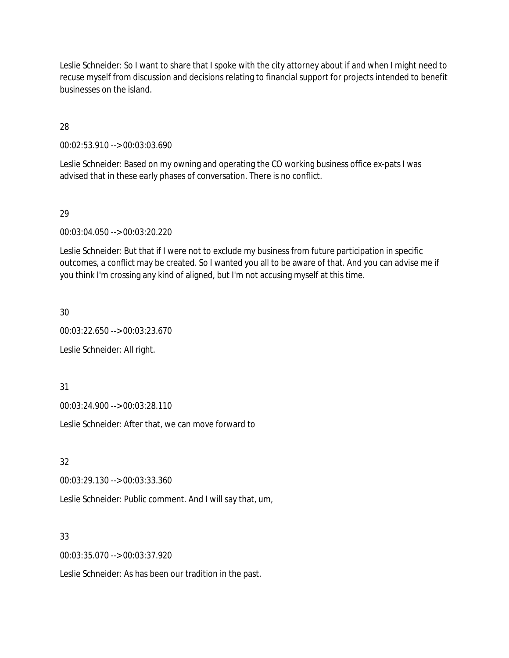Leslie Schneider: So I want to share that I spoke with the city attorney about if and when I might need to recuse myself from discussion and decisions relating to financial support for projects intended to benefit businesses on the island.

28

00:02:53.910 --> 00:03:03.690

Leslie Schneider: Based on my owning and operating the CO working business office ex-pats I was advised that in these early phases of conversation. There is no conflict.

### 29

00:03:04.050 --> 00:03:20.220

Leslie Schneider: But that if I were not to exclude my business from future participation in specific outcomes, a conflict may be created. So I wanted you all to be aware of that. And you can advise me if you think I'm crossing any kind of aligned, but I'm not accusing myself at this time.

30

00:03:22.650 --> 00:03:23.670

Leslie Schneider: All right.

31

00:03:24.900 --> 00:03:28.110

Leslie Schneider: After that, we can move forward to

32

00:03:29.130 --> 00:03:33.360

Leslie Schneider: Public comment. And I will say that, um,

33

00:03:35.070 --> 00:03:37.920

Leslie Schneider: As has been our tradition in the past.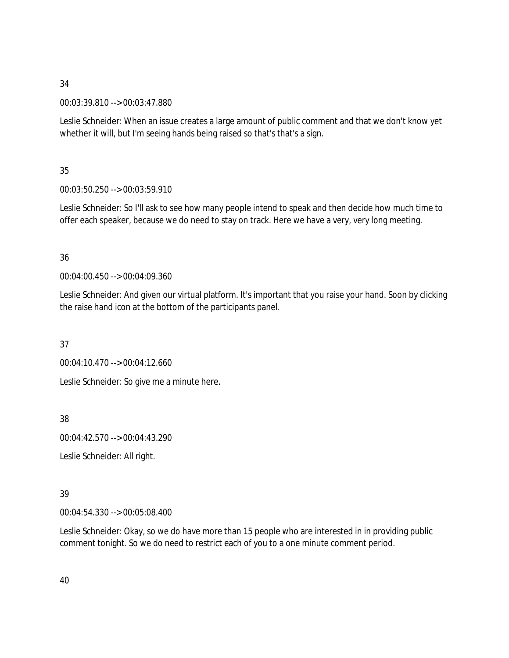00:03:39.810 --> 00:03:47.880

Leslie Schneider: When an issue creates a large amount of public comment and that we don't know yet whether it will, but I'm seeing hands being raised so that's that's a sign.

# 35

00:03:50.250 --> 00:03:59.910

Leslie Schneider: So I'll ask to see how many people intend to speak and then decide how much time to offer each speaker, because we do need to stay on track. Here we have a very, very long meeting.

# 36

00:04:00.450 --> 00:04:09.360

Leslie Schneider: And given our virtual platform. It's important that you raise your hand. Soon by clicking the raise hand icon at the bottom of the participants panel.

37

00:04:10.470 --> 00:04:12.660

Leslie Schneider: So give me a minute here.

38

00:04:42.570 --> 00:04:43.290

Leslie Schneider: All right.

# 39

00:04:54.330 --> 00:05:08.400

Leslie Schneider: Okay, so we do have more than 15 people who are interested in in providing public comment tonight. So we do need to restrict each of you to a one minute comment period.

40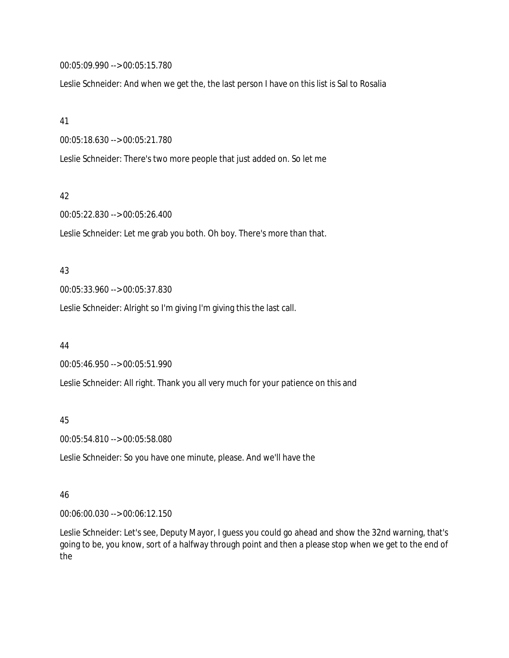00:05:09.990 --> 00:05:15.780

Leslie Schneider: And when we get the, the last person I have on this list is Sal to Rosalia

#### 41

00:05:18.630 --> 00:05:21.780

Leslie Schneider: There's two more people that just added on. So let me

#### 42

00:05:22.830 --> 00:05:26.400

Leslie Schneider: Let me grab you both. Oh boy. There's more than that.

#### 43

00:05:33.960 --> 00:05:37.830

Leslie Schneider: Alright so I'm giving I'm giving this the last call.

#### 44

00:05:46.950 --> 00:05:51.990

Leslie Schneider: All right. Thank you all very much for your patience on this and

### 45

00:05:54.810 --> 00:05:58.080

Leslie Schneider: So you have one minute, please. And we'll have the

### 46

00:06:00.030 --> 00:06:12.150

Leslie Schneider: Let's see, Deputy Mayor, I guess you could go ahead and show the 32nd warning, that's going to be, you know, sort of a halfway through point and then a please stop when we get to the end of the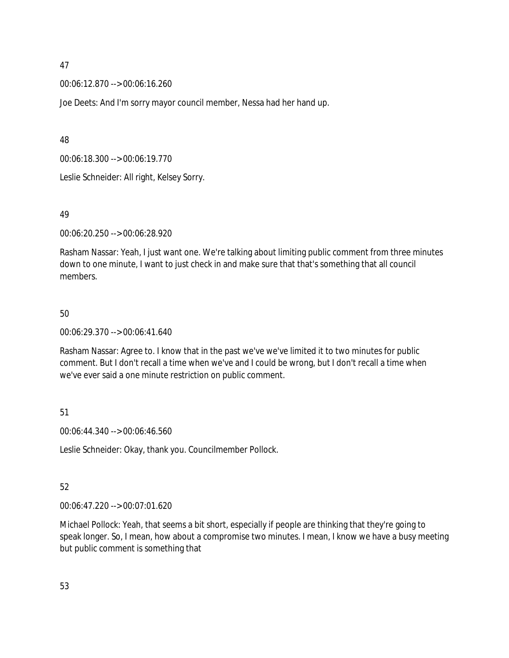00:06:12.870 --> 00:06:16.260

Joe Deets: And I'm sorry mayor council member, Nessa had her hand up.

48

00:06:18.300 --> 00:06:19.770

Leslie Schneider: All right, Kelsey Sorry.

### 49

00:06:20.250 --> 00:06:28.920

Rasham Nassar: Yeah, I just want one. We're talking about limiting public comment from three minutes down to one minute, I want to just check in and make sure that that's something that all council members.

### 50

00:06:29.370 --> 00:06:41.640

Rasham Nassar: Agree to. I know that in the past we've we've limited it to two minutes for public comment. But I don't recall a time when we've and I could be wrong, but I don't recall a time when we've ever said a one minute restriction on public comment.

# 51

00:06:44.340 --> 00:06:46.560

Leslie Schneider: Okay, thank you. Councilmember Pollock.

# 52

00:06:47.220 --> 00:07:01.620

Michael Pollock: Yeah, that seems a bit short, especially if people are thinking that they're going to speak longer. So, I mean, how about a compromise two minutes. I mean, I know we have a busy meeting but public comment is something that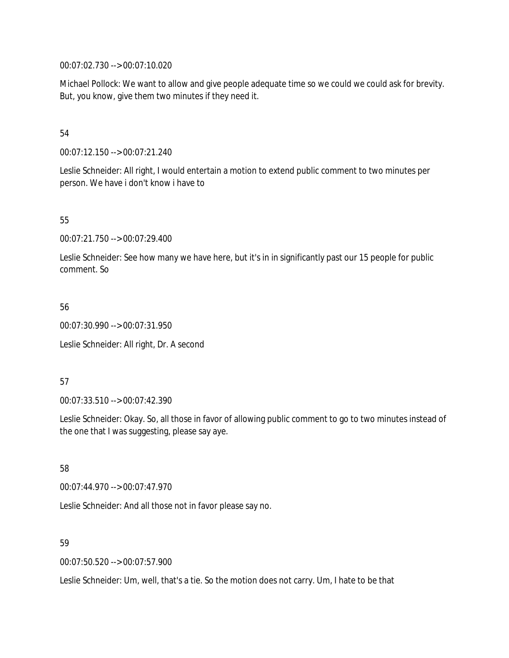00:07:02.730 --> 00:07:10.020

Michael Pollock: We want to allow and give people adequate time so we could we could ask for brevity. But, you know, give them two minutes if they need it.

### 54

00:07:12.150 --> 00:07:21.240

Leslie Schneider: All right, I would entertain a motion to extend public comment to two minutes per person. We have i don't know i have to

### 55

00:07:21.750 --> 00:07:29.400

Leslie Schneider: See how many we have here, but it's in in significantly past our 15 people for public comment. So

### 56

00:07:30.990 --> 00:07:31.950

Leslie Schneider: All right, Dr. A second

### 57

00:07:33.510 --> 00:07:42.390

Leslie Schneider: Okay. So, all those in favor of allowing public comment to go to two minutes instead of the one that I was suggesting, please say aye.

# 58

00:07:44.970 --> 00:07:47.970

Leslie Schneider: And all those not in favor please say no.

### 59

00:07:50.520 --> 00:07:57.900

Leslie Schneider: Um, well, that's a tie. So the motion does not carry. Um, I hate to be that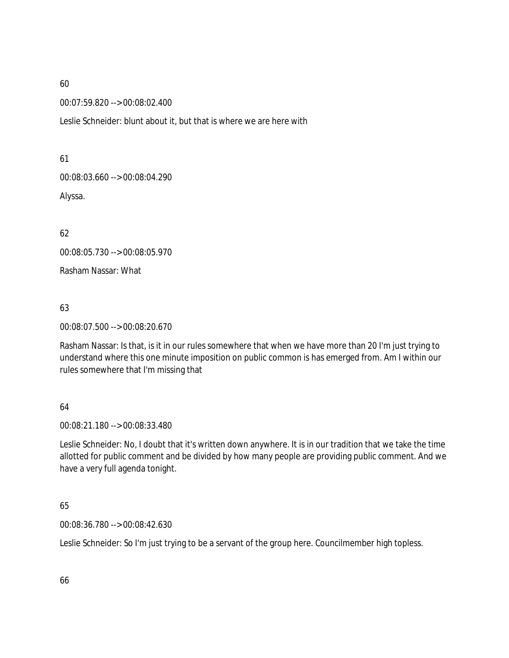00:07:59.820 --> 00:08:02.400

Leslie Schneider: blunt about it, but that is where we are here with

61

00:08:03.660 --> 00:08:04.290

Alyssa.

62

00:08:05.730 --> 00:08:05.970

Rasham Nassar: What

63

00:08:07.500 --> 00:08:20.670

Rasham Nassar: Is that, is it in our rules somewhere that when we have more than 20 I'm just trying to understand where this one minute imposition on public common is has emerged from. Am I within our rules somewhere that I'm missing that

# 64

00:08:21.180 --> 00:08:33.480

Leslie Schneider: No, I doubt that it's written down anywhere. It is in our tradition that we take the time allotted for public comment and be divided by how many people are providing public comment. And we have a very full agenda tonight.

65

00:08:36.780 --> 00:08:42.630

Leslie Schneider: So I'm just trying to be a servant of the group here. Councilmember high topless.

66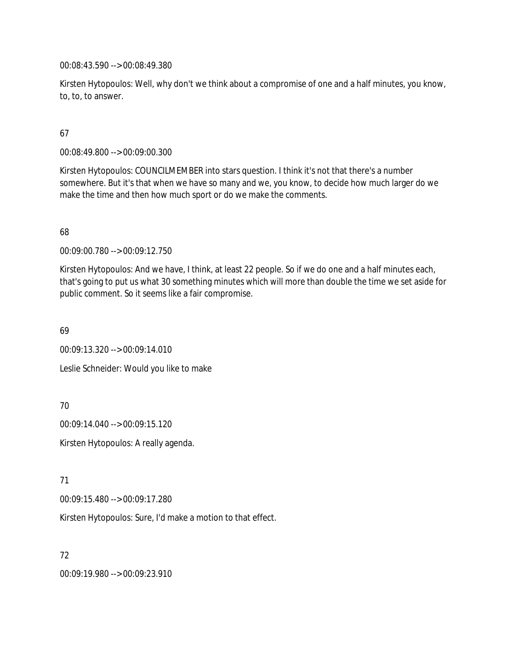00:08:43.590 --> 00:08:49.380

Kirsten Hytopoulos: Well, why don't we think about a compromise of one and a half minutes, you know, to, to, to answer.

# 67

00:08:49.800 --> 00:09:00.300

Kirsten Hytopoulos: COUNCILMEMBER into stars question. I think it's not that there's a number somewhere. But it's that when we have so many and we, you know, to decide how much larger do we make the time and then how much sport or do we make the comments.

# 68

00:09:00.780 --> 00:09:12.750

Kirsten Hytopoulos: And we have, I think, at least 22 people. So if we do one and a half minutes each, that's going to put us what 30 something minutes which will more than double the time we set aside for public comment. So it seems like a fair compromise.

69

00:09:13.320 --> 00:09:14.010

Leslie Schneider: Would you like to make

70

00:09:14.040 --> 00:09:15.120

Kirsten Hytopoulos: A really agenda.

71

00:09:15.480 --> 00:09:17.280

Kirsten Hytopoulos: Sure, I'd make a motion to that effect.

72

00:09:19.980 --> 00:09:23.910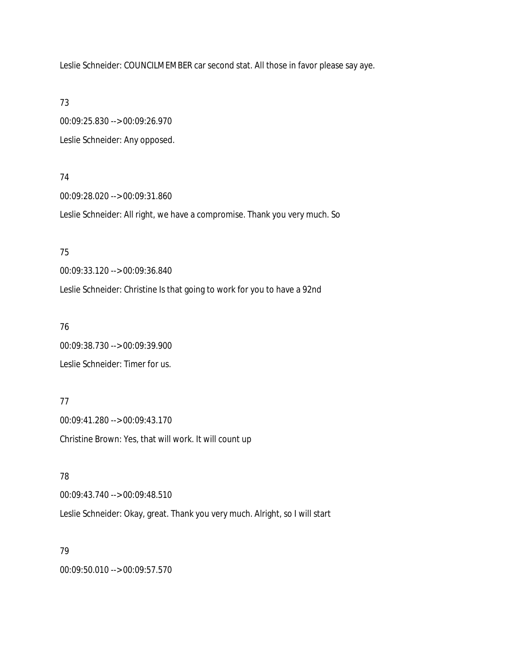Leslie Schneider: COUNCILMEMBER car second stat. All those in favor please say aye.

73

00:09:25.830 --> 00:09:26.970 Leslie Schneider: Any opposed.

### 74

00:09:28.020 --> 00:09:31.860

Leslie Schneider: All right, we have a compromise. Thank you very much. So

### 75

00:09:33.120 --> 00:09:36.840

Leslie Schneider: Christine Is that going to work for you to have a 92nd

### 76

00:09:38.730 --> 00:09:39.900 Leslie Schneider: Timer for us.

## 77

00:09:41.280 --> 00:09:43.170 Christine Brown: Yes, that will work. It will count up

### 78

00:09:43.740 --> 00:09:48.510

Leslie Schneider: Okay, great. Thank you very much. Alright, so I will start

### 79

00:09:50.010 --> 00:09:57.570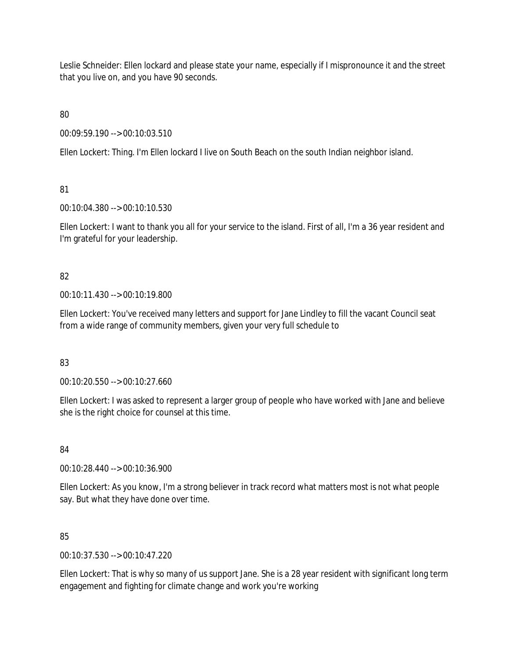Leslie Schneider: Ellen lockard and please state your name, especially if I mispronounce it and the street that you live on, and you have 90 seconds.

80

00:09:59.190 --> 00:10:03.510

Ellen Lockert: Thing. I'm Ellen lockard I live on South Beach on the south Indian neighbor island.

81

00:10:04.380 --> 00:10:10.530

Ellen Lockert: I want to thank you all for your service to the island. First of all, I'm a 36 year resident and I'm grateful for your leadership.

82

00:10:11.430 --> 00:10:19.800

Ellen Lockert: You've received many letters and support for Jane Lindley to fill the vacant Council seat from a wide range of community members, given your very full schedule to

83

00:10:20.550 --> 00:10:27.660

Ellen Lockert: I was asked to represent a larger group of people who have worked with Jane and believe she is the right choice for counsel at this time.

84

00:10:28.440 --> 00:10:36.900

Ellen Lockert: As you know, I'm a strong believer in track record what matters most is not what people say. But what they have done over time.

85

00:10:37.530 --> 00:10:47.220

Ellen Lockert: That is why so many of us support Jane. She is a 28 year resident with significant long term engagement and fighting for climate change and work you're working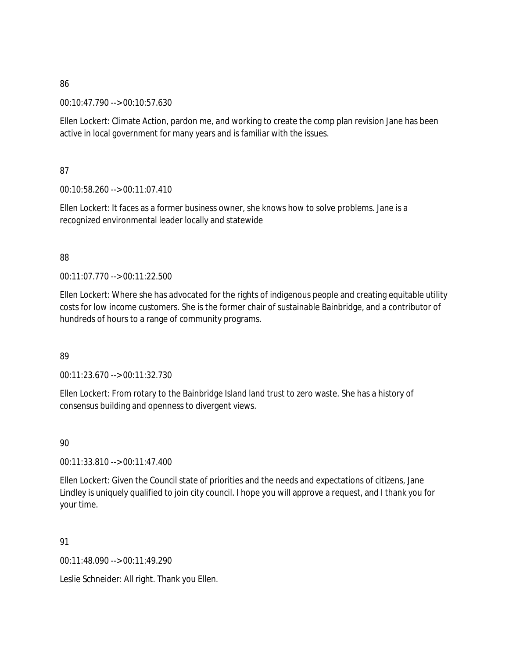00:10:47.790 --> 00:10:57.630

Ellen Lockert: Climate Action, pardon me, and working to create the comp plan revision Jane has been active in local government for many years and is familiar with the issues.

87

00:10:58.260 --> 00:11:07.410

Ellen Lockert: It faces as a former business owner, she knows how to solve problems. Jane is a recognized environmental leader locally and statewide

# 88

00:11:07.770 --> 00:11:22.500

Ellen Lockert: Where she has advocated for the rights of indigenous people and creating equitable utility costs for low income customers. She is the former chair of sustainable Bainbridge, and a contributor of hundreds of hours to a range of community programs.

# 89

00:11:23.670 --> 00:11:32.730

Ellen Lockert: From rotary to the Bainbridge Island land trust to zero waste. She has a history of consensus building and openness to divergent views.

90

00:11:33.810 --> 00:11:47.400

Ellen Lockert: Given the Council state of priorities and the needs and expectations of citizens, Jane Lindley is uniquely qualified to join city council. I hope you will approve a request, and I thank you for your time.

91

00:11:48.090 --> 00:11:49.290

Leslie Schneider: All right. Thank you Ellen.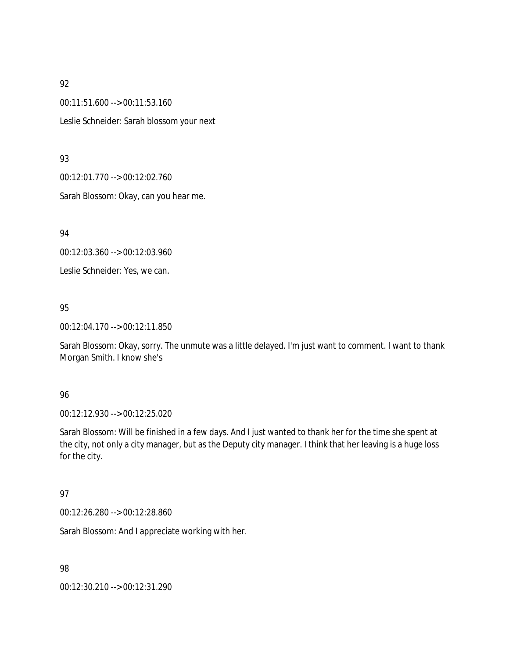00:11:51.600 --> 00:11:53.160 Leslie Schneider: Sarah blossom your next

### 93

00:12:01.770 --> 00:12:02.760

Sarah Blossom: Okay, can you hear me.

94

00:12:03.360 --> 00:12:03.960

Leslie Schneider: Yes, we can.

# 95

00:12:04.170 --> 00:12:11.850

Sarah Blossom: Okay, sorry. The unmute was a little delayed. I'm just want to comment. I want to thank Morgan Smith. I know she's

# 96

00:12:12.930 --> 00:12:25.020

Sarah Blossom: Will be finished in a few days. And I just wanted to thank her for the time she spent at the city, not only a city manager, but as the Deputy city manager. I think that her leaving is a huge loss for the city.

# 97

00:12:26.280 --> 00:12:28.860

Sarah Blossom: And I appreciate working with her.

98

00:12:30.210 --> 00:12:31.290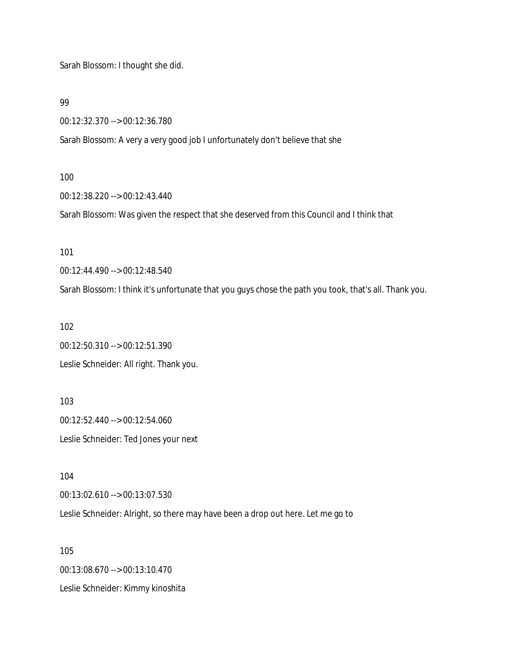Sarah Blossom: I thought she did.

99

00:12:32.370 --> 00:12:36.780

Sarah Blossom: A very a very good job I unfortunately don't believe that she

100

00:12:38.220 --> 00:12:43.440

Sarah Blossom: Was given the respect that she deserved from this Council and I think that

101

00:12:44.490 --> 00:12:48.540

Sarah Blossom: I think it's unfortunate that you guys chose the path you took, that's all. Thank you.

102

00:12:50.310 --> 00:12:51.390 Leslie Schneider: All right. Thank you.

103 00:12:52.440 --> 00:12:54.060 Leslie Schneider: Ted Jones your next

104

00:13:02.610 --> 00:13:07.530

Leslie Schneider: Alright, so there may have been a drop out here. Let me go to

105 00:13:08.670 --> 00:13:10.470 Leslie Schneider: Kimmy kinoshita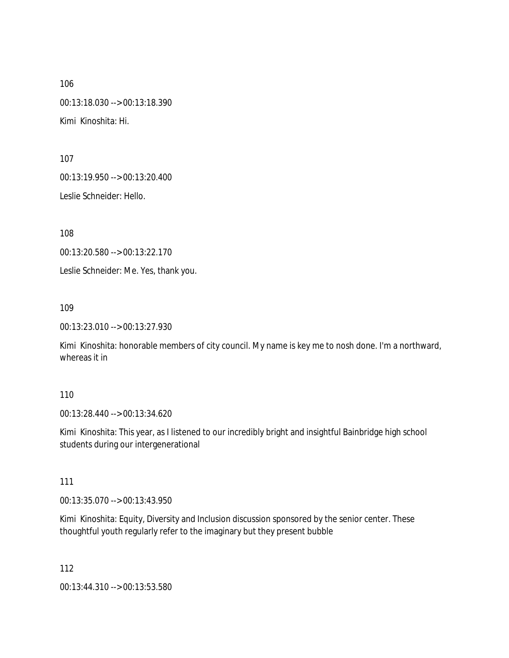106 00:13:18.030 --> 00:13:18.390 Kimi Kinoshita: Hi.

107

00:13:19.950 --> 00:13:20.400

Leslie Schneider: Hello.

108

00:13:20.580 --> 00:13:22.170

Leslie Schneider: Me. Yes, thank you.

109

00:13:23.010 --> 00:13:27.930

Kimi Kinoshita: honorable members of city council. My name is key me to nosh done. I'm a northward, whereas it in

### 110

00:13:28.440 --> 00:13:34.620

Kimi Kinoshita: This year, as I listened to our incredibly bright and insightful Bainbridge high school students during our intergenerational

111

00:13:35.070 --> 00:13:43.950

Kimi Kinoshita: Equity, Diversity and Inclusion discussion sponsored by the senior center. These thoughtful youth regularly refer to the imaginary but they present bubble

112 00:13:44.310 --> 00:13:53.580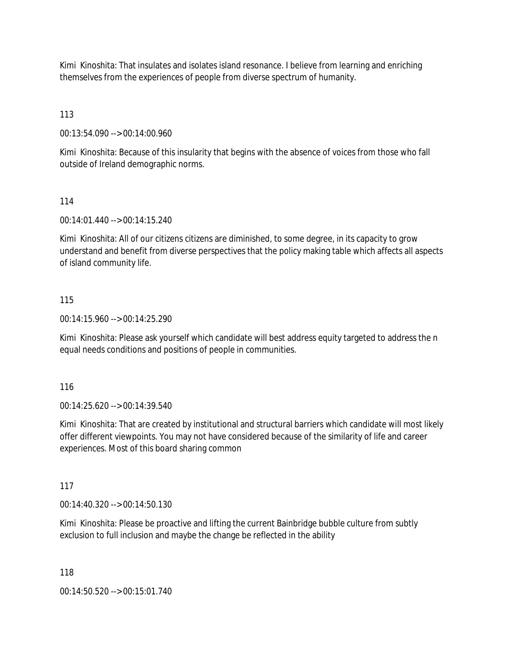Kimi Kinoshita: That insulates and isolates island resonance. I believe from learning and enriching themselves from the experiences of people from diverse spectrum of humanity.

113

00:13:54.090 --> 00:14:00.960

Kimi Kinoshita: Because of this insularity that begins with the absence of voices from those who fall outside of Ireland demographic norms.

### 114

00:14:01.440 --> 00:14:15.240

Kimi Kinoshita: All of our citizens citizens are diminished, to some degree, in its capacity to grow understand and benefit from diverse perspectives that the policy making table which affects all aspects of island community life.

### 115

00:14:15.960 --> 00:14:25.290

Kimi Kinoshita: Please ask yourself which candidate will best address equity targeted to address the n equal needs conditions and positions of people in communities.

116

00:14:25.620 --> 00:14:39.540

Kimi Kinoshita: That are created by institutional and structural barriers which candidate will most likely offer different viewpoints. You may not have considered because of the similarity of life and career experiences. Most of this board sharing common

117

00:14:40.320 --> 00:14:50.130

Kimi Kinoshita: Please be proactive and lifting the current Bainbridge bubble culture from subtly exclusion to full inclusion and maybe the change be reflected in the ability

118

00:14:50.520 --> 00:15:01.740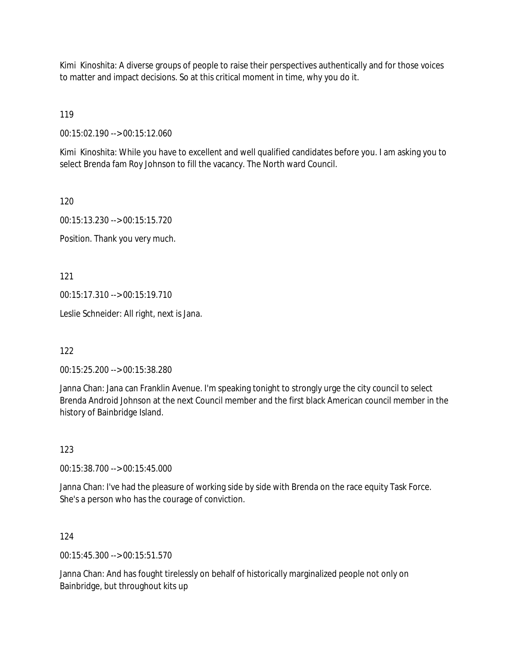Kimi Kinoshita: A diverse groups of people to raise their perspectives authentically and for those voices to matter and impact decisions. So at this critical moment in time, why you do it.

119

00:15:02.190 --> 00:15:12.060

Kimi Kinoshita: While you have to excellent and well qualified candidates before you. I am asking you to select Brenda fam Roy Johnson to fill the vacancy. The North ward Council.

120

00:15:13.230 --> 00:15:15.720

Position. Thank you very much.

121

00:15:17.310 --> 00:15:19.710

Leslie Schneider: All right, next is Jana.

122

00:15:25.200 --> 00:15:38.280

Janna Chan: Jana can Franklin Avenue. I'm speaking tonight to strongly urge the city council to select Brenda Android Johnson at the next Council member and the first black American council member in the history of Bainbridge Island.

123

00:15:38.700 --> 00:15:45.000

Janna Chan: I've had the pleasure of working side by side with Brenda on the race equity Task Force. She's a person who has the courage of conviction.

124

00:15:45.300 --> 00:15:51.570

Janna Chan: And has fought tirelessly on behalf of historically marginalized people not only on Bainbridge, but throughout kits up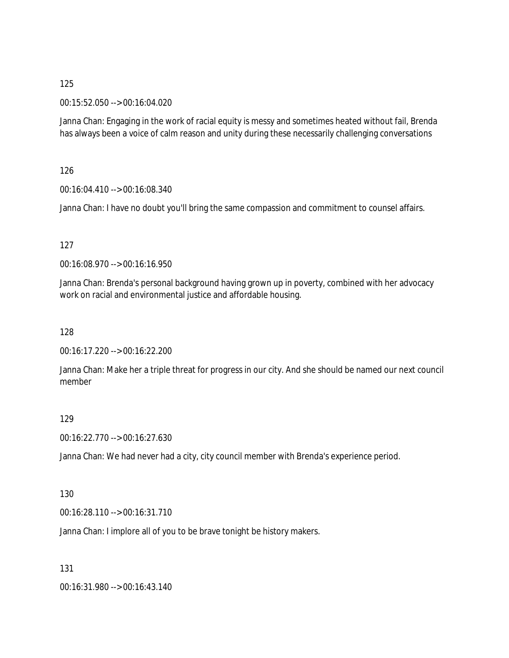### 00:15:52.050 --> 00:16:04.020

Janna Chan: Engaging in the work of racial equity is messy and sometimes heated without fail, Brenda has always been a voice of calm reason and unity during these necessarily challenging conversations

126

00:16:04.410 --> 00:16:08.340

Janna Chan: I have no doubt you'll bring the same compassion and commitment to counsel affairs.

### 127

00:16:08.970 --> 00:16:16.950

Janna Chan: Brenda's personal background having grown up in poverty, combined with her advocacy work on racial and environmental justice and affordable housing.

128

00:16:17.220 --> 00:16:22.200

Janna Chan: Make her a triple threat for progress in our city. And she should be named our next council member

### 129

00:16:22.770 --> 00:16:27.630

Janna Chan: We had never had a city, city council member with Brenda's experience period.

### 130

00:16:28.110 --> 00:16:31.710

Janna Chan: I implore all of you to be brave tonight be history makers.

131

00:16:31.980 --> 00:16:43.140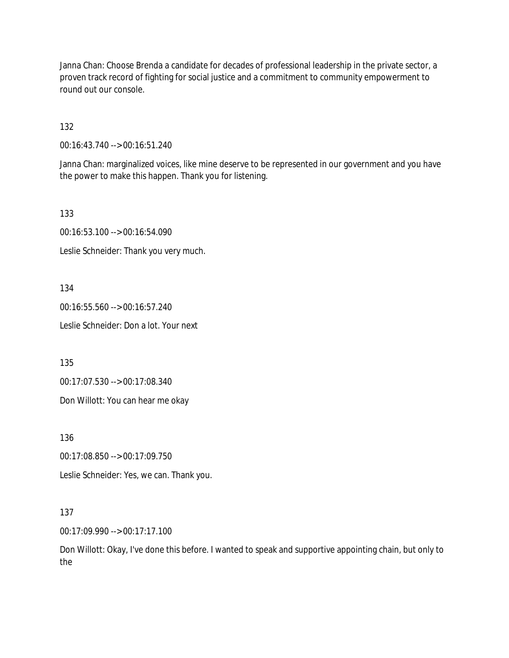Janna Chan: Choose Brenda a candidate for decades of professional leadership in the private sector, a proven track record of fighting for social justice and a commitment to community empowerment to round out our console.

132

00:16:43.740 --> 00:16:51.240

Janna Chan: marginalized voices, like mine deserve to be represented in our government and you have the power to make this happen. Thank you for listening.

133

00:16:53.100 --> 00:16:54.090

Leslie Schneider: Thank you very much.

134

00:16:55.560 --> 00:16:57.240 Leslie Schneider: Don a lot. Your next

135

00:17:07.530 --> 00:17:08.340

Don Willott: You can hear me okay

136

00:17:08.850 --> 00:17:09.750

Leslie Schneider: Yes, we can. Thank you.

137

00:17:09.990 --> 00:17:17.100

Don Willott: Okay, I've done this before. I wanted to speak and supportive appointing chain, but only to the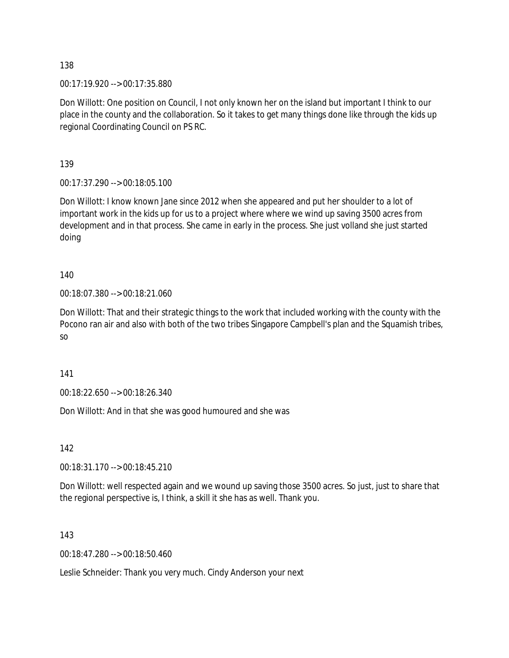00:17:19.920 --> 00:17:35.880

Don Willott: One position on Council, I not only known her on the island but important I think to our place in the county and the collaboration. So it takes to get many things done like through the kids up regional Coordinating Council on PS RC.

139

00:17:37.290 --> 00:18:05.100

Don Willott: I know known Jane since 2012 when she appeared and put her shoulder to a lot of important work in the kids up for us to a project where where we wind up saving 3500 acres from development and in that process. She came in early in the process. She just volland she just started doing

140

00:18:07.380 --> 00:18:21.060

Don Willott: That and their strategic things to the work that included working with the county with the Pocono ran air and also with both of the two tribes Singapore Campbell's plan and the Squamish tribes, so

141

00:18:22.650 --> 00:18:26.340

Don Willott: And in that she was good humoured and she was

142

00:18:31.170 --> 00:18:45.210

Don Willott: well respected again and we wound up saving those 3500 acres. So just, just to share that the regional perspective is, I think, a skill it she has as well. Thank you.

143

00:18:47.280 --> 00:18:50.460

Leslie Schneider: Thank you very much. Cindy Anderson your next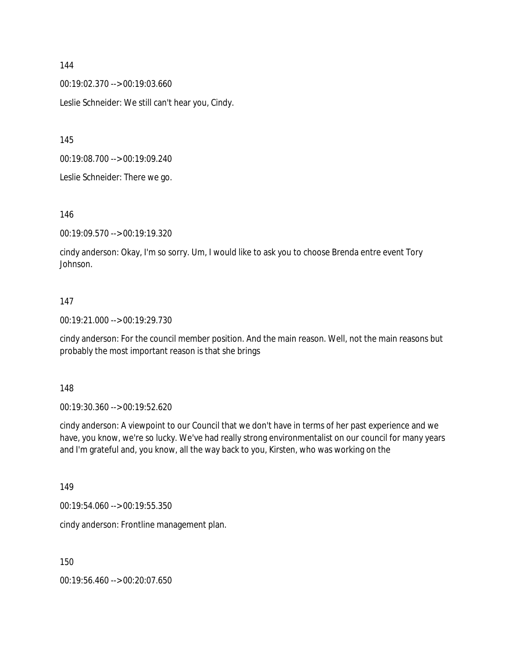00:19:02.370 --> 00:19:03.660 Leslie Schneider: We still can't hear you, Cindy.

145

00:19:08.700 --> 00:19:09.240

Leslie Schneider: There we go.

146

00:19:09.570 --> 00:19:19.320

cindy anderson: Okay, I'm so sorry. Um, I would like to ask you to choose Brenda entre event Tory Johnson.

### 147

00:19:21.000 --> 00:19:29.730

cindy anderson: For the council member position. And the main reason. Well, not the main reasons but probably the most important reason is that she brings

148

00:19:30.360 --> 00:19:52.620

cindy anderson: A viewpoint to our Council that we don't have in terms of her past experience and we have, you know, we're so lucky. We've had really strong environmentalist on our council for many years and I'm grateful and, you know, all the way back to you, Kirsten, who was working on the

149

00:19:54.060 --> 00:19:55.350

cindy anderson: Frontline management plan.

150

00:19:56.460 --> 00:20:07.650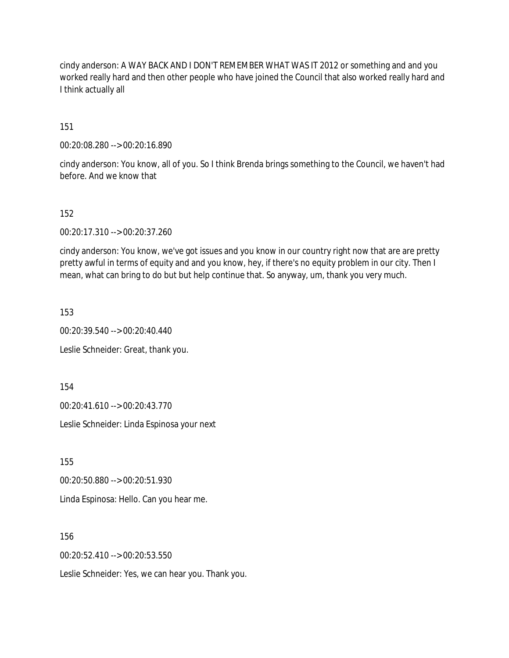cindy anderson: A WAY BACK AND I DON'T REMEMBER WHAT WAS IT 2012 or something and and you worked really hard and then other people who have joined the Council that also worked really hard and I think actually all

151

00:20:08.280 --> 00:20:16.890

cindy anderson: You know, all of you. So I think Brenda brings something to the Council, we haven't had before. And we know that

#### 152

00:20:17.310 --> 00:20:37.260

cindy anderson: You know, we've got issues and you know in our country right now that are are pretty pretty awful in terms of equity and and you know, hey, if there's no equity problem in our city. Then I mean, what can bring to do but but help continue that. So anyway, um, thank you very much.

153

00:20:39.540 --> 00:20:40.440

Leslie Schneider: Great, thank you.

154

00:20:41.610 --> 00:20:43.770

Leslie Schneider: Linda Espinosa your next

155

00:20:50.880 --> 00:20:51.930

Linda Espinosa: Hello. Can you hear me.

156

00:20:52.410 --> 00:20:53.550

Leslie Schneider: Yes, we can hear you. Thank you.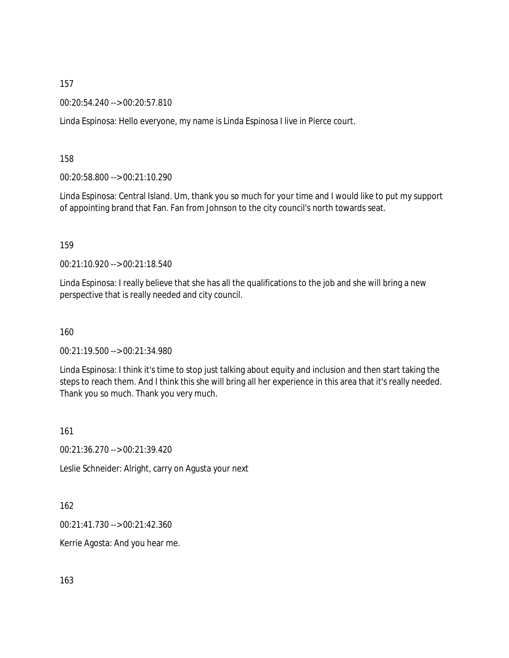00:20:54.240 --> 00:20:57.810

Linda Espinosa: Hello everyone, my name is Linda Espinosa I live in Pierce court.

158

00:20:58.800 --> 00:21:10.290

Linda Espinosa: Central Island. Um, thank you so much for your time and I would like to put my support of appointing brand that Fan. Fan from Johnson to the city council's north towards seat.

159

00:21:10.920 --> 00:21:18.540

Linda Espinosa: I really believe that she has all the qualifications to the job and she will bring a new perspective that is really needed and city council.

160

00:21:19.500 --> 00:21:34.980

Linda Espinosa: I think it's time to stop just talking about equity and inclusion and then start taking the steps to reach them. And I think this she will bring all her experience in this area that it's really needed. Thank you so much. Thank you very much.

161

00:21:36.270 --> 00:21:39.420

Leslie Schneider: Alright, carry on Agusta your next

162

00:21:41.730 --> 00:21:42.360

Kerrie Agosta: And you hear me.

163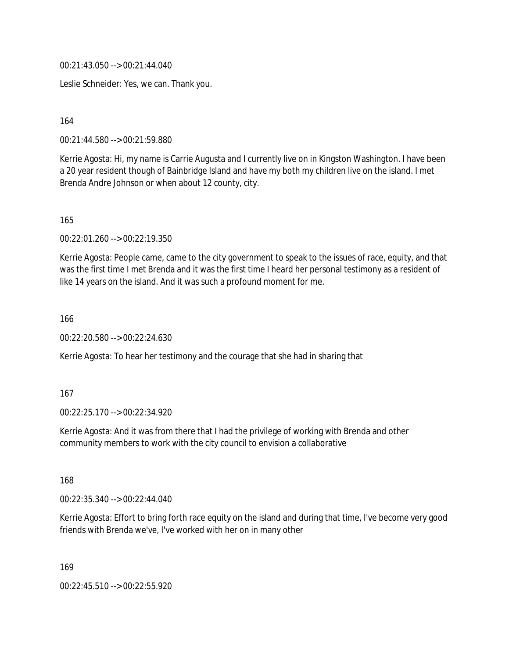00:21:43.050 --> 00:21:44.040

Leslie Schneider: Yes, we can. Thank you.

164

00:21:44.580 --> 00:21:59.880

Kerrie Agosta: Hi, my name is Carrie Augusta and I currently live on in Kingston Washington. I have been a 20 year resident though of Bainbridge Island and have my both my children live on the island. I met Brenda Andre Johnson or when about 12 county, city.

165

00:22:01.260 --> 00:22:19.350

Kerrie Agosta: People came, came to the city government to speak to the issues of race, equity, and that was the first time I met Brenda and it was the first time I heard her personal testimony as a resident of like 14 years on the island. And it was such a profound moment for me.

166

00:22:20.580 --> 00:22:24.630

Kerrie Agosta: To hear her testimony and the courage that she had in sharing that

167

00:22:25.170 --> 00:22:34.920

Kerrie Agosta: And it was from there that I had the privilege of working with Brenda and other community members to work with the city council to envision a collaborative

168

00:22:35.340 --> 00:22:44.040

Kerrie Agosta: Effort to bring forth race equity on the island and during that time, I've become very good friends with Brenda we've, I've worked with her on in many other

169

00:22:45.510 --> 00:22:55.920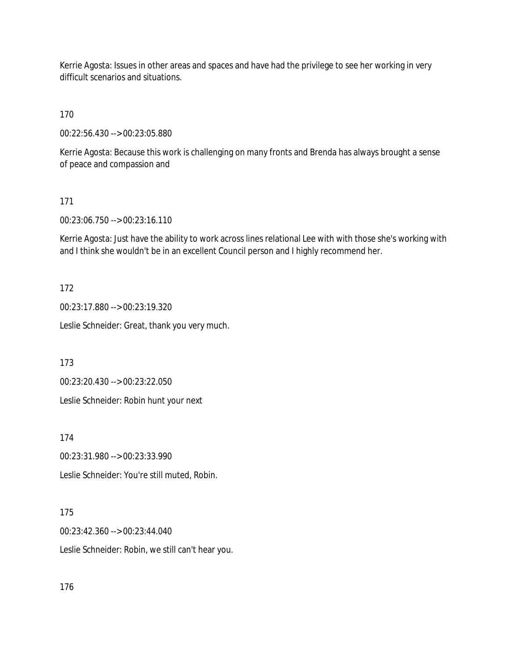Kerrie Agosta: Issues in other areas and spaces and have had the privilege to see her working in very difficult scenarios and situations.

170

00:22:56.430 --> 00:23:05.880

Kerrie Agosta: Because this work is challenging on many fronts and Brenda has always brought a sense of peace and compassion and

#### 171

00:23:06.750 --> 00:23:16.110

Kerrie Agosta: Just have the ability to work across lines relational Lee with with those she's working with and I think she wouldn't be in an excellent Council person and I highly recommend her.

#### 172

00:23:17.880 --> 00:23:19.320

Leslie Schneider: Great, thank you very much.

173

00:23:20.430 --> 00:23:22.050

Leslie Schneider: Robin hunt your next

174

00:23:31.980 --> 00:23:33.990

Leslie Schneider: You're still muted, Robin.

### 175

00:23:42.360 --> 00:23:44.040

Leslie Schneider: Robin, we still can't hear you.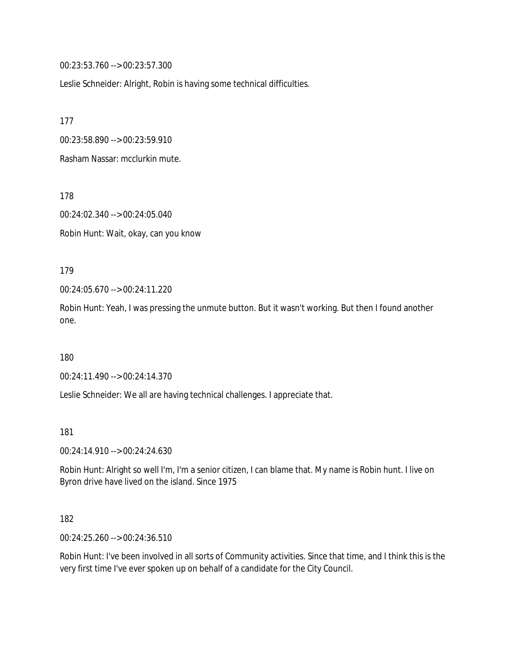00:23:53.760 --> 00:23:57.300

Leslie Schneider: Alright, Robin is having some technical difficulties.

177

00:23:58.890 --> 00:23:59.910

Rasham Nassar: mcclurkin mute.

178

00:24:02.340 --> 00:24:05.040

Robin Hunt: Wait, okay, can you know

179

00:24:05.670 --> 00:24:11.220

Robin Hunt: Yeah, I was pressing the unmute button. But it wasn't working. But then I found another one.

180

00:24:11.490 --> 00:24:14.370

Leslie Schneider: We all are having technical challenges. I appreciate that.

181

00:24:14.910 --> 00:24:24.630

Robin Hunt: Alright so well I'm, I'm a senior citizen, I can blame that. My name is Robin hunt. I live on Byron drive have lived on the island. Since 1975

182

00:24:25.260 --> 00:24:36.510

Robin Hunt: I've been involved in all sorts of Community activities. Since that time, and I think this is the very first time I've ever spoken up on behalf of a candidate for the City Council.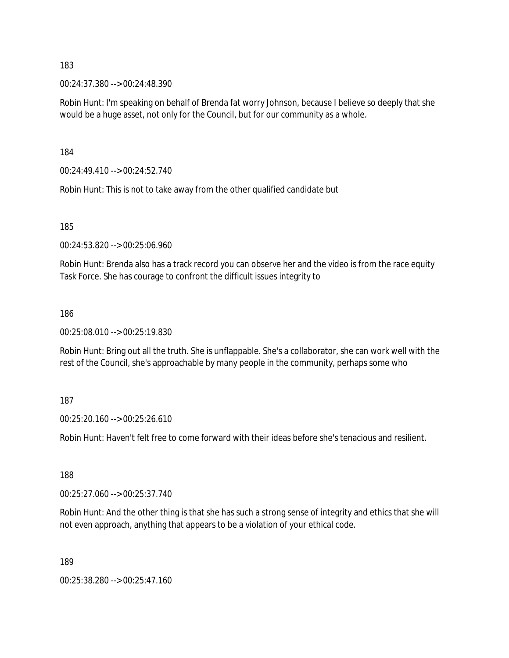00:24:37.380 --> 00:24:48.390

Robin Hunt: I'm speaking on behalf of Brenda fat worry Johnson, because I believe so deeply that she would be a huge asset, not only for the Council, but for our community as a whole.

184

00:24:49.410 --> 00:24:52.740

Robin Hunt: This is not to take away from the other qualified candidate but

185

00:24:53.820 --> 00:25:06.960

Robin Hunt: Brenda also has a track record you can observe her and the video is from the race equity Task Force. She has courage to confront the difficult issues integrity to

#### 186

00:25:08.010 --> 00:25:19.830

Robin Hunt: Bring out all the truth. She is unflappable. She's a collaborator, she can work well with the rest of the Council, she's approachable by many people in the community, perhaps some who

### 187

00:25:20.160 --> 00:25:26.610

Robin Hunt: Haven't felt free to come forward with their ideas before she's tenacious and resilient.

188

00:25:27.060 --> 00:25:37.740

Robin Hunt: And the other thing is that she has such a strong sense of integrity and ethics that she will not even approach, anything that appears to be a violation of your ethical code.

189

00:25:38.280 --> 00:25:47.160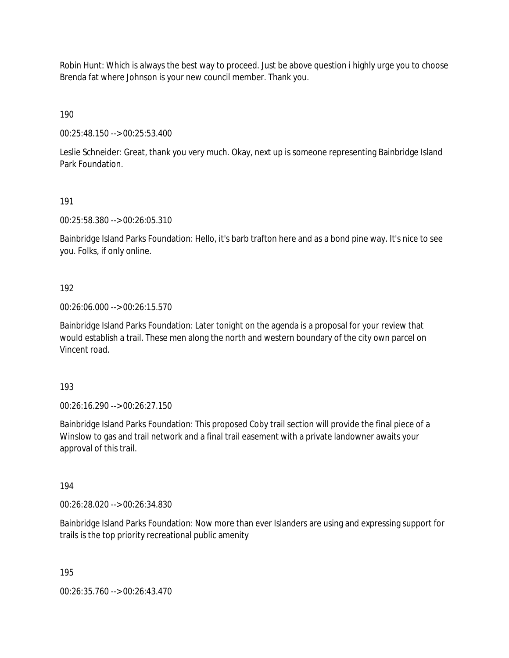Robin Hunt: Which is always the best way to proceed. Just be above question i highly urge you to choose Brenda fat where Johnson is your new council member. Thank you.

190

00:25:48.150 --> 00:25:53.400

Leslie Schneider: Great, thank you very much. Okay, next up is someone representing Bainbridge Island Park Foundation.

191

00:25:58.380 --> 00:26:05.310

Bainbridge Island Parks Foundation: Hello, it's barb trafton here and as a bond pine way. It's nice to see you. Folks, if only online.

192

00:26:06.000 --> 00:26:15.570

Bainbridge Island Parks Foundation: Later tonight on the agenda is a proposal for your review that would establish a trail. These men along the north and western boundary of the city own parcel on Vincent road.

193

00:26:16.290 --> 00:26:27.150

Bainbridge Island Parks Foundation: This proposed Coby trail section will provide the final piece of a Winslow to gas and trail network and a final trail easement with a private landowner awaits your approval of this trail.

194

00:26:28.020 --> 00:26:34.830

Bainbridge Island Parks Foundation: Now more than ever Islanders are using and expressing support for trails is the top priority recreational public amenity

195

00:26:35.760 --> 00:26:43.470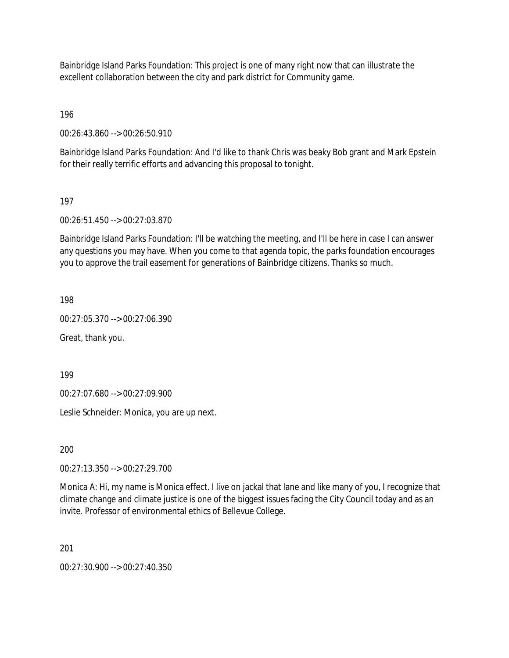Bainbridge Island Parks Foundation: This project is one of many right now that can illustrate the excellent collaboration between the city and park district for Community game.

196

00:26:43.860 --> 00:26:50.910

Bainbridge Island Parks Foundation: And I'd like to thank Chris was beaky Bob grant and Mark Epstein for their really terrific efforts and advancing this proposal to tonight.

### 197

00:26:51.450 --> 00:27:03.870

Bainbridge Island Parks Foundation: I'll be watching the meeting, and I'll be here in case I can answer any questions you may have. When you come to that agenda topic, the parks foundation encourages you to approve the trail easement for generations of Bainbridge citizens. Thanks so much.

198

00:27:05.370 --> 00:27:06.390

Great, thank you.

199

00:27:07.680 --> 00:27:09.900

Leslie Schneider: Monica, you are up next.

200

00:27:13.350 --> 00:27:29.700

Monica A: Hi, my name is Monica effect. I live on jackal that lane and like many of you, I recognize that climate change and climate justice is one of the biggest issues facing the City Council today and as an invite. Professor of environmental ethics of Bellevue College.

201

00:27:30.900 --> 00:27:40.350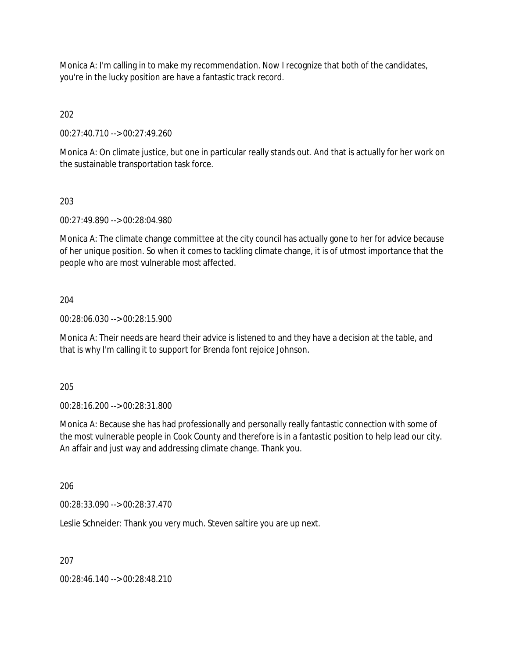Monica A: I'm calling in to make my recommendation. Now I recognize that both of the candidates, you're in the lucky position are have a fantastic track record.

202

00:27:40.710 --> 00:27:49.260

Monica A: On climate justice, but one in particular really stands out. And that is actually for her work on the sustainable transportation task force.

203

00:27:49.890 --> 00:28:04.980

Monica A: The climate change committee at the city council has actually gone to her for advice because of her unique position. So when it comes to tackling climate change, it is of utmost importance that the people who are most vulnerable most affected.

204

00:28:06.030 --> 00:28:15.900

Monica A: Their needs are heard their advice is listened to and they have a decision at the table, and that is why I'm calling it to support for Brenda font rejoice Johnson.

205

00:28:16.200 --> 00:28:31.800

Monica A: Because she has had professionally and personally really fantastic connection with some of the most vulnerable people in Cook County and therefore is in a fantastic position to help lead our city. An affair and just way and addressing climate change. Thank you.

206

00:28:33.090 --> 00:28:37.470

Leslie Schneider: Thank you very much. Steven saltire you are up next.

207

00:28:46.140 --> 00:28:48.210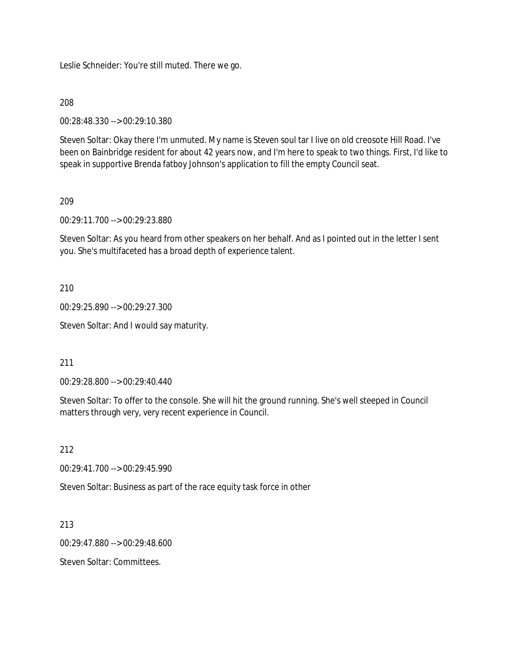Leslie Schneider: You're still muted. There we go.

208

00:28:48.330 --> 00:29:10.380

Steven Soltar: Okay there I'm unmuted. My name is Steven soul tar I live on old creosote Hill Road. I've been on Bainbridge resident for about 42 years now, and I'm here to speak to two things. First, I'd like to speak in supportive Brenda fatboy Johnson's application to fill the empty Council seat.

209

00:29:11.700 --> 00:29:23.880

Steven Soltar: As you heard from other speakers on her behalf. And as I pointed out in the letter I sent you. She's multifaceted has a broad depth of experience talent.

210

00:29:25.890 --> 00:29:27.300

Steven Soltar: And I would say maturity.

211

00:29:28.800 --> 00:29:40.440

Steven Soltar: To offer to the console. She will hit the ground running. She's well steeped in Council matters through very, very recent experience in Council.

212

00:29:41.700 --> 00:29:45.990

Steven Soltar: Business as part of the race equity task force in other

213

00:29:47.880 --> 00:29:48.600

Steven Soltar: Committees.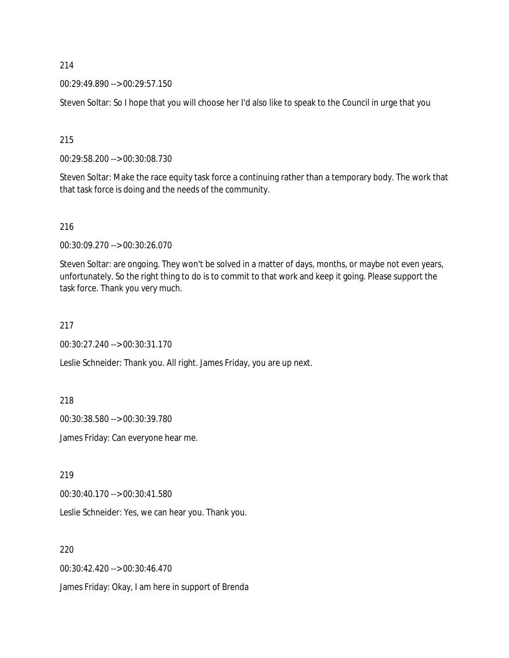00:29:49.890 --> 00:29:57.150

Steven Soltar: So I hope that you will choose her I'd also like to speak to the Council in urge that you

215

00:29:58.200 --> 00:30:08.730

Steven Soltar: Make the race equity task force a continuing rather than a temporary body. The work that that task force is doing and the needs of the community.

216

00:30:09.270 --> 00:30:26.070

Steven Soltar: are ongoing. They won't be solved in a matter of days, months, or maybe not even years, unfortunately. So the right thing to do is to commit to that work and keep it going. Please support the task force. Thank you very much.

217

00:30:27.240 --> 00:30:31.170

Leslie Schneider: Thank you. All right. James Friday, you are up next.

218

00:30:38.580 --> 00:30:39.780

James Friday: Can everyone hear me.

219

00:30:40.170 --> 00:30:41.580

Leslie Schneider: Yes, we can hear you. Thank you.

220

00:30:42.420 --> 00:30:46.470

James Friday: Okay, I am here in support of Brenda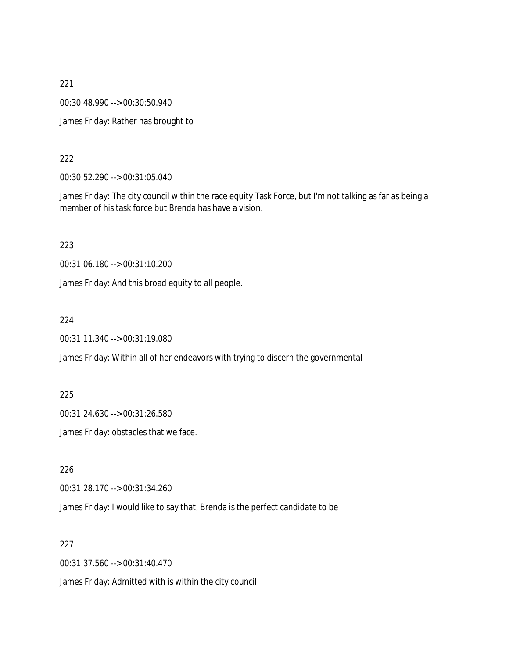00:30:48.990 --> 00:30:50.940

James Friday: Rather has brought to

#### 222

00:30:52.290 --> 00:31:05.040

James Friday: The city council within the race equity Task Force, but I'm not talking as far as being a member of his task force but Brenda has have a vision.

223

00:31:06.180 --> 00:31:10.200

James Friday: And this broad equity to all people.

224

00:31:11.340 --> 00:31:19.080

James Friday: Within all of her endeavors with trying to discern the governmental

225

00:31:24.630 --> 00:31:26.580

James Friday: obstacles that we face.

226

00:31:28.170 --> 00:31:34.260

James Friday: I would like to say that, Brenda is the perfect candidate to be

227

00:31:37.560 --> 00:31:40.470

James Friday: Admitted with is within the city council.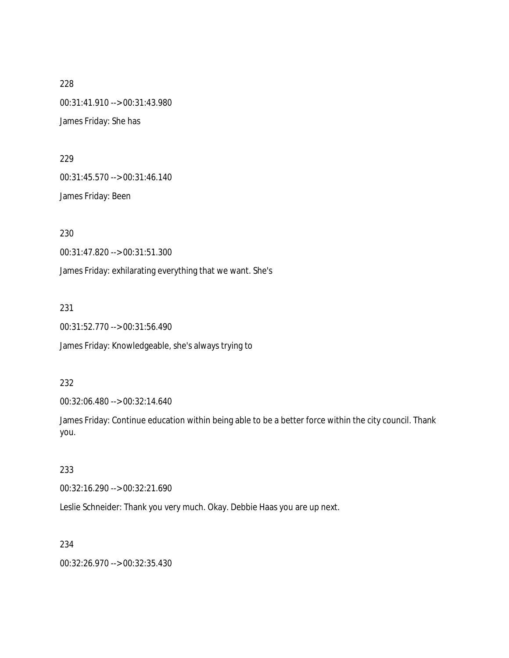228 00:31:41.910 --> 00:31:43.980 James Friday: She has

229

00:31:45.570 --> 00:31:46.140

James Friday: Been

230

00:31:47.820 --> 00:31:51.300

James Friday: exhilarating everything that we want. She's

231

00:31:52.770 --> 00:31:56.490

James Friday: Knowledgeable, she's always trying to

232

00:32:06.480 --> 00:32:14.640

James Friday: Continue education within being able to be a better force within the city council. Thank you.

### 233

00:32:16.290 --> 00:32:21.690

Leslie Schneider: Thank you very much. Okay. Debbie Haas you are up next.

### 234

00:32:26.970 --> 00:32:35.430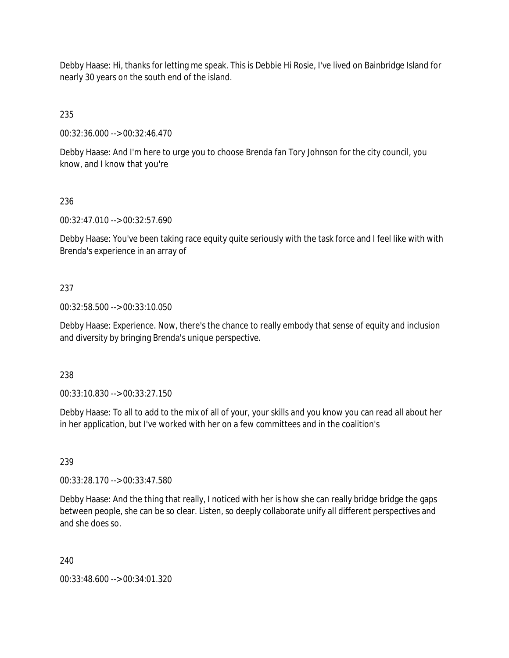Debby Haase: Hi, thanks for letting me speak. This is Debbie Hi Rosie, I've lived on Bainbridge Island for nearly 30 years on the south end of the island.

235

00:32:36.000 --> 00:32:46.470

Debby Haase: And I'm here to urge you to choose Brenda fan Tory Johnson for the city council, you know, and I know that you're

## 236

00:32:47.010 --> 00:32:57.690

Debby Haase: You've been taking race equity quite seriously with the task force and I feel like with with Brenda's experience in an array of

## 237

00:32:58.500 --> 00:33:10.050

Debby Haase: Experience. Now, there's the chance to really embody that sense of equity and inclusion and diversity by bringing Brenda's unique perspective.

## 238

00:33:10.830 --> 00:33:27.150

Debby Haase: To all to add to the mix of all of your, your skills and you know you can read all about her in her application, but I've worked with her on a few committees and in the coalition's

## 239

00:33:28.170 --> 00:33:47.580

Debby Haase: And the thing that really, I noticed with her is how she can really bridge bridge the gaps between people, she can be so clear. Listen, so deeply collaborate unify all different perspectives and and she does so.

## 240

00:33:48.600 --> 00:34:01.320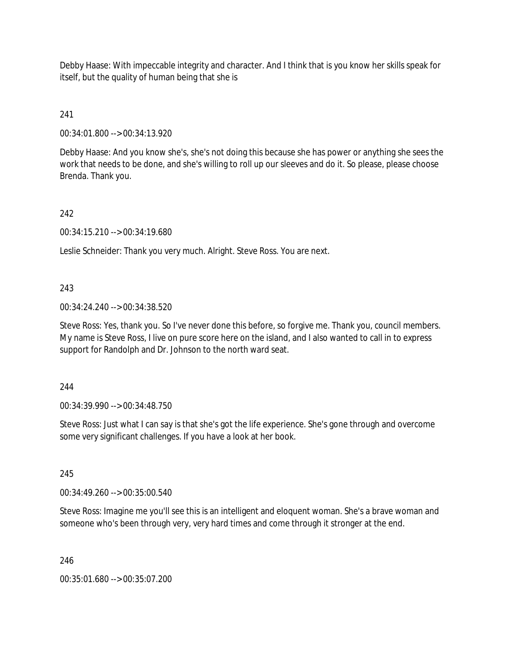Debby Haase: With impeccable integrity and character. And I think that is you know her skills speak for itself, but the quality of human being that she is

241

00:34:01.800 --> 00:34:13.920

Debby Haase: And you know she's, she's not doing this because she has power or anything she sees the work that needs to be done, and she's willing to roll up our sleeves and do it. So please, please choose Brenda. Thank you.

242

00:34:15.210 --> 00:34:19.680

Leslie Schneider: Thank you very much. Alright. Steve Ross. You are next.

243

00:34:24.240 --> 00:34:38.520

Steve Ross: Yes, thank you. So I've never done this before, so forgive me. Thank you, council members. My name is Steve Ross, I live on pure score here on the island, and I also wanted to call in to express support for Randolph and Dr. Johnson to the north ward seat.

244

00:34:39.990 --> 00:34:48.750

Steve Ross: Just what I can say is that she's got the life experience. She's gone through and overcome some very significant challenges. If you have a look at her book.

245

00:34:49.260 --> 00:35:00.540

Steve Ross: Imagine me you'll see this is an intelligent and eloquent woman. She's a brave woman and someone who's been through very, very hard times and come through it stronger at the end.

246

00:35:01.680 --> 00:35:07.200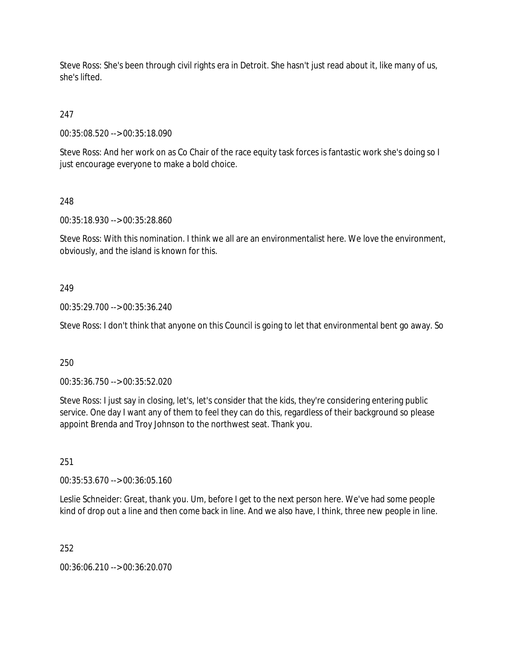Steve Ross: She's been through civil rights era in Detroit. She hasn't just read about it, like many of us, she's lifted.

247

00:35:08.520 --> 00:35:18.090

Steve Ross: And her work on as Co Chair of the race equity task forces is fantastic work she's doing so I just encourage everyone to make a bold choice.

248

00:35:18.930 --> 00:35:28.860

Steve Ross: With this nomination. I think we all are an environmentalist here. We love the environment, obviously, and the island is known for this.

## 249

00:35:29.700 --> 00:35:36.240

Steve Ross: I don't think that anyone on this Council is going to let that environmental bent go away. So

250

00:35:36.750 --> 00:35:52.020

Steve Ross: I just say in closing, let's, let's consider that the kids, they're considering entering public service. One day I want any of them to feel they can do this, regardless of their background so please appoint Brenda and Troy Johnson to the northwest seat. Thank you.

251

00:35:53.670 --> 00:36:05.160

Leslie Schneider: Great, thank you. Um, before I get to the next person here. We've had some people kind of drop out a line and then come back in line. And we also have, I think, three new people in line.

252

00:36:06.210 --> 00:36:20.070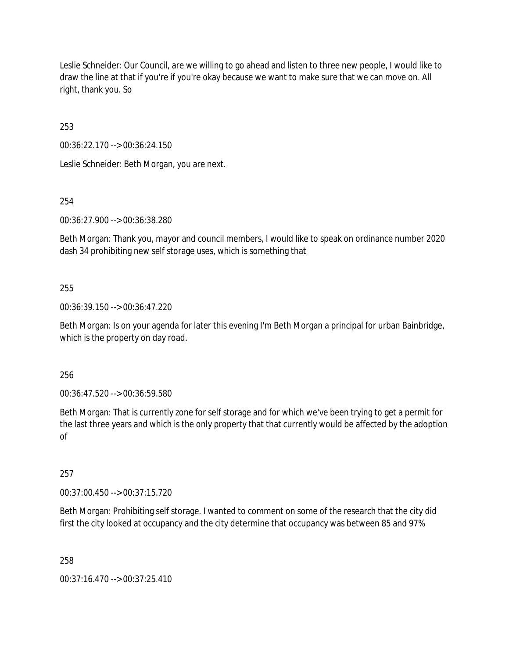Leslie Schneider: Our Council, are we willing to go ahead and listen to three new people, I would like to draw the line at that if you're if you're okay because we want to make sure that we can move on. All right, thank you. So

253

00:36:22.170 --> 00:36:24.150

Leslie Schneider: Beth Morgan, you are next.

254

00:36:27.900 --> 00:36:38.280

Beth Morgan: Thank you, mayor and council members, I would like to speak on ordinance number 2020 dash 34 prohibiting new self storage uses, which is something that

## 255

00:36:39.150 --> 00:36:47.220

Beth Morgan: Is on your agenda for later this evening I'm Beth Morgan a principal for urban Bainbridge, which is the property on day road.

256

00:36:47.520 --> 00:36:59.580

Beth Morgan: That is currently zone for self storage and for which we've been trying to get a permit for the last three years and which is the only property that that currently would be affected by the adoption of

257

00:37:00.450 --> 00:37:15.720

Beth Morgan: Prohibiting self storage. I wanted to comment on some of the research that the city did first the city looked at occupancy and the city determine that occupancy was between 85 and 97%

258

00:37:16.470 --> 00:37:25.410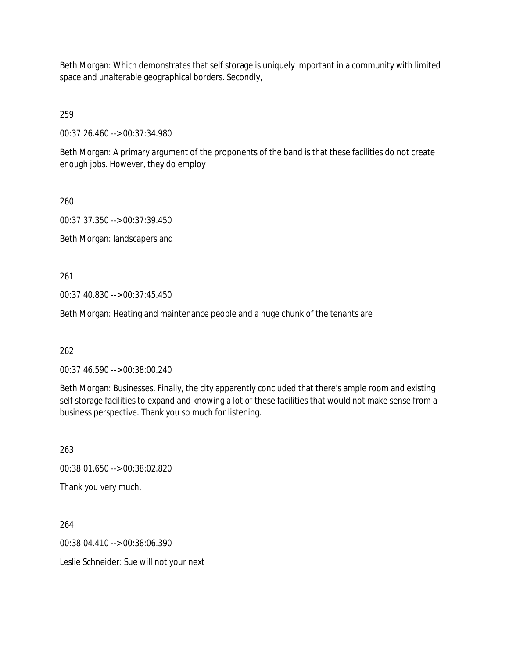Beth Morgan: Which demonstrates that self storage is uniquely important in a community with limited space and unalterable geographical borders. Secondly,

259

00:37:26.460 --> 00:37:34.980

Beth Morgan: A primary argument of the proponents of the band is that these facilities do not create enough jobs. However, they do employ

260

00:37:37.350 --> 00:37:39.450 Beth Morgan: landscapers and

261

00:37:40.830 --> 00:37:45.450

Beth Morgan: Heating and maintenance people and a huge chunk of the tenants are

262

00:37:46.590 --> 00:38:00.240

Beth Morgan: Businesses. Finally, the city apparently concluded that there's ample room and existing self storage facilities to expand and knowing a lot of these facilities that would not make sense from a business perspective. Thank you so much for listening.

263

00:38:01.650 --> 00:38:02.820

Thank you very much.

264

00:38:04.410 --> 00:38:06.390

Leslie Schneider: Sue will not your next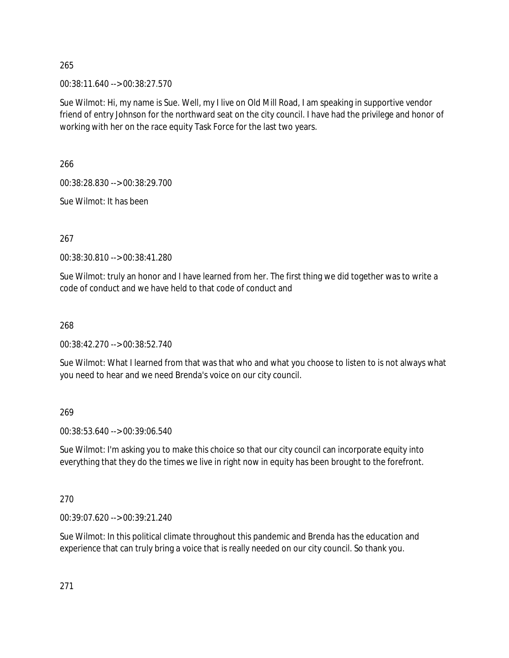00:38:11.640 --> 00:38:27.570

Sue Wilmot: Hi, my name is Sue. Well, my I live on Old Mill Road, I am speaking in supportive vendor friend of entry Johnson for the northward seat on the city council. I have had the privilege and honor of working with her on the race equity Task Force for the last two years.

266

00:38:28.830 --> 00:38:29.700

Sue Wilmot: It has been

267

00:38:30.810 --> 00:38:41.280

Sue Wilmot: truly an honor and I have learned from her. The first thing we did together was to write a code of conduct and we have held to that code of conduct and

268

00:38:42.270 --> 00:38:52.740

Sue Wilmot: What I learned from that was that who and what you choose to listen to is not always what you need to hear and we need Brenda's voice on our city council.

269

00:38:53.640 --> 00:39:06.540

Sue Wilmot: I'm asking you to make this choice so that our city council can incorporate equity into everything that they do the times we live in right now in equity has been brought to the forefront.

270

00:39:07.620 --> 00:39:21.240

Sue Wilmot: In this political climate throughout this pandemic and Brenda has the education and experience that can truly bring a voice that is really needed on our city council. So thank you.

271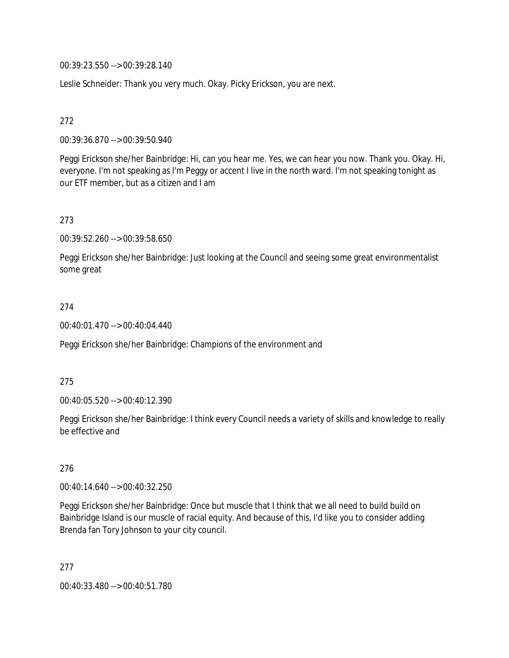00:39:23.550 --> 00:39:28.140

Leslie Schneider: Thank you very much. Okay. Picky Erickson, you are next.

272

00:39:36.870 --> 00:39:50.940

Peggi Erickson she/her Bainbridge: Hi, can you hear me. Yes, we can hear you now. Thank you. Okay. Hi, everyone. I'm not speaking as I'm Peggy or accent I live in the north ward. I'm not speaking tonight as our ETF member, but as a citizen and I am

273

00:39:52.260 --> 00:39:58.650

Peggi Erickson she/her Bainbridge: Just looking at the Council and seeing some great environmentalist some great

## 274

00:40:01.470 --> 00:40:04.440

Peggi Erickson she/her Bainbridge: Champions of the environment and

275

00:40:05.520 --> 00:40:12.390

Peggi Erickson she/her Bainbridge: I think every Council needs a variety of skills and knowledge to really be effective and

276

00:40:14.640 --> 00:40:32.250

Peggi Erickson she/her Bainbridge: Once but muscle that I think that we all need to build build on Bainbridge Island is our muscle of racial equity. And because of this, I'd like you to consider adding Brenda fan Tory Johnson to your city council.

277 00:40:33.480 --> 00:40:51.780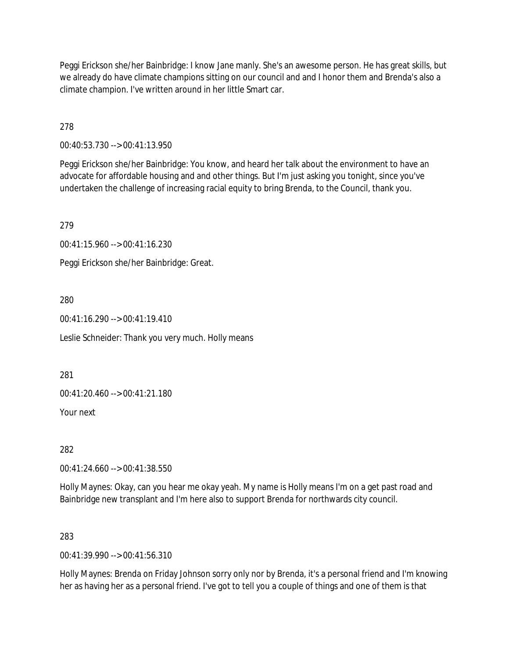Peggi Erickson she/her Bainbridge: I know Jane manly. She's an awesome person. He has great skills, but we already do have climate champions sitting on our council and and I honor them and Brenda's also a climate champion. I've written around in her little Smart car.

278

00:40:53.730 --> 00:41:13.950

Peggi Erickson she/her Bainbridge: You know, and heard her talk about the environment to have an advocate for affordable housing and and other things. But I'm just asking you tonight, since you've undertaken the challenge of increasing racial equity to bring Brenda, to the Council, thank you.

279

00:41:15.960 --> 00:41:16.230

Peggi Erickson she/her Bainbridge: Great.

280

00:41:16.290 --> 00:41:19.410

Leslie Schneider: Thank you very much. Holly means

281

00:41:20.460 --> 00:41:21.180

Your next

282

00:41:24.660 --> 00:41:38.550

Holly Maynes: Okay, can you hear me okay yeah. My name is Holly means I'm on a get past road and Bainbridge new transplant and I'm here also to support Brenda for northwards city council.

283

00:41:39.990 --> 00:41:56.310

Holly Maynes: Brenda on Friday Johnson sorry only nor by Brenda, it's a personal friend and I'm knowing her as having her as a personal friend. I've got to tell you a couple of things and one of them is that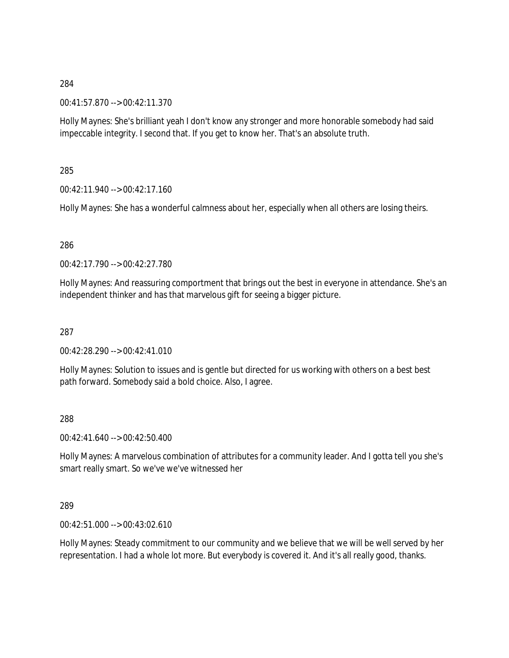00:41:57.870 --> 00:42:11.370

Holly Maynes: She's brilliant yeah I don't know any stronger and more honorable somebody had said impeccable integrity. I second that. If you get to know her. That's an absolute truth.

285

00:42:11.940 --> 00:42:17.160

Holly Maynes: She has a wonderful calmness about her, especially when all others are losing theirs.

286

00:42:17.790 --> 00:42:27.780

Holly Maynes: And reassuring comportment that brings out the best in everyone in attendance. She's an independent thinker and has that marvelous gift for seeing a bigger picture.

287

00:42:28.290 --> 00:42:41.010

Holly Maynes: Solution to issues and is gentle but directed for us working with others on a best best path forward. Somebody said a bold choice. Also, I agree.

288

00:42:41.640 --> 00:42:50.400

Holly Maynes: A marvelous combination of attributes for a community leader. And I gotta tell you she's smart really smart. So we've we've witnessed her

289

00:42:51.000 --> 00:43:02.610

Holly Maynes: Steady commitment to our community and we believe that we will be well served by her representation. I had a whole lot more. But everybody is covered it. And it's all really good, thanks.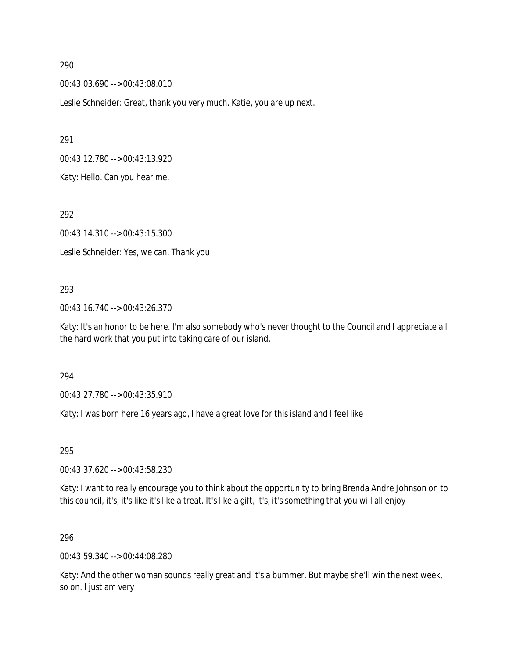00:43:03.690 --> 00:43:08.010

Leslie Schneider: Great, thank you very much. Katie, you are up next.

291

00:43:12.780 --> 00:43:13.920

Katy: Hello. Can you hear me.

292

00:43:14.310 --> 00:43:15.300

Leslie Schneider: Yes, we can. Thank you.

### 293

00:43:16.740 --> 00:43:26.370

Katy: It's an honor to be here. I'm also somebody who's never thought to the Council and I appreciate all the hard work that you put into taking care of our island.

#### 294

00:43:27.780 --> 00:43:35.910

Katy: I was born here 16 years ago, I have a great love for this island and I feel like

295

00:43:37.620 --> 00:43:58.230

Katy: I want to really encourage you to think about the opportunity to bring Brenda Andre Johnson on to this council, it's, it's like it's like a treat. It's like a gift, it's, it's something that you will all enjoy

#### 296

00:43:59.340 --> 00:44:08.280

Katy: And the other woman sounds really great and it's a bummer. But maybe she'll win the next week, so on. I just am very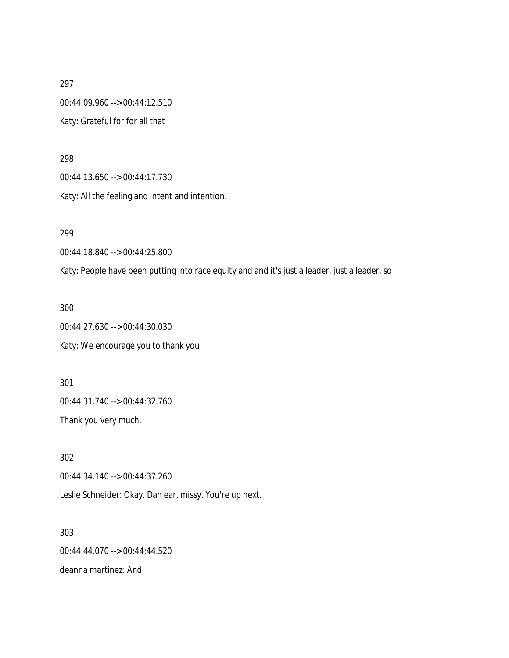297 00:44:09.960 --> 00:44:12.510 Katy: Grateful for for all that

298

00:44:13.650 --> 00:44:17.730

Katy: All the feeling and intent and intention.

299

00:44:18.840 --> 00:44:25.800

Katy: People have been putting into race equity and and it's just a leader, just a leader, so

300

00:44:27.630 --> 00:44:30.030 Katy: We encourage you to thank you

301 00:44:31.740 --> 00:44:32.760

Thank you very much.

302 00:44:34.140 --> 00:44:37.260

Leslie Schneider: Okay. Dan ear, missy. You're up next.

303 00:44:44.070 --> 00:44:44.520 deanna martinez: And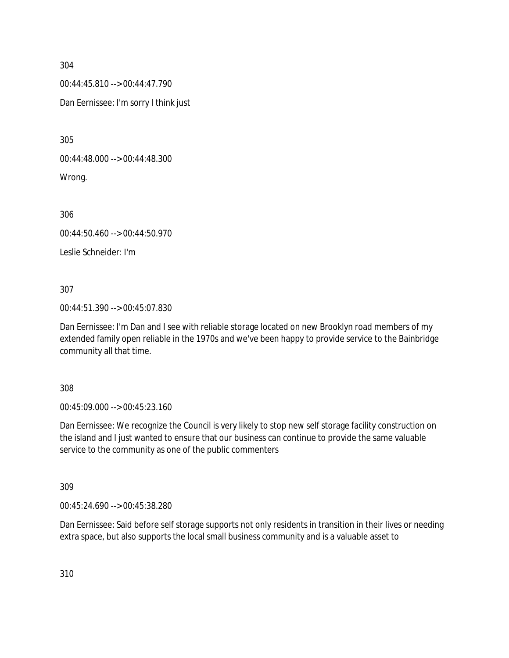00:44:45.810 --> 00:44:47.790

Dan Eernissee: I'm sorry I think just

305

00:44:48.000 --> 00:44:48.300

Wrong.

306

00:44:50.460 --> 00:44:50.970

Leslie Schneider: I'm

307

00:44:51.390 --> 00:45:07.830

Dan Eernissee: I'm Dan and I see with reliable storage located on new Brooklyn road members of my extended family open reliable in the 1970s and we've been happy to provide service to the Bainbridge community all that time.

308

00:45:09.000 --> 00:45:23.160

Dan Eernissee: We recognize the Council is very likely to stop new self storage facility construction on the island and I just wanted to ensure that our business can continue to provide the same valuable service to the community as one of the public commenters

309

00:45:24.690 --> 00:45:38.280

Dan Eernissee: Said before self storage supports not only residents in transition in their lives or needing extra space, but also supports the local small business community and is a valuable asset to

310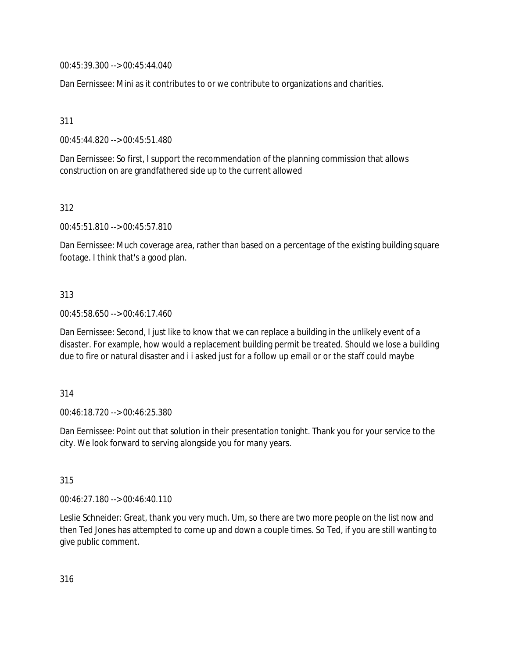00:45:39.300 --> 00:45:44.040

Dan Eernissee: Mini as it contributes to or we contribute to organizations and charities.

311

00:45:44.820 --> 00:45:51.480

Dan Eernissee: So first, I support the recommendation of the planning commission that allows construction on are grandfathered side up to the current allowed

312

00:45:51.810 --> 00:45:57.810

Dan Eernissee: Much coverage area, rather than based on a percentage of the existing building square footage. I think that's a good plan.

## 313

00:45:58.650 --> 00:46:17.460

Dan Eernissee: Second, I just like to know that we can replace a building in the unlikely event of a disaster. For example, how would a replacement building permit be treated. Should we lose a building due to fire or natural disaster and i i asked just for a follow up email or or the staff could maybe

## 314

00:46:18.720 --> 00:46:25.380

Dan Eernissee: Point out that solution in their presentation tonight. Thank you for your service to the city. We look forward to serving alongside you for many years.

315

00:46:27.180 --> 00:46:40.110

Leslie Schneider: Great, thank you very much. Um, so there are two more people on the list now and then Ted Jones has attempted to come up and down a couple times. So Ted, if you are still wanting to give public comment.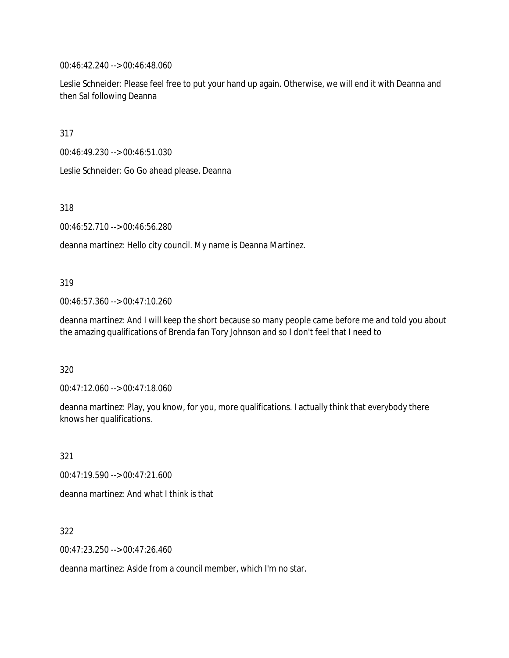00:46:42.240 --> 00:46:48.060

Leslie Schneider: Please feel free to put your hand up again. Otherwise, we will end it with Deanna and then Sal following Deanna

317

00:46:49.230 --> 00:46:51.030

Leslie Schneider: Go Go ahead please. Deanna

318

00:46:52.710 --> 00:46:56.280

deanna martinez: Hello city council. My name is Deanna Martinez.

### 319

00:46:57.360 --> 00:47:10.260

deanna martinez: And I will keep the short because so many people came before me and told you about the amazing qualifications of Brenda fan Tory Johnson and so I don't feel that I need to

#### 320

00:47:12.060 --> 00:47:18.060

deanna martinez: Play, you know, for you, more qualifications. I actually think that everybody there knows her qualifications.

321

00:47:19.590 --> 00:47:21.600 deanna martinez: And what I think is that

322

00:47:23.250 --> 00:47:26.460

deanna martinez: Aside from a council member, which I'm no star.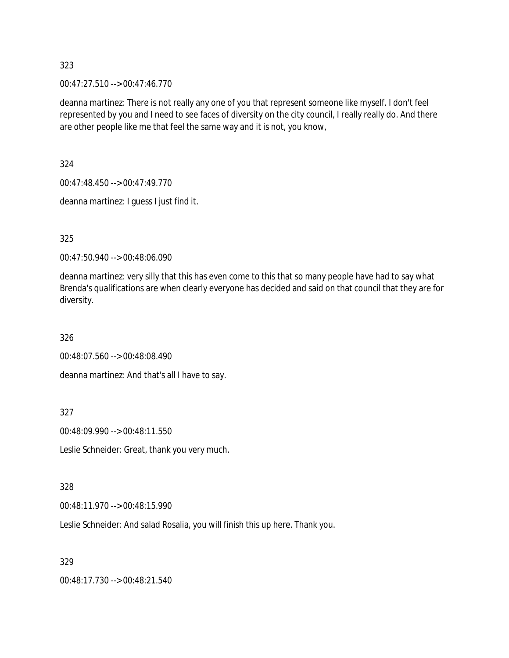00:47:27.510 --> 00:47:46.770

deanna martinez: There is not really any one of you that represent someone like myself. I don't feel represented by you and I need to see faces of diversity on the city council, I really really do. And there are other people like me that feel the same way and it is not, you know,

324

00:47:48.450 --> 00:47:49.770

deanna martinez: I guess I just find it.

325

00:47:50.940 --> 00:48:06.090

deanna martinez: very silly that this has even come to this that so many people have had to say what Brenda's qualifications are when clearly everyone has decided and said on that council that they are for diversity.

326

00:48:07.560 --> 00:48:08.490

deanna martinez: And that's all I have to say.

327

00:48:09.990 --> 00:48:11.550

Leslie Schneider: Great, thank you very much.

328

00:48:11.970 --> 00:48:15.990

Leslie Schneider: And salad Rosalia, you will finish this up here. Thank you.

329

00:48:17.730 --> 00:48:21.540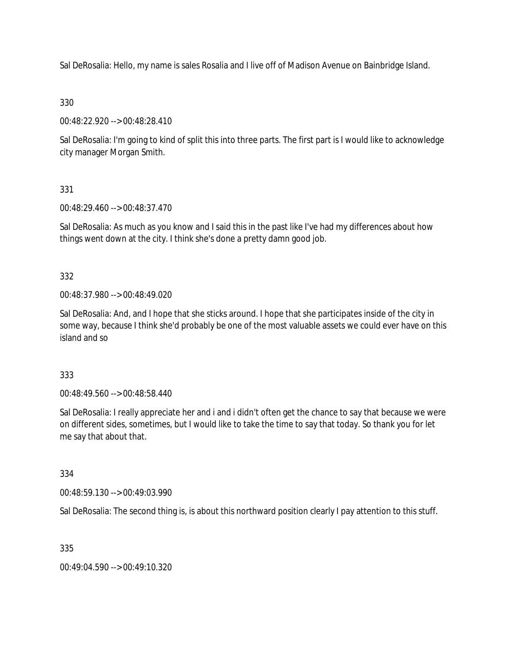Sal DeRosalia: Hello, my name is sales Rosalia and I live off of Madison Avenue on Bainbridge Island.

330

00:48:22.920 --> 00:48:28.410

Sal DeRosalia: I'm going to kind of split this into three parts. The first part is I would like to acknowledge city manager Morgan Smith.

331

00:48:29.460 --> 00:48:37.470

Sal DeRosalia: As much as you know and I said this in the past like I've had my differences about how things went down at the city. I think she's done a pretty damn good job.

332

00:48:37.980 --> 00:48:49.020

Sal DeRosalia: And, and I hope that she sticks around. I hope that she participates inside of the city in some way, because I think she'd probably be one of the most valuable assets we could ever have on this island and so

333

00:48:49.560 --> 00:48:58.440

Sal DeRosalia: I really appreciate her and i and i didn't often get the chance to say that because we were on different sides, sometimes, but I would like to take the time to say that today. So thank you for let me say that about that.

334

00:48:59.130 --> 00:49:03.990

Sal DeRosalia: The second thing is, is about this northward position clearly I pay attention to this stuff.

335

00:49:04.590 --> 00:49:10.320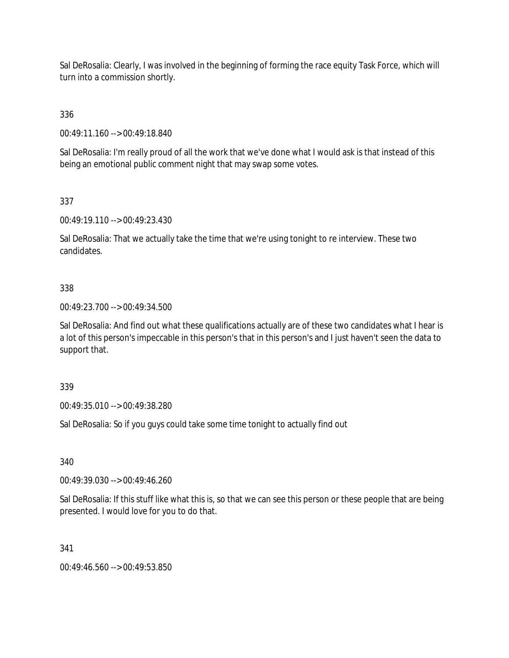Sal DeRosalia: Clearly, I was involved in the beginning of forming the race equity Task Force, which will turn into a commission shortly.

336

00:49:11.160 --> 00:49:18.840

Sal DeRosalia: I'm really proud of all the work that we've done what I would ask is that instead of this being an emotional public comment night that may swap some votes.

337

00:49:19.110 --> 00:49:23.430

Sal DeRosalia: That we actually take the time that we're using tonight to re interview. These two candidates.

## 338

00:49:23.700 --> 00:49:34.500

Sal DeRosalia: And find out what these qualifications actually are of these two candidates what I hear is a lot of this person's impeccable in this person's that in this person's and I just haven't seen the data to support that.

339

00:49:35.010 --> 00:49:38.280

Sal DeRosalia: So if you guys could take some time tonight to actually find out

340

00:49:39.030 --> 00:49:46.260

Sal DeRosalia: If this stuff like what this is, so that we can see this person or these people that are being presented. I would love for you to do that.

341

00:49:46.560 --> 00:49:53.850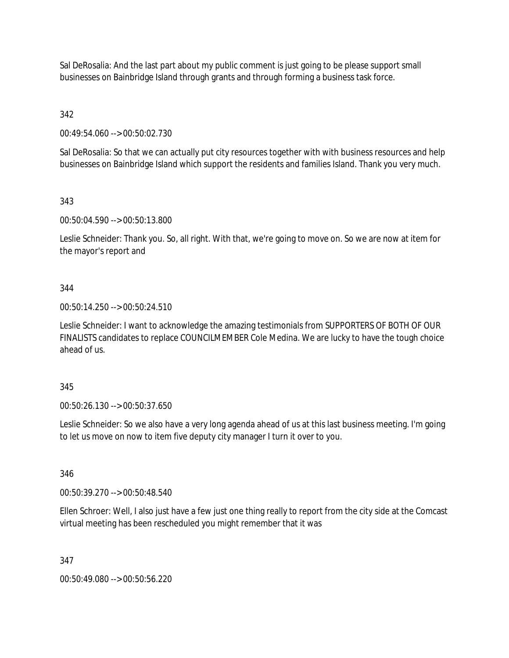Sal DeRosalia: And the last part about my public comment is just going to be please support small businesses on Bainbridge Island through grants and through forming a business task force.

342

00:49:54.060 --> 00:50:02.730

Sal DeRosalia: So that we can actually put city resources together with with business resources and help businesses on Bainbridge Island which support the residents and families Island. Thank you very much.

343

00:50:04.590 --> 00:50:13.800

Leslie Schneider: Thank you. So, all right. With that, we're going to move on. So we are now at item for the mayor's report and

## 344

00:50:14.250 --> 00:50:24.510

Leslie Schneider: I want to acknowledge the amazing testimonials from SUPPORTERS OF BOTH OF OUR FINALISTS candidates to replace COUNCILMEMBER Cole Medina. We are lucky to have the tough choice ahead of us.

## 345

00:50:26.130 --> 00:50:37.650

Leslie Schneider: So we also have a very long agenda ahead of us at this last business meeting. I'm going to let us move on now to item five deputy city manager I turn it over to you.

346

00:50:39.270 --> 00:50:48.540

Ellen Schroer: Well, I also just have a few just one thing really to report from the city side at the Comcast virtual meeting has been rescheduled you might remember that it was

347

00:50:49.080 --> 00:50:56.220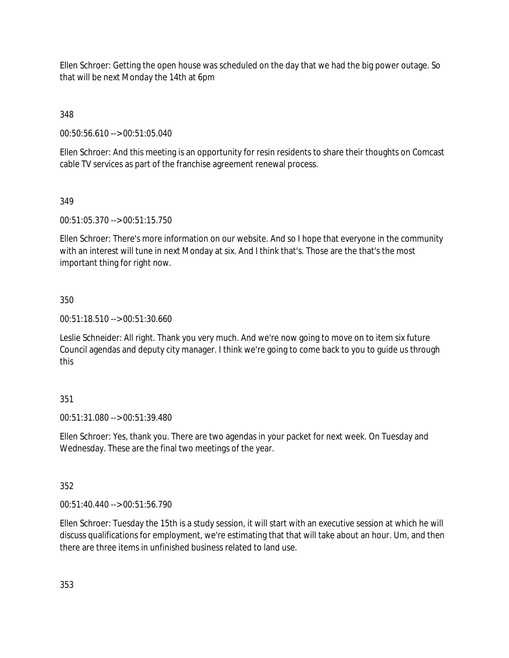Ellen Schroer: Getting the open house was scheduled on the day that we had the big power outage. So that will be next Monday the 14th at 6pm

348

00:50:56.610 --> 00:51:05.040

Ellen Schroer: And this meeting is an opportunity for resin residents to share their thoughts on Comcast cable TV services as part of the franchise agreement renewal process.

## 349

00:51:05.370 --> 00:51:15.750

Ellen Schroer: There's more information on our website. And so I hope that everyone in the community with an interest will tune in next Monday at six. And I think that's. Those are the that's the most important thing for right now.

## 350

00:51:18.510 --> 00:51:30.660

Leslie Schneider: All right. Thank you very much. And we're now going to move on to item six future Council agendas and deputy city manager. I think we're going to come back to you to guide us through this

## 351

00:51:31.080 --> 00:51:39.480

Ellen Schroer: Yes, thank you. There are two agendas in your packet for next week. On Tuesday and Wednesday. These are the final two meetings of the year.

## 352

00:51:40.440 --> 00:51:56.790

Ellen Schroer: Tuesday the 15th is a study session, it will start with an executive session at which he will discuss qualifications for employment, we're estimating that that will take about an hour. Um, and then there are three items in unfinished business related to land use.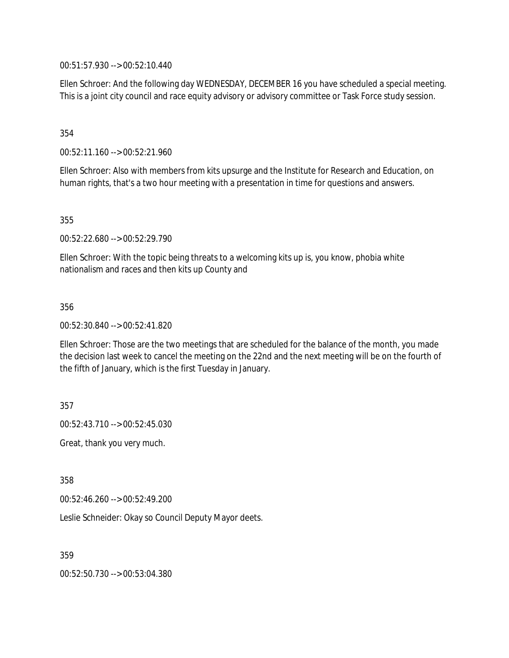00:51:57.930 --> 00:52:10.440

Ellen Schroer: And the following day WEDNESDAY, DECEMBER 16 you have scheduled a special meeting. This is a joint city council and race equity advisory or advisory committee or Task Force study session.

354

00:52:11.160 --> 00:52:21.960

Ellen Schroer: Also with members from kits upsurge and the Institute for Research and Education, on human rights, that's a two hour meeting with a presentation in time for questions and answers.

355

00:52:22.680 --> 00:52:29.790

Ellen Schroer: With the topic being threats to a welcoming kits up is, you know, phobia white nationalism and races and then kits up County and

356

00:52:30.840 --> 00:52:41.820

Ellen Schroer: Those are the two meetings that are scheduled for the balance of the month, you made the decision last week to cancel the meeting on the 22nd and the next meeting will be on the fourth of the fifth of January, which is the first Tuesday in January.

357

00:52:43.710 --> 00:52:45.030

Great, thank you very much.

358

00:52:46.260 --> 00:52:49.200

Leslie Schneider: Okay so Council Deputy Mayor deets.

359

00:52:50.730 --> 00:53:04.380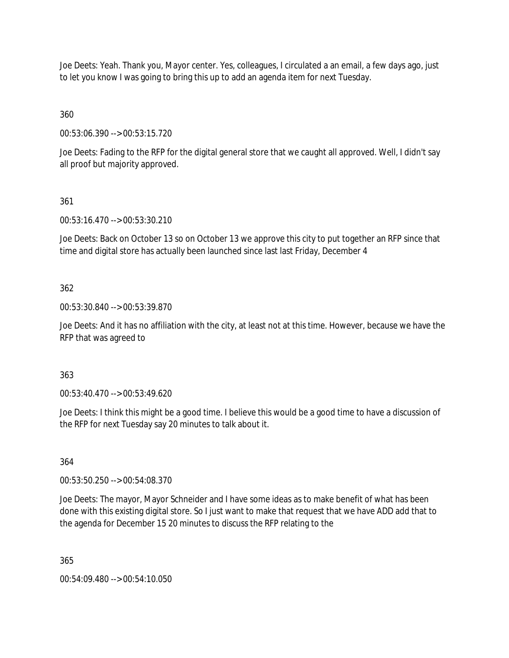Joe Deets: Yeah. Thank you, Mayor center. Yes, colleagues, I circulated a an email, a few days ago, just to let you know I was going to bring this up to add an agenda item for next Tuesday.

360

00:53:06.390 --> 00:53:15.720

Joe Deets: Fading to the RFP for the digital general store that we caught all approved. Well, I didn't say all proof but majority approved.

## 361

00:53:16.470 --> 00:53:30.210

Joe Deets: Back on October 13 so on October 13 we approve this city to put together an RFP since that time and digital store has actually been launched since last last Friday, December 4

## 362

00:53:30.840 --> 00:53:39.870

Joe Deets: And it has no affiliation with the city, at least not at this time. However, because we have the RFP that was agreed to

## 363

00:53:40.470 --> 00:53:49.620

Joe Deets: I think this might be a good time. I believe this would be a good time to have a discussion of the RFP for next Tuesday say 20 minutes to talk about it.

# 364

00:53:50.250 --> 00:54:08.370

Joe Deets: The mayor, Mayor Schneider and I have some ideas as to make benefit of what has been done with this existing digital store. So I just want to make that request that we have ADD add that to the agenda for December 15 20 minutes to discuss the RFP relating to the

365

00:54:09.480 --> 00:54:10.050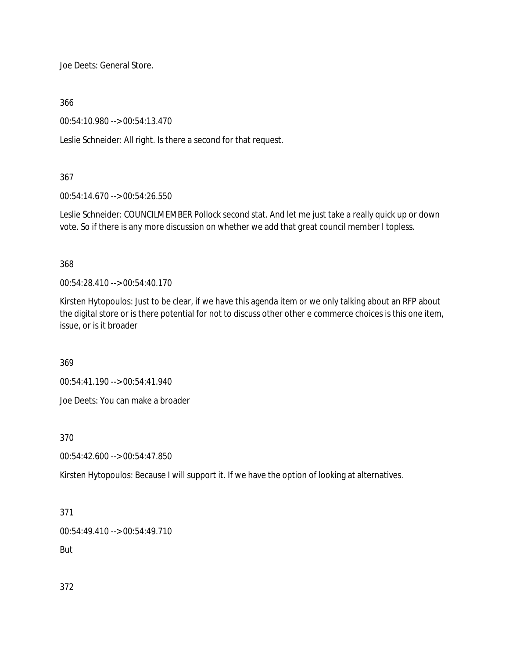Joe Deets: General Store.

366

00:54:10.980 --> 00:54:13.470

Leslie Schneider: All right. Is there a second for that request.

## 367

00:54:14.670 --> 00:54:26.550

Leslie Schneider: COUNCILMEMBER Pollock second stat. And let me just take a really quick up or down vote. So if there is any more discussion on whether we add that great council member I topless.

368

00:54:28.410 --> 00:54:40.170

Kirsten Hytopoulos: Just to be clear, if we have this agenda item or we only talking about an RFP about the digital store or is there potential for not to discuss other other e commerce choices is this one item, issue, or is it broader

369

00:54:41.190 --> 00:54:41.940

Joe Deets: You can make a broader

370

00:54:42.600 --> 00:54:47.850

Kirsten Hytopoulos: Because I will support it. If we have the option of looking at alternatives.

371

00:54:49.410 --> 00:54:49.710

But

372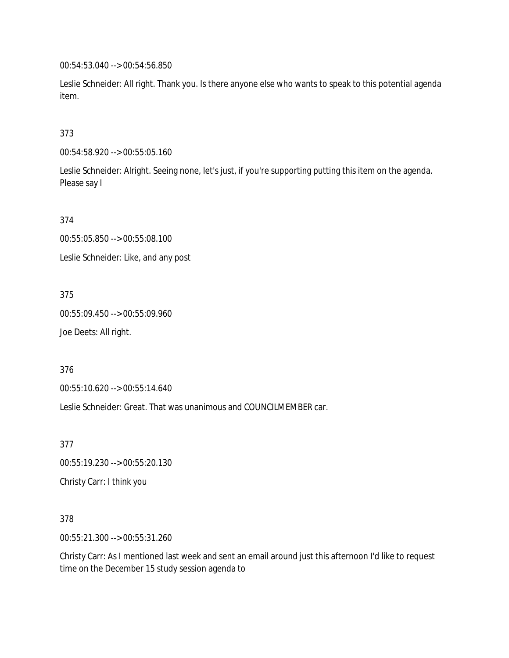00:54:53.040 --> 00:54:56.850

Leslie Schneider: All right. Thank you. Is there anyone else who wants to speak to this potential agenda item.

## 373

00:54:58.920 --> 00:55:05.160

Leslie Schneider: Alright. Seeing none, let's just, if you're supporting putting this item on the agenda. Please say I

374

00:55:05.850 --> 00:55:08.100 Leslie Schneider: Like, and any post

375 00:55:09.450 --> 00:55:09.960

Joe Deets: All right.

376

00:55:10.620 --> 00:55:14.640

Leslie Schneider: Great. That was unanimous and COUNCILMEMBER car.

377

00:55:19.230 --> 00:55:20.130

Christy Carr: I think you

378

00:55:21.300 --> 00:55:31.260

Christy Carr: As I mentioned last week and sent an email around just this afternoon I'd like to request time on the December 15 study session agenda to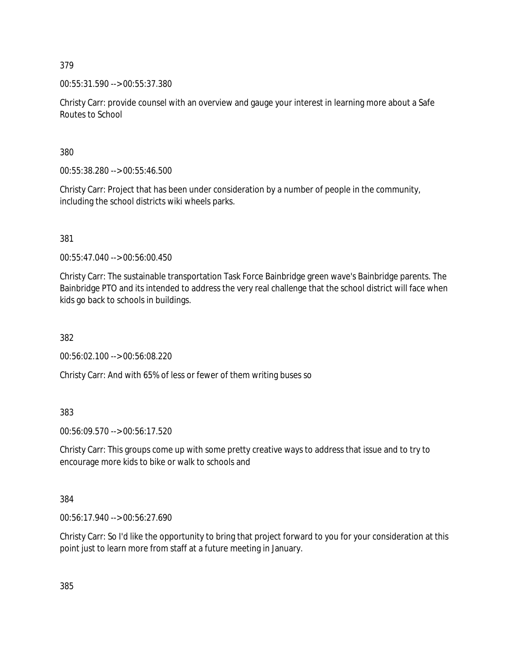00:55:31.590 --> 00:55:37.380

Christy Carr: provide counsel with an overview and gauge your interest in learning more about a Safe Routes to School

380

00:55:38.280 --> 00:55:46.500

Christy Carr: Project that has been under consideration by a number of people in the community, including the school districts wiki wheels parks.

381

00:55:47.040 --> 00:56:00.450

Christy Carr: The sustainable transportation Task Force Bainbridge green wave's Bainbridge parents. The Bainbridge PTO and its intended to address the very real challenge that the school district will face when kids go back to schools in buildings.

382

00:56:02.100 --> 00:56:08.220

Christy Carr: And with 65% of less or fewer of them writing buses so

383

00:56:09.570 --> 00:56:17.520

Christy Carr: This groups come up with some pretty creative ways to address that issue and to try to encourage more kids to bike or walk to schools and

384

00:56:17.940 --> 00:56:27.690

Christy Carr: So I'd like the opportunity to bring that project forward to you for your consideration at this point just to learn more from staff at a future meeting in January.

385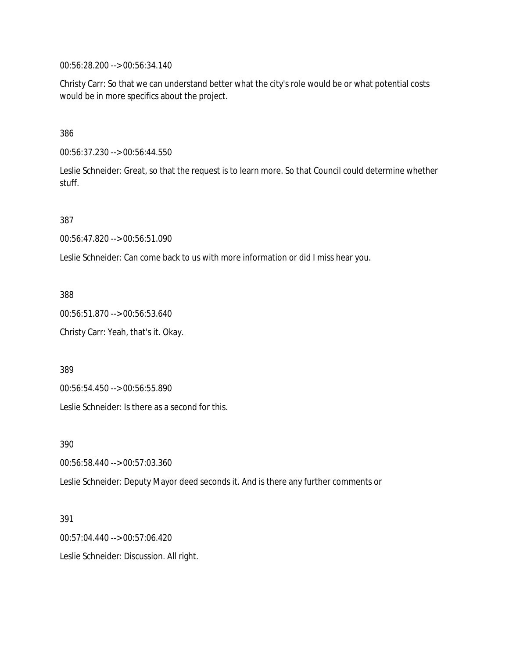00:56:28.200 --> 00:56:34.140

Christy Carr: So that we can understand better what the city's role would be or what potential costs would be in more specifics about the project.

386

00:56:37.230 --> 00:56:44.550

Leslie Schneider: Great, so that the request is to learn more. So that Council could determine whether stuff.

387

00:56:47.820 --> 00:56:51.090

Leslie Schneider: Can come back to us with more information or did I miss hear you.

388

00:56:51.870 --> 00:56:53.640

Christy Carr: Yeah, that's it. Okay.

389

00:56:54.450 --> 00:56:55.890

Leslie Schneider: Is there as a second for this.

390

00:56:58.440 --> 00:57:03.360

Leslie Schneider: Deputy Mayor deed seconds it. And is there any further comments or

391

00:57:04.440 --> 00:57:06.420

Leslie Schneider: Discussion. All right.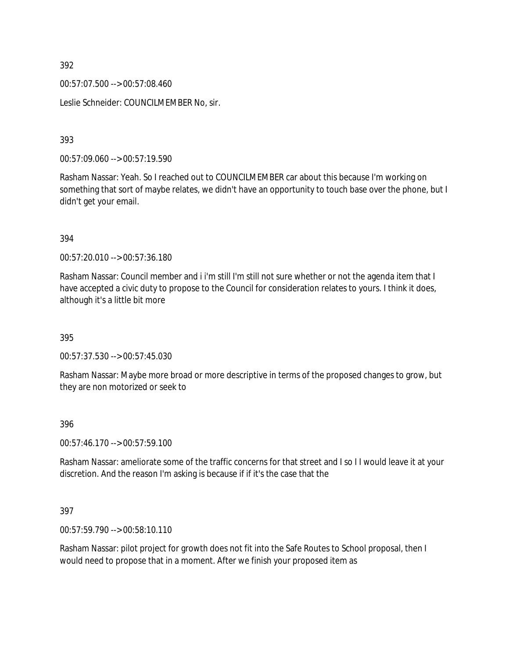00:57:07.500 --> 00:57:08.460

Leslie Schneider: COUNCILMEMBER No, sir.

393

00:57:09.060 --> 00:57:19.590

Rasham Nassar: Yeah. So I reached out to COUNCILMEMBER car about this because I'm working on something that sort of maybe relates, we didn't have an opportunity to touch base over the phone, but I didn't get your email.

394

00:57:20.010 --> 00:57:36.180

Rasham Nassar: Council member and i i'm still I'm still not sure whether or not the agenda item that I have accepted a civic duty to propose to the Council for consideration relates to yours. I think it does, although it's a little bit more

395

00:57:37.530 --> 00:57:45.030

Rasham Nassar: Maybe more broad or more descriptive in terms of the proposed changes to grow, but they are non motorized or seek to

396

00:57:46.170 --> 00:57:59.100

Rasham Nassar: ameliorate some of the traffic concerns for that street and I so I I would leave it at your discretion. And the reason I'm asking is because if if it's the case that the

397

00:57:59.790 --> 00:58:10.110

Rasham Nassar: pilot project for growth does not fit into the Safe Routes to School proposal, then I would need to propose that in a moment. After we finish your proposed item as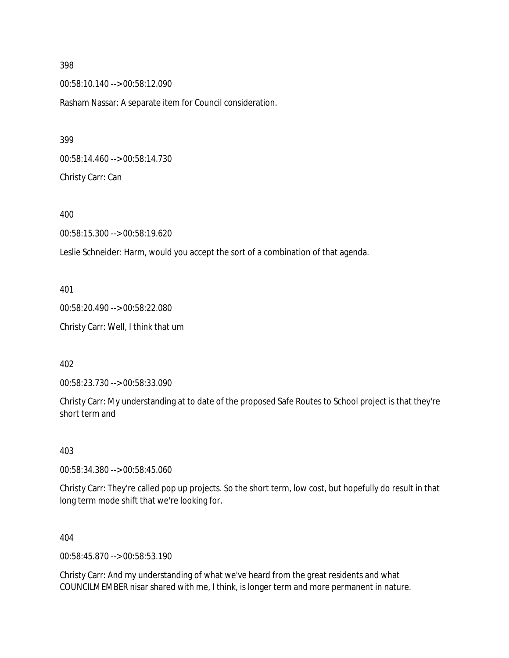00:58:10.140 --> 00:58:12.090 Rasham Nassar: A separate item for Council consideration.

00:58:14.460 --> 00:58:14.730 Christy Carr: Can

400

00:58:15.300 --> 00:58:19.620

Leslie Schneider: Harm, would you accept the sort of a combination of that agenda.

401

00:58:20.490 --> 00:58:22.080 Christy Carr: Well, I think that um

402

00:58:23.730 --> 00:58:33.090

Christy Carr: My understanding at to date of the proposed Safe Routes to School project is that they're short term and

403

00:58:34.380 --> 00:58:45.060

Christy Carr: They're called pop up projects. So the short term, low cost, but hopefully do result in that long term mode shift that we're looking for.

404

00:58:45.870 --> 00:58:53.190

Christy Carr: And my understanding of what we've heard from the great residents and what COUNCILMEMBER nisar shared with me, I think, is longer term and more permanent in nature.

398

399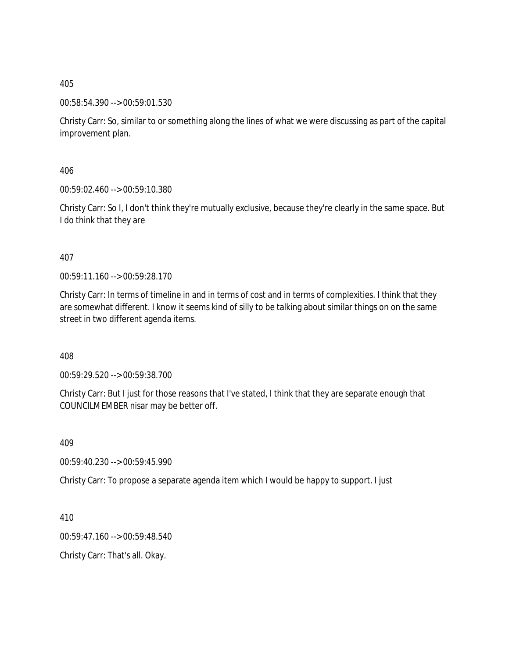00:58:54.390 --> 00:59:01.530

Christy Carr: So, similar to or something along the lines of what we were discussing as part of the capital improvement plan.

406

00:59:02.460 --> 00:59:10.380

Christy Carr: So I, I don't think they're mutually exclusive, because they're clearly in the same space. But I do think that they are

407

00:59:11.160 --> 00:59:28.170

Christy Carr: In terms of timeline in and in terms of cost and in terms of complexities. I think that they are somewhat different. I know it seems kind of silly to be talking about similar things on on the same street in two different agenda items.

408

00:59:29.520 --> 00:59:38.700

Christy Carr: But I just for those reasons that I've stated, I think that they are separate enough that COUNCILMEMBER nisar may be better off.

409

00:59:40.230 --> 00:59:45.990

Christy Carr: To propose a separate agenda item which I would be happy to support. I just

410

00:59:47.160 --> 00:59:48.540

Christy Carr: That's all. Okay.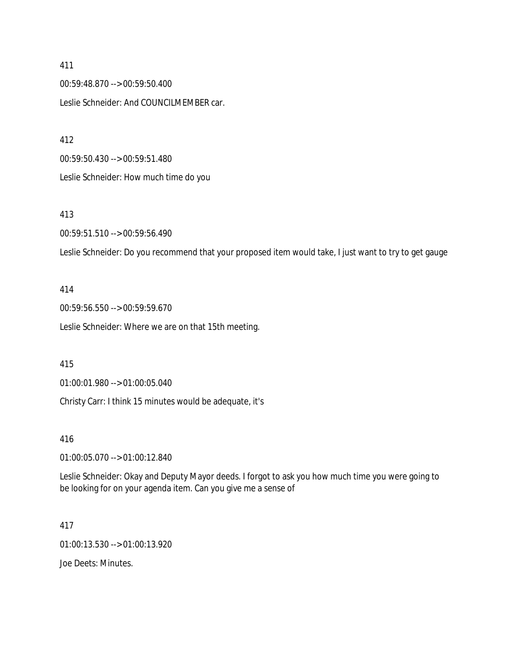00:59:48.870 --> 00:59:50.400 Leslie Schneider: And COUNCILMEMBER car.

412

00:59:50.430 --> 00:59:51.480 Leslie Schneider: How much time do you

## 413

00:59:51.510 --> 00:59:56.490

Leslie Schneider: Do you recommend that your proposed item would take, I just want to try to get gauge

#### 414

00:59:56.550 --> 00:59:59.670 Leslie Schneider: Where we are on that 15th meeting.

#### 415

01:00:01.980 --> 01:00:05.040

Christy Carr: I think 15 minutes would be adequate, it's

#### 416

01:00:05.070 --> 01:00:12.840

Leslie Schneider: Okay and Deputy Mayor deeds. I forgot to ask you how much time you were going to be looking for on your agenda item. Can you give me a sense of

### 417

01:00:13.530 --> 01:00:13.920

Joe Deets: Minutes.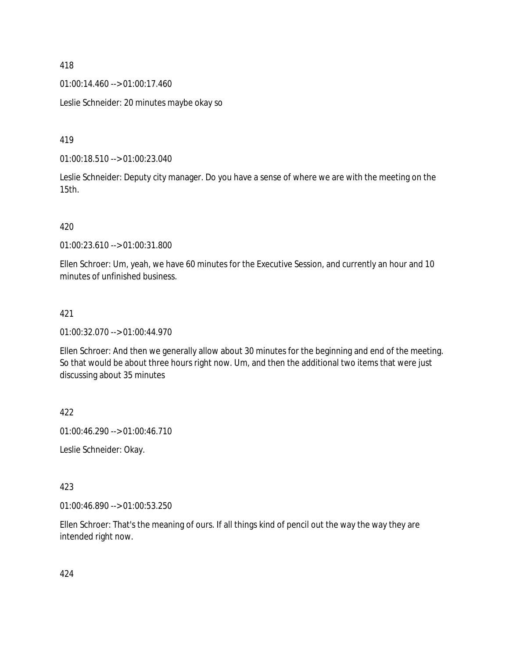01:00:14.460 --> 01:00:17.460

Leslie Schneider: 20 minutes maybe okay so

419

01:00:18.510 --> 01:00:23.040

Leslie Schneider: Deputy city manager. Do you have a sense of where we are with the meeting on the 15th.

420

01:00:23.610 --> 01:00:31.800

Ellen Schroer: Um, yeah, we have 60 minutes for the Executive Session, and currently an hour and 10 minutes of unfinished business.

## 421

01:00:32.070 --> 01:00:44.970

Ellen Schroer: And then we generally allow about 30 minutes for the beginning and end of the meeting. So that would be about three hours right now. Um, and then the additional two items that were just discussing about 35 minutes

422

01:00:46.290 --> 01:00:46.710

Leslie Schneider: Okay.

423

01:00:46.890 --> 01:00:53.250

Ellen Schroer: That's the meaning of ours. If all things kind of pencil out the way the way they are intended right now.

424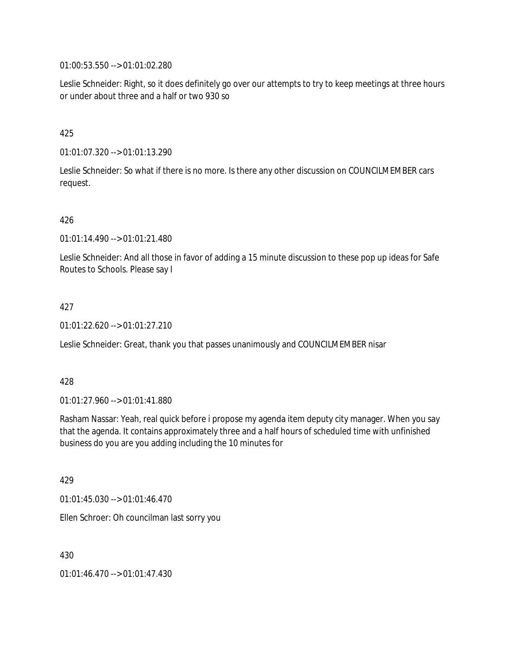01:00:53.550 --> 01:01:02.280

Leslie Schneider: Right, so it does definitely go over our attempts to try to keep meetings at three hours or under about three and a half or two 930 so

## 425

01:01:07.320 --> 01:01:13.290

Leslie Schneider: So what if there is no more. Is there any other discussion on COUNCILMEMBER cars request.

## 426

01:01:14.490 --> 01:01:21.480

Leslie Schneider: And all those in favor of adding a 15 minute discussion to these pop up ideas for Safe Routes to Schools. Please say I

## 427

01:01:22.620 --> 01:01:27.210

Leslie Schneider: Great, thank you that passes unanimously and COUNCILMEMBER nisar

## 428

01:01:27.960 --> 01:01:41.880

Rasham Nassar: Yeah, real quick before i propose my agenda item deputy city manager. When you say that the agenda. It contains approximately three and a half hours of scheduled time with unfinished business do you are you adding including the 10 minutes for

429

01:01:45.030 --> 01:01:46.470

Ellen Schroer: Oh councilman last sorry you

430

01:01:46.470 --> 01:01:47.430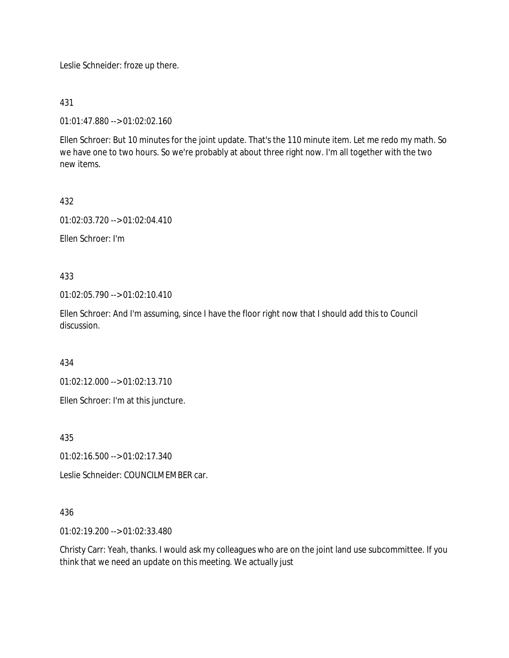Leslie Schneider: froze up there.

431

01:01:47.880 --> 01:02:02.160

Ellen Schroer: But 10 minutes for the joint update. That's the 110 minute item. Let me redo my math. So we have one to two hours. So we're probably at about three right now. I'm all together with the two new items.

432

01:02:03.720 --> 01:02:04.410

Ellen Schroer: I'm

433

01:02:05.790 --> 01:02:10.410

Ellen Schroer: And I'm assuming, since I have the floor right now that I should add this to Council discussion.

434

01:02:12.000 --> 01:02:13.710

Ellen Schroer: I'm at this juncture.

435

01:02:16.500 --> 01:02:17.340

Leslie Schneider: COUNCILMEMBER car.

## 436

01:02:19.200 --> 01:02:33.480

Christy Carr: Yeah, thanks. I would ask my colleagues who are on the joint land use subcommittee. If you think that we need an update on this meeting. We actually just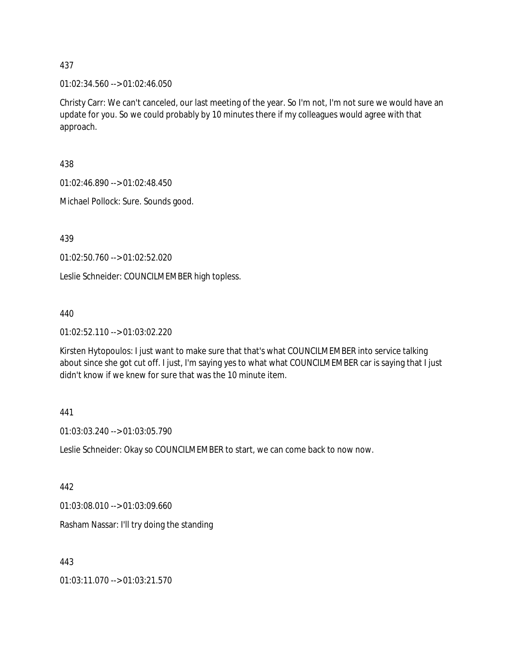01:02:34.560 --> 01:02:46.050

Christy Carr: We can't canceled, our last meeting of the year. So I'm not, I'm not sure we would have an update for you. So we could probably by 10 minutes there if my colleagues would agree with that approach.

438

01:02:46.890 --> 01:02:48.450

Michael Pollock: Sure. Sounds good.

439

01:02:50.760 --> 01:02:52.020

Leslie Schneider: COUNCILMEMBER high topless.

440

01:02:52.110 --> 01:03:02.220

Kirsten Hytopoulos: I just want to make sure that that's what COUNCILMEMBER into service talking about since she got cut off. I just, I'm saying yes to what what COUNCILMEMBER car is saying that I just didn't know if we knew for sure that was the 10 minute item.

#### 441

01:03:03.240 --> 01:03:05.790

Leslie Schneider: Okay so COUNCILMEMBER to start, we can come back to now now.

## 442

01:03:08.010 --> 01:03:09.660

Rasham Nassar: I'll try doing the standing

443

01:03:11.070 --> 01:03:21.570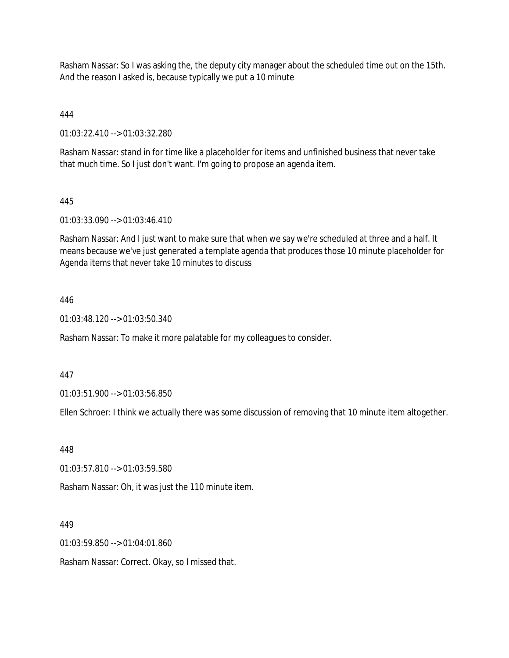Rasham Nassar: So I was asking the, the deputy city manager about the scheduled time out on the 15th. And the reason I asked is, because typically we put a 10 minute

## 444

01:03:22.410 --> 01:03:32.280

Rasham Nassar: stand in for time like a placeholder for items and unfinished business that never take that much time. So I just don't want. I'm going to propose an agenda item.

## 445

01:03:33.090 --> 01:03:46.410

Rasham Nassar: And I just want to make sure that when we say we're scheduled at three and a half. It means because we've just generated a template agenda that produces those 10 minute placeholder for Agenda items that never take 10 minutes to discuss

## 446

01:03:48.120 --> 01:03:50.340

Rasham Nassar: To make it more palatable for my colleagues to consider.

#### 447

01:03:51.900 --> 01:03:56.850

Ellen Schroer: I think we actually there was some discussion of removing that 10 minute item altogether.

#### 448

01:03:57.810 --> 01:03:59.580

Rasham Nassar: Oh, it was just the 110 minute item.

#### 449

01:03:59.850 --> 01:04:01.860

Rasham Nassar: Correct. Okay, so I missed that.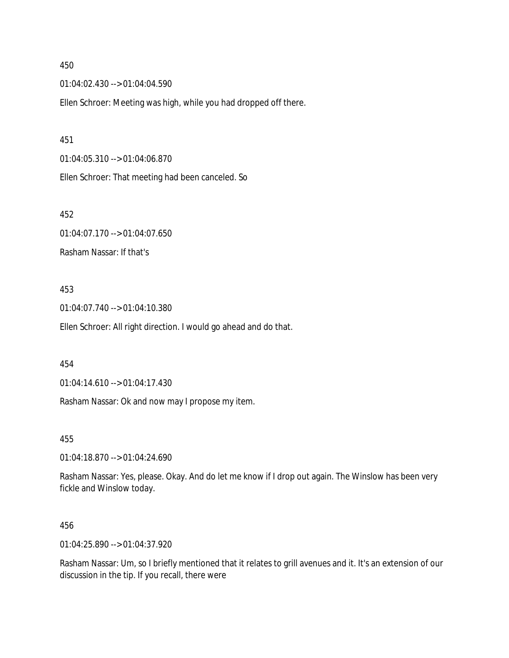01:04:02.430 --> 01:04:04.590

Ellen Schroer: Meeting was high, while you had dropped off there.

451

01:04:05.310 --> 01:04:06.870

Ellen Schroer: That meeting had been canceled. So

452

01:04:07.170 --> 01:04:07.650

Rasham Nassar: If that's

### 453

01:04:07.740 --> 01:04:10.380

Ellen Schroer: All right direction. I would go ahead and do that.

#### 454

01:04:14.610 --> 01:04:17.430

Rasham Nassar: Ok and now may I propose my item.

455

01:04:18.870 --> 01:04:24.690

Rasham Nassar: Yes, please. Okay. And do let me know if I drop out again. The Winslow has been very fickle and Winslow today.

### 456

01:04:25.890 --> 01:04:37.920

Rasham Nassar: Um, so I briefly mentioned that it relates to grill avenues and it. It's an extension of our discussion in the tip. If you recall, there were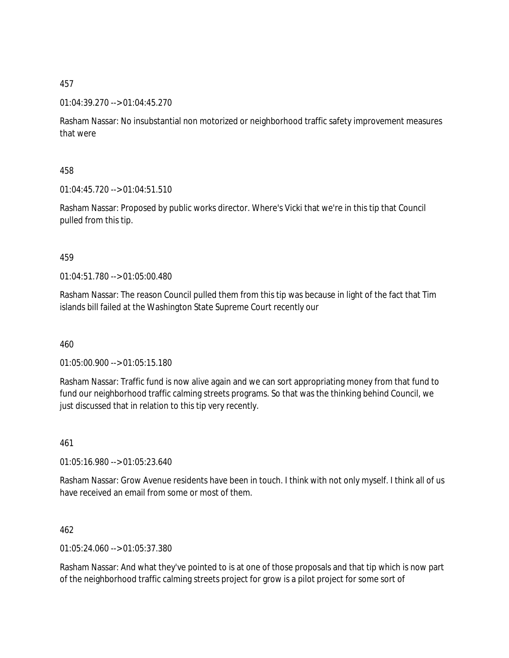## 01:04:39.270 --> 01:04:45.270

Rasham Nassar: No insubstantial non motorized or neighborhood traffic safety improvement measures that were

## 458

01:04:45.720 --> 01:04:51.510

Rasham Nassar: Proposed by public works director. Where's Vicki that we're in this tip that Council pulled from this tip.

## 459

 $01:04:51.780 \rightarrow 01:05:00.480$ 

Rasham Nassar: The reason Council pulled them from this tip was because in light of the fact that Tim islands bill failed at the Washington State Supreme Court recently our

460

01:05:00.900 --> 01:05:15.180

Rasham Nassar: Traffic fund is now alive again and we can sort appropriating money from that fund to fund our neighborhood traffic calming streets programs. So that was the thinking behind Council, we just discussed that in relation to this tip very recently.

461

01:05:16.980 --> 01:05:23.640

Rasham Nassar: Grow Avenue residents have been in touch. I think with not only myself. I think all of us have received an email from some or most of them.

462

01:05:24.060 --> 01:05:37.380

Rasham Nassar: And what they've pointed to is at one of those proposals and that tip which is now part of the neighborhood traffic calming streets project for grow is a pilot project for some sort of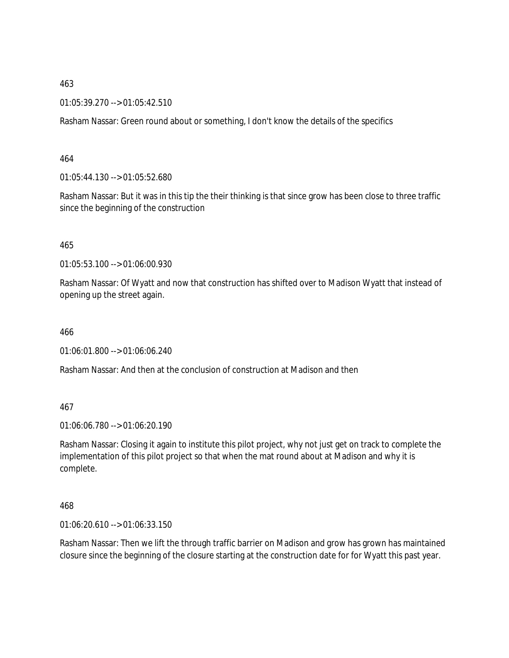463

01:05:39.270 --> 01:05:42.510

Rasham Nassar: Green round about or something, I don't know the details of the specifics

464

01:05:44.130 --> 01:05:52.680

Rasham Nassar: But it was in this tip the their thinking is that since grow has been close to three traffic since the beginning of the construction

465

01:05:53.100 --> 01:06:00.930

Rasham Nassar: Of Wyatt and now that construction has shifted over to Madison Wyatt that instead of opening up the street again.

466

01:06:01.800 --> 01:06:06.240

Rasham Nassar: And then at the conclusion of construction at Madison and then

467

01:06:06.780 --> 01:06:20.190

Rasham Nassar: Closing it again to institute this pilot project, why not just get on track to complete the implementation of this pilot project so that when the mat round about at Madison and why it is complete.

468

01:06:20.610 --> 01:06:33.150

Rasham Nassar: Then we lift the through traffic barrier on Madison and grow has grown has maintained closure since the beginning of the closure starting at the construction date for for Wyatt this past year.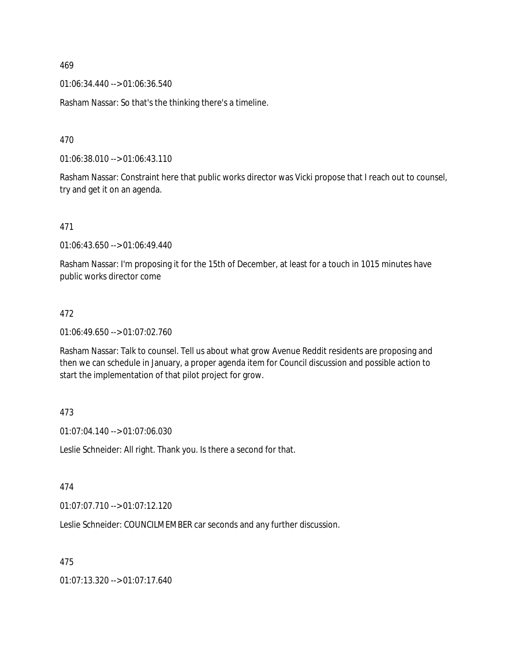469

01:06:34.440 --> 01:06:36.540

Rasham Nassar: So that's the thinking there's a timeline.

470

01:06:38.010 --> 01:06:43.110

Rasham Nassar: Constraint here that public works director was Vicki propose that I reach out to counsel, try and get it on an agenda.

471

01:06:43.650 --> 01:06:49.440

Rasham Nassar: I'm proposing it for the 15th of December, at least for a touch in 1015 minutes have public works director come

### 472

01:06:49.650 --> 01:07:02.760

Rasham Nassar: Talk to counsel. Tell us about what grow Avenue Reddit residents are proposing and then we can schedule in January, a proper agenda item for Council discussion and possible action to start the implementation of that pilot project for grow.

### 473

01:07:04.140 --> 01:07:06.030

Leslie Schneider: All right. Thank you. Is there a second for that.

### 474

01:07:07.710 --> 01:07:12.120

Leslie Schneider: COUNCILMEMBER car seconds and any further discussion.

475

01:07:13.320 --> 01:07:17.640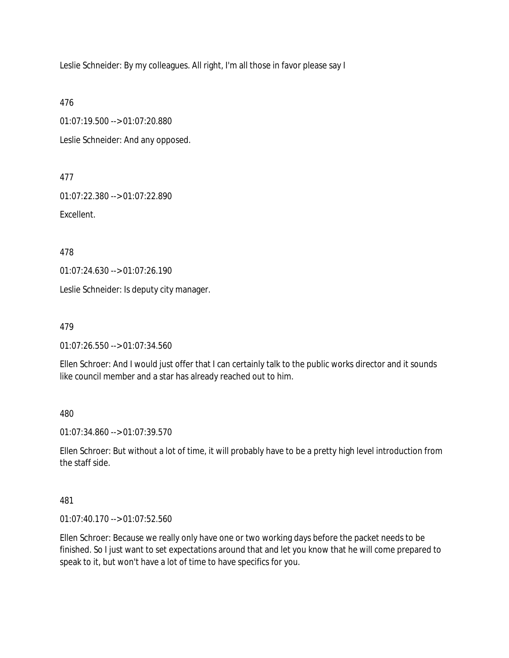Leslie Schneider: By my colleagues. All right, I'm all those in favor please say I

476

01:07:19.500 --> 01:07:20.880 Leslie Schneider: And any opposed.

477

01:07:22.380 --> 01:07:22.890

Excellent.

478

01:07:24.630 --> 01:07:26.190

Leslie Schneider: Is deputy city manager.

479

01:07:26.550 --> 01:07:34.560

Ellen Schroer: And I would just offer that I can certainly talk to the public works director and it sounds like council member and a star has already reached out to him.

480

01:07:34.860 --> 01:07:39.570

Ellen Schroer: But without a lot of time, it will probably have to be a pretty high level introduction from the staff side.

481

01:07:40.170 --> 01:07:52.560

Ellen Schroer: Because we really only have one or two working days before the packet needs to be finished. So I just want to set expectations around that and let you know that he will come prepared to speak to it, but won't have a lot of time to have specifics for you.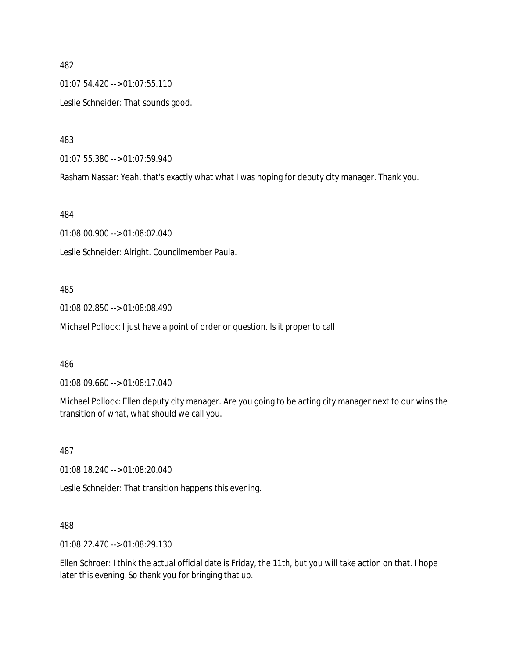482 01:07:54.420 --> 01:07:55.110 Leslie Schneider: That sounds good.

483

01:07:55.380 --> 01:07:59.940

Rasham Nassar: Yeah, that's exactly what what I was hoping for deputy city manager. Thank you.

484

01:08:00.900 --> 01:08:02.040 Leslie Schneider: Alright. Councilmember Paula.

#### 485

01:08:02.850 --> 01:08:08.490

Michael Pollock: I just have a point of order or question. Is it proper to call

486

01:08:09.660 --> 01:08:17.040

Michael Pollock: Ellen deputy city manager. Are you going to be acting city manager next to our wins the transition of what, what should we call you.

487

01:08:18.240 --> 01:08:20.040

Leslie Schneider: That transition happens this evening.

488

01:08:22.470 --> 01:08:29.130

Ellen Schroer: I think the actual official date is Friday, the 11th, but you will take action on that. I hope later this evening. So thank you for bringing that up.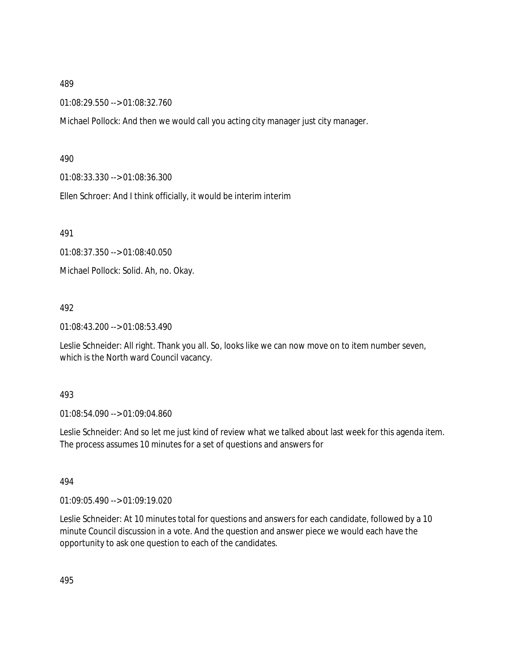#### 489

01:08:29.550 --> 01:08:32.760

Michael Pollock: And then we would call you acting city manager just city manager.

#### 490

01:08:33.330 --> 01:08:36.300

Ellen Schroer: And I think officially, it would be interim interim

491

01:08:37.350 --> 01:08:40.050

Michael Pollock: Solid. Ah, no. Okay.

#### 492

01:08:43.200 --> 01:08:53.490

Leslie Schneider: All right. Thank you all. So, looks like we can now move on to item number seven, which is the North ward Council vacancy.

#### 493

01:08:54.090 --> 01:09:04.860

Leslie Schneider: And so let me just kind of review what we talked about last week for this agenda item. The process assumes 10 minutes for a set of questions and answers for

#### 494

01:09:05.490 --> 01:09:19.020

Leslie Schneider: At 10 minutes total for questions and answers for each candidate, followed by a 10 minute Council discussion in a vote. And the question and answer piece we would each have the opportunity to ask one question to each of the candidates.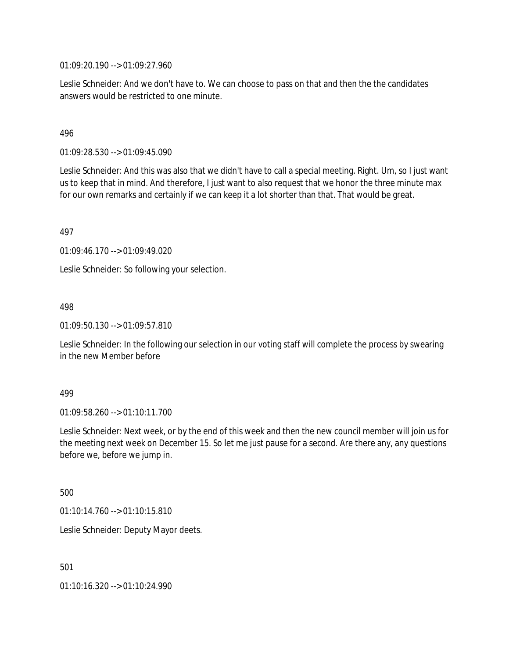01:09:20.190 --> 01:09:27.960

Leslie Schneider: And we don't have to. We can choose to pass on that and then the the candidates answers would be restricted to one minute.

#### 496

01:09:28.530 --> 01:09:45.090

Leslie Schneider: And this was also that we didn't have to call a special meeting. Right. Um, so I just want us to keep that in mind. And therefore, I just want to also request that we honor the three minute max for our own remarks and certainly if we can keep it a lot shorter than that. That would be great.

497

01:09:46.170 --> 01:09:49.020

Leslie Schneider: So following your selection.

498

01:09:50.130 --> 01:09:57.810

Leslie Schneider: In the following our selection in our voting staff will complete the process by swearing in the new Member before

#### 499

01:09:58.260 --> 01:10:11.700

Leslie Schneider: Next week, or by the end of this week and then the new council member will join us for the meeting next week on December 15. So let me just pause for a second. Are there any, any questions before we, before we jump in.

500

01:10:14.760 --> 01:10:15.810

Leslie Schneider: Deputy Mayor deets.

501

01:10:16.320 --> 01:10:24.990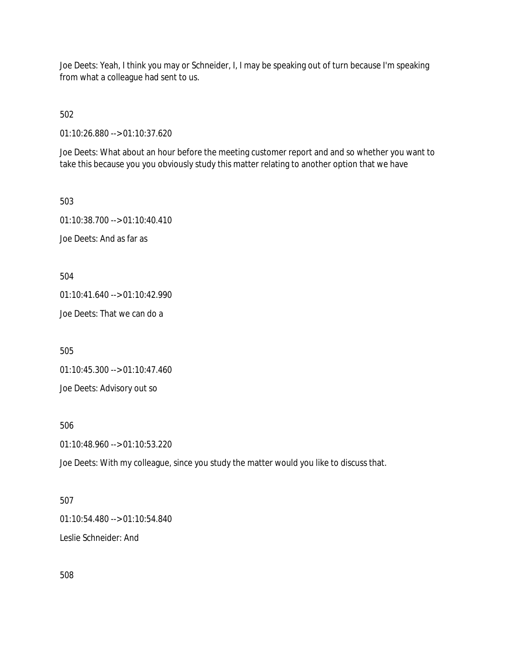Joe Deets: Yeah, I think you may or Schneider, I, I may be speaking out of turn because I'm speaking from what a colleague had sent to us.

502

01:10:26.880 --> 01:10:37.620

Joe Deets: What about an hour before the meeting customer report and and so whether you want to take this because you you obviously study this matter relating to another option that we have

503 01:10:38.700 --> 01:10:40.410 Joe Deets: And as far as

504

01:10:41.640 --> 01:10:42.990

Joe Deets: That we can do a

505

01:10:45.300 --> 01:10:47.460

Joe Deets: Advisory out so

506

01:10:48.960 --> 01:10:53.220

Joe Deets: With my colleague, since you study the matter would you like to discuss that.

### 507

01:10:54.480 --> 01:10:54.840

Leslie Schneider: And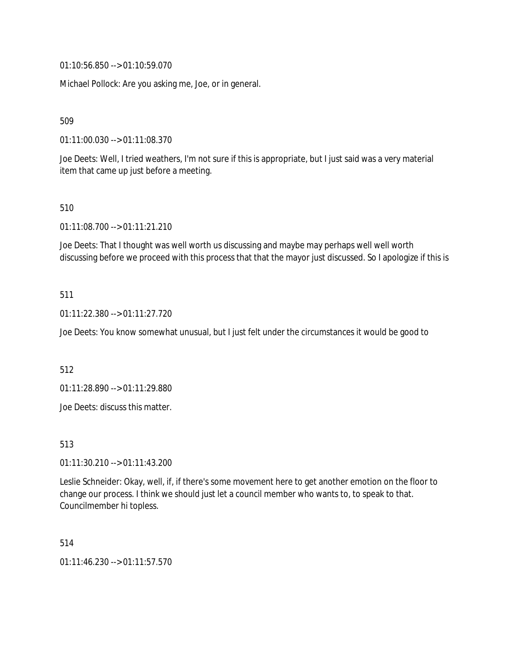01:10:56.850 --> 01:10:59.070

Michael Pollock: Are you asking me, Joe, or in general.

509

01:11:00.030 --> 01:11:08.370

Joe Deets: Well, I tried weathers, I'm not sure if this is appropriate, but I just said was a very material item that came up just before a meeting.

#### 510

01:11:08.700 --> 01:11:21.210

Joe Deets: That I thought was well worth us discussing and maybe may perhaps well well worth discussing before we proceed with this process that that the mayor just discussed. So I apologize if this is

### 511

01:11:22.380 --> 01:11:27.720

Joe Deets: You know somewhat unusual, but I just felt under the circumstances it would be good to

512

01:11:28.890 --> 01:11:29.880

Joe Deets: discuss this matter.

513

01:11:30.210 --> 01:11:43.200

Leslie Schneider: Okay, well, if, if there's some movement here to get another emotion on the floor to change our process. I think we should just let a council member who wants to, to speak to that. Councilmember hi topless.

514

01:11:46.230 --> 01:11:57.570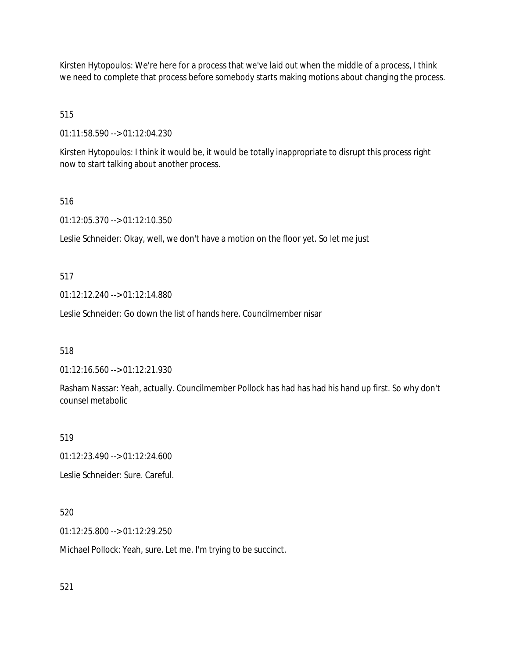Kirsten Hytopoulos: We're here for a process that we've laid out when the middle of a process, I think we need to complete that process before somebody starts making motions about changing the process.

# 515

01:11:58.590 --> 01:12:04.230

Kirsten Hytopoulos: I think it would be, it would be totally inappropriate to disrupt this process right now to start talking about another process.

### 516

01:12:05.370 --> 01:12:10.350

Leslie Schneider: Okay, well, we don't have a motion on the floor yet. So let me just

### 517

01:12:12.240 --> 01:12:14.880

Leslie Schneider: Go down the list of hands here. Councilmember nisar

### 518

01:12:16.560 --> 01:12:21.930

Rasham Nassar: Yeah, actually. Councilmember Pollock has had has had his hand up first. So why don't counsel metabolic

### 519

01:12:23.490 --> 01:12:24.600

Leslie Schneider: Sure. Careful.

### 520

01:12:25.800 --> 01:12:29.250

Michael Pollock: Yeah, sure. Let me. I'm trying to be succinct.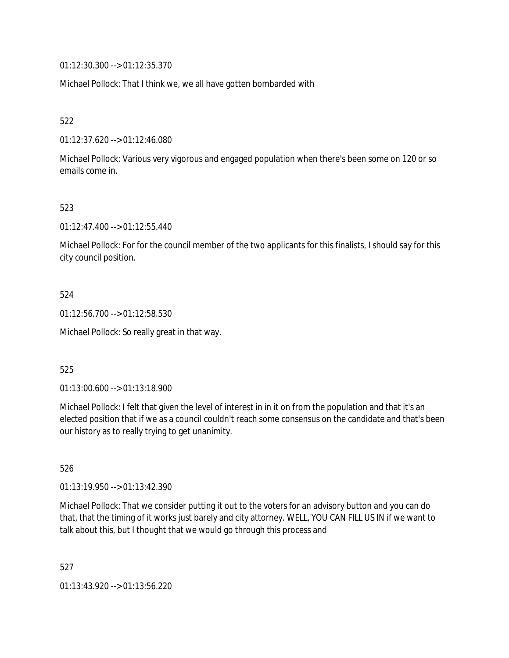01:12:30.300 --> 01:12:35.370

Michael Pollock: That I think we, we all have gotten bombarded with

522

01:12:37.620 --> 01:12:46.080

Michael Pollock: Various very vigorous and engaged population when there's been some on 120 or so emails come in.

523

01:12:47.400 --> 01:12:55.440

Michael Pollock: For for the council member of the two applicants for this finalists, I should say for this city council position.

524

01:12:56.700 --> 01:12:58.530

Michael Pollock: So really great in that way.

525

01:13:00.600 --> 01:13:18.900

Michael Pollock: I felt that given the level of interest in in it on from the population and that it's an elected position that if we as a council couldn't reach some consensus on the candidate and that's been our history as to really trying to get unanimity.

526

01:13:19.950 --> 01:13:42.390

Michael Pollock: That we consider putting it out to the voters for an advisory button and you can do that, that the timing of it works just barely and city attorney. WELL, YOU CAN FILL US IN if we want to talk about this, but I thought that we would go through this process and

527 01:13:43.920 --> 01:13:56.220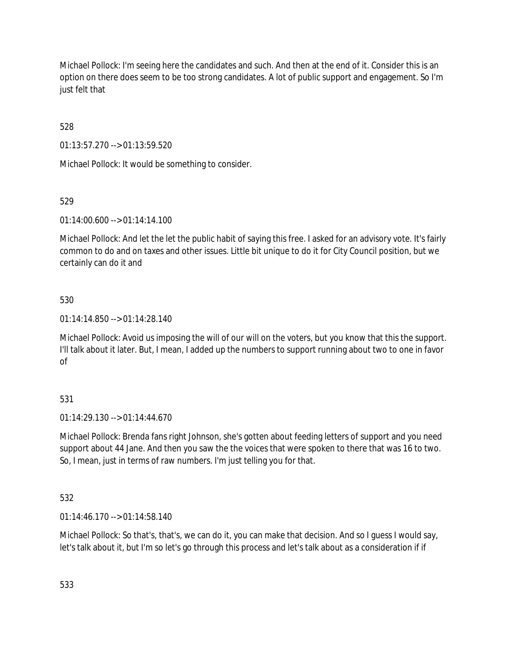Michael Pollock: I'm seeing here the candidates and such. And then at the end of it. Consider this is an option on there does seem to be too strong candidates. A lot of public support and engagement. So I'm just felt that

528

01:13:57.270 --> 01:13:59.520

Michael Pollock: It would be something to consider.

### 529

01:14:00.600 --> 01:14:14.100

Michael Pollock: And let the let the public habit of saying this free. I asked for an advisory vote. It's fairly common to do and on taxes and other issues. Little bit unique to do it for City Council position, but we certainly can do it and

### 530

01:14:14.850 --> 01:14:28.140

Michael Pollock: Avoid us imposing the will of our will on the voters, but you know that this the support. I'll talk about it later. But, I mean, I added up the numbers to support running about two to one in favor of

# 531

01:14:29.130 --> 01:14:44.670

Michael Pollock: Brenda fans right Johnson, she's gotten about feeding letters of support and you need support about 44 Jane. And then you saw the the voices that were spoken to there that was 16 to two. So, I mean, just in terms of raw numbers. I'm just telling you for that.

# 532

01:14:46.170 --> 01:14:58.140

Michael Pollock: So that's, that's, we can do it, you can make that decision. And so I guess I would say, let's talk about it, but I'm so let's go through this process and let's talk about as a consideration if if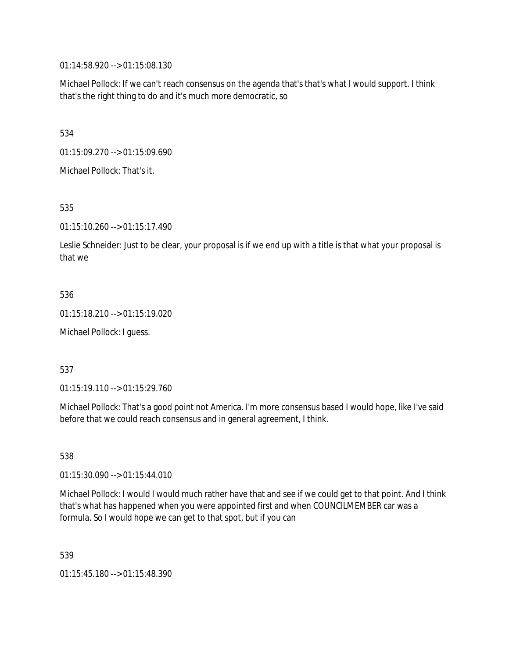01:14:58.920 --> 01:15:08.130

Michael Pollock: If we can't reach consensus on the agenda that's that's what I would support. I think that's the right thing to do and it's much more democratic, so

534

01:15:09.270 --> 01:15:09.690

Michael Pollock: That's it.

535

01:15:10.260 --> 01:15:17.490

Leslie Schneider: Just to be clear, your proposal is if we end up with a title is that what your proposal is that we

536

01:15:18.210 --> 01:15:19.020

Michael Pollock: I guess.

537

01:15:19.110 --> 01:15:29.760

Michael Pollock: That's a good point not America. I'm more consensus based I would hope, like I've said before that we could reach consensus and in general agreement, I think.

538

01:15:30.090 --> 01:15:44.010

Michael Pollock: I would I would much rather have that and see if we could get to that point. And I think that's what has happened when you were appointed first and when COUNCILMEMBER car was a formula. So I would hope we can get to that spot, but if you can

539

01:15:45.180 --> 01:15:48.390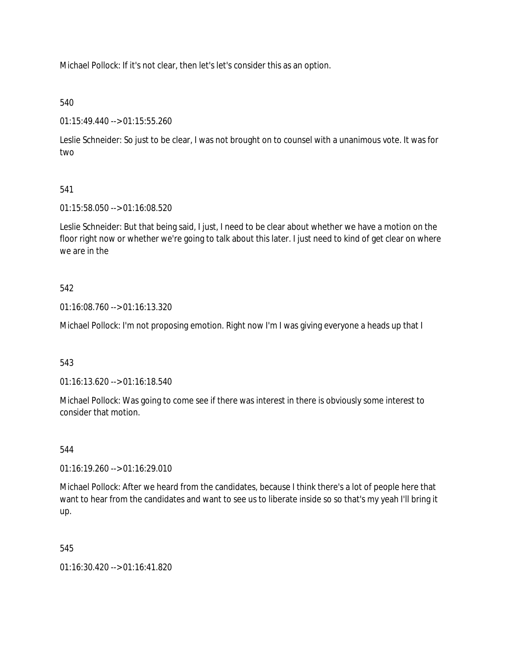Michael Pollock: If it's not clear, then let's let's consider this as an option.

# 540

01:15:49.440 --> 01:15:55.260

Leslie Schneider: So just to be clear, I was not brought on to counsel with a unanimous vote. It was for two

# 541

01:15:58.050 --> 01:16:08.520

Leslie Schneider: But that being said, I just, I need to be clear about whether we have a motion on the floor right now or whether we're going to talk about this later. I just need to kind of get clear on where we are in the

# 542

01:16:08.760 --> 01:16:13.320

Michael Pollock: I'm not proposing emotion. Right now I'm I was giving everyone a heads up that I

# 543

01:16:13.620 --> 01:16:18.540

Michael Pollock: Was going to come see if there was interest in there is obviously some interest to consider that motion.

# 544

01:16:19.260 --> 01:16:29.010

Michael Pollock: After we heard from the candidates, because I think there's a lot of people here that want to hear from the candidates and want to see us to liberate inside so so that's my yeah I'll bring it up.

# 545

01:16:30.420 --> 01:16:41.820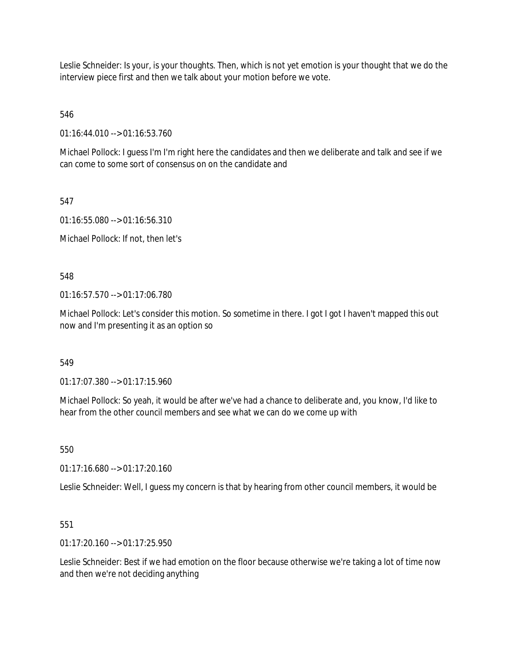Leslie Schneider: Is your, is your thoughts. Then, which is not yet emotion is your thought that we do the interview piece first and then we talk about your motion before we vote.

546

01:16:44.010 --> 01:16:53.760

Michael Pollock: I guess I'm I'm right here the candidates and then we deliberate and talk and see if we can come to some sort of consensus on on the candidate and

547

01:16:55.080 --> 01:16:56.310

Michael Pollock: If not, then let's

548

01:16:57.570 --> 01:17:06.780

Michael Pollock: Let's consider this motion. So sometime in there. I got I got I haven't mapped this out now and I'm presenting it as an option so

549

01:17:07.380 --> 01:17:15.960

Michael Pollock: So yeah, it would be after we've had a chance to deliberate and, you know, I'd like to hear from the other council members and see what we can do we come up with

550

01:17:16.680 --> 01:17:20.160

Leslie Schneider: Well, I guess my concern is that by hearing from other council members, it would be

551

01:17:20.160 --> 01:17:25.950

Leslie Schneider: Best if we had emotion on the floor because otherwise we're taking a lot of time now and then we're not deciding anything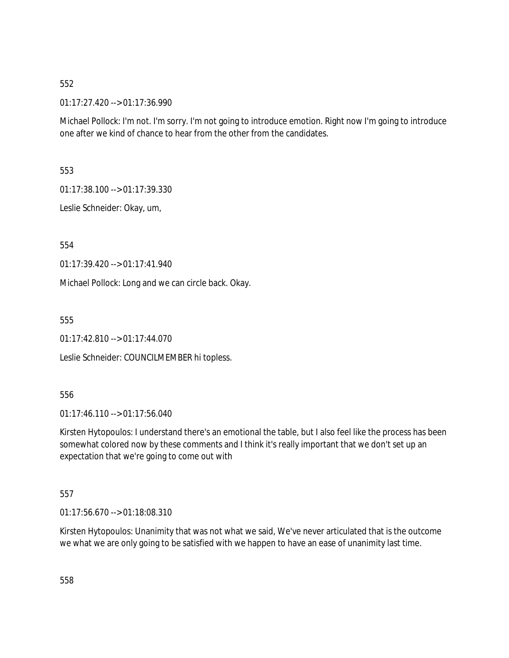### 552

01:17:27.420 --> 01:17:36.990

Michael Pollock: I'm not. I'm sorry. I'm not going to introduce emotion. Right now I'm going to introduce one after we kind of chance to hear from the other from the candidates.

553

01:17:38.100 --> 01:17:39.330

Leslie Schneider: Okay, um,

554

01:17:39.420 --> 01:17:41.940

Michael Pollock: Long and we can circle back. Okay.

555

01:17:42.810 --> 01:17:44.070

Leslie Schneider: COUNCILMEMBER hi topless.

556

01:17:46.110 --> 01:17:56.040

Kirsten Hytopoulos: I understand there's an emotional the table, but I also feel like the process has been somewhat colored now by these comments and I think it's really important that we don't set up an expectation that we're going to come out with

557

01:17:56.670 --> 01:18:08.310

Kirsten Hytopoulos: Unanimity that was not what we said, We've never articulated that is the outcome we what we are only going to be satisfied with we happen to have an ease of unanimity last time.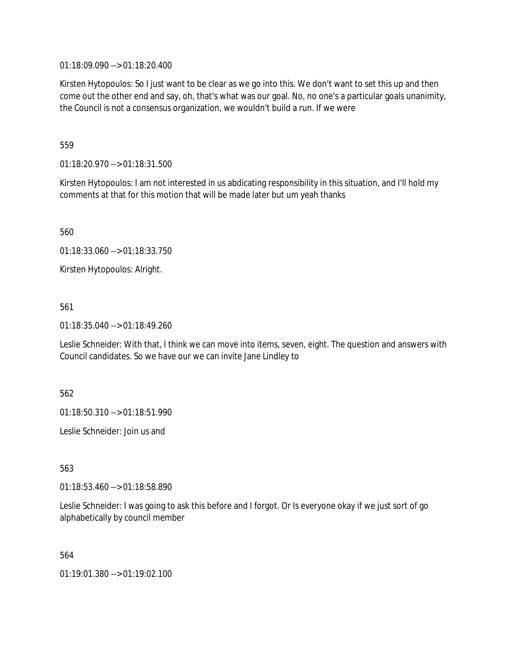01:18:09.090 --> 01:18:20.400

Kirsten Hytopoulos: So I just want to be clear as we go into this. We don't want to set this up and then come out the other end and say, oh, that's what was our goal. No, no one's a particular goals unanimity, the Council is not a consensus organization, we wouldn't build a run. If we were

559

01:18:20.970 --> 01:18:31.500

Kirsten Hytopoulos: I am not interested in us abdicating responsibility in this situation, and I'll hold my comments at that for this motion that will be made later but um yeah thanks

560

01:18:33.060 --> 01:18:33.750

Kirsten Hytopoulos: Alright.

561

01:18:35.040 --> 01:18:49.260

Leslie Schneider: With that, I think we can move into items, seven, eight. The question and answers with Council candidates. So we have our we can invite Jane Lindley to

562

01:18:50.310 --> 01:18:51.990

Leslie Schneider: Join us and

563

01:18:53.460 --> 01:18:58.890

Leslie Schneider: I was going to ask this before and I forgot. Or Is everyone okay if we just sort of go alphabetically by council member

564

01:19:01.380 --> 01:19:02.100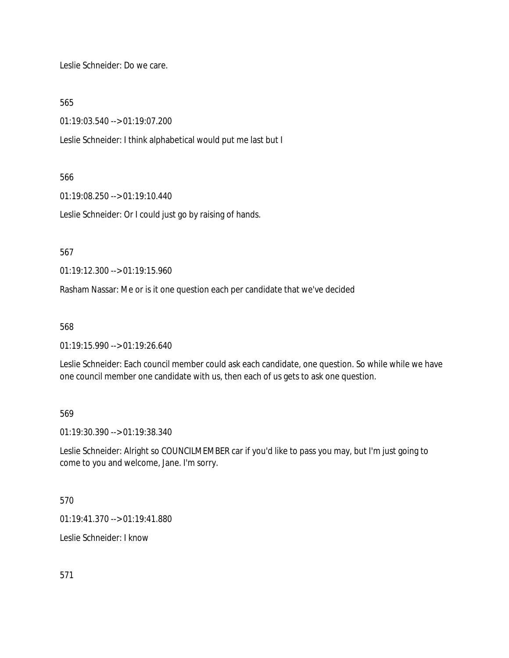Leslie Schneider: Do we care.

565

01:19:03.540 --> 01:19:07.200

Leslie Schneider: I think alphabetical would put me last but I

### 566

01:19:08.250 --> 01:19:10.440

Leslie Schneider: Or I could just go by raising of hands.

567

01:19:12.300 --> 01:19:15.960

Rasham Nassar: Me or is it one question each per candidate that we've decided

568

01:19:15.990 --> 01:19:26.640

Leslie Schneider: Each council member could ask each candidate, one question. So while while we have one council member one candidate with us, then each of us gets to ask one question.

569

01:19:30.390 --> 01:19:38.340

Leslie Schneider: Alright so COUNCILMEMBER car if you'd like to pass you may, but I'm just going to come to you and welcome, Jane. I'm sorry.

570

01:19:41.370 --> 01:19:41.880

Leslie Schneider: I know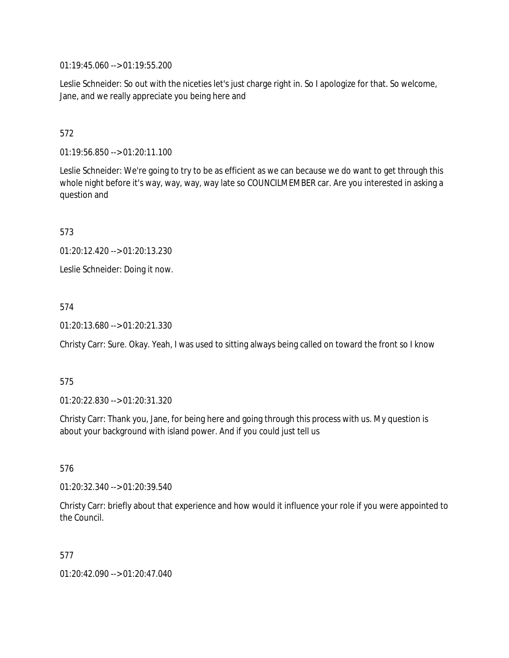01:19:45.060 --> 01:19:55.200

Leslie Schneider: So out with the niceties let's just charge right in. So I apologize for that. So welcome, Jane, and we really appreciate you being here and

# 572

01:19:56.850 --> 01:20:11.100

Leslie Schneider: We're going to try to be as efficient as we can because we do want to get through this whole night before it's way, way, way, way late so COUNCILMEMBER car. Are you interested in asking a question and

573

01:20:12.420 --> 01:20:13.230

Leslie Schneider: Doing it now.

574

01:20:13.680 --> 01:20:21.330

Christy Carr: Sure. Okay. Yeah, I was used to sitting always being called on toward the front so I know

### 575

01:20:22.830 --> 01:20:31.320

Christy Carr: Thank you, Jane, for being here and going through this process with us. My question is about your background with island power. And if you could just tell us

576

01:20:32.340 --> 01:20:39.540

Christy Carr: briefly about that experience and how would it influence your role if you were appointed to the Council.

577

01:20:42.090 --> 01:20:47.040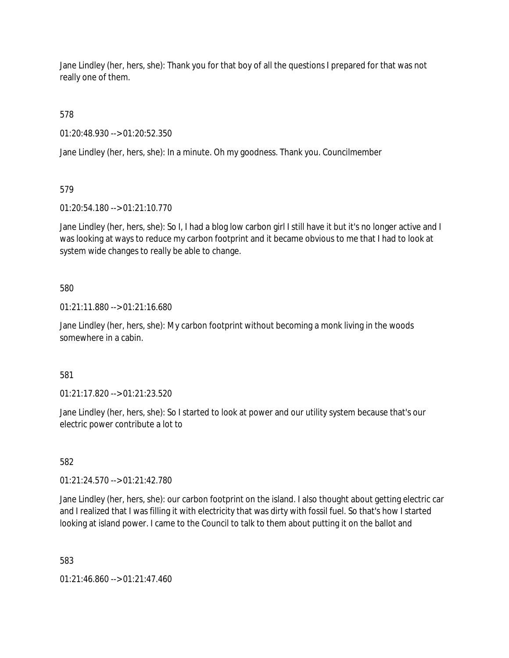Jane Lindley (her, hers, she): Thank you for that boy of all the questions I prepared for that was not really one of them.

578

01:20:48.930 --> 01:20:52.350

Jane Lindley (her, hers, she): In a minute. Oh my goodness. Thank you. Councilmember

579

01:20:54.180 --> 01:21:10.770

Jane Lindley (her, hers, she): So I, I had a blog low carbon girl I still have it but it's no longer active and I was looking at ways to reduce my carbon footprint and it became obvious to me that I had to look at system wide changes to really be able to change.

### 580

01:21:11.880 --> 01:21:16.680

Jane Lindley (her, hers, she): My carbon footprint without becoming a monk living in the woods somewhere in a cabin.

581

01:21:17.820 --> 01:21:23.520

Jane Lindley (her, hers, she): So I started to look at power and our utility system because that's our electric power contribute a lot to

582

01:21:24.570 --> 01:21:42.780

Jane Lindley (her, hers, she): our carbon footprint on the island. I also thought about getting electric car and I realized that I was filling it with electricity that was dirty with fossil fuel. So that's how I started looking at island power. I came to the Council to talk to them about putting it on the ballot and

583

01:21:46.860 --> 01:21:47.460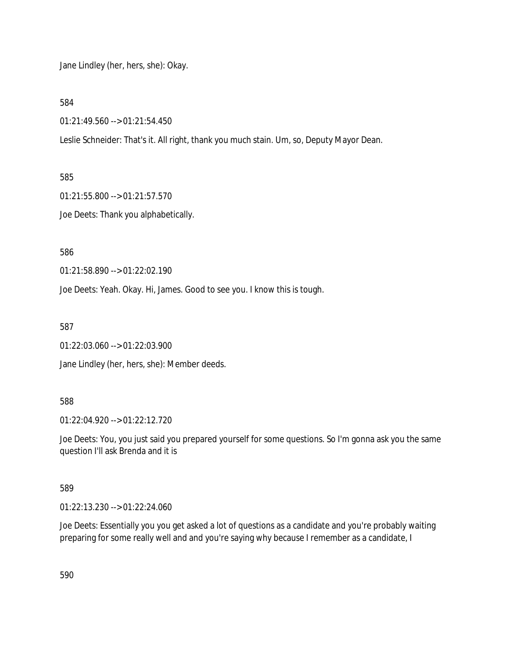Jane Lindley (her, hers, she): Okay.

584

01:21:49.560 --> 01:21:54.450

Leslie Schneider: That's it. All right, thank you much stain. Um, so, Deputy Mayor Dean.

585

01:21:55.800 --> 01:21:57.570

Joe Deets: Thank you alphabetically.

586

01:21:58.890 --> 01:22:02.190

Joe Deets: Yeah. Okay. Hi, James. Good to see you. I know this is tough.

587

01:22:03.060 --> 01:22:03.900

Jane Lindley (her, hers, she): Member deeds.

### 588

01:22:04.920 --> 01:22:12.720

Joe Deets: You, you just said you prepared yourself for some questions. So I'm gonna ask you the same question I'll ask Brenda and it is

589

01:22:13.230 --> 01:22:24.060

Joe Deets: Essentially you you get asked a lot of questions as a candidate and you're probably waiting preparing for some really well and and you're saying why because I remember as a candidate, I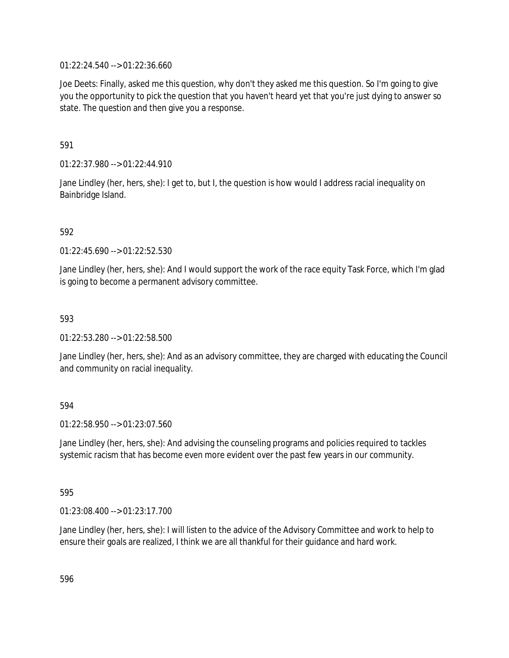01:22:24.540 --> 01:22:36.660

Joe Deets: Finally, asked me this question, why don't they asked me this question. So I'm going to give you the opportunity to pick the question that you haven't heard yet that you're just dying to answer so state. The question and then give you a response.

591

01:22:37.980 --> 01:22:44.910

Jane Lindley (her, hers, she): I get to, but I, the question is how would I address racial inequality on Bainbridge Island.

592

01:22:45.690 --> 01:22:52.530

Jane Lindley (her, hers, she): And I would support the work of the race equity Task Force, which I'm glad is going to become a permanent advisory committee.

593

01:22:53.280 --> 01:22:58.500

Jane Lindley (her, hers, she): And as an advisory committee, they are charged with educating the Council and community on racial inequality.

### 594

01:22:58.950 --> 01:23:07.560

Jane Lindley (her, hers, she): And advising the counseling programs and policies required to tackles systemic racism that has become even more evident over the past few years in our community.

595

01:23:08.400 --> 01:23:17.700

Jane Lindley (her, hers, she): I will listen to the advice of the Advisory Committee and work to help to ensure their goals are realized, I think we are all thankful for their guidance and hard work.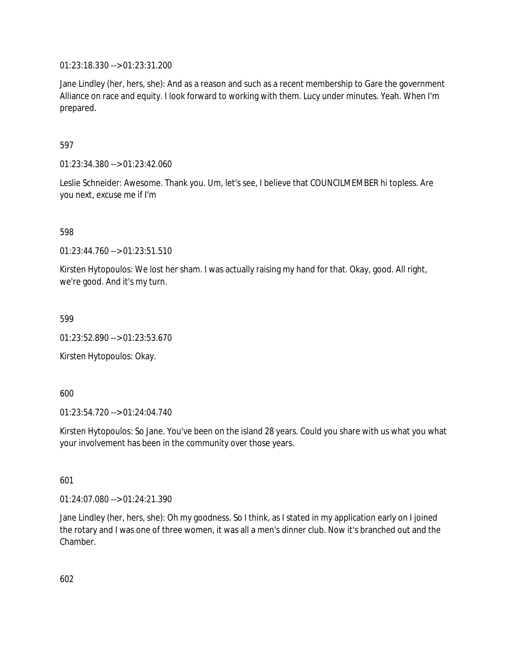01:23:18.330 --> 01:23:31.200

Jane Lindley (her, hers, she): And as a reason and such as a recent membership to Gare the government Alliance on race and equity. I look forward to working with them. Lucy under minutes. Yeah. When I'm prepared.

597

01:23:34.380 --> 01:23:42.060

Leslie Schneider: Awesome. Thank you. Um, let's see, I believe that COUNCILMEMBER hi topless. Are you next, excuse me if I'm

598

01:23:44.760 --> 01:23:51.510

Kirsten Hytopoulos: We lost her sham. I was actually raising my hand for that. Okay, good. All right, we're good. And it's my turn.

599

01:23:52.890 --> 01:23:53.670

Kirsten Hytopoulos: Okay.

600

01:23:54.720 --> 01:24:04.740

Kirsten Hytopoulos: So Jane. You've been on the island 28 years. Could you share with us what you what your involvement has been in the community over those years.

601

01:24:07.080 --> 01:24:21.390

Jane Lindley (her, hers, she): Oh my goodness. So I think, as I stated in my application early on I joined the rotary and I was one of three women, it was all a men's dinner club. Now it's branched out and the Chamber.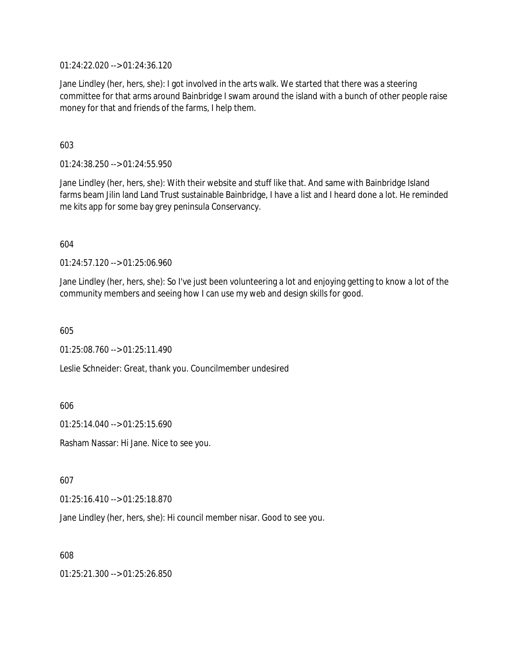01:24:22.020 --> 01:24:36.120

Jane Lindley (her, hers, she): I got involved in the arts walk. We started that there was a steering committee for that arms around Bainbridge I swam around the island with a bunch of other people raise money for that and friends of the farms, I help them.

603

01:24:38.250 --> 01:24:55.950

Jane Lindley (her, hers, she): With their website and stuff like that. And same with Bainbridge Island farms beam Jilin land Land Trust sustainable Bainbridge, I have a list and I heard done a lot. He reminded me kits app for some bay grey peninsula Conservancy.

604

01:24:57.120 --> 01:25:06.960

Jane Lindley (her, hers, she): So I've just been volunteering a lot and enjoying getting to know a lot of the community members and seeing how I can use my web and design skills for good.

605

 $01:25:08.760 \rightarrow 01:25:11.490$ 

Leslie Schneider: Great, thank you. Councilmember undesired

606

01:25:14.040 --> 01:25:15.690

Rasham Nassar: Hi Jane. Nice to see you.

607

01:25:16.410 --> 01:25:18.870

Jane Lindley (her, hers, she): Hi council member nisar. Good to see you.

608

01:25:21.300 --> 01:25:26.850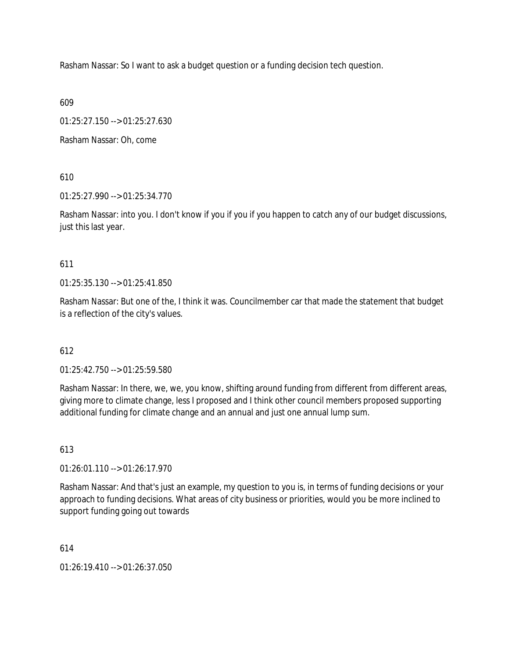Rasham Nassar: So I want to ask a budget question or a funding decision tech question.

609

01:25:27.150 --> 01:25:27.630

Rasham Nassar: Oh, come

610

01:25:27.990 --> 01:25:34.770

Rasham Nassar: into you. I don't know if you if you if you happen to catch any of our budget discussions, just this last year.

611

01:25:35.130 --> 01:25:41.850

Rasham Nassar: But one of the, I think it was. Councilmember car that made the statement that budget is a reflection of the city's values.

# 612

01:25:42.750 --> 01:25:59.580

Rasham Nassar: In there, we, we, you know, shifting around funding from different from different areas, giving more to climate change, less I proposed and I think other council members proposed supporting additional funding for climate change and an annual and just one annual lump sum.

613

01:26:01.110 --> 01:26:17.970

Rasham Nassar: And that's just an example, my question to you is, in terms of funding decisions or your approach to funding decisions. What areas of city business or priorities, would you be more inclined to support funding going out towards

614

01:26:19.410 --> 01:26:37.050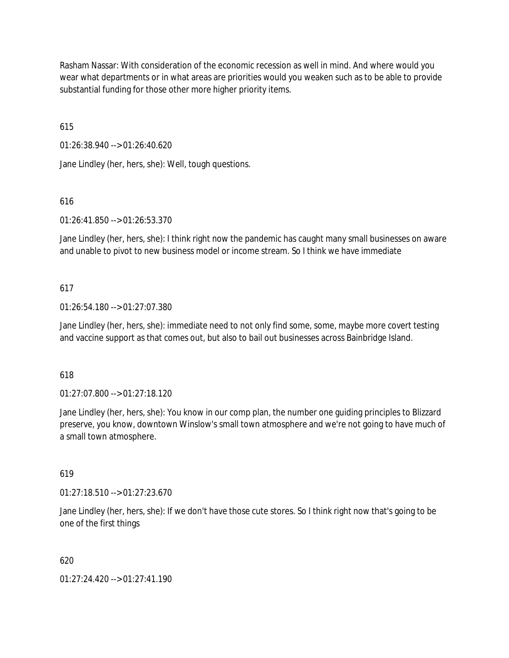Rasham Nassar: With consideration of the economic recession as well in mind. And where would you wear what departments or in what areas are priorities would you weaken such as to be able to provide substantial funding for those other more higher priority items.

615

01:26:38.940 --> 01:26:40.620

Jane Lindley (her, hers, she): Well, tough questions.

### 616

01:26:41.850 --> 01:26:53.370

Jane Lindley (her, hers, she): I think right now the pandemic has caught many small businesses on aware and unable to pivot to new business model or income stream. So I think we have immediate

### 617

01:26:54.180 --> 01:27:07.380

Jane Lindley (her, hers, she): immediate need to not only find some, some, maybe more covert testing and vaccine support as that comes out, but also to bail out businesses across Bainbridge Island.

### 618

01:27:07.800 --> 01:27:18.120

Jane Lindley (her, hers, she): You know in our comp plan, the number one guiding principles to Blizzard preserve, you know, downtown Winslow's small town atmosphere and we're not going to have much of a small town atmosphere.

### 619

01:27:18.510 --> 01:27:23.670

Jane Lindley (her, hers, she): If we don't have those cute stores. So I think right now that's going to be one of the first things

### 620

01:27:24.420 --> 01:27:41.190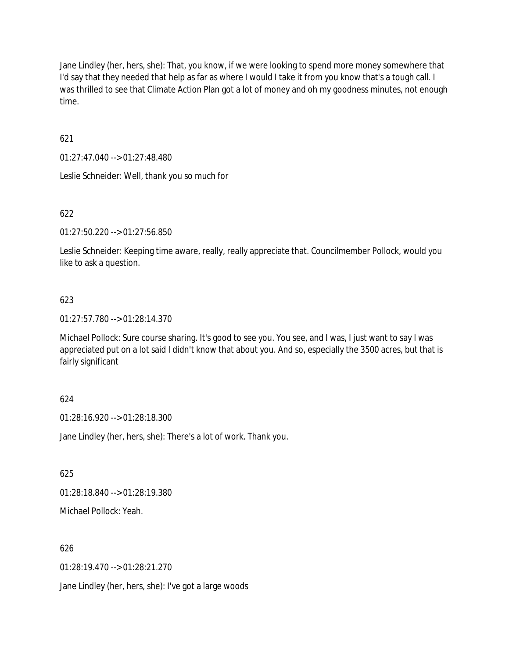Jane Lindley (her, hers, she): That, you know, if we were looking to spend more money somewhere that I'd say that they needed that help as far as where I would I take it from you know that's a tough call. I was thrilled to see that Climate Action Plan got a lot of money and oh my goodness minutes, not enough time.

621

01:27:47.040 --> 01:27:48.480

Leslie Schneider: Well, thank you so much for

622

01:27:50.220 --> 01:27:56.850

Leslie Schneider: Keeping time aware, really, really appreciate that. Councilmember Pollock, would you like to ask a question.

### 623

01:27:57.780 --> 01:28:14.370

Michael Pollock: Sure course sharing. It's good to see you. You see, and I was, I just want to say I was appreciated put on a lot said I didn't know that about you. And so, especially the 3500 acres, but that is fairly significant

### 624

01:28:16.920 --> 01:28:18.300

Jane Lindley (her, hers, she): There's a lot of work. Thank you.

625

01:28:18.840 --> 01:28:19.380

Michael Pollock: Yeah.

### 626

01:28:19.470 --> 01:28:21.270

Jane Lindley (her, hers, she): I've got a large woods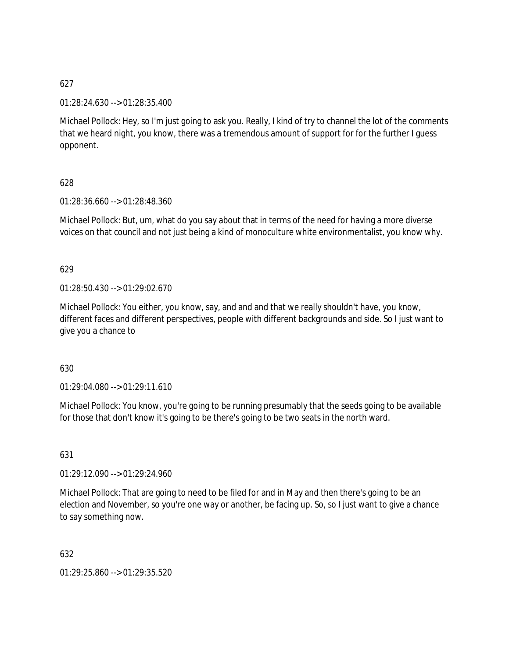627

01:28:24.630 --> 01:28:35.400

Michael Pollock: Hey, so I'm just going to ask you. Really, I kind of try to channel the lot of the comments that we heard night, you know, there was a tremendous amount of support for for the further I guess opponent.

628

01:28:36.660 --> 01:28:48.360

Michael Pollock: But, um, what do you say about that in terms of the need for having a more diverse voices on that council and not just being a kind of monoculture white environmentalist, you know why.

629

01:28:50.430 --> 01:29:02.670

Michael Pollock: You either, you know, say, and and and that we really shouldn't have, you know, different faces and different perspectives, people with different backgrounds and side. So I just want to give you a chance to

630

01:29:04.080 --> 01:29:11.610

Michael Pollock: You know, you're going to be running presumably that the seeds going to be available for those that don't know it's going to be there's going to be two seats in the north ward.

631

01:29:12.090 --> 01:29:24.960

Michael Pollock: That are going to need to be filed for and in May and then there's going to be an election and November, so you're one way or another, be facing up. So, so I just want to give a chance to say something now.

632

01:29:25.860 --> 01:29:35.520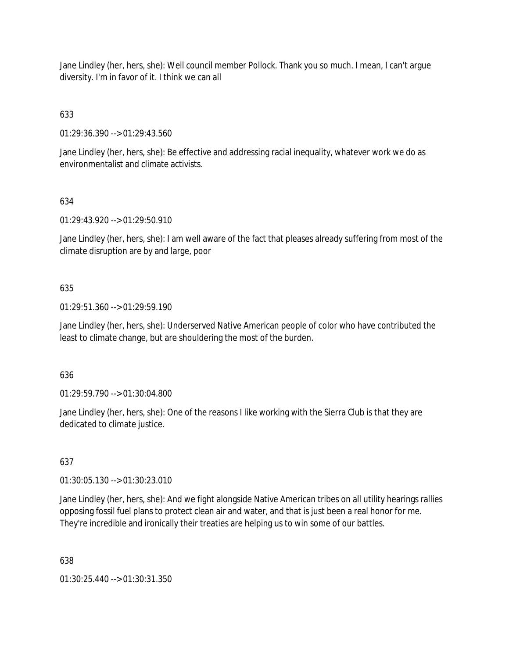Jane Lindley (her, hers, she): Well council member Pollock. Thank you so much. I mean, I can't argue diversity. I'm in favor of it. I think we can all

# 633

01:29:36.390 --> 01:29:43.560

Jane Lindley (her, hers, she): Be effective and addressing racial inequality, whatever work we do as environmentalist and climate activists.

# 634

01:29:43.920 --> 01:29:50.910

Jane Lindley (her, hers, she): I am well aware of the fact that pleases already suffering from most of the climate disruption are by and large, poor

# 635

01:29:51.360 --> 01:29:59.190

Jane Lindley (her, hers, she): Underserved Native American people of color who have contributed the least to climate change, but are shouldering the most of the burden.

# 636

01:29:59.790 --> 01:30:04.800

Jane Lindley (her, hers, she): One of the reasons I like working with the Sierra Club is that they are dedicated to climate justice.

# 637

01:30:05.130 --> 01:30:23.010

Jane Lindley (her, hers, she): And we fight alongside Native American tribes on all utility hearings rallies opposing fossil fuel plans to protect clean air and water, and that is just been a real honor for me. They're incredible and ironically their treaties are helping us to win some of our battles.

# 638

01:30:25.440 --> 01:30:31.350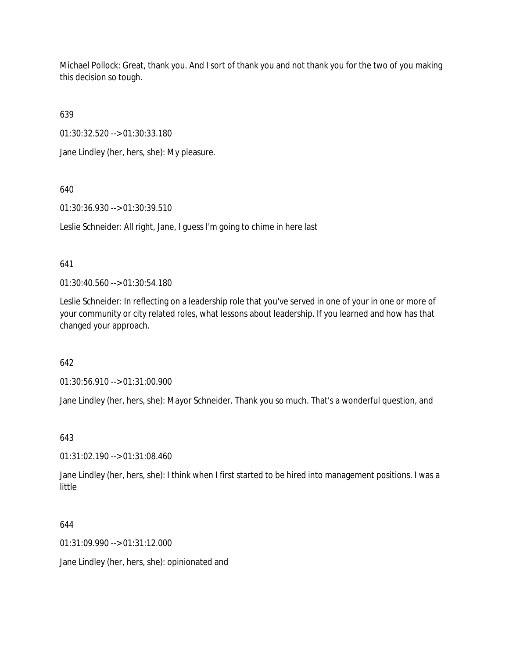Michael Pollock: Great, thank you. And I sort of thank you and not thank you for the two of you making this decision so tough.

639

01:30:32.520 --> 01:30:33.180

Jane Lindley (her, hers, she): My pleasure.

# 640

01:30:36.930 --> 01:30:39.510

Leslie Schneider: All right, Jane, I guess I'm going to chime in here last

# 641

01:30:40.560 --> 01:30:54.180

Leslie Schneider: In reflecting on a leadership role that you've served in one of your in one or more of your community or city related roles, what lessons about leadership. If you learned and how has that changed your approach.

# 642

01:30:56.910 --> 01:31:00.900

Jane Lindley (her, hers, she): Mayor Schneider. Thank you so much. That's a wonderful question, and

# 643

01:31:02.190 --> 01:31:08.460

Jane Lindley (her, hers, she): I think when I first started to be hired into management positions. I was a little

# 644

01:31:09.990 --> 01:31:12.000

Jane Lindley (her, hers, she): opinionated and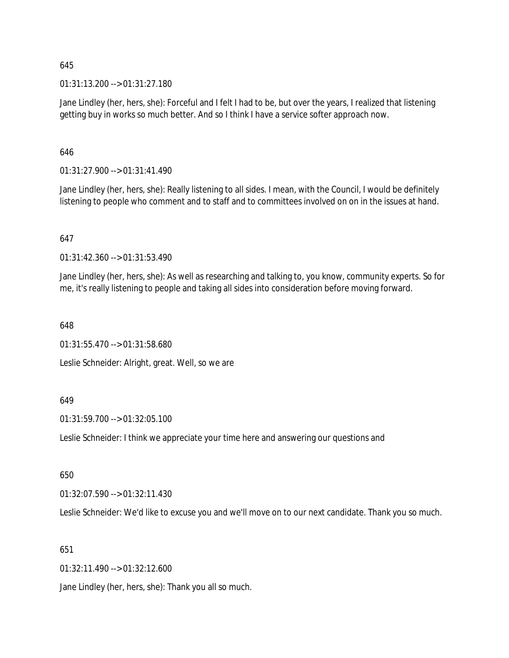645

01:31:13.200 --> 01:31:27.180

Jane Lindley (her, hers, she): Forceful and I felt I had to be, but over the years, I realized that listening getting buy in works so much better. And so I think I have a service softer approach now.

646

01:31:27.900 --> 01:31:41.490

Jane Lindley (her, hers, she): Really listening to all sides. I mean, with the Council, I would be definitely listening to people who comment and to staff and to committees involved on on in the issues at hand.

### 647

01:31:42.360 --> 01:31:53.490

Jane Lindley (her, hers, she): As well as researching and talking to, you know, community experts. So for me, it's really listening to people and taking all sides into consideration before moving forward.

648

01:31:55.470 --> 01:31:58.680

Leslie Schneider: Alright, great. Well, so we are

### 649

01:31:59.700 --> 01:32:05.100

Leslie Schneider: I think we appreciate your time here and answering our questions and

650

01:32:07.590 --> 01:32:11.430

Leslie Schneider: We'd like to excuse you and we'll move on to our next candidate. Thank you so much.

651

01:32:11.490 --> 01:32:12.600

Jane Lindley (her, hers, she): Thank you all so much.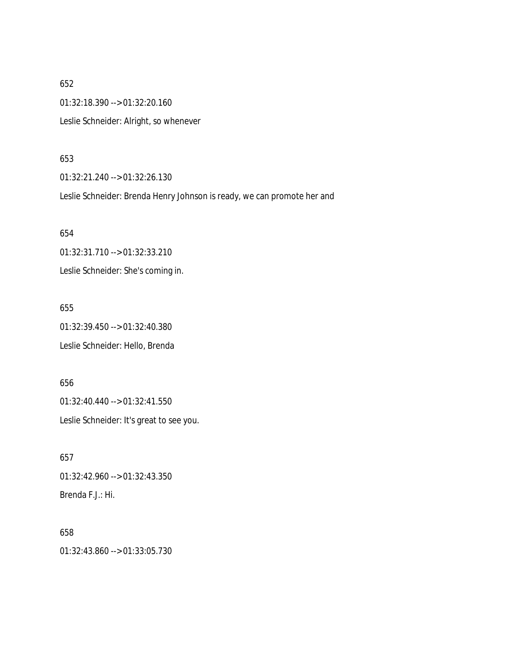652 01:32:18.390 --> 01:32:20.160 Leslie Schneider: Alright, so whenever

### 653

01:32:21.240 --> 01:32:26.130

Leslie Schneider: Brenda Henry Johnson is ready, we can promote her and

654 01:32:31.710 --> 01:32:33.210 Leslie Schneider: She's coming in.

655 01:32:39.450 --> 01:32:40.380 Leslie Schneider: Hello, Brenda

656 01:32:40.440 --> 01:32:41.550 Leslie Schneider: It's great to see you.

657 01:32:42.960 --> 01:32:43.350 Brenda F.J.: Hi.

658 01:32:43.860 --> 01:33:05.730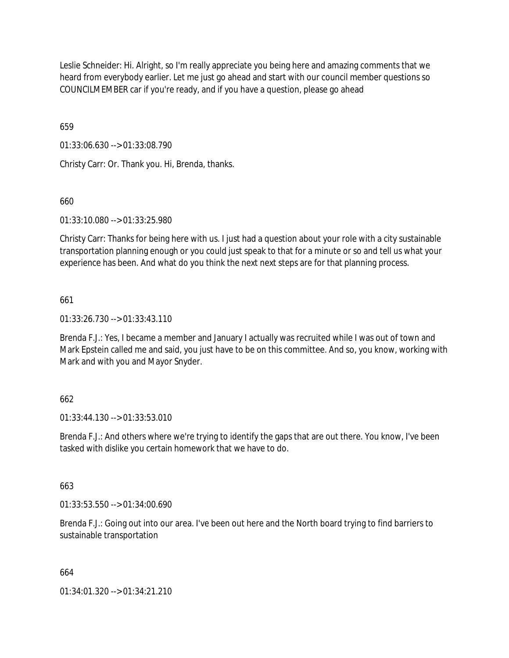Leslie Schneider: Hi. Alright, so I'm really appreciate you being here and amazing comments that we heard from everybody earlier. Let me just go ahead and start with our council member questions so COUNCILMEMBER car if you're ready, and if you have a question, please go ahead

659

01:33:06.630 --> 01:33:08.790

Christy Carr: Or. Thank you. Hi, Brenda, thanks.

### 660

01:33:10.080 --> 01:33:25.980

Christy Carr: Thanks for being here with us. I just had a question about your role with a city sustainable transportation planning enough or you could just speak to that for a minute or so and tell us what your experience has been. And what do you think the next next steps are for that planning process.

### 661

01:33:26.730 --> 01:33:43.110

Brenda F.J.: Yes, I became a member and January I actually was recruited while I was out of town and Mark Epstein called me and said, you just have to be on this committee. And so, you know, working with Mark and with you and Mayor Snyder.

### 662

01:33:44.130 --> 01:33:53.010

Brenda F.J.: And others where we're trying to identify the gaps that are out there. You know, I've been tasked with dislike you certain homework that we have to do.

### 663

01:33:53.550 --> 01:34:00.690

Brenda F.J.: Going out into our area. I've been out here and the North board trying to find barriers to sustainable transportation

### 664

01:34:01.320 --> 01:34:21.210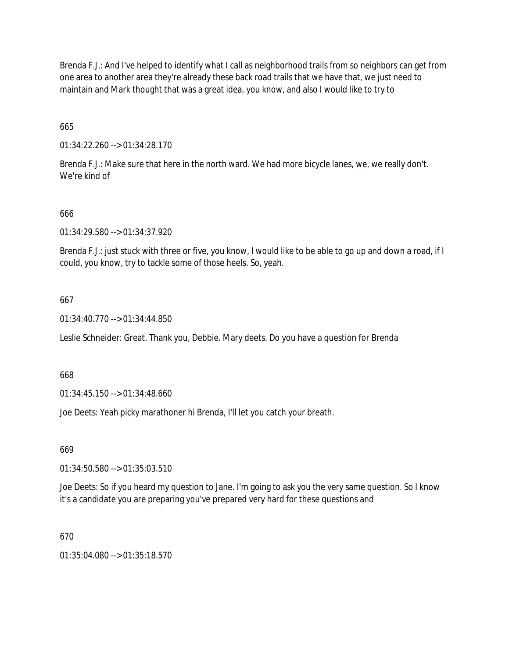Brenda F.J.: And I've helped to identify what I call as neighborhood trails from so neighbors can get from one area to another area they're already these back road trails that we have that, we just need to maintain and Mark thought that was a great idea, you know, and also I would like to try to

665

01:34:22.260 --> 01:34:28.170

Brenda F.J.: Make sure that here in the north ward. We had more bicycle lanes, we, we really don't. We're kind of

### 666

01:34:29.580 --> 01:34:37.920

Brenda F.J.: just stuck with three or five, you know, I would like to be able to go up and down a road, if I could, you know, try to tackle some of those heels. So, yeah.

### 667

01:34:40.770 --> 01:34:44.850

Leslie Schneider: Great. Thank you, Debbie. Mary deets. Do you have a question for Brenda

668

01:34:45.150 --> 01:34:48.660

Joe Deets: Yeah picky marathoner hi Brenda, I'll let you catch your breath.

669

01:34:50.580 --> 01:35:03.510

Joe Deets: So if you heard my question to Jane. I'm going to ask you the very same question. So I know it's a candidate you are preparing you've prepared very hard for these questions and

### 670

01:35:04.080 --> 01:35:18.570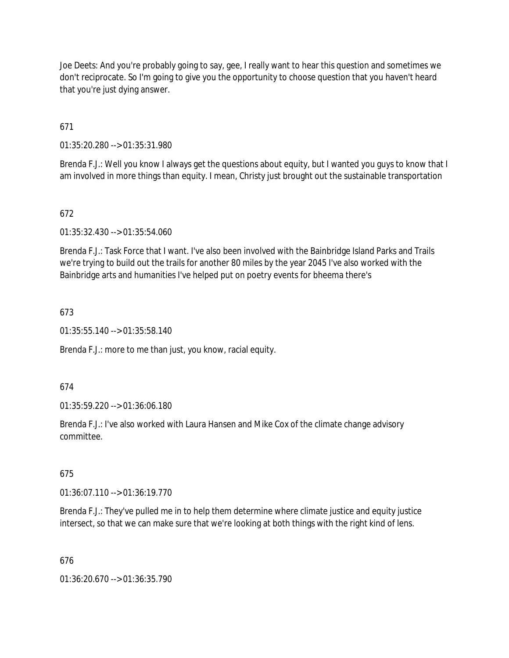Joe Deets: And you're probably going to say, gee, I really want to hear this question and sometimes we don't reciprocate. So I'm going to give you the opportunity to choose question that you haven't heard that you're just dying answer.

671

01:35:20.280 --> 01:35:31.980

Brenda F.J.: Well you know I always get the questions about equity, but I wanted you guys to know that I am involved in more things than equity. I mean, Christy just brought out the sustainable transportation

# 672

01:35:32.430 --> 01:35:54.060

Brenda F.J.: Task Force that I want. I've also been involved with the Bainbridge Island Parks and Trails we're trying to build out the trails for another 80 miles by the year 2045 I've also worked with the Bainbridge arts and humanities I've helped put on poetry events for bheema there's

### 673

01:35:55.140 --> 01:35:58.140

Brenda F.J.: more to me than just, you know, racial equity.

### 674

01:35:59.220 --> 01:36:06.180

Brenda F.J.: I've also worked with Laura Hansen and Mike Cox of the climate change advisory committee.

### 675

01:36:07.110 --> 01:36:19.770

Brenda F.J.: They've pulled me in to help them determine where climate justice and equity justice intersect, so that we can make sure that we're looking at both things with the right kind of lens.

### 676

01:36:20.670 --> 01:36:35.790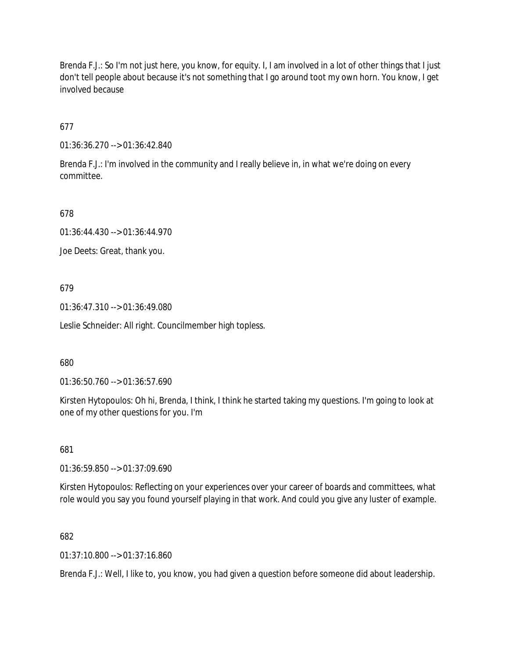Brenda F.J.: So I'm not just here, you know, for equity. I, I am involved in a lot of other things that I just don't tell people about because it's not something that I go around toot my own horn. You know, I get involved because

677

01:36:36.270 --> 01:36:42.840

Brenda F.J.: I'm involved in the community and I really believe in, in what we're doing on every committee.

678

01:36:44.430 --> 01:36:44.970

Joe Deets: Great, thank you.

679

01:36:47.310 --> 01:36:49.080

Leslie Schneider: All right. Councilmember high topless.

680

01:36:50.760 --> 01:36:57.690

Kirsten Hytopoulos: Oh hi, Brenda, I think, I think he started taking my questions. I'm going to look at one of my other questions for you. I'm

681

01:36:59.850 --> 01:37:09.690

Kirsten Hytopoulos: Reflecting on your experiences over your career of boards and committees, what role would you say you found yourself playing in that work. And could you give any luster of example.

682

01:37:10.800 --> 01:37:16.860

Brenda F.J.: Well, I like to, you know, you had given a question before someone did about leadership.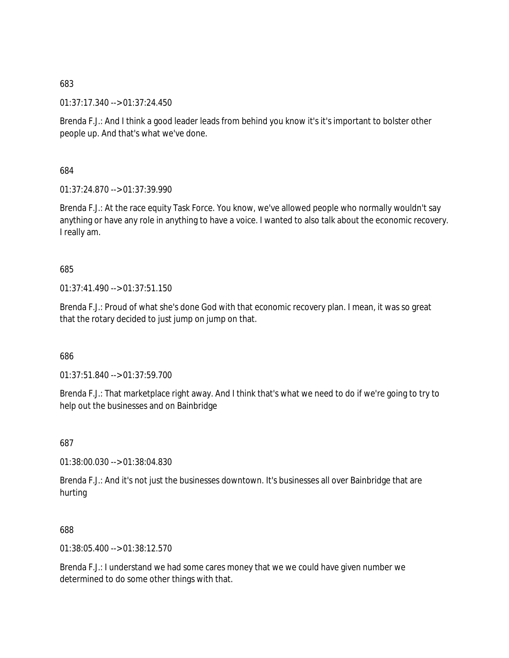683

01:37:17.340 --> 01:37:24.450

Brenda F.J.: And I think a good leader leads from behind you know it's it's important to bolster other people up. And that's what we've done.

684

01:37:24.870 --> 01:37:39.990

Brenda F.J.: At the race equity Task Force. You know, we've allowed people who normally wouldn't say anything or have any role in anything to have a voice. I wanted to also talk about the economic recovery. I really am.

685

01:37:41.490 --> 01:37:51.150

Brenda F.J.: Proud of what she's done God with that economic recovery plan. I mean, it was so great that the rotary decided to just jump on jump on that.

686

01:37:51.840 --> 01:37:59.700

Brenda F.J.: That marketplace right away. And I think that's what we need to do if we're going to try to help out the businesses and on Bainbridge

687

01:38:00.030 --> 01:38:04.830

Brenda F.J.: And it's not just the businesses downtown. It's businesses all over Bainbridge that are hurting

688

01:38:05.400 --> 01:38:12.570

Brenda F.J.: I understand we had some cares money that we we could have given number we determined to do some other things with that.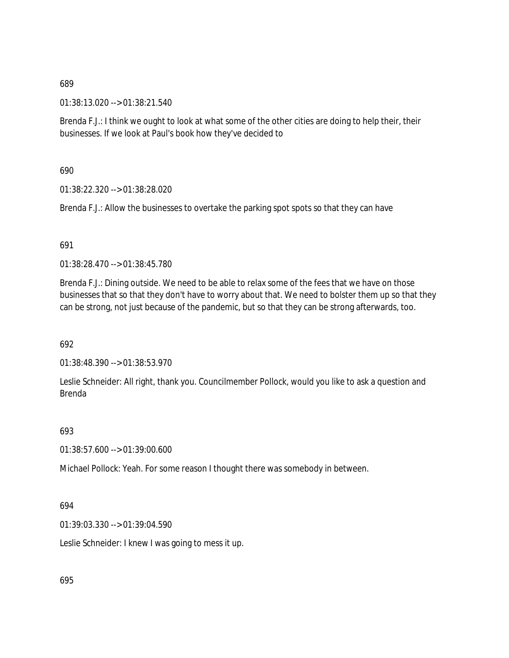01:38:13.020 --> 01:38:21.540

Brenda F.J.: I think we ought to look at what some of the other cities are doing to help their, their businesses. If we look at Paul's book how they've decided to

690

01:38:22.320 --> 01:38:28.020

Brenda F.J.: Allow the businesses to overtake the parking spot spots so that they can have

### 691

01:38:28.470 --> 01:38:45.780

Brenda F.J.: Dining outside. We need to be able to relax some of the fees that we have on those businesses that so that they don't have to worry about that. We need to bolster them up so that they can be strong, not just because of the pandemic, but so that they can be strong afterwards, too.

692

01:38:48.390 --> 01:38:53.970

Leslie Schneider: All right, thank you. Councilmember Pollock, would you like to ask a question and Brenda

### 693

01:38:57.600 --> 01:39:00.600

Michael Pollock: Yeah. For some reason I thought there was somebody in between.

### 694

01:39:03.330 --> 01:39:04.590

Leslie Schneider: I knew I was going to mess it up.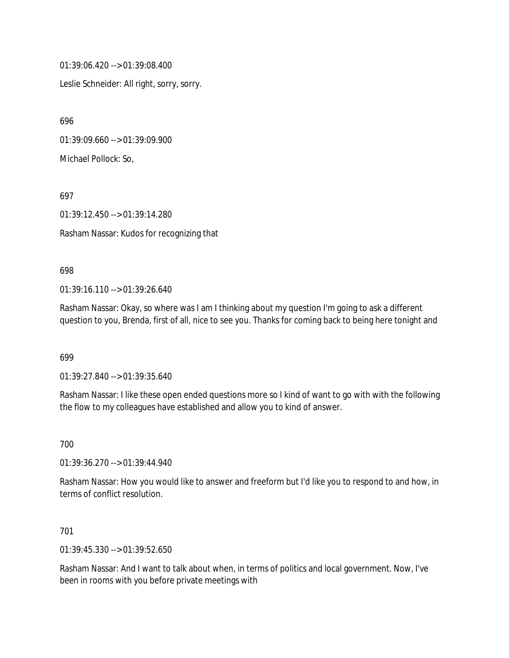01:39:06.420 --> 01:39:08.400

Leslie Schneider: All right, sorry, sorry.

696

01:39:09.660 --> 01:39:09.900

Michael Pollock: So,

697

01:39:12.450 --> 01:39:14.280

Rasham Nassar: Kudos for recognizing that

#### 698

01:39:16.110 --> 01:39:26.640

Rasham Nassar: Okay, so where was I am I thinking about my question I'm going to ask a different question to you, Brenda, first of all, nice to see you. Thanks for coming back to being here tonight and

699

01:39:27.840 --> 01:39:35.640

Rasham Nassar: I like these open ended questions more so I kind of want to go with with the following the flow to my colleagues have established and allow you to kind of answer.

700

01:39:36.270 --> 01:39:44.940

Rasham Nassar: How you would like to answer and freeform but I'd like you to respond to and how, in terms of conflict resolution.

### 701

01:39:45.330 --> 01:39:52.650

Rasham Nassar: And I want to talk about when, in terms of politics and local government. Now, I've been in rooms with you before private meetings with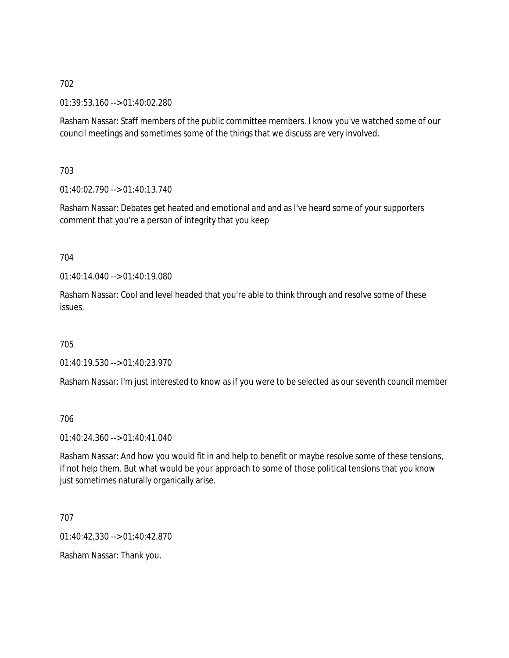01:39:53.160 --> 01:40:02.280

Rasham Nassar: Staff members of the public committee members. I know you've watched some of our council meetings and sometimes some of the things that we discuss are very involved.

703

01:40:02.790 --> 01:40:13.740

Rasham Nassar: Debates get heated and emotional and and as I've heard some of your supporters comment that you're a person of integrity that you keep

### 704

01:40:14.040 --> 01:40:19.080

Rasham Nassar: Cool and level headed that you're able to think through and resolve some of these issues.

### 705

01:40:19.530 --> 01:40:23.970

Rasham Nassar: I'm just interested to know as if you were to be selected as our seventh council member

### 706

01:40:24.360 --> 01:40:41.040

Rasham Nassar: And how you would fit in and help to benefit or maybe resolve some of these tensions, if not help them. But what would be your approach to some of those political tensions that you know just sometimes naturally organically arise.

707

01:40:42.330 --> 01:40:42.870

Rasham Nassar: Thank you.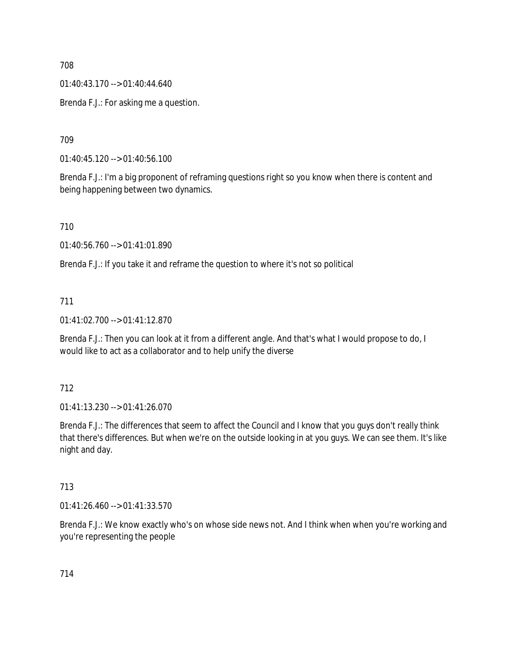01:40:43.170 --> 01:40:44.640

Brenda F.J.: For asking me a question.

709

01:40:45.120 --> 01:40:56.100

Brenda F.J.: I'm a big proponent of reframing questions right so you know when there is content and being happening between two dynamics.

710

01:40:56.760 --> 01:41:01.890

Brenda F.J.: If you take it and reframe the question to where it's not so political

711

01:41:02.700 --> 01:41:12.870

Brenda F.J.: Then you can look at it from a different angle. And that's what I would propose to do, I would like to act as a collaborator and to help unify the diverse

712

01:41:13.230 --> 01:41:26.070

Brenda F.J.: The differences that seem to affect the Council and I know that you guys don't really think that there's differences. But when we're on the outside looking in at you guys. We can see them. It's like night and day.

713

01:41:26.460 --> 01:41:33.570

Brenda F.J.: We know exactly who's on whose side news not. And I think when when you're working and you're representing the people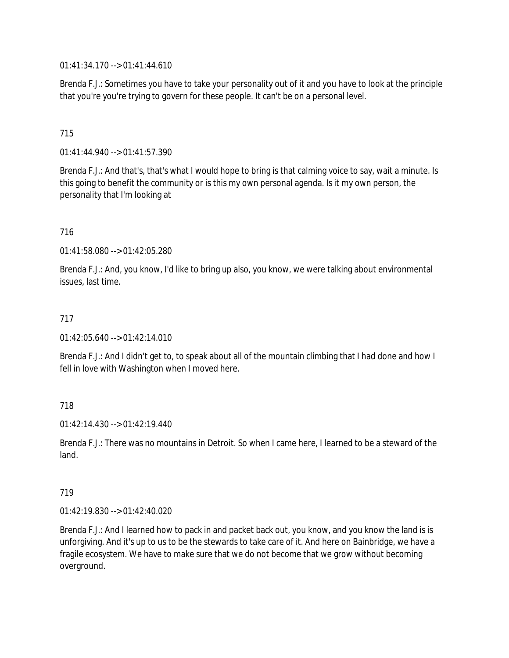01:41:34.170 --> 01:41:44.610

Brenda F.J.: Sometimes you have to take your personality out of it and you have to look at the principle that you're you're trying to govern for these people. It can't be on a personal level.

## 715

01:41:44.940 --> 01:41:57.390

Brenda F.J.: And that's, that's what I would hope to bring is that calming voice to say, wait a minute. Is this going to benefit the community or is this my own personal agenda. Is it my own person, the personality that I'm looking at

### 716

01:41:58.080 --> 01:42:05.280

Brenda F.J.: And, you know, I'd like to bring up also, you know, we were talking about environmental issues, last time.

#### 717

01:42:05.640 --> 01:42:14.010

Brenda F.J.: And I didn't get to, to speak about all of the mountain climbing that I had done and how I fell in love with Washington when I moved here.

### 718

 $01:42:14.430 \rightarrow 01:42:19.440$ 

Brenda F.J.: There was no mountains in Detroit. So when I came here, I learned to be a steward of the land.

#### 719

01:42:19.830 --> 01:42:40.020

Brenda F.J.: And I learned how to pack in and packet back out, you know, and you know the land is is unforgiving. And it's up to us to be the stewards to take care of it. And here on Bainbridge, we have a fragile ecosystem. We have to make sure that we do not become that we grow without becoming overground.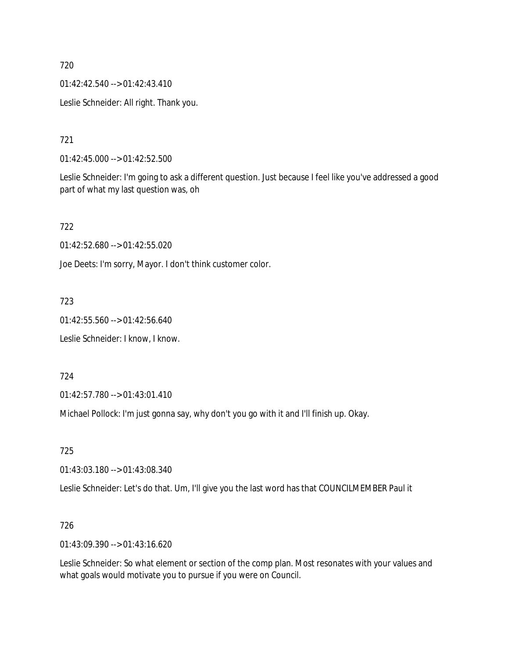01:42:42.540 --> 01:42:43.410

Leslie Schneider: All right. Thank you.

721

01:42:45.000 --> 01:42:52.500

Leslie Schneider: I'm going to ask a different question. Just because I feel like you've addressed a good part of what my last question was, oh

722

01:42:52.680 --> 01:42:55.020

Joe Deets: I'm sorry, Mayor. I don't think customer color.

723

01:42:55.560 --> 01:42:56.640

Leslie Schneider: I know, I know.

724

01:42:57.780 --> 01:43:01.410

Michael Pollock: I'm just gonna say, why don't you go with it and I'll finish up. Okay.

725

01:43:03.180 --> 01:43:08.340

Leslie Schneider: Let's do that. Um, I'll give you the last word has that COUNCILMEMBER Paul it

726

01:43:09.390 --> 01:43:16.620

Leslie Schneider: So what element or section of the comp plan. Most resonates with your values and what goals would motivate you to pursue if you were on Council.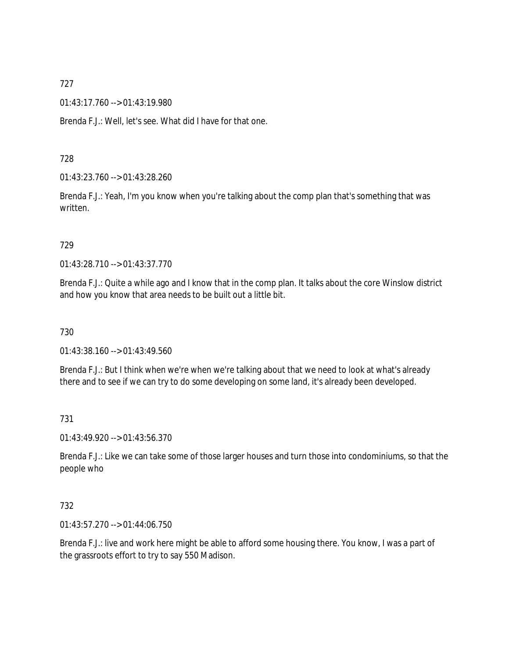01:43:17.760 --> 01:43:19.980

Brenda F.J.: Well, let's see. What did I have for that one.

### 728

01:43:23.760 --> 01:43:28.260

Brenda F.J.: Yeah, I'm you know when you're talking about the comp plan that's something that was written.

### 729

01:43:28.710 --> 01:43:37.770

Brenda F.J.: Quite a while ago and I know that in the comp plan. It talks about the core Winslow district and how you know that area needs to be built out a little bit.

### 730

01:43:38.160 --> 01:43:49.560

Brenda F.J.: But I think when we're when we're talking about that we need to look at what's already there and to see if we can try to do some developing on some land, it's already been developed.

### 731

01:43:49.920 --> 01:43:56.370

Brenda F.J.: Like we can take some of those larger houses and turn those into condominiums, so that the people who

### 732

01:43:57.270 --> 01:44:06.750

Brenda F.J.: live and work here might be able to afford some housing there. You know, I was a part of the grassroots effort to try to say 550 Madison.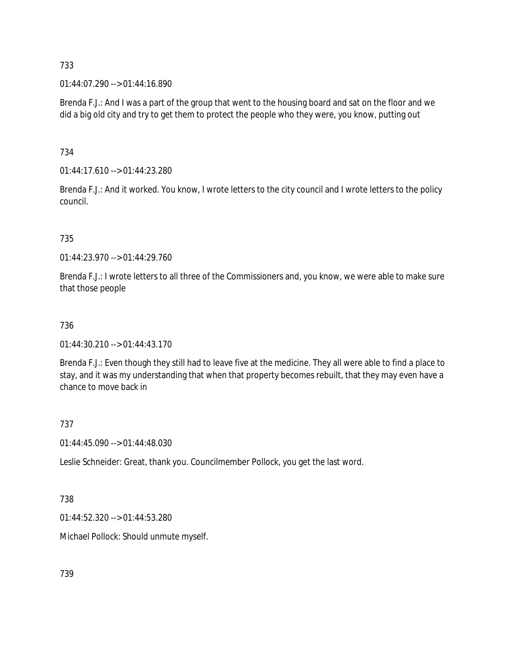01:44:07.290 --> 01:44:16.890

Brenda F.J.: And I was a part of the group that went to the housing board and sat on the floor and we did a big old city and try to get them to protect the people who they were, you know, putting out

734

01:44:17.610 --> 01:44:23.280

Brenda F.J.: And it worked. You know, I wrote letters to the city council and I wrote letters to the policy council.

### 735

01:44:23.970 --> 01:44:29.760

Brenda F.J.: I wrote letters to all three of the Commissioners and, you know, we were able to make sure that those people

### 736

 $01:44:30.210 \rightarrow 01:44:43.170$ 

Brenda F.J.: Even though they still had to leave five at the medicine. They all were able to find a place to stay, and it was my understanding that when that property becomes rebuilt, that they may even have a chance to move back in

### 737

01:44:45.090 --> 01:44:48.030

Leslie Schneider: Great, thank you. Councilmember Pollock, you get the last word.

### 738

01:44:52.320 --> 01:44:53.280

Michael Pollock: Should unmute myself.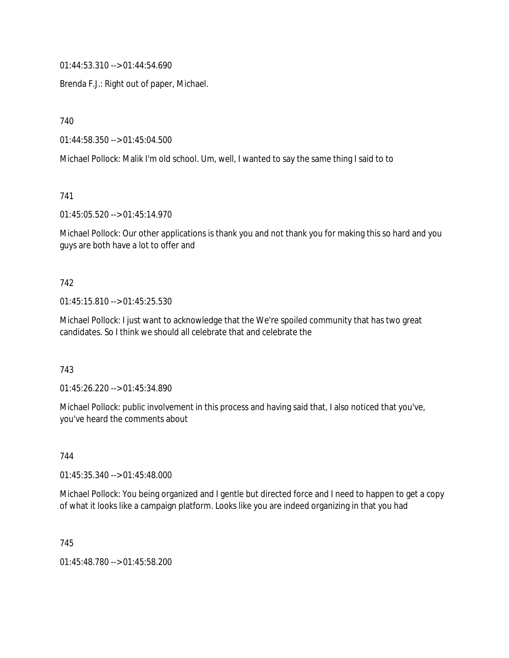01:44:53.310 --> 01:44:54.690

Brenda F.J.: Right out of paper, Michael.

740

01:44:58.350 --> 01:45:04.500

Michael Pollock: Malik I'm old school. Um, well, I wanted to say the same thing I said to to

741

01:45:05.520 --> 01:45:14.970

Michael Pollock: Our other applications is thank you and not thank you for making this so hard and you guys are both have a lot to offer and

#### 742

01:45:15.810 --> 01:45:25.530

Michael Pollock: I just want to acknowledge that the We're spoiled community that has two great candidates. So I think we should all celebrate that and celebrate the

743

01:45:26.220 --> 01:45:34.890

Michael Pollock: public involvement in this process and having said that, I also noticed that you've, you've heard the comments about

744

01:45:35.340 --> 01:45:48.000

Michael Pollock: You being organized and I gentle but directed force and I need to happen to get a copy of what it looks like a campaign platform. Looks like you are indeed organizing in that you had

745

01:45:48.780 --> 01:45:58.200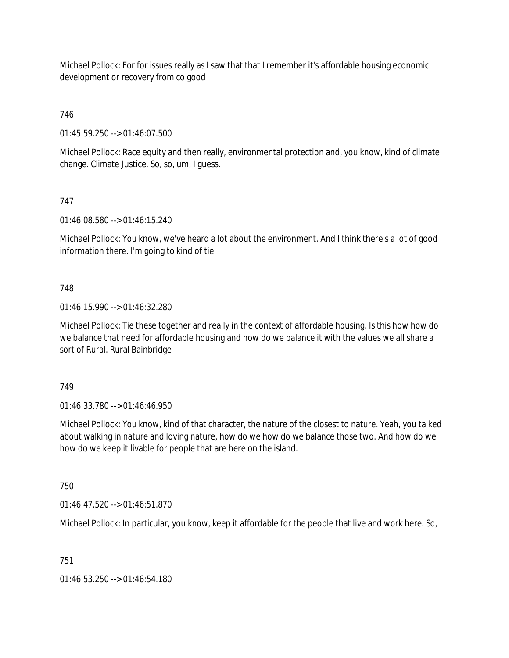Michael Pollock: For for issues really as I saw that that I remember it's affordable housing economic development or recovery from co good

# 746

01:45:59.250 --> 01:46:07.500

Michael Pollock: Race equity and then really, environmental protection and, you know, kind of climate change. Climate Justice. So, so, um, I guess.

# 747

01:46:08.580 --> 01:46:15.240

Michael Pollock: You know, we've heard a lot about the environment. And I think there's a lot of good information there. I'm going to kind of tie

### 748

01:46:15.990 --> 01:46:32.280

Michael Pollock: Tie these together and really in the context of affordable housing. Is this how how do we balance that need for affordable housing and how do we balance it with the values we all share a sort of Rural. Rural Bainbridge

### 749

 $01:46:33.780 \rightarrow 01:46:46.950$ 

Michael Pollock: You know, kind of that character, the nature of the closest to nature. Yeah, you talked about walking in nature and loving nature, how do we how do we balance those two. And how do we how do we keep it livable for people that are here on the island.

### 750

01:46:47.520 --> 01:46:51.870

Michael Pollock: In particular, you know, keep it affordable for the people that live and work here. So,

# 751

01:46:53.250 --> 01:46:54.180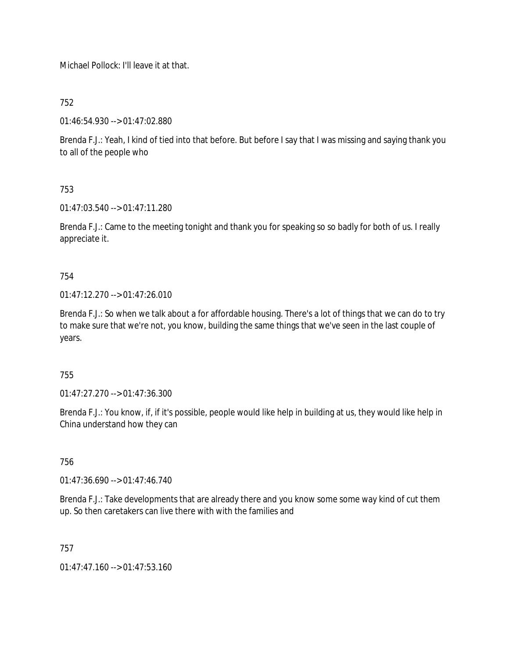Michael Pollock: I'll leave it at that.

752

01:46:54.930 --> 01:47:02.880

Brenda F.J.: Yeah, I kind of tied into that before. But before I say that I was missing and saying thank you to all of the people who

753

01:47:03.540 --> 01:47:11.280

Brenda F.J.: Came to the meeting tonight and thank you for speaking so so badly for both of us. I really appreciate it.

754

01:47:12.270 --> 01:47:26.010

Brenda F.J.: So when we talk about a for affordable housing. There's a lot of things that we can do to try to make sure that we're not, you know, building the same things that we've seen in the last couple of years.

755

01:47:27.270 --> 01:47:36.300

Brenda F.J.: You know, if, if it's possible, people would like help in building at us, they would like help in China understand how they can

756

01:47:36.690 --> 01:47:46.740

Brenda F.J.: Take developments that are already there and you know some some way kind of cut them up. So then caretakers can live there with with the families and

757

01:47:47.160 --> 01:47:53.160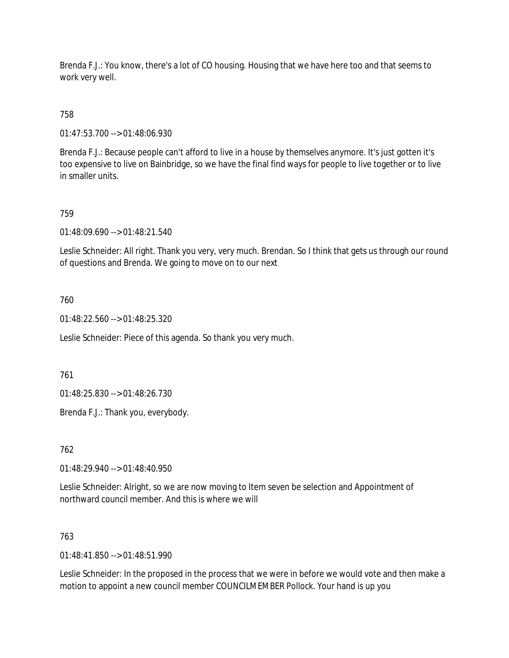Brenda F.J.: You know, there's a lot of CO housing. Housing that we have here too and that seems to work very well.

# 758

01:47:53.700 --> 01:48:06.930

Brenda F.J.: Because people can't afford to live in a house by themselves anymore. It's just gotten it's too expensive to live on Bainbridge, so we have the final find ways for people to live together or to live in smaller units.

### 759

01:48:09.690 --> 01:48:21.540

Leslie Schneider: All right. Thank you very, very much. Brendan. So I think that gets us through our round of questions and Brenda. We going to move on to our next

### 760

01:48:22.560 --> 01:48:25.320

Leslie Schneider: Piece of this agenda. So thank you very much.

### 761

01:48:25.830 --> 01:48:26.730

Brenda F.J.: Thank you, everybody.

762

01:48:29.940 --> 01:48:40.950

Leslie Schneider: Alright, so we are now moving to Item seven be selection and Appointment of northward council member. And this is where we will

### 763

 $01.48.41.850 -> 01.48.51.990$ 

Leslie Schneider: In the proposed in the process that we were in before we would vote and then make a motion to appoint a new council member COUNCILMEMBER Pollock. Your hand is up you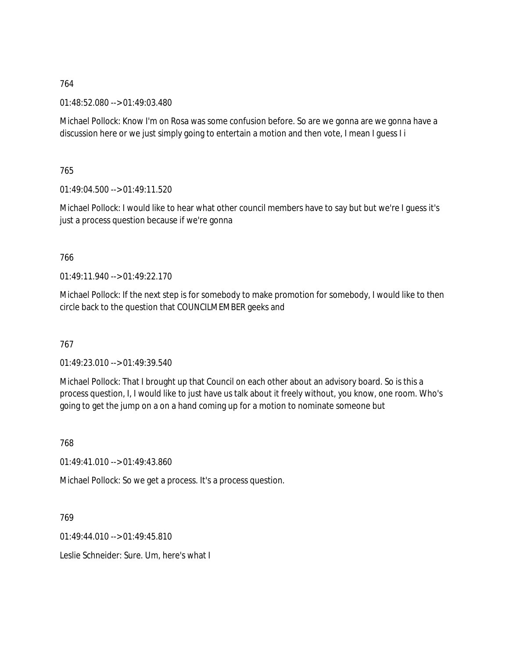01:48:52.080 --> 01:49:03.480

Michael Pollock: Know I'm on Rosa was some confusion before. So are we gonna are we gonna have a discussion here or we just simply going to entertain a motion and then vote, I mean I guess I i

765

 $01:49:04.500 \rightarrow 01:49:11.520$ 

Michael Pollock: I would like to hear what other council members have to say but but we're I guess it's just a process question because if we're gonna

766

 $01.49.11.940 - 0.01.49.22.170$ 

Michael Pollock: If the next step is for somebody to make promotion for somebody, I would like to then circle back to the question that COUNCILMEMBER geeks and

767

01:49:23.010 --> 01:49:39.540

Michael Pollock: That I brought up that Council on each other about an advisory board. So is this a process question, I, I would like to just have us talk about it freely without, you know, one room. Who's going to get the jump on a on a hand coming up for a motion to nominate someone but

768

01:49:41.010 --> 01:49:43.860

Michael Pollock: So we get a process. It's a process question.

769

 $01.49.44.010 - 01.49.45.810$ 

Leslie Schneider: Sure. Um, here's what I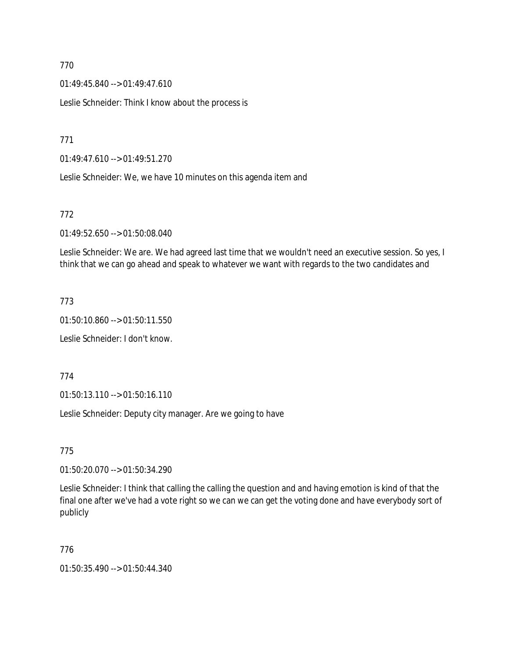01:49:45.840 --> 01:49:47.610

Leslie Schneider: Think I know about the process is

771

01:49:47.610 --> 01:49:51.270

Leslie Schneider: We, we have 10 minutes on this agenda item and

### 772

01:49:52.650 --> 01:50:08.040

Leslie Schneider: We are. We had agreed last time that we wouldn't need an executive session. So yes, I think that we can go ahead and speak to whatever we want with regards to the two candidates and

### 773

01:50:10.860 --> 01:50:11.550

Leslie Schneider: I don't know.

774

01:50:13.110 --> 01:50:16.110

Leslie Schneider: Deputy city manager. Are we going to have

775

01:50:20.070 --> 01:50:34.290

Leslie Schneider: I think that calling the calling the question and and having emotion is kind of that the final one after we've had a vote right so we can we can get the voting done and have everybody sort of publicly

### 776

01:50:35.490 --> 01:50:44.340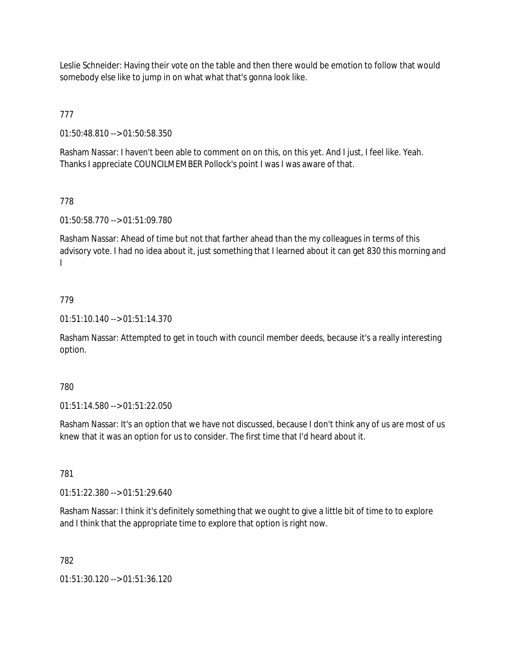Leslie Schneider: Having their vote on the table and then there would be emotion to follow that would somebody else like to jump in on what what that's gonna look like.

777

01:50:48.810 --> 01:50:58.350

Rasham Nassar: I haven't been able to comment on on this, on this yet. And I just, I feel like. Yeah. Thanks I appreciate COUNCILMEMBER Pollock's point I was I was aware of that.

# 778

01:50:58.770 --> 01:51:09.780

Rasham Nassar: Ahead of time but not that farther ahead than the my colleagues in terms of this advisory vote. I had no idea about it, just something that I learned about it can get 830 this morning and I

# 779

01:51:10.140 --> 01:51:14.370

Rasham Nassar: Attempted to get in touch with council member deeds, because it's a really interesting option.

# 780

01:51:14.580 --> 01:51:22.050

Rasham Nassar: It's an option that we have not discussed, because I don't think any of us are most of us knew that it was an option for us to consider. The first time that I'd heard about it.

781

01:51:22.380 --> 01:51:29.640

Rasham Nassar: I think it's definitely something that we ought to give a little bit of time to to explore and I think that the appropriate time to explore that option is right now.

# 782

01:51:30.120 --> 01:51:36.120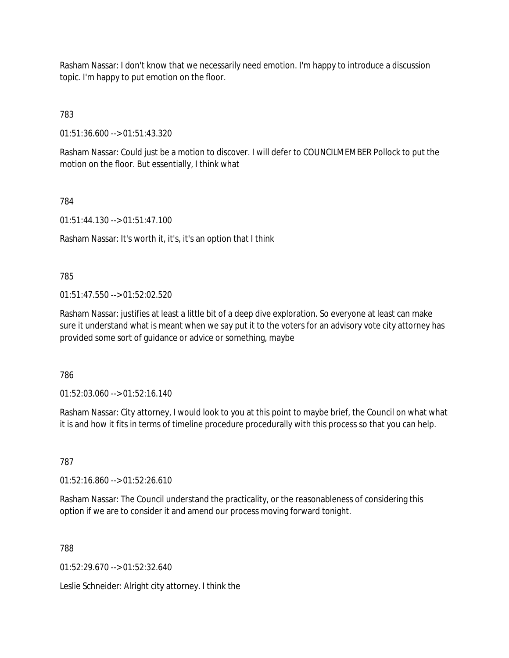Rasham Nassar: I don't know that we necessarily need emotion. I'm happy to introduce a discussion topic. I'm happy to put emotion on the floor.

783

01:51:36.600 --> 01:51:43.320

Rasham Nassar: Could just be a motion to discover. I will defer to COUNCILMEMBER Pollock to put the motion on the floor. But essentially, I think what

784

01:51:44.130 --> 01:51:47.100

Rasham Nassar: It's worth it, it's, it's an option that I think

785

 $01:51:47.550 \rightarrow 01:52:02.520$ 

Rasham Nassar: justifies at least a little bit of a deep dive exploration. So everyone at least can make sure it understand what is meant when we say put it to the voters for an advisory vote city attorney has provided some sort of guidance or advice or something, maybe

786

01:52:03.060 --> 01:52:16.140

Rasham Nassar: City attorney, I would look to you at this point to maybe brief, the Council on what what it is and how it fits in terms of timeline procedure procedurally with this process so that you can help.

787

01:52:16.860 --> 01:52:26.610

Rasham Nassar: The Council understand the practicality, or the reasonableness of considering this option if we are to consider it and amend our process moving forward tonight.

788

01:52:29.670 --> 01:52:32.640

Leslie Schneider: Alright city attorney. I think the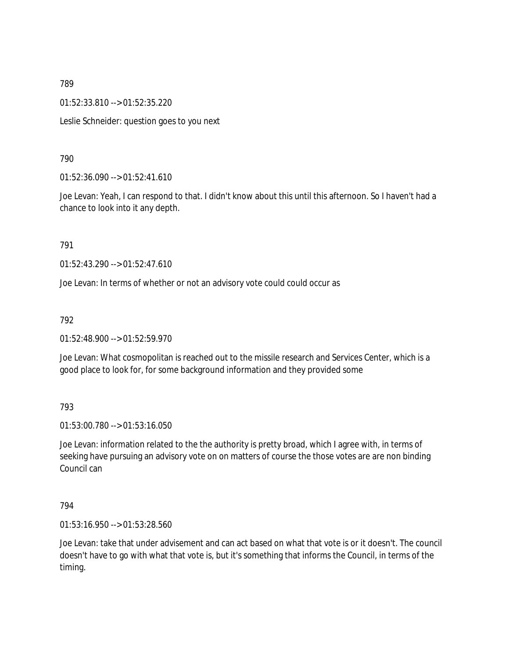01:52:33.810 --> 01:52:35.220

Leslie Schneider: question goes to you next

### 790

01:52:36.090 --> 01:52:41.610

Joe Levan: Yeah, I can respond to that. I didn't know about this until this afternoon. So I haven't had a chance to look into it any depth.

791

01:52:43.290 --> 01:52:47.610

Joe Levan: In terms of whether or not an advisory vote could could occur as

### 792

01:52:48.900 --> 01:52:59.970

Joe Levan: What cosmopolitan is reached out to the missile research and Services Center, which is a good place to look for, for some background information and they provided some

### 793

01:53:00.780 --> 01:53:16.050

Joe Levan: information related to the the authority is pretty broad, which I agree with, in terms of seeking have pursuing an advisory vote on on matters of course the those votes are are non binding Council can

794

01:53:16.950 --> 01:53:28.560

Joe Levan: take that under advisement and can act based on what that vote is or it doesn't. The council doesn't have to go with what that vote is, but it's something that informs the Council, in terms of the timing.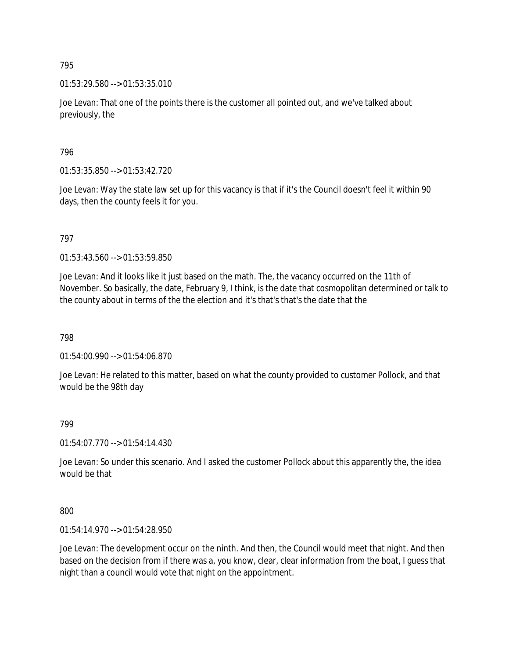01:53:29.580 --> 01:53:35.010

Joe Levan: That one of the points there is the customer all pointed out, and we've talked about previously, the

796

01:53:35.850 --> 01:53:42.720

Joe Levan: Way the state law set up for this vacancy is that if it's the Council doesn't feel it within 90 days, then the county feels it for you.

797

01:53:43.560 --> 01:53:59.850

Joe Levan: And it looks like it just based on the math. The, the vacancy occurred on the 11th of November. So basically, the date, February 9, I think, is the date that cosmopolitan determined or talk to the county about in terms of the the election and it's that's that's the date that the

798

01:54:00.990 --> 01:54:06.870

Joe Levan: He related to this matter, based on what the county provided to customer Pollock, and that would be the 98th day

799

01:54:07.770 --> 01:54:14.430

Joe Levan: So under this scenario. And I asked the customer Pollock about this apparently the, the idea would be that

800

01:54:14.970 --> 01:54:28.950

Joe Levan: The development occur on the ninth. And then, the Council would meet that night. And then based on the decision from if there was a, you know, clear, clear information from the boat, I guess that night than a council would vote that night on the appointment.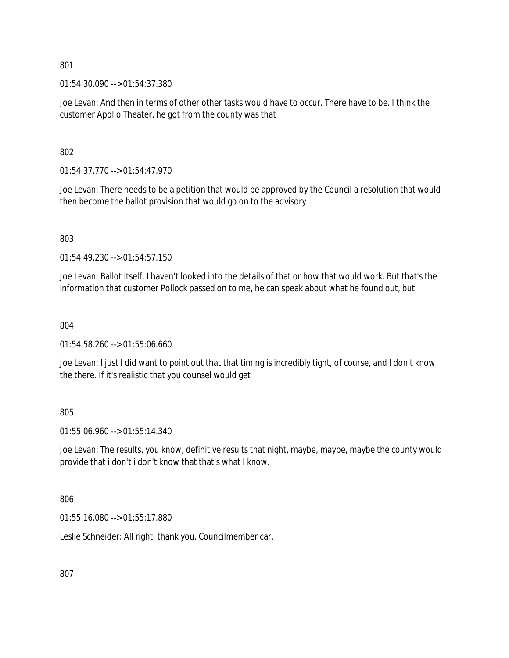01:54:30.090 --> 01:54:37.380

Joe Levan: And then in terms of other other tasks would have to occur. There have to be. I think the customer Apollo Theater, he got from the county was that

802

01:54:37.770 --> 01:54:47.970

Joe Levan: There needs to be a petition that would be approved by the Council a resolution that would then become the ballot provision that would go on to the advisory

803

 $01:54:49.230 \rightarrow 01:54:57.150$ 

Joe Levan: Ballot itself. I haven't looked into the details of that or how that would work. But that's the information that customer Pollock passed on to me, he can speak about what he found out, but

804

01:54:58.260 --> 01:55:06.660

Joe Levan: I just I did want to point out that that timing is incredibly tight, of course, and I don't know the there. If it's realistic that you counsel would get

805

01:55:06.960 --> 01:55:14.340

Joe Levan: The results, you know, definitive results that night, maybe, maybe, maybe the county would provide that i don't i don't know that that's what I know.

806

01:55:16.080 --> 01:55:17.880

Leslie Schneider: All right, thank you. Councilmember car.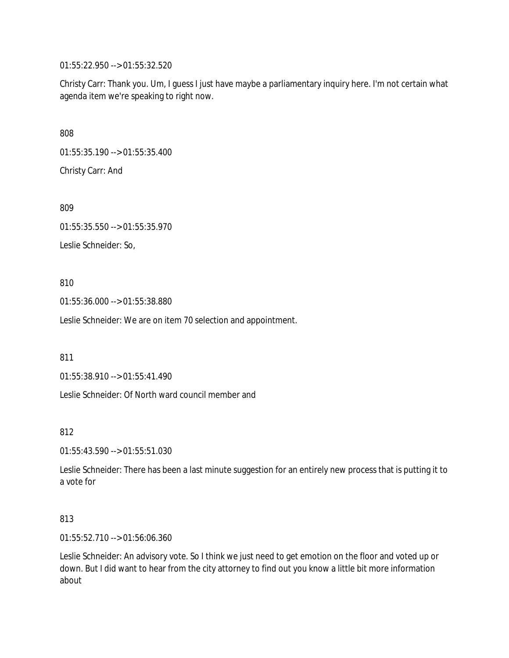01:55:22.950 --> 01:55:32.520

Christy Carr: Thank you. Um, I guess I just have maybe a parliamentary inquiry here. I'm not certain what agenda item we're speaking to right now.

808

01:55:35.190 --> 01:55:35.400

Christy Carr: And

809

01:55:35.550 --> 01:55:35.970

Leslie Schneider: So,

810

01:55:36.000 --> 01:55:38.880

Leslie Schneider: We are on item 70 selection and appointment.

811

01:55:38.910 --> 01:55:41.490

Leslie Schneider: Of North ward council member and

812

01:55:43.590 --> 01:55:51.030

Leslie Schneider: There has been a last minute suggestion for an entirely new process that is putting it to a vote for

813

01:55:52.710 --> 01:56:06.360

Leslie Schneider: An advisory vote. So I think we just need to get emotion on the floor and voted up or down. But I did want to hear from the city attorney to find out you know a little bit more information about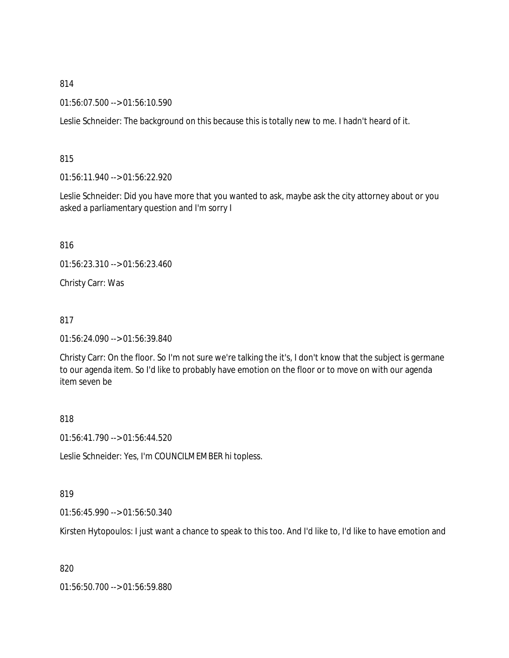01:56:07.500 --> 01:56:10.590

Leslie Schneider: The background on this because this is totally new to me. I hadn't heard of it.

815

01:56:11.940 --> 01:56:22.920

Leslie Schneider: Did you have more that you wanted to ask, maybe ask the city attorney about or you asked a parliamentary question and I'm sorry I

816

01:56:23.310 --> 01:56:23.460

Christy Carr: Was

817

01:56:24.090 --> 01:56:39.840

Christy Carr: On the floor. So I'm not sure we're talking the it's, I don't know that the subject is germane to our agenda item. So I'd like to probably have emotion on the floor or to move on with our agenda item seven be

818

01:56:41.790 --> 01:56:44.520

Leslie Schneider: Yes, I'm COUNCILMEMBER hi topless.

819

01:56:45.990 --> 01:56:50.340

Kirsten Hytopoulos: I just want a chance to speak to this too. And I'd like to, I'd like to have emotion and

820

01:56:50.700 --> 01:56:59.880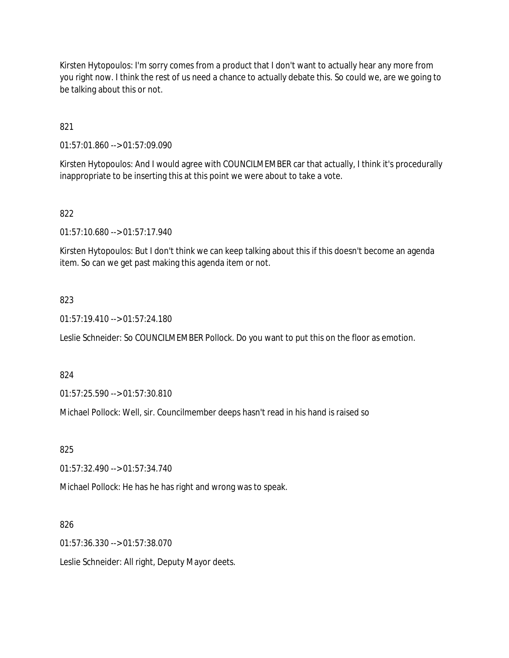Kirsten Hytopoulos: I'm sorry comes from a product that I don't want to actually hear any more from you right now. I think the rest of us need a chance to actually debate this. So could we, are we going to be talking about this or not.

821

01:57:01.860 --> 01:57:09.090

Kirsten Hytopoulos: And I would agree with COUNCILMEMBER car that actually, I think it's procedurally inappropriate to be inserting this at this point we were about to take a vote.

### 822

01:57:10.680 --> 01:57:17.940

Kirsten Hytopoulos: But I don't think we can keep talking about this if this doesn't become an agenda item. So can we get past making this agenda item or not.

### 823

01:57:19.410 --> 01:57:24.180

Leslie Schneider: So COUNCILMEMBER Pollock. Do you want to put this on the floor as emotion.

### 824

01:57:25.590 --> 01:57:30.810

Michael Pollock: Well, sir. Councilmember deeps hasn't read in his hand is raised so

### 825

01:57:32.490 --> 01:57:34.740

Michael Pollock: He has he has right and wrong was to speak.

### 826

01:57:36.330 --> 01:57:38.070

Leslie Schneider: All right, Deputy Mayor deets.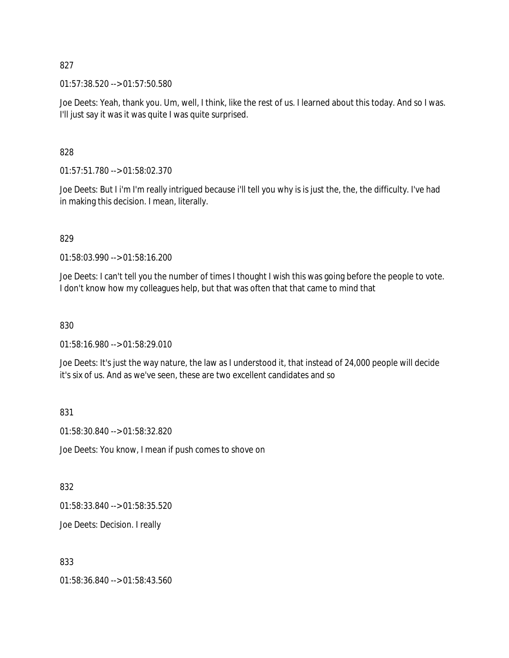01:57:38.520 --> 01:57:50.580

Joe Deets: Yeah, thank you. Um, well, I think, like the rest of us. I learned about this today. And so I was. I'll just say it was it was quite I was quite surprised.

828

01:57:51.780 --> 01:58:02.370

Joe Deets: But I i'm I'm really intrigued because i'll tell you why is is just the, the, the difficulty. I've had in making this decision. I mean, literally.

829

01:58:03.990 --> 01:58:16.200

Joe Deets: I can't tell you the number of times I thought I wish this was going before the people to vote. I don't know how my colleagues help, but that was often that that came to mind that

830

01:58:16.980 --> 01:58:29.010

Joe Deets: It's just the way nature, the law as I understood it, that instead of 24,000 people will decide it's six of us. And as we've seen, these are two excellent candidates and so

831

01:58:30.840 --> 01:58:32.820

Joe Deets: You know, I mean if push comes to shove on

832

01:58:33.840 --> 01:58:35.520

Joe Deets: Decision. I really

833

01:58:36.840 --> 01:58:43.560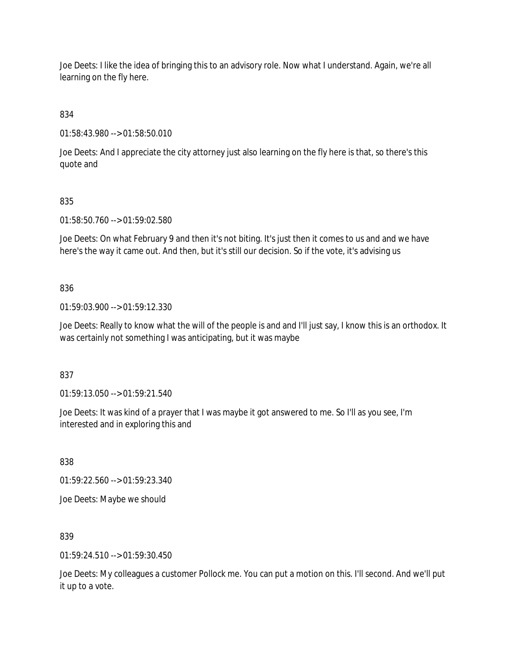Joe Deets: I like the idea of bringing this to an advisory role. Now what I understand. Again, we're all learning on the fly here.

834

01:58:43.980 --> 01:58:50.010

Joe Deets: And I appreciate the city attorney just also learning on the fly here is that, so there's this quote and

# 835

01:58:50.760 --> 01:59:02.580

Joe Deets: On what February 9 and then it's not biting. It's just then it comes to us and and we have here's the way it came out. And then, but it's still our decision. So if the vote, it's advising us

### 836

01:59:03.900 --> 01:59:12.330

Joe Deets: Really to know what the will of the people is and and I'll just say, I know this is an orthodox. It was certainly not something I was anticipating, but it was maybe

### 837

01:59:13.050 --> 01:59:21.540

Joe Deets: It was kind of a prayer that I was maybe it got answered to me. So I'll as you see, I'm interested and in exploring this and

838

01:59:22.560 --> 01:59:23.340

Joe Deets: Maybe we should

839

 $01:59:24.510 \rightarrow 01:59:30.450$ 

Joe Deets: My colleagues a customer Pollock me. You can put a motion on this. I'll second. And we'll put it up to a vote.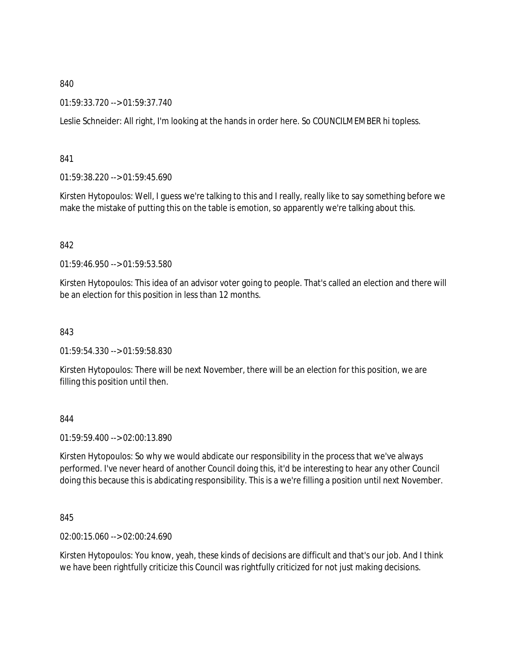### 01:59:33.720 --> 01:59:37.740

Leslie Schneider: All right, I'm looking at the hands in order here. So COUNCILMEMBER hi topless.

841

01:59:38.220 --> 01:59:45.690

Kirsten Hytopoulos: Well, I guess we're talking to this and I really, really like to say something before we make the mistake of putting this on the table is emotion, so apparently we're talking about this.

### 842

01:59:46.950 --> 01:59:53.580

Kirsten Hytopoulos: This idea of an advisor voter going to people. That's called an election and there will be an election for this position in less than 12 months.

843

01:59:54.330 --> 01:59:58.830

Kirsten Hytopoulos: There will be next November, there will be an election for this position, we are filling this position until then.

844

01:59:59.400 --> 02:00:13.890

Kirsten Hytopoulos: So why we would abdicate our responsibility in the process that we've always performed. I've never heard of another Council doing this, it'd be interesting to hear any other Council doing this because this is abdicating responsibility. This is a we're filling a position until next November.

845

02:00:15.060 --> 02:00:24.690

Kirsten Hytopoulos: You know, yeah, these kinds of decisions are difficult and that's our job. And I think we have been rightfully criticize this Council was rightfully criticized for not just making decisions.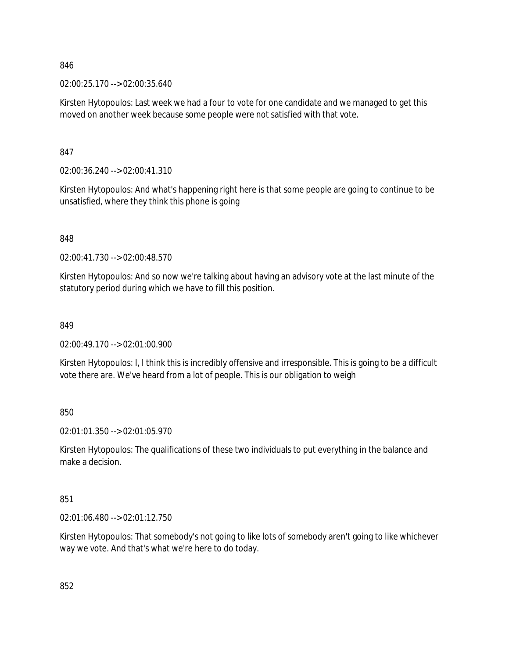02:00:25.170 --> 02:00:35.640

Kirsten Hytopoulos: Last week we had a four to vote for one candidate and we managed to get this moved on another week because some people were not satisfied with that vote.

847

02:00:36.240 --> 02:00:41.310

Kirsten Hytopoulos: And what's happening right here is that some people are going to continue to be unsatisfied, where they think this phone is going

848

02:00:41.730 --> 02:00:48.570

Kirsten Hytopoulos: And so now we're talking about having an advisory vote at the last minute of the statutory period during which we have to fill this position.

#### 849

02:00:49.170 --> 02:01:00.900

Kirsten Hytopoulos: I, I think this is incredibly offensive and irresponsible. This is going to be a difficult vote there are. We've heard from a lot of people. This is our obligation to weigh

850

02:01:01.350 --> 02:01:05.970

Kirsten Hytopoulos: The qualifications of these two individuals to put everything in the balance and make a decision.

851

02:01:06.480 --> 02:01:12.750

Kirsten Hytopoulos: That somebody's not going to like lots of somebody aren't going to like whichever way we vote. And that's what we're here to do today.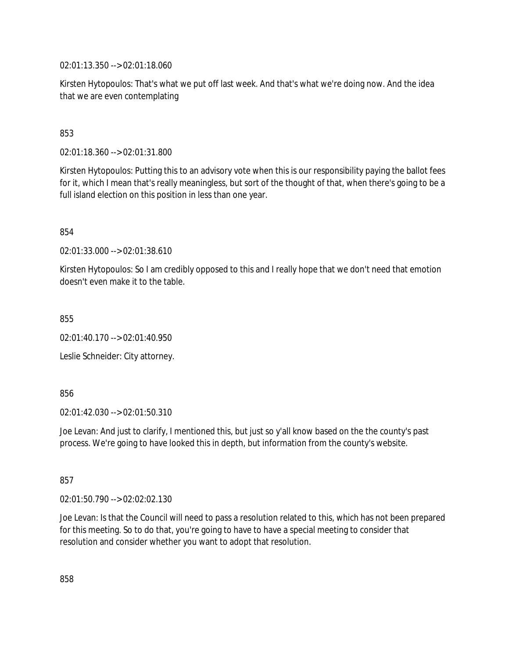02:01:13.350 --> 02:01:18.060

Kirsten Hytopoulos: That's what we put off last week. And that's what we're doing now. And the idea that we are even contemplating

### 853

02:01:18.360 --> 02:01:31.800

Kirsten Hytopoulos: Putting this to an advisory vote when this is our responsibility paying the ballot fees for it, which I mean that's really meaningless, but sort of the thought of that, when there's going to be a full island election on this position in less than one year.

854

02:01:33.000 --> 02:01:38.610

Kirsten Hytopoulos: So I am credibly opposed to this and I really hope that we don't need that emotion doesn't even make it to the table.

855

02:01:40.170 --> 02:01:40.950

Leslie Schneider: City attorney.

856

02:01:42.030 --> 02:01:50.310

Joe Levan: And just to clarify, I mentioned this, but just so y'all know based on the the county's past process. We're going to have looked this in depth, but information from the county's website.

857

02:01:50.790 --> 02:02:02.130

Joe Levan: Is that the Council will need to pass a resolution related to this, which has not been prepared for this meeting. So to do that, you're going to have to have a special meeting to consider that resolution and consider whether you want to adopt that resolution.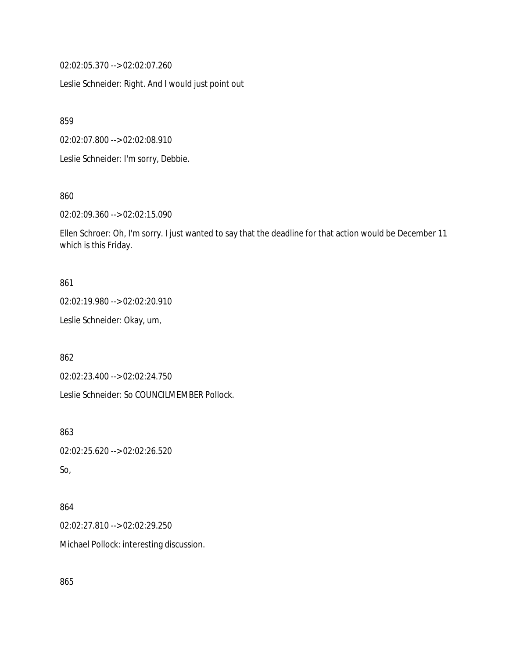02:02:05.370 --> 02:02:07.260

Leslie Schneider: Right. And I would just point out

859

02:02:07.800 --> 02:02:08.910

Leslie Schneider: I'm sorry, Debbie.

860

02:02:09.360 --> 02:02:15.090

Ellen Schroer: Oh, I'm sorry. I just wanted to say that the deadline for that action would be December 11 which is this Friday.

#### 861

02:02:19.980 --> 02:02:20.910

Leslie Schneider: Okay, um,

862

02:02:23.400 --> 02:02:24.750

Leslie Schneider: So COUNCILMEMBER Pollock.

863

02:02:25.620 --> 02:02:26.520

So,

### 864

02:02:27.810 --> 02:02:29.250

Michael Pollock: interesting discussion.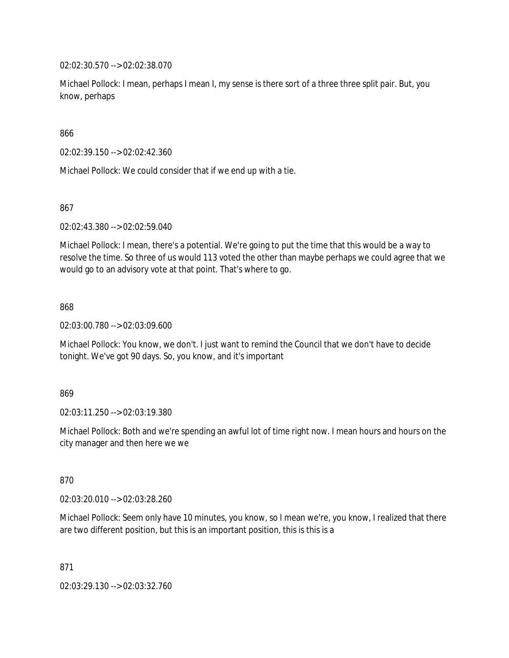02:02:30.570 --> 02:02:38.070

Michael Pollock: I mean, perhaps I mean I, my sense is there sort of a three three split pair. But, you know, perhaps

866

02:02:39.150 --> 02:02:42.360

Michael Pollock: We could consider that if we end up with a tie.

867

02:02:43.380 --> 02:02:59.040

Michael Pollock: I mean, there's a potential. We're going to put the time that this would be a way to resolve the time. So three of us would 113 voted the other than maybe perhaps we could agree that we would go to an advisory vote at that point. That's where to go.

868

02:03:00.780 --> 02:03:09.600

Michael Pollock: You know, we don't. I just want to remind the Council that we don't have to decide tonight. We've got 90 days. So, you know, and it's important

869

02:03:11.250 --> 02:03:19.380

Michael Pollock: Both and we're spending an awful lot of time right now. I mean hours and hours on the city manager and then here we we

870

02:03:20.010 --> 02:03:28.260

Michael Pollock: Seem only have 10 minutes, you know, so I mean we're, you know, I realized that there are two different position, but this is an important position, this is this is a

871

02:03:29.130 --> 02:03:32.760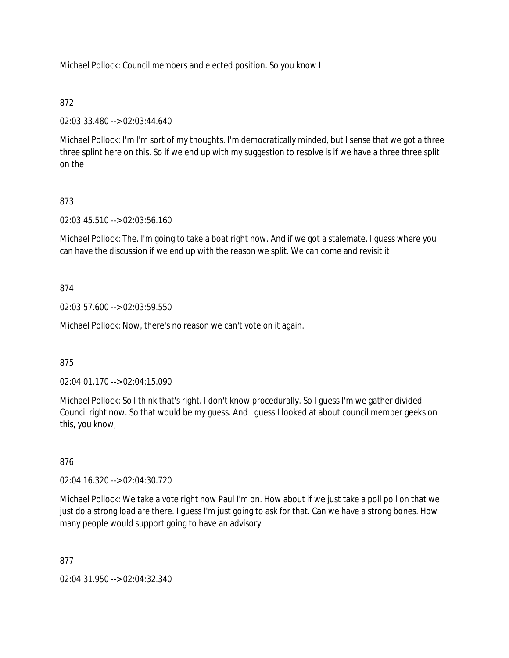Michael Pollock: Council members and elected position. So you know I

### 872

02:03:33.480 --> 02:03:44.640

Michael Pollock: I'm I'm sort of my thoughts. I'm democratically minded, but I sense that we got a three three splint here on this. So if we end up with my suggestion to resolve is if we have a three three split on the

# 873

02:03:45.510 --> 02:03:56.160

Michael Pollock: The. I'm going to take a boat right now. And if we got a stalemate. I guess where you can have the discussion if we end up with the reason we split. We can come and revisit it

### 874

02:03:57.600 --> 02:03:59.550

Michael Pollock: Now, there's no reason we can't vote on it again.

### 875

02:04:01.170 --> 02:04:15.090

Michael Pollock: So I think that's right. I don't know procedurally. So I guess I'm we gather divided Council right now. So that would be my guess. And I guess I looked at about council member geeks on this, you know,

### 876

02:04:16.320 --> 02:04:30.720

Michael Pollock: We take a vote right now Paul I'm on. How about if we just take a poll poll on that we just do a strong load are there. I guess I'm just going to ask for that. Can we have a strong bones. How many people would support going to have an advisory

### 877

02:04:31.950 --> 02:04:32.340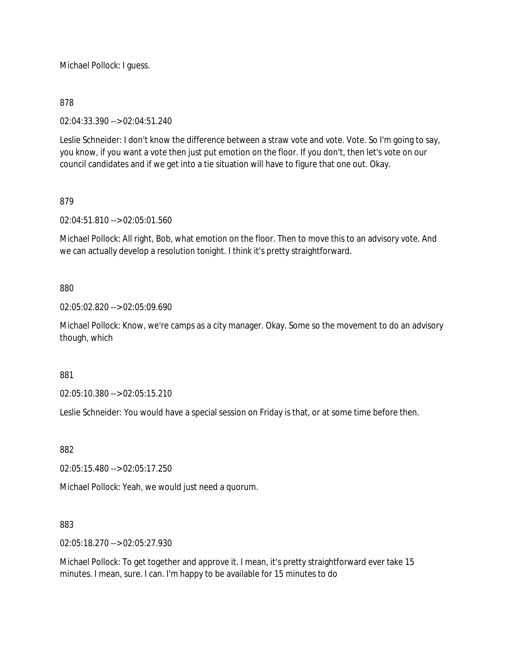Michael Pollock: I guess.

### 878

02:04:33.390 --> 02:04:51.240

Leslie Schneider: I don't know the difference between a straw vote and vote. Vote. So I'm going to say, you know, if you want a vote then just put emotion on the floor. If you don't, then let's vote on our council candidates and if we get into a tie situation will have to figure that one out. Okay.

### 879

02:04:51.810 --> 02:05:01.560

Michael Pollock: All right, Bob, what emotion on the floor. Then to move this to an advisory vote. And we can actually develop a resolution tonight. I think it's pretty straightforward.

### 880

02:05:02.820 --> 02:05:09.690

Michael Pollock: Know, we're camps as a city manager. Okay. Some so the movement to do an advisory though, which

881

02:05:10.380 --> 02:05:15.210

Leslie Schneider: You would have a special session on Friday is that, or at some time before then.

### 882

02:05:15.480 --> 02:05:17.250

Michael Pollock: Yeah, we would just need a quorum.

### 883

02:05:18.270 --> 02:05:27.930

Michael Pollock: To get together and approve it. I mean, it's pretty straightforward ever take 15 minutes. I mean, sure. I can. I'm happy to be available for 15 minutes to do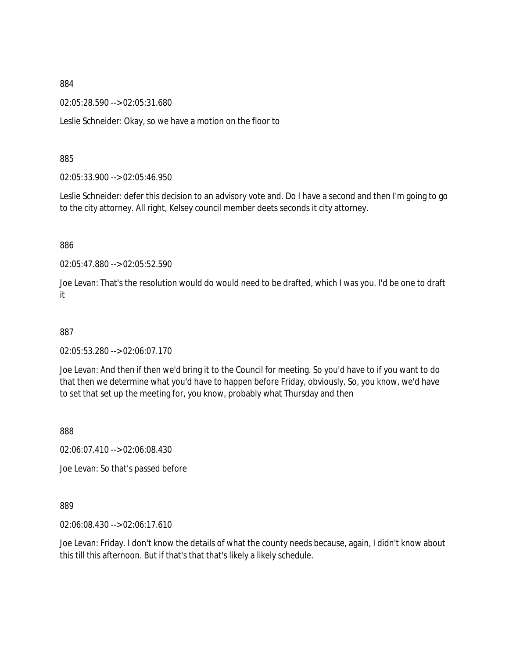02:05:28.590 --> 02:05:31.680

Leslie Schneider: Okay, so we have a motion on the floor to

885

02:05:33.900 --> 02:05:46.950

Leslie Schneider: defer this decision to an advisory vote and. Do I have a second and then I'm going to go to the city attorney. All right, Kelsey council member deets seconds it city attorney.

886

02:05:47.880 --> 02:05:52.590

Joe Levan: That's the resolution would do would need to be drafted, which I was you. I'd be one to draft it

887

02:05:53.280 --> 02:06:07.170

Joe Levan: And then if then we'd bring it to the Council for meeting. So you'd have to if you want to do that then we determine what you'd have to happen before Friday, obviously. So, you know, we'd have to set that set up the meeting for, you know, probably what Thursday and then

888

02:06:07.410 --> 02:06:08.430

Joe Levan: So that's passed before

889

02:06:08.430 --> 02:06:17.610

Joe Levan: Friday. I don't know the details of what the county needs because, again, I didn't know about this till this afternoon. But if that's that that's likely a likely schedule.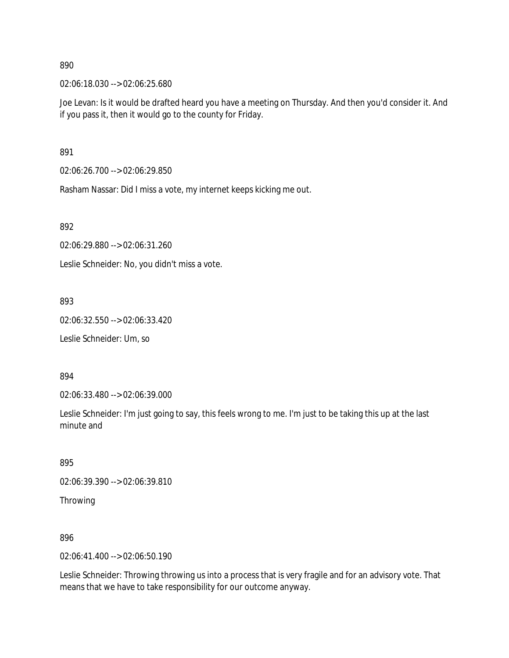02:06:18.030 --> 02:06:25.680

Joe Levan: Is it would be drafted heard you have a meeting on Thursday. And then you'd consider it. And if you pass it, then it would go to the county for Friday.

891

02:06:26.700 --> 02:06:29.850

Rasham Nassar: Did I miss a vote, my internet keeps kicking me out.

892

02:06:29.880 --> 02:06:31.260

Leslie Schneider: No, you didn't miss a vote.

893

02:06:32.550 --> 02:06:33.420

Leslie Schneider: Um, so

894

02:06:33.480 --> 02:06:39.000

Leslie Schneider: I'm just going to say, this feels wrong to me. I'm just to be taking this up at the last minute and

895

02:06:39.390 --> 02:06:39.810

Throwing

896

02:06:41.400 --> 02:06:50.190

Leslie Schneider: Throwing throwing us into a process that is very fragile and for an advisory vote. That means that we have to take responsibility for our outcome anyway.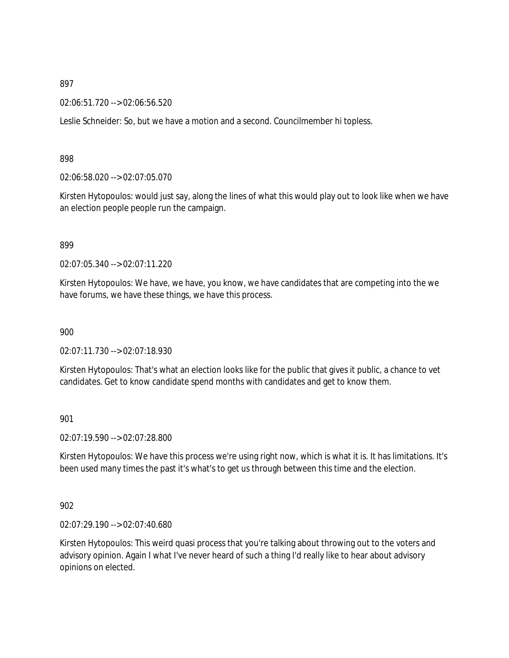02:06:51.720 --> 02:06:56.520

Leslie Schneider: So, but we have a motion and a second. Councilmember hi topless.

#### 898

02:06:58.020 --> 02:07:05.070

Kirsten Hytopoulos: would just say, along the lines of what this would play out to look like when we have an election people people run the campaign.

#### 899

02:07:05.340 --> 02:07:11.220

Kirsten Hytopoulos: We have, we have, you know, we have candidates that are competing into the we have forums, we have these things, we have this process.

900

02:07:11.730 --> 02:07:18.930

Kirsten Hytopoulos: That's what an election looks like for the public that gives it public, a chance to vet candidates. Get to know candidate spend months with candidates and get to know them.

#### 901

02:07:19.590 --> 02:07:28.800

Kirsten Hytopoulos: We have this process we're using right now, which is what it is. It has limitations. It's been used many times the past it's what's to get us through between this time and the election.

#### 902

02:07:29.190 --> 02:07:40.680

Kirsten Hytopoulos: This weird quasi process that you're talking about throwing out to the voters and advisory opinion. Again I what I've never heard of such a thing I'd really like to hear about advisory opinions on elected.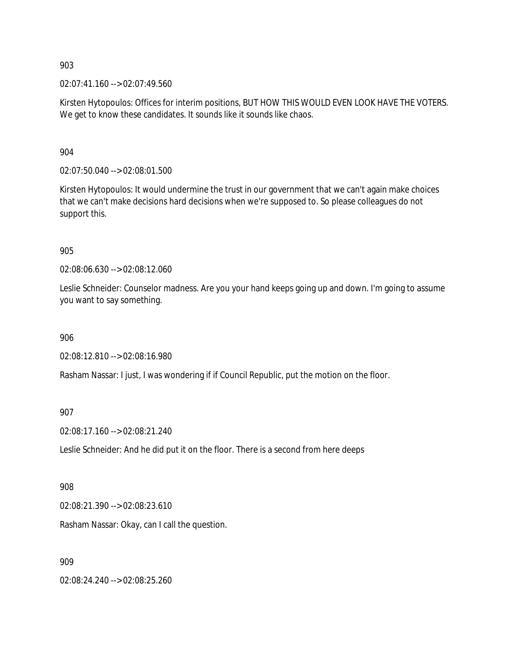02:07:41.160 --> 02:07:49.560

Kirsten Hytopoulos: Offices for interim positions, BUT HOW THIS WOULD EVEN LOOK HAVE THE VOTERS. We get to know these candidates. It sounds like it sounds like chaos.

904

02:07:50.040 --> 02:08:01.500

Kirsten Hytopoulos: It would undermine the trust in our government that we can't again make choices that we can't make decisions hard decisions when we're supposed to. So please colleagues do not support this.

905

02:08:06.630 --> 02:08:12.060

Leslie Schneider: Counselor madness. Are you your hand keeps going up and down. I'm going to assume you want to say something.

906

02:08:12.810 --> 02:08:16.980

Rasham Nassar: I just, I was wondering if if Council Republic, put the motion on the floor.

907

02:08:17.160 --> 02:08:21.240

Leslie Schneider: And he did put it on the floor. There is a second from here deeps

908

02:08:21.390 --> 02:08:23.610

Rasham Nassar: Okay, can I call the question.

909

02:08:24.240 --> 02:08:25.260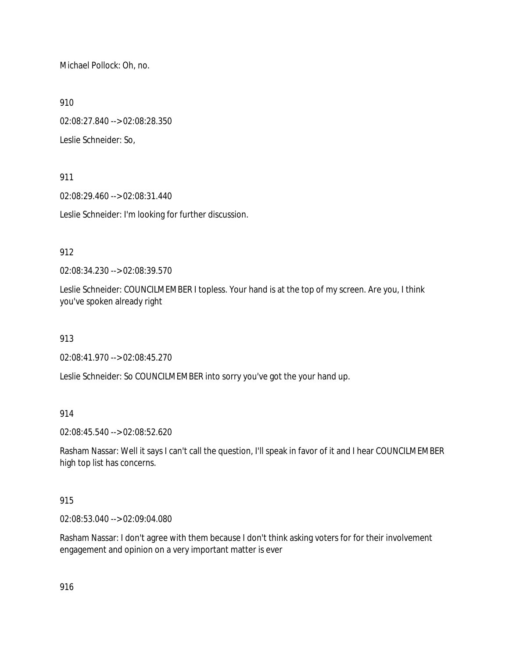Michael Pollock: Oh, no.

910

02:08:27.840 --> 02:08:28.350

Leslie Schneider: So,

911

02:08:29.460 --> 02:08:31.440

Leslie Schneider: I'm looking for further discussion.

912

02:08:34.230 --> 02:08:39.570

Leslie Schneider: COUNCILMEMBER I topless. Your hand is at the top of my screen. Are you, I think you've spoken already right

913

02:08:41.970 --> 02:08:45.270

Leslie Schneider: So COUNCILMEMBER into sorry you've got the your hand up.

914

02:08:45.540 --> 02:08:52.620

Rasham Nassar: Well it says I can't call the question, I'll speak in favor of it and I hear COUNCILMEMBER high top list has concerns.

915

02:08:53.040 --> 02:09:04.080

Rasham Nassar: I don't agree with them because I don't think asking voters for for their involvement engagement and opinion on a very important matter is ever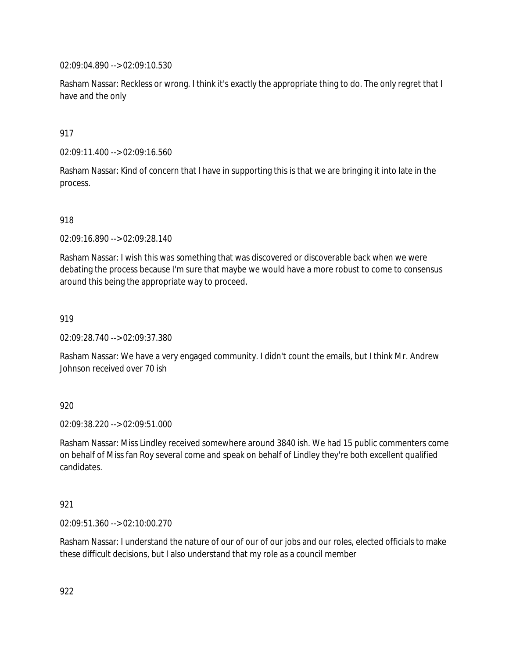02:09:04.890 --> 02:09:10.530

Rasham Nassar: Reckless or wrong. I think it's exactly the appropriate thing to do. The only regret that I have and the only

917

02:09:11.400 --> 02:09:16.560

Rasham Nassar: Kind of concern that I have in supporting this is that we are bringing it into late in the process.

918

02:09:16.890 --> 02:09:28.140

Rasham Nassar: I wish this was something that was discovered or discoverable back when we were debating the process because I'm sure that maybe we would have a more robust to come to consensus around this being the appropriate way to proceed.

919

02:09:28.740 --> 02:09:37.380

Rasham Nassar: We have a very engaged community. I didn't count the emails, but I think Mr. Andrew Johnson received over 70 ish

920

02:09:38.220 --> 02:09:51.000

Rasham Nassar: Miss Lindley received somewhere around 3840 ish. We had 15 public commenters come on behalf of Miss fan Roy several come and speak on behalf of Lindley they're both excellent qualified candidates.

921

02:09:51.360 --> 02:10:00.270

Rasham Nassar: I understand the nature of our of our of our jobs and our roles, elected officials to make these difficult decisions, but I also understand that my role as a council member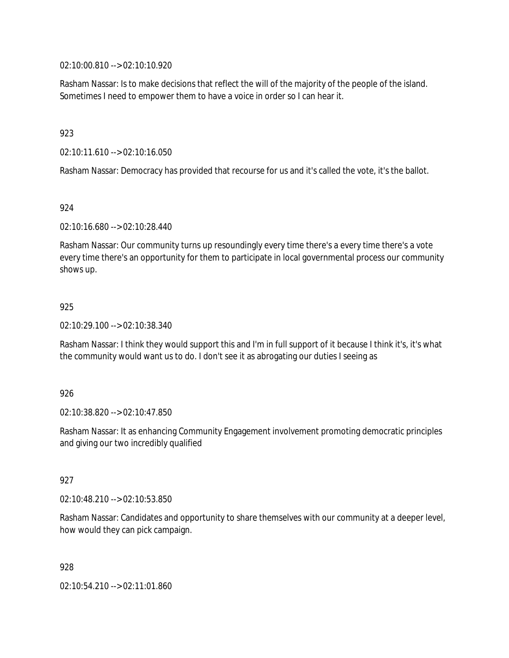02:10:00.810 --> 02:10:10.920

Rasham Nassar: Is to make decisions that reflect the will of the majority of the people of the island. Sometimes I need to empower them to have a voice in order so I can hear it.

923

02:10:11.610 --> 02:10:16.050

Rasham Nassar: Democracy has provided that recourse for us and it's called the vote, it's the ballot.

924

02:10:16.680 --> 02:10:28.440

Rasham Nassar: Our community turns up resoundingly every time there's a every time there's a vote every time there's an opportunity for them to participate in local governmental process our community shows up.

#### 925

02:10:29.100 --> 02:10:38.340

Rasham Nassar: I think they would support this and I'm in full support of it because I think it's, it's what the community would want us to do. I don't see it as abrogating our duties I seeing as

926

02:10:38.820 --> 02:10:47.850

Rasham Nassar: It as enhancing Community Engagement involvement promoting democratic principles and giving our two incredibly qualified

927

02:10:48.210 --> 02:10:53.850

Rasham Nassar: Candidates and opportunity to share themselves with our community at a deeper level, how would they can pick campaign.

928

02:10:54.210 --> 02:11:01.860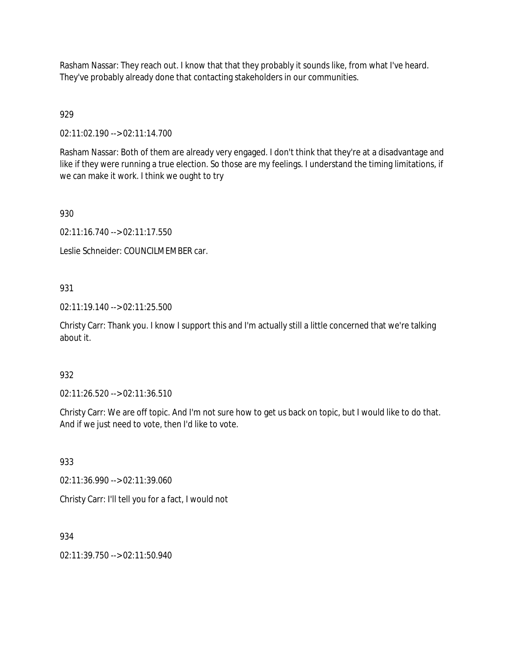Rasham Nassar: They reach out. I know that that they probably it sounds like, from what I've heard. They've probably already done that contacting stakeholders in our communities.

# 929

02:11:02.190 --> 02:11:14.700

Rasham Nassar: Both of them are already very engaged. I don't think that they're at a disadvantage and like if they were running a true election. So those are my feelings. I understand the timing limitations, if we can make it work. I think we ought to try

930

02:11:16.740 --> 02:11:17.550

Leslie Schneider: COUNCILMEMBER car.

## 931

02:11:19.140 --> 02:11:25.500

Christy Carr: Thank you. I know I support this and I'm actually still a little concerned that we're talking about it.

## 932

02:11:26.520 --> 02:11:36.510

Christy Carr: We are off topic. And I'm not sure how to get us back on topic, but I would like to do that. And if we just need to vote, then I'd like to vote.

933

02:11:36.990 --> 02:11:39.060

Christy Carr: I'll tell you for a fact, I would not

934

02:11:39.750 --> 02:11:50.940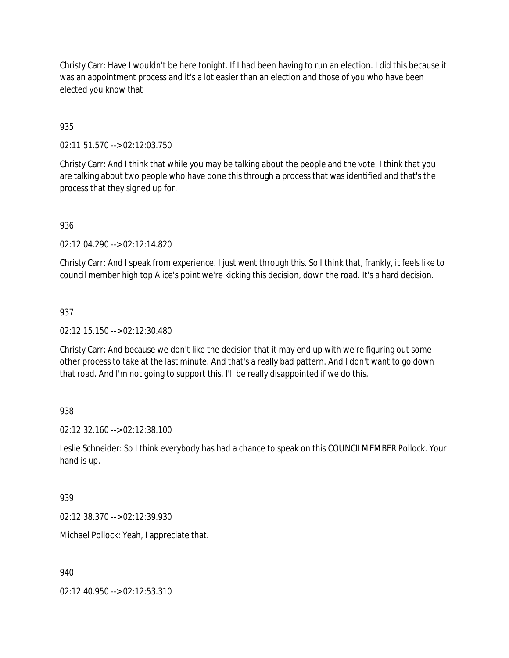Christy Carr: Have I wouldn't be here tonight. If I had been having to run an election. I did this because it was an appointment process and it's a lot easier than an election and those of you who have been elected you know that

## 935

02:11:51.570 --> 02:12:03.750

Christy Carr: And I think that while you may be talking about the people and the vote, I think that you are talking about two people who have done this through a process that was identified and that's the process that they signed up for.

## 936

02:12:04.290 --> 02:12:14.820

Christy Carr: And I speak from experience. I just went through this. So I think that, frankly, it feels like to council member high top Alice's point we're kicking this decision, down the road. It's a hard decision.

## 937

02:12:15.150 --> 02:12:30.480

Christy Carr: And because we don't like the decision that it may end up with we're figuring out some other process to take at the last minute. And that's a really bad pattern. And I don't want to go down that road. And I'm not going to support this. I'll be really disappointed if we do this.

### 938

02:12:32.160 --> 02:12:38.100

Leslie Schneider: So I think everybody has had a chance to speak on this COUNCILMEMBER Pollock. Your hand is up.

### 939

02:12:38.370 --> 02:12:39.930

Michael Pollock: Yeah, I appreciate that.

### 940

02:12:40.950 --> 02:12:53.310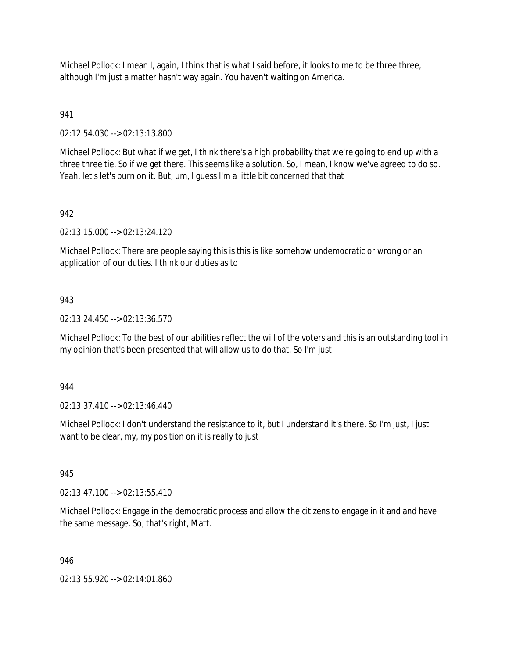Michael Pollock: I mean I, again, I think that is what I said before, it looks to me to be three three, although I'm just a matter hasn't way again. You haven't waiting on America.

## 941

02:12:54.030 --> 02:13:13.800

Michael Pollock: But what if we get, I think there's a high probability that we're going to end up with a three three tie. So if we get there. This seems like a solution. So, I mean, I know we've agreed to do so. Yeah, let's let's burn on it. But, um, I guess I'm a little bit concerned that that

## 942

02:13:15.000 --> 02:13:24.120

Michael Pollock: There are people saying this is this is like somehow undemocratic or wrong or an application of our duties. I think our duties as to

### 943

02:13:24.450 --> 02:13:36.570

Michael Pollock: To the best of our abilities reflect the will of the voters and this is an outstanding tool in my opinion that's been presented that will allow us to do that. So I'm just

### 944

02:13:37.410 --> 02:13:46.440

Michael Pollock: I don't understand the resistance to it, but I understand it's there. So I'm just, I just want to be clear, my, my position on it is really to just

### 945

02:13:47.100 --> 02:13:55.410

Michael Pollock: Engage in the democratic process and allow the citizens to engage in it and and have the same message. So, that's right, Matt.

### 946

02:13:55.920 --> 02:14:01.860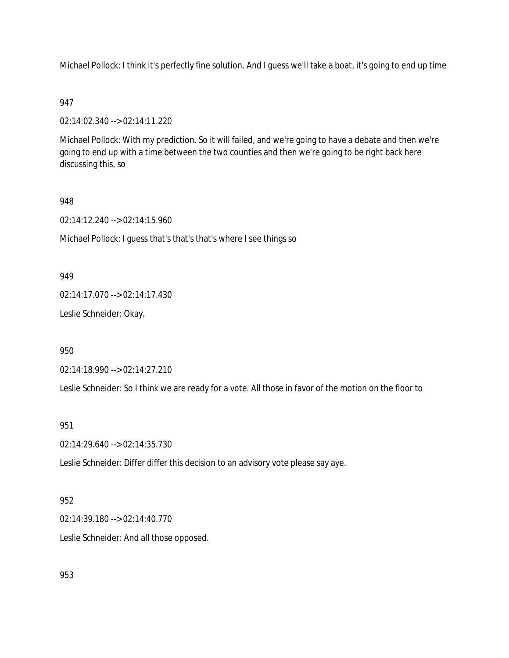Michael Pollock: I think it's perfectly fine solution. And I guess we'll take a boat, it's going to end up time

## 947

02:14:02.340 --> 02:14:11.220

Michael Pollock: With my prediction. So it will failed, and we're going to have a debate and then we're going to end up with a time between the two counties and then we're going to be right back here discussing this, so

## 948

02:14:12.240 --> 02:14:15.960

Michael Pollock: I guess that's that's that's where I see things so

### 949

02:14:17.070 --> 02:14:17.430

Leslie Schneider: Okay.

950

02:14:18.990 --> 02:14:27.210

Leslie Schneider: So I think we are ready for a vote. All those in favor of the motion on the floor to

## 951

02:14:29.640 --> 02:14:35.730

Leslie Schneider: Differ differ this decision to an advisory vote please say aye.

### 952

02:14:39.180 --> 02:14:40.770

Leslie Schneider: And all those opposed.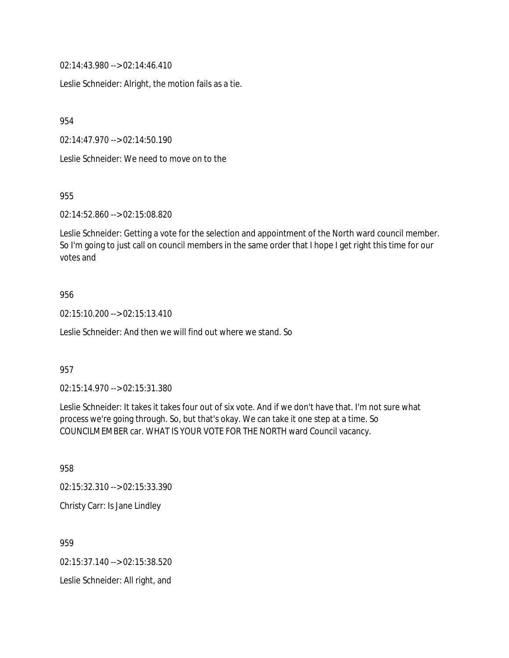02:14:43.980 --> 02:14:46.410

Leslie Schneider: Alright, the motion fails as a tie.

954

02:14:47.970 --> 02:14:50.190

Leslie Schneider: We need to move on to the

955

02:14:52.860 --> 02:15:08.820

Leslie Schneider: Getting a vote for the selection and appointment of the North ward council member. So I'm going to just call on council members in the same order that I hope I get right this time for our votes and

#### 956

02:15:10.200 --> 02:15:13.410

Leslie Schneider: And then we will find out where we stand. So

#### 957

02:15:14.970 --> 02:15:31.380

Leslie Schneider: It takes it takes four out of six vote. And if we don't have that. I'm not sure what process we're going through. So, but that's okay. We can take it one step at a time. So COUNCILMEMBER car. WHAT IS YOUR VOTE FOR THE NORTH ward Council vacancy.

958

02:15:32.310 --> 02:15:33.390

Christy Carr: Is Jane Lindley

959

02:15:37.140 --> 02:15:38.520

Leslie Schneider: All right, and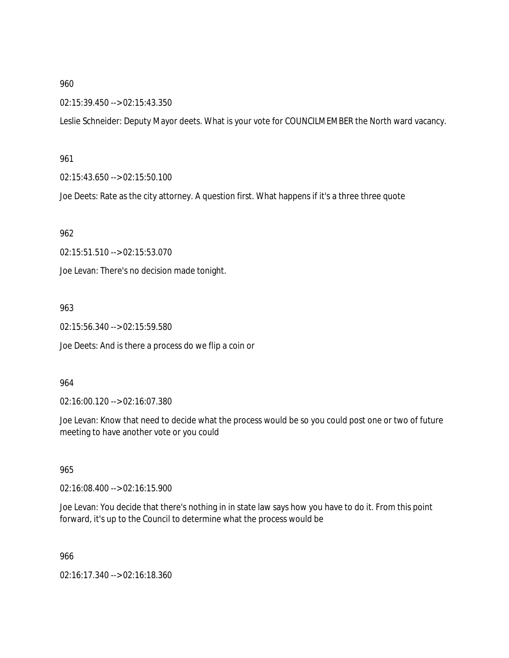02:15:39.450 --> 02:15:43.350

Leslie Schneider: Deputy Mayor deets. What is your vote for COUNCILMEMBER the North ward vacancy.

#### 961

02:15:43.650 --> 02:15:50.100

Joe Deets: Rate as the city attorney. A question first. What happens if it's a three three quote

962

02:15:51.510 --> 02:15:53.070

Joe Levan: There's no decision made tonight.

#### 963

02:15:56.340 --> 02:15:59.580

Joe Deets: And is there a process do we flip a coin or

### 964

02:16:00.120 --> 02:16:07.380

Joe Levan: Know that need to decide what the process would be so you could post one or two of future meeting to have another vote or you could

### 965

02:16:08.400 --> 02:16:15.900

Joe Levan: You decide that there's nothing in in state law says how you have to do it. From this point forward, it's up to the Council to determine what the process would be

966

02:16:17.340 --> 02:16:18.360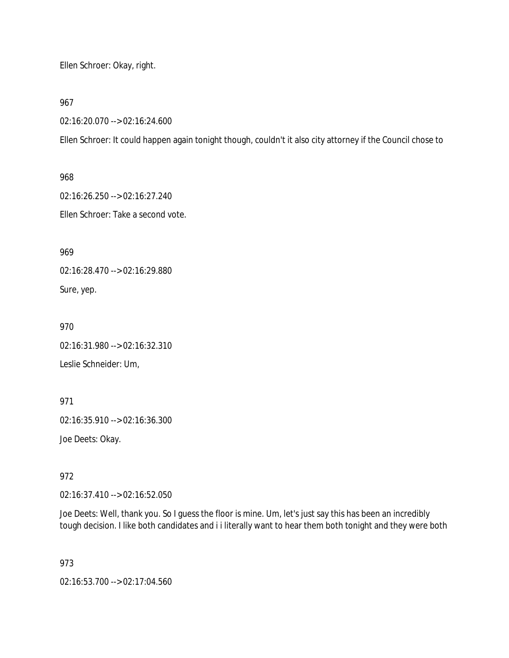Ellen Schroer: Okay, right.

967

02:16:20.070 --> 02:16:24.600

Ellen Schroer: It could happen again tonight though, couldn't it also city attorney if the Council chose to

968 02:16:26.250 --> 02:16:27.240

Ellen Schroer: Take a second vote.

969

02:16:28.470 --> 02:16:29.880

Sure, yep.

970

02:16:31.980 --> 02:16:32.310

Leslie Schneider: Um,

971

02:16:35.910 --> 02:16:36.300

Joe Deets: Okay.

972

02:16:37.410 --> 02:16:52.050

Joe Deets: Well, thank you. So I guess the floor is mine. Um, let's just say this has been an incredibly tough decision. I like both candidates and i i literally want to hear them both tonight and they were both

973

02:16:53.700 --> 02:17:04.560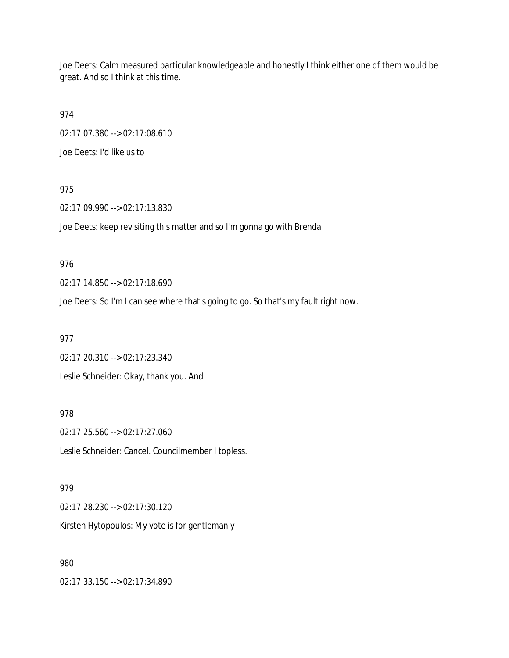Joe Deets: Calm measured particular knowledgeable and honestly I think either one of them would be great. And so I think at this time.

974 02:17:07.380 --> 02:17:08.610

Joe Deets: I'd like us to

975

02:17:09.990 --> 02:17:13.830

Joe Deets: keep revisiting this matter and so I'm gonna go with Brenda

976

02:17:14.850 --> 02:17:18.690

Joe Deets: So I'm I can see where that's going to go. So that's my fault right now.

977 02:17:20.310 --> 02:17:23.340

Leslie Schneider: Okay, thank you. And

978

02:17:25.560 --> 02:17:27.060 Leslie Schneider: Cancel. Councilmember I topless.

979

02:17:28.230 --> 02:17:30.120 Kirsten Hytopoulos: My vote is for gentlemanly

980

02:17:33.150 --> 02:17:34.890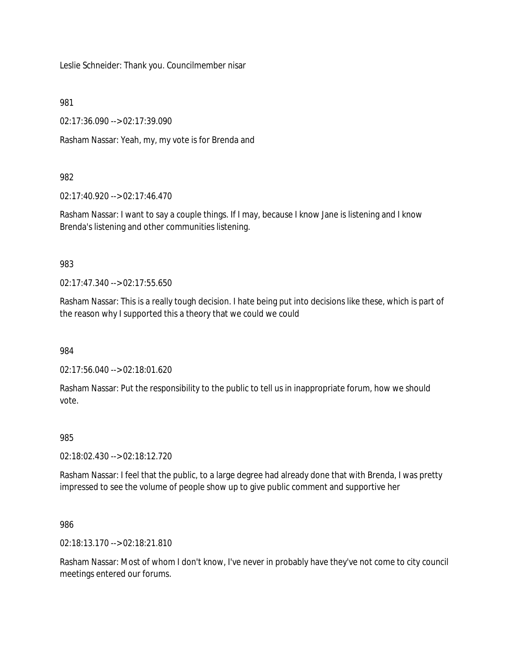Leslie Schneider: Thank you. Councilmember nisar

981

02:17:36.090 --> 02:17:39.090

Rasham Nassar: Yeah, my, my vote is for Brenda and

## 982

02:17:40.920 --> 02:17:46.470

Rasham Nassar: I want to say a couple things. If I may, because I know Jane is listening and I know Brenda's listening and other communities listening.

## 983

02:17:47.340 --> 02:17:55.650

Rasham Nassar: This is a really tough decision. I hate being put into decisions like these, which is part of the reason why I supported this a theory that we could we could

984

02:17:56.040 --> 02:18:01.620

Rasham Nassar: Put the responsibility to the public to tell us in inappropriate forum, how we should vote.

### 985

02:18:02.430 --> 02:18:12.720

Rasham Nassar: I feel that the public, to a large degree had already done that with Brenda, I was pretty impressed to see the volume of people show up to give public comment and supportive her

986

02:18:13.170 --> 02:18:21.810

Rasham Nassar: Most of whom I don't know, I've never in probably have they've not come to city council meetings entered our forums.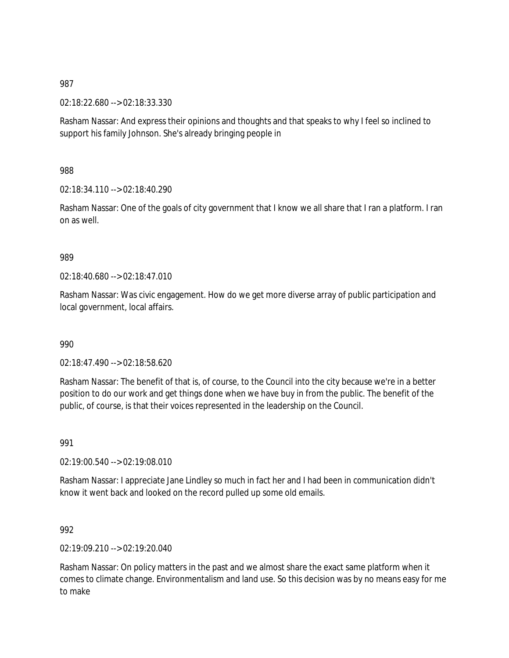02:18:22.680 --> 02:18:33.330

Rasham Nassar: And express their opinions and thoughts and that speaks to why I feel so inclined to support his family Johnson. She's already bringing people in

988

02:18:34.110 --> 02:18:40.290

Rasham Nassar: One of the goals of city government that I know we all share that I ran a platform. I ran on as well.

989

02:18:40.680 --> 02:18:47.010

Rasham Nassar: Was civic engagement. How do we get more diverse array of public participation and local government, local affairs.

990

02:18:47.490 --> 02:18:58.620

Rasham Nassar: The benefit of that is, of course, to the Council into the city because we're in a better position to do our work and get things done when we have buy in from the public. The benefit of the public, of course, is that their voices represented in the leadership on the Council.

991

02:19:00.540 --> 02:19:08.010

Rasham Nassar: I appreciate Jane Lindley so much in fact her and I had been in communication didn't know it went back and looked on the record pulled up some old emails.

992

02:19:09.210 --> 02:19:20.040

Rasham Nassar: On policy matters in the past and we almost share the exact same platform when it comes to climate change. Environmentalism and land use. So this decision was by no means easy for me to make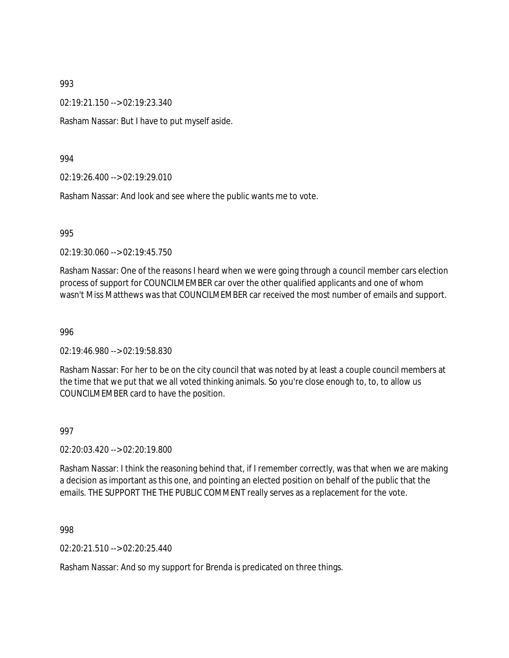02:19:21.150 --> 02:19:23.340

Rasham Nassar: But I have to put myself aside.

#### 994

02:19:26.400 --> 02:19:29.010

Rasham Nassar: And look and see where the public wants me to vote.

#### 995

02:19:30.060 --> 02:19:45.750

Rasham Nassar: One of the reasons I heard when we were going through a council member cars election process of support for COUNCILMEMBER car over the other qualified applicants and one of whom wasn't Miss Matthews was that COUNCILMEMBER car received the most number of emails and support.

#### 996

02:19:46.980 --> 02:19:58.830

Rasham Nassar: For her to be on the city council that was noted by at least a couple council members at the time that we put that we all voted thinking animals. So you're close enough to, to, to allow us COUNCILMEMBER card to have the position.

#### 997

02:20:03.420 --> 02:20:19.800

Rasham Nassar: I think the reasoning behind that, if I remember correctly, was that when we are making a decision as important as this one, and pointing an elected position on behalf of the public that the emails. THE SUPPORT THE THE PUBLIC COMMENT really serves as a replacement for the vote.

998

02:20:21.510 --> 02:20:25.440

Rasham Nassar: And so my support for Brenda is predicated on three things.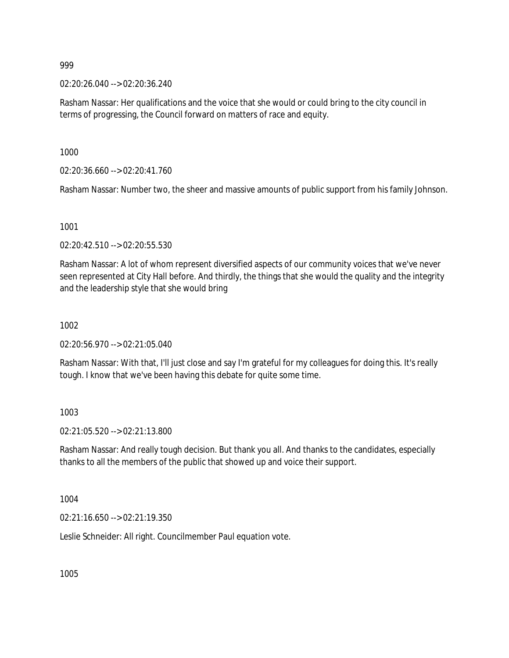02:20:26.040 --> 02:20:36.240

Rasham Nassar: Her qualifications and the voice that she would or could bring to the city council in terms of progressing, the Council forward on matters of race and equity.

1000

02:20:36.660 --> 02:20:41.760

Rasham Nassar: Number two, the sheer and massive amounts of public support from his family Johnson.

1001

02:20:42.510 --> 02:20:55.530

Rasham Nassar: A lot of whom represent diversified aspects of our community voices that we've never seen represented at City Hall before. And thirdly, the things that she would the quality and the integrity and the leadership style that she would bring

1002

02:20:56.970 --> 02:21:05.040

Rasham Nassar: With that, I'll just close and say I'm grateful for my colleagues for doing this. It's really tough. I know that we've been having this debate for quite some time.

1003

02:21:05.520 --> 02:21:13.800

Rasham Nassar: And really tough decision. But thank you all. And thanks to the candidates, especially thanks to all the members of the public that showed up and voice their support.

1004

02:21:16.650 --> 02:21:19.350

Leslie Schneider: All right. Councilmember Paul equation vote.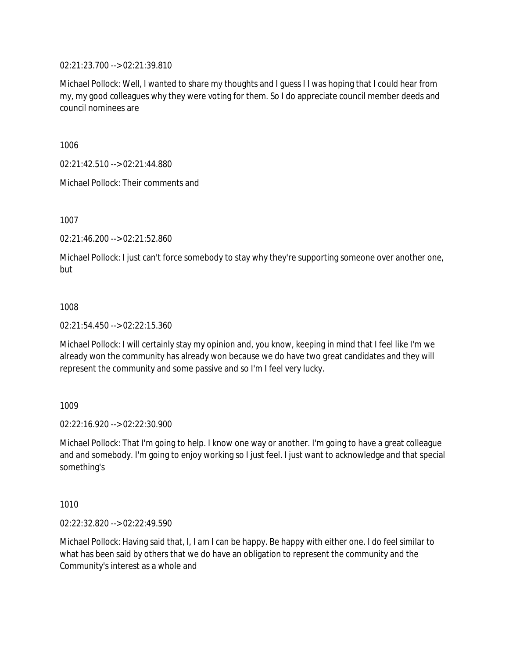02:21:23.700 --> 02:21:39.810

Michael Pollock: Well, I wanted to share my thoughts and I guess I I was hoping that I could hear from my, my good colleagues why they were voting for them. So I do appreciate council member deeds and council nominees are

1006

02:21:42.510 --> 02:21:44.880

Michael Pollock: Their comments and

1007

02:21:46.200 --> 02:21:52.860

Michael Pollock: I just can't force somebody to stay why they're supporting someone over another one, but

### 1008

02:21:54.450 --> 02:22:15.360

Michael Pollock: I will certainly stay my opinion and, you know, keeping in mind that I feel like I'm we already won the community has already won because we do have two great candidates and they will represent the community and some passive and so I'm I feel very lucky.

1009

02:22:16.920 --> 02:22:30.900

Michael Pollock: That I'm going to help. I know one way or another. I'm going to have a great colleague and and somebody. I'm going to enjoy working so I just feel. I just want to acknowledge and that special something's

1010

02:22:32.820 --> 02:22:49.590

Michael Pollock: Having said that, I, I am I can be happy. Be happy with either one. I do feel similar to what has been said by others that we do have an obligation to represent the community and the Community's interest as a whole and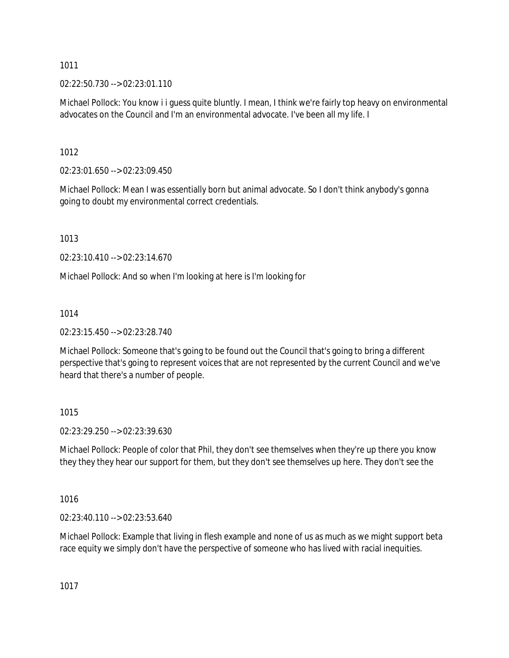02:22:50.730 --> 02:23:01.110

Michael Pollock: You know i i guess quite bluntly. I mean, I think we're fairly top heavy on environmental advocates on the Council and I'm an environmental advocate. I've been all my life. I

1012

02:23:01.650 --> 02:23:09.450

Michael Pollock: Mean I was essentially born but animal advocate. So I don't think anybody's gonna going to doubt my environmental correct credentials.

1013

02:23:10.410 --> 02:23:14.670

Michael Pollock: And so when I'm looking at here is I'm looking for

1014

02:23:15.450 --> 02:23:28.740

Michael Pollock: Someone that's going to be found out the Council that's going to bring a different perspective that's going to represent voices that are not represented by the current Council and we've heard that there's a number of people.

1015

02:23:29.250 --> 02:23:39.630

Michael Pollock: People of color that Phil, they don't see themselves when they're up there you know they they they hear our support for them, but they don't see themselves up here. They don't see the

1016

02:23:40.110 --> 02:23:53.640

Michael Pollock: Example that living in flesh example and none of us as much as we might support beta race equity we simply don't have the perspective of someone who has lived with racial inequities.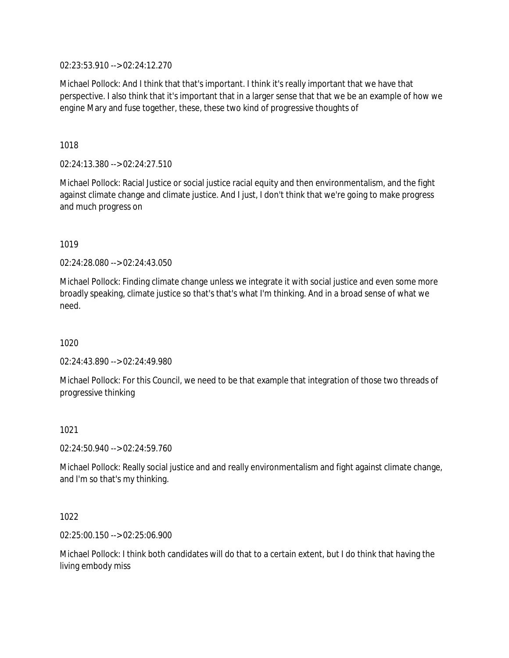02:23:53.910 --> 02:24:12.270

Michael Pollock: And I think that that's important. I think it's really important that we have that perspective. I also think that it's important that in a larger sense that that we be an example of how we engine Mary and fuse together, these, these two kind of progressive thoughts of

1018

02:24:13.380 --> 02:24:27.510

Michael Pollock: Racial Justice or social justice racial equity and then environmentalism, and the fight against climate change and climate justice. And I just, I don't think that we're going to make progress and much progress on

1019

02:24:28.080 --> 02:24:43.050

Michael Pollock: Finding climate change unless we integrate it with social justice and even some more broadly speaking, climate justice so that's that's what I'm thinking. And in a broad sense of what we need.

1020

02:24:43.890 --> 02:24:49.980

Michael Pollock: For this Council, we need to be that example that integration of those two threads of progressive thinking

1021

02:24:50.940 --> 02:24:59.760

Michael Pollock: Really social justice and and really environmentalism and fight against climate change, and I'm so that's my thinking.

1022

02:25:00.150 --> 02:25:06.900

Michael Pollock: I think both candidates will do that to a certain extent, but I do think that having the living embody miss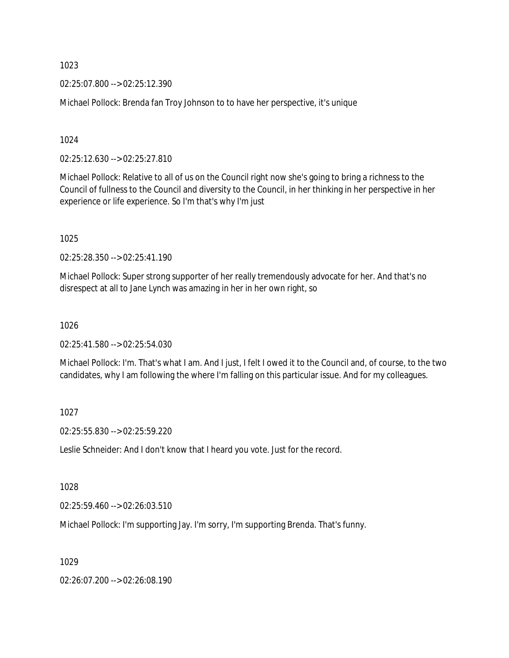02:25:07.800 --> 02:25:12.390

Michael Pollock: Brenda fan Troy Johnson to to have her perspective, it's unique

1024

02:25:12.630 --> 02:25:27.810

Michael Pollock: Relative to all of us on the Council right now she's going to bring a richness to the Council of fullness to the Council and diversity to the Council, in her thinking in her perspective in her experience or life experience. So I'm that's why I'm just

1025

02:25:28.350 --> 02:25:41.190

Michael Pollock: Super strong supporter of her really tremendously advocate for her. And that's no disrespect at all to Jane Lynch was amazing in her in her own right, so

1026

02:25:41.580 --> 02:25:54.030

Michael Pollock: I'm. That's what I am. And I just, I felt I owed it to the Council and, of course, to the two candidates, why I am following the where I'm falling on this particular issue. And for my colleagues.

1027

02:25:55.830 --> 02:25:59.220

Leslie Schneider: And I don't know that I heard you vote. Just for the record.

1028

02:25:59.460 --> 02:26:03.510

Michael Pollock: I'm supporting Jay. I'm sorry, I'm supporting Brenda. That's funny.

1029

02:26:07.200 --> 02:26:08.190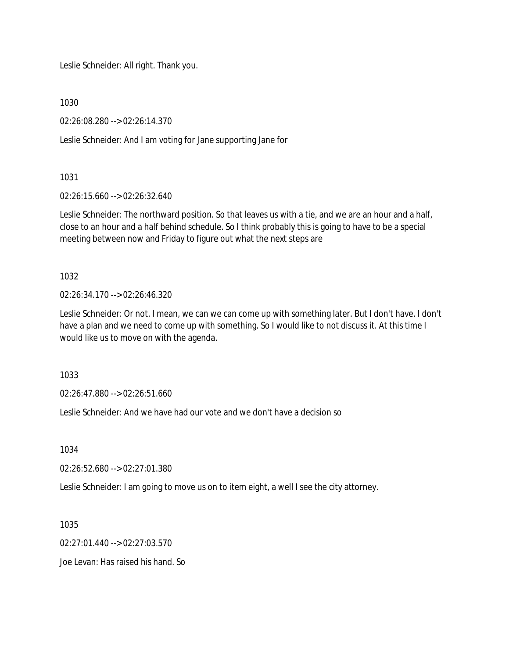Leslie Schneider: All right. Thank you.

1030

02:26:08.280 --> 02:26:14.370

Leslie Schneider: And I am voting for Jane supporting Jane for

1031

02:26:15.660 --> 02:26:32.640

Leslie Schneider: The northward position. So that leaves us with a tie, and we are an hour and a half, close to an hour and a half behind schedule. So I think probably this is going to have to be a special meeting between now and Friday to figure out what the next steps are

1032

 $02.26:34.170 \rightarrow 02.26:46.320$ 

Leslie Schneider: Or not. I mean, we can we can come up with something later. But I don't have. I don't have a plan and we need to come up with something. So I would like to not discuss it. At this time I would like us to move on with the agenda.

1033

02:26:47.880 --> 02:26:51.660

Leslie Schneider: And we have had our vote and we don't have a decision so

1034

02:26:52.680 --> 02:27:01.380

Leslie Schneider: I am going to move us on to item eight, a well I see the city attorney.

1035

02:27:01.440 --> 02:27:03.570

Joe Levan: Has raised his hand. So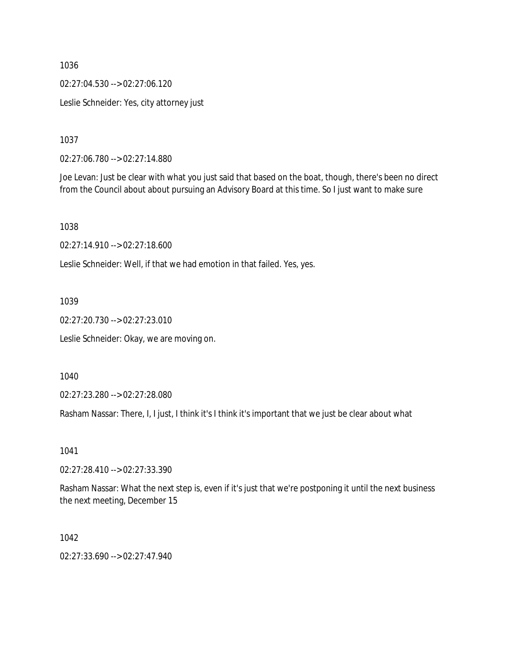02:27:04.530 --> 02:27:06.120

Leslie Schneider: Yes, city attorney just

1037

02:27:06.780 --> 02:27:14.880

Joe Levan: Just be clear with what you just said that based on the boat, though, there's been no direct from the Council about about pursuing an Advisory Board at this time. So I just want to make sure

1038

02:27:14.910 --> 02:27:18.600

Leslie Schneider: Well, if that we had emotion in that failed. Yes, yes.

1039

02:27:20.730 --> 02:27:23.010

Leslie Schneider: Okay, we are moving on.

1040

02:27:23.280 --> 02:27:28.080

Rasham Nassar: There, I, I just, I think it's I think it's important that we just be clear about what

1041

02:27:28.410 --> 02:27:33.390

Rasham Nassar: What the next step is, even if it's just that we're postponing it until the next business the next meeting, December 15

1042

02:27:33.690 --> 02:27:47.940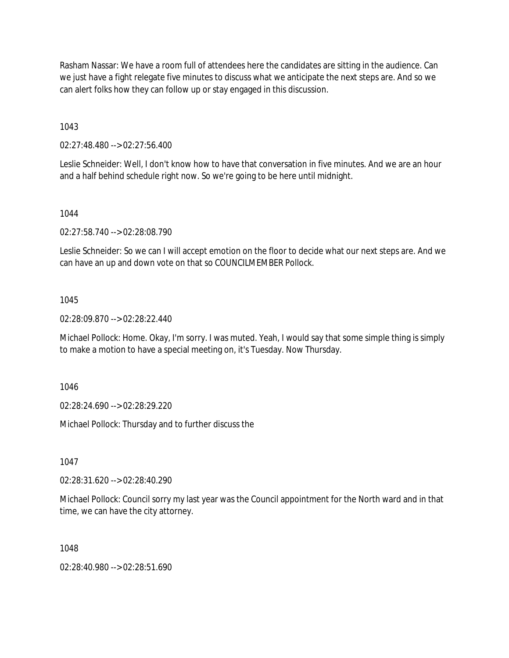Rasham Nassar: We have a room full of attendees here the candidates are sitting in the audience. Can we just have a fight relegate five minutes to discuss what we anticipate the next steps are. And so we can alert folks how they can follow up or stay engaged in this discussion.

1043

02:27:48.480 --> 02:27:56.400

Leslie Schneider: Well, I don't know how to have that conversation in five minutes. And we are an hour and a half behind schedule right now. So we're going to be here until midnight.

1044

02:27:58.740 --> 02:28:08.790

Leslie Schneider: So we can I will accept emotion on the floor to decide what our next steps are. And we can have an up and down vote on that so COUNCILMEMBER Pollock.

1045

02:28:09.870 --> 02:28:22.440

Michael Pollock: Home. Okay, I'm sorry. I was muted. Yeah, I would say that some simple thing is simply to make a motion to have a special meeting on, it's Tuesday. Now Thursday.

1046

02:28:24.690 --> 02:28:29.220

Michael Pollock: Thursday and to further discuss the

1047

02:28:31.620 --> 02:28:40.290

Michael Pollock: Council sorry my last year was the Council appointment for the North ward and in that time, we can have the city attorney.

1048

02:28:40.980 --> 02:28:51.690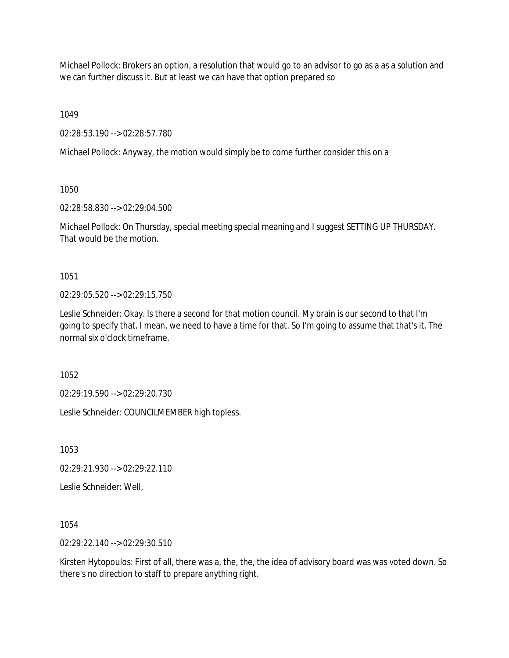Michael Pollock: Brokers an option, a resolution that would go to an advisor to go as a as a solution and we can further discuss it. But at least we can have that option prepared so

1049

02:28:53.190 --> 02:28:57.780

Michael Pollock: Anyway, the motion would simply be to come further consider this on a

1050

02:28:58.830 --> 02:29:04.500

Michael Pollock: On Thursday, special meeting special meaning and I suggest SETTING UP THURSDAY. That would be the motion.

1051

02:29:05.520 --> 02:29:15.750

Leslie Schneider: Okay. Is there a second for that motion council. My brain is our second to that I'm going to specify that. I mean, we need to have a time for that. So I'm going to assume that that's it. The normal six o'clock timeframe.

1052

02:29:19.590 --> 02:29:20.730

Leslie Schneider: COUNCILMEMBER high topless.

1053

02:29:21.930 --> 02:29:22.110

Leslie Schneider: Well,

1054

02:29:22.140 --> 02:29:30.510

Kirsten Hytopoulos: First of all, there was a, the, the, the idea of advisory board was was voted down. So there's no direction to staff to prepare anything right.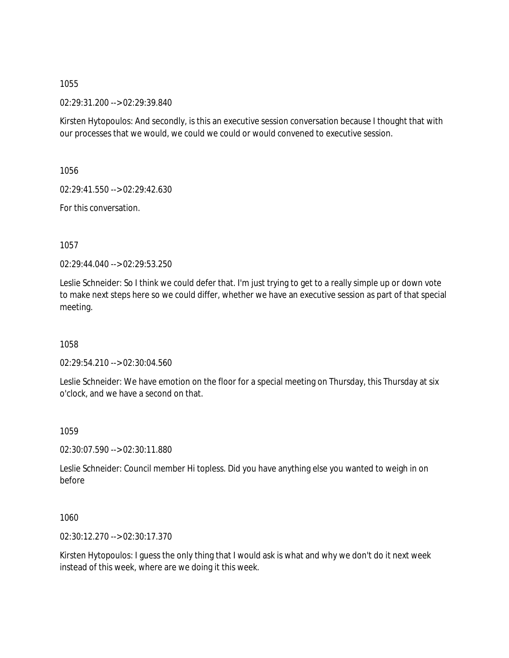02:29:31.200 --> 02:29:39.840

Kirsten Hytopoulos: And secondly, is this an executive session conversation because I thought that with our processes that we would, we could we could or would convened to executive session.

1056

02:29:41.550 --> 02:29:42.630

For this conversation.

1057

02:29:44.040 --> 02:29:53.250

Leslie Schneider: So I think we could defer that. I'm just trying to get to a really simple up or down vote to make next steps here so we could differ, whether we have an executive session as part of that special meeting.

1058

02:29:54.210 --> 02:30:04.560

Leslie Schneider: We have emotion on the floor for a special meeting on Thursday, this Thursday at six o'clock, and we have a second on that.

1059

02:30:07.590 --> 02:30:11.880

Leslie Schneider: Council member Hi topless. Did you have anything else you wanted to weigh in on before

1060

02:30:12.270 --> 02:30:17.370

Kirsten Hytopoulos: I guess the only thing that I would ask is what and why we don't do it next week instead of this week, where are we doing it this week.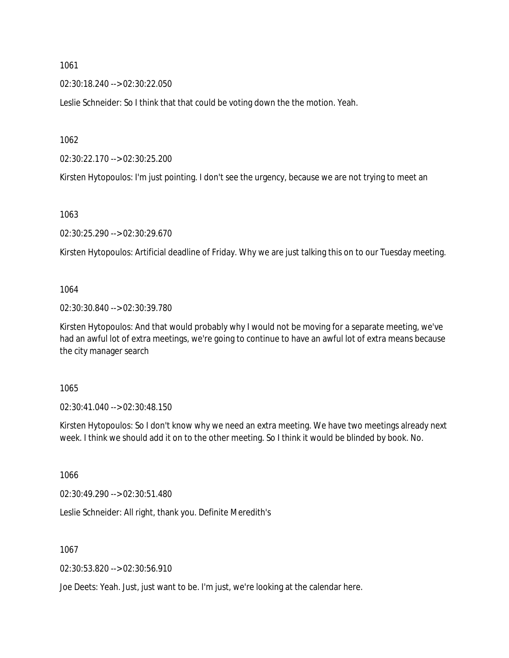02:30:18.240 --> 02:30:22.050

Leslie Schneider: So I think that that could be voting down the the motion. Yeah.

1062

02:30:22.170 --> 02:30:25.200

Kirsten Hytopoulos: I'm just pointing. I don't see the urgency, because we are not trying to meet an

1063

02:30:25.290 --> 02:30:29.670

Kirsten Hytopoulos: Artificial deadline of Friday. Why we are just talking this on to our Tuesday meeting.

1064

02:30:30.840 --> 02:30:39.780

Kirsten Hytopoulos: And that would probably why I would not be moving for a separate meeting, we've had an awful lot of extra meetings, we're going to continue to have an awful lot of extra means because the city manager search

1065

02:30:41.040 --> 02:30:48.150

Kirsten Hytopoulos: So I don't know why we need an extra meeting. We have two meetings already next week. I think we should add it on to the other meeting. So I think it would be blinded by book. No.

1066

02:30:49.290 --> 02:30:51.480

Leslie Schneider: All right, thank you. Definite Meredith's

1067

02:30:53.820 --> 02:30:56.910

Joe Deets: Yeah. Just, just want to be. I'm just, we're looking at the calendar here.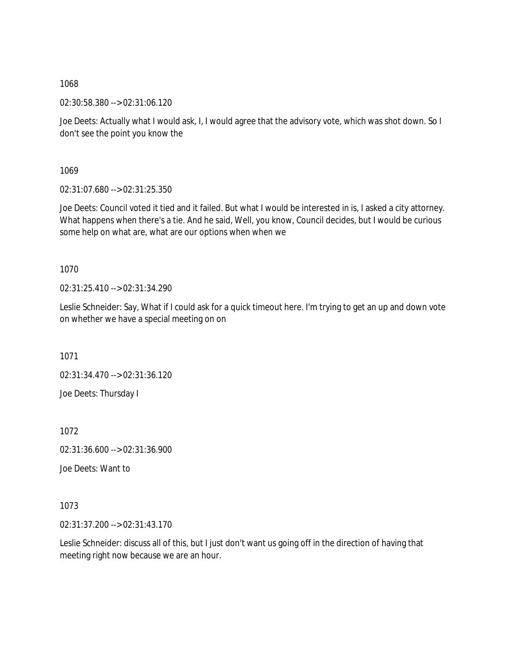02:30:58.380 --> 02:31:06.120

Joe Deets: Actually what I would ask, I, I would agree that the advisory vote, which was shot down. So I don't see the point you know the

1069

02:31:07.680 --> 02:31:25.350

Joe Deets: Council voted it tied and it failed. But what I would be interested in is, I asked a city attorney. What happens when there's a tie. And he said, Well, you know, Council decides, but I would be curious some help on what are, what are our options when when we

1070

02:31:25.410 --> 02:31:34.290

Leslie Schneider: Say, What if I could ask for a quick timeout here. I'm trying to get an up and down vote on whether we have a special meeting on on

1071

02:31:34.470 --> 02:31:36.120 Joe Deets: Thursday I

1072

02:31:36.600 --> 02:31:36.900

Joe Deets: Want to

1073

02:31:37.200 --> 02:31:43.170

Leslie Schneider: discuss all of this, but I just don't want us going off in the direction of having that meeting right now because we are an hour.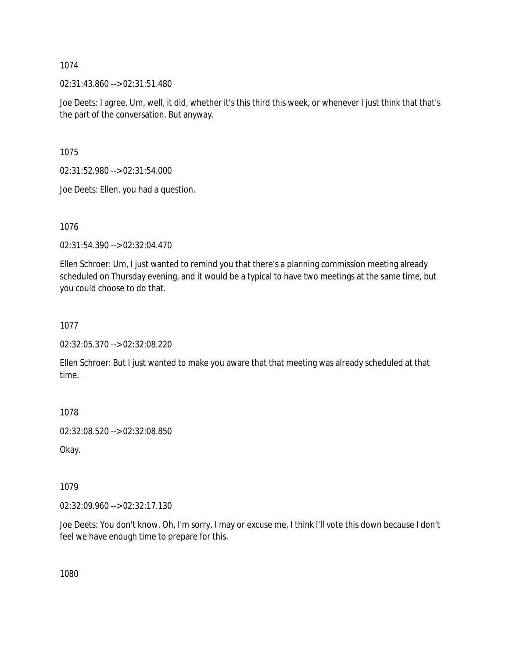02:31:43.860 --> 02:31:51.480

Joe Deets: I agree. Um, well, it did, whether it's this third this week, or whenever I just think that that's the part of the conversation. But anyway.

1075

02:31:52.980 --> 02:31:54.000

Joe Deets: Ellen, you had a question.

1076

02:31:54.390 --> 02:32:04.470

Ellen Schroer: Um, I just wanted to remind you that there's a planning commission meeting already scheduled on Thursday evening, and it would be a typical to have two meetings at the same time, but you could choose to do that.

1077

02:32:05.370 --> 02:32:08.220

Ellen Schroer: But I just wanted to make you aware that that meeting was already scheduled at that time.

1078

02:32:08.520 --> 02:32:08.850

Okay.

1079

02:32:09.960 --> 02:32:17.130

Joe Deets: You don't know. Oh, I'm sorry. I may or excuse me, I think I'll vote this down because I don't feel we have enough time to prepare for this.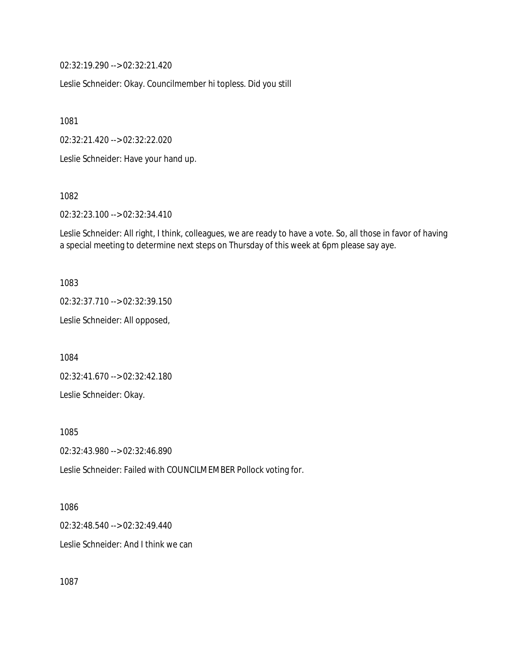02:32:19.290 --> 02:32:21.420

Leslie Schneider: Okay. Councilmember hi topless. Did you still

1081

02:32:21.420 --> 02:32:22.020

Leslie Schneider: Have your hand up.

1082

02:32:23.100 --> 02:32:34.410

Leslie Schneider: All right, I think, colleagues, we are ready to have a vote. So, all those in favor of having a special meeting to determine next steps on Thursday of this week at 6pm please say aye.

1083

02:32:37.710 --> 02:32:39.150

Leslie Schneider: All opposed,

1084

02:32:41.670 --> 02:32:42.180

Leslie Schneider: Okay.

1085

02:32:43.980 --> 02:32:46.890

Leslie Schneider: Failed with COUNCILMEMBER Pollock voting for.

1086

02:32:48.540 --> 02:32:49.440

Leslie Schneider: And I think we can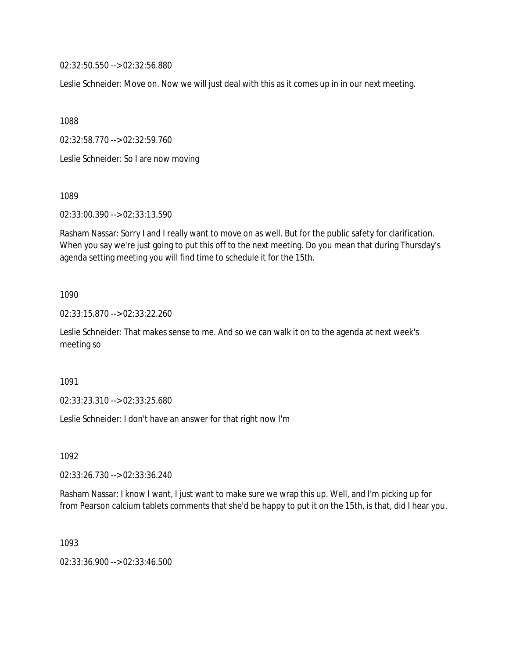02:32:50.550 --> 02:32:56.880

Leslie Schneider: Move on. Now we will just deal with this as it comes up in in our next meeting.

1088

02:32:58.770 --> 02:32:59.760

Leslie Schneider: So I are now moving

1089

02:33:00.390 --> 02:33:13.590

Rasham Nassar: Sorry I and I really want to move on as well. But for the public safety for clarification. When you say we're just going to put this off to the next meeting. Do you mean that during Thursday's agenda setting meeting you will find time to schedule it for the 15th.

1090

02:33:15.870 --> 02:33:22.260

Leslie Schneider: That makes sense to me. And so we can walk it on to the agenda at next week's meeting so

1091

02:33:23.310 --> 02:33:25.680

Leslie Schneider: I don't have an answer for that right now I'm

1092

02:33:26.730 --> 02:33:36.240

Rasham Nassar: I know I want, I just want to make sure we wrap this up. Well, and I'm picking up for from Pearson calcium tablets comments that she'd be happy to put it on the 15th, is that, did I hear you.

1093

02:33:36.900 --> 02:33:46.500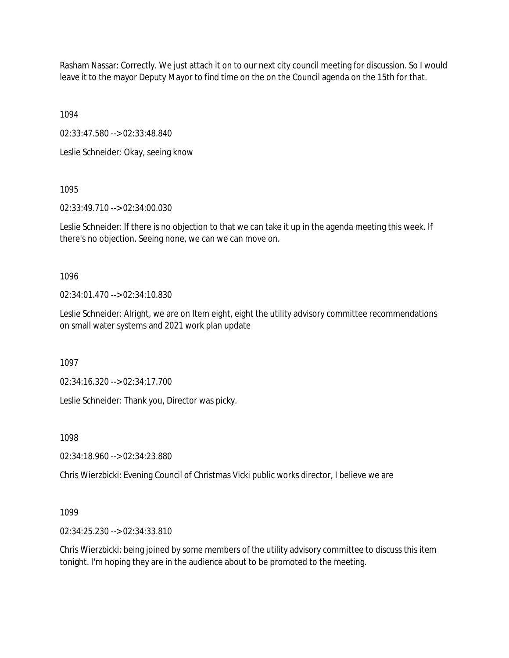Rasham Nassar: Correctly. We just attach it on to our next city council meeting for discussion. So I would leave it to the mayor Deputy Mayor to find time on the on the Council agenda on the 15th for that.

1094

02:33:47.580 --> 02:33:48.840

Leslie Schneider: Okay, seeing know

1095

02:33:49.710 --> 02:34:00.030

Leslie Schneider: If there is no objection to that we can take it up in the agenda meeting this week. If there's no objection. Seeing none, we can we can move on.

1096

02:34:01.470 --> 02:34:10.830

Leslie Schneider: Alright, we are on Item eight, eight the utility advisory committee recommendations on small water systems and 2021 work plan update

1097

02:34:16.320 --> 02:34:17.700

Leslie Schneider: Thank you, Director was picky.

1098

02:34:18.960 --> 02:34:23.880

Chris Wierzbicki: Evening Council of Christmas Vicki public works director, I believe we are

1099

02:34:25.230 --> 02:34:33.810

Chris Wierzbicki: being joined by some members of the utility advisory committee to discuss this item tonight. I'm hoping they are in the audience about to be promoted to the meeting.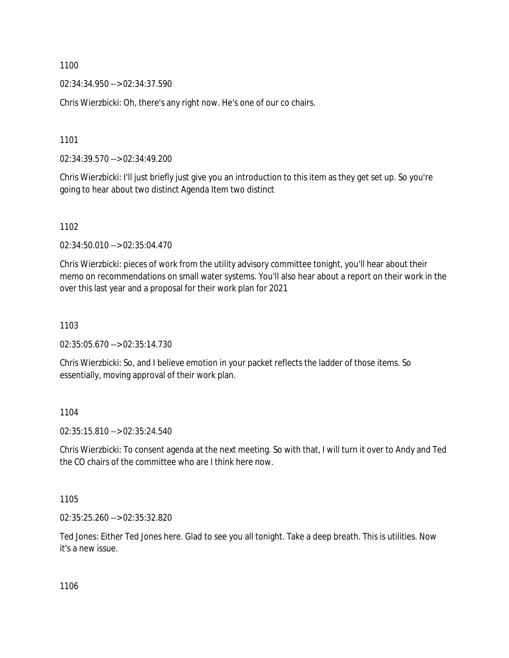02:34:34.950 --> 02:34:37.590

Chris Wierzbicki: Oh, there's any right now. He's one of our co chairs.

1101

02:34:39.570 --> 02:34:49.200

Chris Wierzbicki: I'll just briefly just give you an introduction to this item as they get set up. So you're going to hear about two distinct Agenda Item two distinct

1102

02:34:50.010 --> 02:35:04.470

Chris Wierzbicki: pieces of work from the utility advisory committee tonight, you'll hear about their memo on recommendations on small water systems. You'll also hear about a report on their work in the over this last year and a proposal for their work plan for 2021

1103

02:35:05.670 --> 02:35:14.730

Chris Wierzbicki: So, and I believe emotion in your packet reflects the ladder of those items. So essentially, moving approval of their work plan.

1104

02:35:15.810 --> 02:35:24.540

Chris Wierzbicki: To consent agenda at the next meeting. So with that, I will turn it over to Andy and Ted the CO chairs of the committee who are I think here now.

1105

02:35:25.260 --> 02:35:32.820

Ted Jones: Either Ted Jones here. Glad to see you all tonight. Take a deep breath. This is utilities. Now it's a new issue.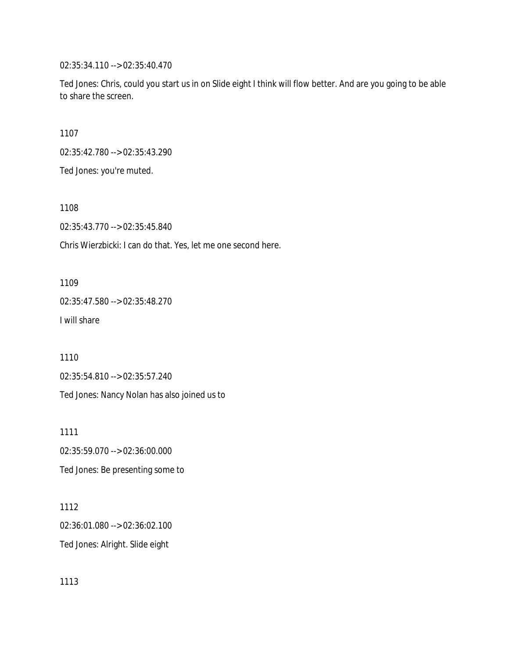02:35:34.110 --> 02:35:40.470

Ted Jones: Chris, could you start us in on Slide eight I think will flow better. And are you going to be able to share the screen.

1107

02:35:42.780 --> 02:35:43.290

Ted Jones: you're muted.

1108

02:35:43.770 --> 02:35:45.840

Chris Wierzbicki: I can do that. Yes, let me one second here.

1109

02:35:47.580 --> 02:35:48.270 I will share

1110

02:35:54.810 --> 02:35:57.240

Ted Jones: Nancy Nolan has also joined us to

1111 02:35:59.070 --> 02:36:00.000 Ted Jones: Be presenting some to

1112 02:36:01.080 --> 02:36:02.100 Ted Jones: Alright. Slide eight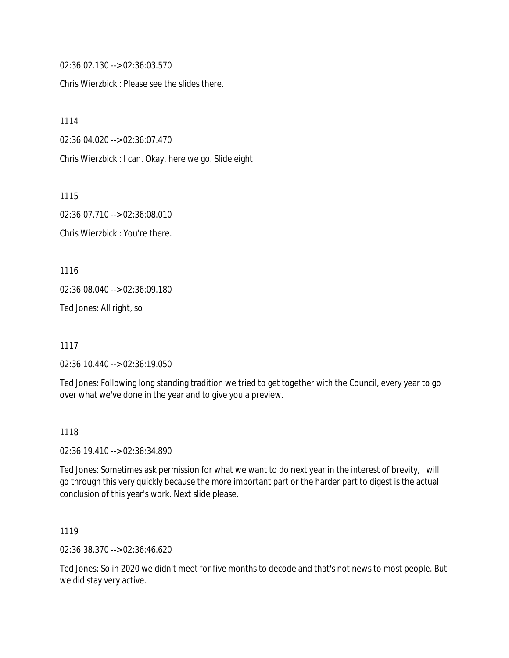02:36:02.130 --> 02:36:03.570

Chris Wierzbicki: Please see the slides there.

1114

02:36:04.020 --> 02:36:07.470

Chris Wierzbicki: I can. Okay, here we go. Slide eight

1115

02:36:07.710 --> 02:36:08.010 Chris Wierzbicki: You're there.

1116

02:36:08.040 --> 02:36:09.180

Ted Jones: All right, so

1117

02:36:10.440 --> 02:36:19.050

Ted Jones: Following long standing tradition we tried to get together with the Council, every year to go over what we've done in the year and to give you a preview.

1118

02:36:19.410 --> 02:36:34.890

Ted Jones: Sometimes ask permission for what we want to do next year in the interest of brevity, I will go through this very quickly because the more important part or the harder part to digest is the actual conclusion of this year's work. Next slide please.

1119

02:36:38.370 --> 02:36:46.620

Ted Jones: So in 2020 we didn't meet for five months to decode and that's not news to most people. But we did stay very active.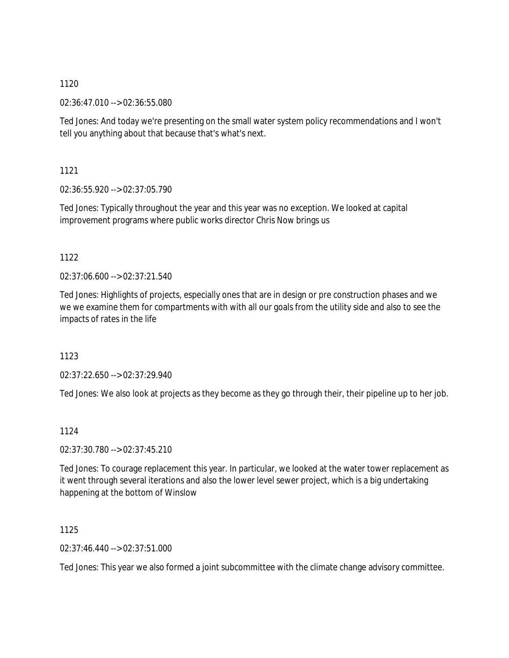02:36:47.010 --> 02:36:55.080

Ted Jones: And today we're presenting on the small water system policy recommendations and I won't tell you anything about that because that's what's next.

1121

02:36:55.920 --> 02:37:05.790

Ted Jones: Typically throughout the year and this year was no exception. We looked at capital improvement programs where public works director Chris Now brings us

1122

02:37:06.600 --> 02:37:21.540

Ted Jones: Highlights of projects, especially ones that are in design or pre construction phases and we we we examine them for compartments with with all our goals from the utility side and also to see the impacts of rates in the life

1123

02:37:22.650 --> 02:37:29.940

Ted Jones: We also look at projects as they become as they go through their, their pipeline up to her job.

1124

02:37:30.780 --> 02:37:45.210

Ted Jones: To courage replacement this year. In particular, we looked at the water tower replacement as it went through several iterations and also the lower level sewer project, which is a big undertaking happening at the bottom of Winslow

1125

02:37:46.440 --> 02:37:51.000

Ted Jones: This year we also formed a joint subcommittee with the climate change advisory committee.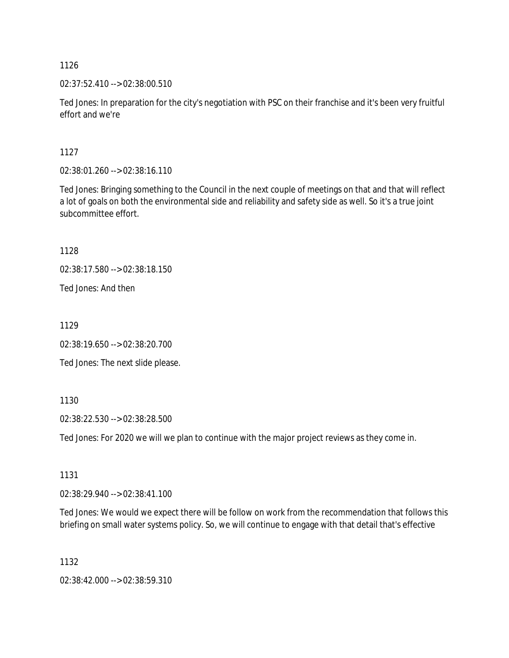02:37:52.410 --> 02:38:00.510

Ted Jones: In preparation for the city's negotiation with PSC on their franchise and it's been very fruitful effort and we're

1127

02:38:01.260 --> 02:38:16.110

Ted Jones: Bringing something to the Council in the next couple of meetings on that and that will reflect a lot of goals on both the environmental side and reliability and safety side as well. So it's a true joint subcommittee effort.

1128

02:38:17.580 --> 02:38:18.150

Ted Jones: And then

1129

02:38:19.650 --> 02:38:20.700

Ted Jones: The next slide please.

1130

02:38:22.530 --> 02:38:28.500

Ted Jones: For 2020 we will we plan to continue with the major project reviews as they come in.

1131

02:38:29.940 --> 02:38:41.100

Ted Jones: We would we expect there will be follow on work from the recommendation that follows this briefing on small water systems policy. So, we will continue to engage with that detail that's effective

1132

02:38:42.000 --> 02:38:59.310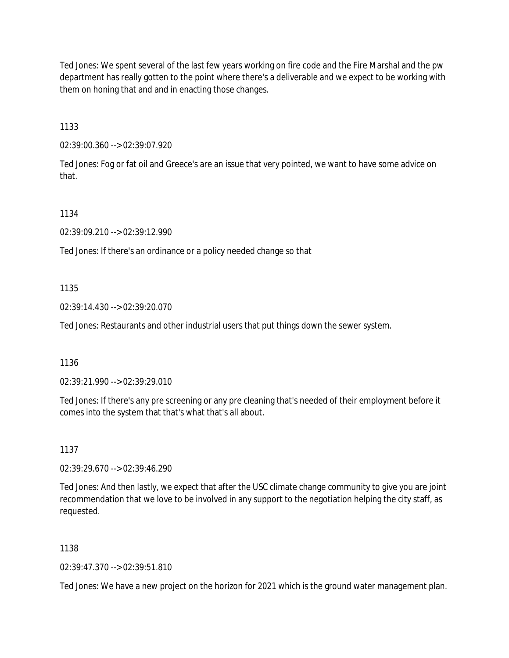Ted Jones: We spent several of the last few years working on fire code and the Fire Marshal and the pw department has really gotten to the point where there's a deliverable and we expect to be working with them on honing that and and in enacting those changes.

1133

02:39:00.360 --> 02:39:07.920

Ted Jones: Fog or fat oil and Greece's are an issue that very pointed, we want to have some advice on that.

1134

02:39:09.210 --> 02:39:12.990

Ted Jones: If there's an ordinance or a policy needed change so that

1135

02:39:14.430 --> 02:39:20.070

Ted Jones: Restaurants and other industrial users that put things down the sewer system.

1136

02:39:21.990 --> 02:39:29.010

Ted Jones: If there's any pre screening or any pre cleaning that's needed of their employment before it comes into the system that that's what that's all about.

1137

02:39:29.670 --> 02:39:46.290

Ted Jones: And then lastly, we expect that after the USC climate change community to give you are joint recommendation that we love to be involved in any support to the negotiation helping the city staff, as requested.

1138

02:39:47.370 --> 02:39:51.810

Ted Jones: We have a new project on the horizon for 2021 which is the ground water management plan.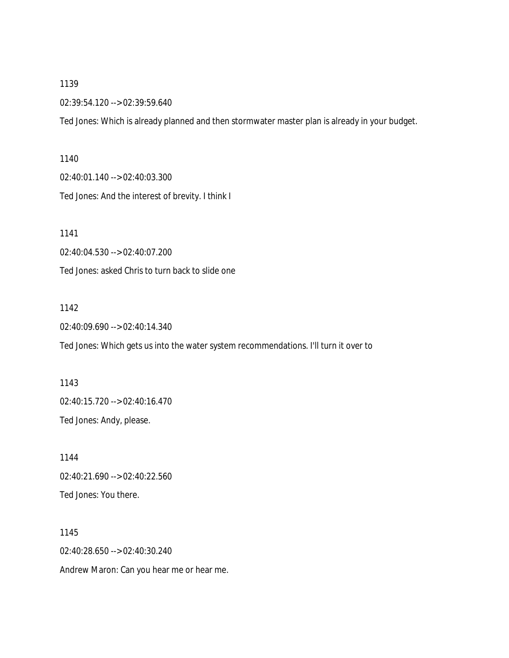02:39:54.120 --> 02:39:59.640

Ted Jones: Which is already planned and then stormwater master plan is already in your budget.

1140

02:40:01.140 --> 02:40:03.300

Ted Jones: And the interest of brevity. I think I

1141

02:40:04.530 --> 02:40:07.200

Ted Jones: asked Chris to turn back to slide one

1142

02:40:09.690 --> 02:40:14.340

Ted Jones: Which gets us into the water system recommendations. I'll turn it over to

1143 02:40:15.720 --> 02:40:16.470 Ted Jones: Andy, please.

1144 02:40:21.690 --> 02:40:22.560 Ted Jones: You there.

1145 02:40:28.650 --> 02:40:30.240 Andrew Maron: Can you hear me or hear me.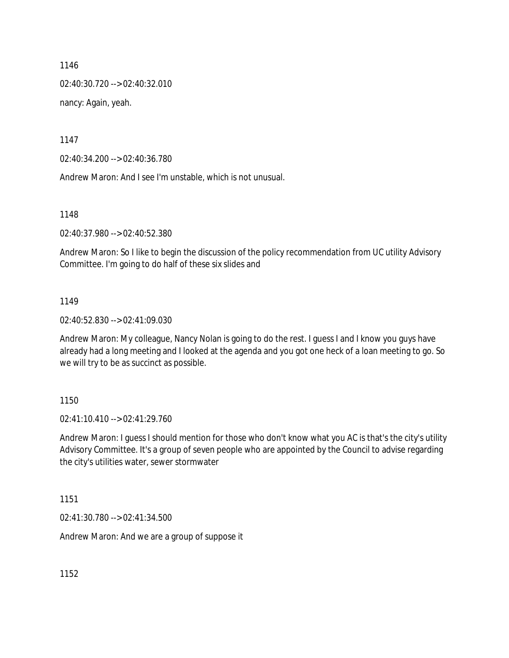02:40:30.720 --> 02:40:32.010

nancy: Again, yeah.

1147

02:40:34.200 --> 02:40:36.780

Andrew Maron: And I see I'm unstable, which is not unusual.

1148

02:40:37.980 --> 02:40:52.380

Andrew Maron: So I like to begin the discussion of the policy recommendation from UC utility Advisory Committee. I'm going to do half of these six slides and

#### 1149

02:40:52.830 --> 02:41:09.030

Andrew Maron: My colleague, Nancy Nolan is going to do the rest. I guess I and I know you guys have already had a long meeting and I looked at the agenda and you got one heck of a loan meeting to go. So we will try to be as succinct as possible.

#### 1150

02:41:10.410 --> 02:41:29.760

Andrew Maron: I guess I should mention for those who don't know what you AC is that's the city's utility Advisory Committee. It's a group of seven people who are appointed by the Council to advise regarding the city's utilities water, sewer stormwater

1151

02:41:30.780 --> 02:41:34.500

Andrew Maron: And we are a group of suppose it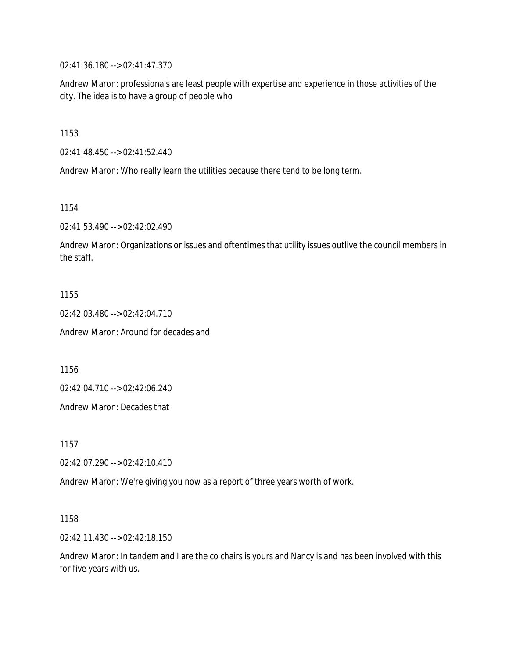02:41:36.180 --> 02:41:47.370

Andrew Maron: professionals are least people with expertise and experience in those activities of the city. The idea is to have a group of people who

1153

02:41:48.450 --> 02:41:52.440

Andrew Maron: Who really learn the utilities because there tend to be long term.

1154

02:41:53.490 --> 02:42:02.490

Andrew Maron: Organizations or issues and oftentimes that utility issues outlive the council members in the staff.

1155

02:42:03.480 --> 02:42:04.710

Andrew Maron: Around for decades and

1156

02:42:04.710 --> 02:42:06.240

Andrew Maron: Decades that

1157

02:42:07.290 --> 02:42:10.410

Andrew Maron: We're giving you now as a report of three years worth of work.

1158

02:42:11.430 --> 02:42:18.150

Andrew Maron: In tandem and I are the co chairs is yours and Nancy is and has been involved with this for five years with us.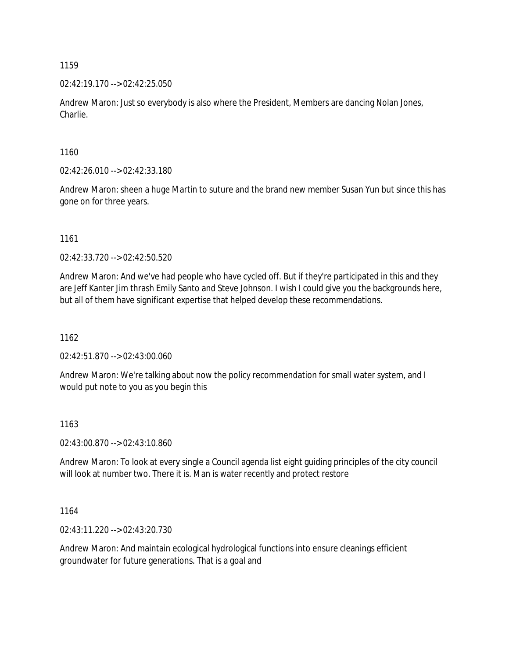02:42:19.170 --> 02:42:25.050

Andrew Maron: Just so everybody is also where the President, Members are dancing Nolan Jones, Charlie.

1160

02:42:26.010 --> 02:42:33.180

Andrew Maron: sheen a huge Martin to suture and the brand new member Susan Yun but since this has gone on for three years.

1161

02:42:33.720 --> 02:42:50.520

Andrew Maron: And we've had people who have cycled off. But if they're participated in this and they are Jeff Kanter Jim thrash Emily Santo and Steve Johnson. I wish I could give you the backgrounds here, but all of them have significant expertise that helped develop these recommendations.

1162

02:42:51.870 --> 02:43:00.060

Andrew Maron: We're talking about now the policy recommendation for small water system, and I would put note to you as you begin this

#### 1163

02:43:00.870 --> 02:43:10.860

Andrew Maron: To look at every single a Council agenda list eight guiding principles of the city council will look at number two. There it is. Man is water recently and protect restore

1164

02:43:11.220 --> 02:43:20.730

Andrew Maron: And maintain ecological hydrological functions into ensure cleanings efficient groundwater for future generations. That is a goal and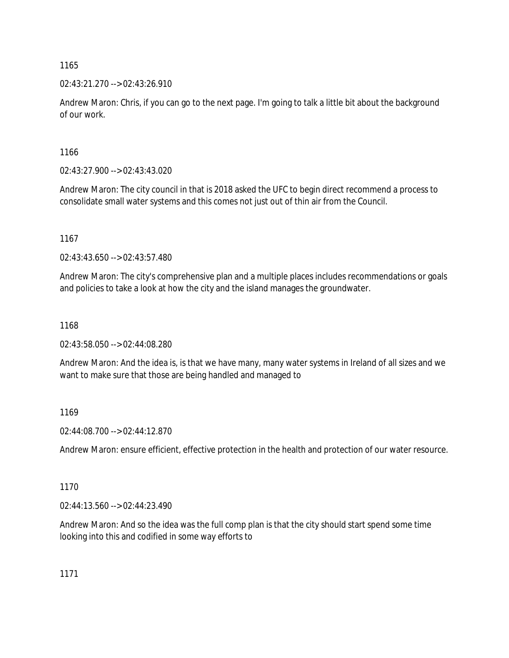02:43:21.270 --> 02:43:26.910

Andrew Maron: Chris, if you can go to the next page. I'm going to talk a little bit about the background of our work.

1166

02:43:27.900 --> 02:43:43.020

Andrew Maron: The city council in that is 2018 asked the UFC to begin direct recommend a process to consolidate small water systems and this comes not just out of thin air from the Council.

1167

02:43:43.650 --> 02:43:57.480

Andrew Maron: The city's comprehensive plan and a multiple places includes recommendations or goals and policies to take a look at how the city and the island manages the groundwater.

1168

02:43:58.050 --> 02:44:08.280

Andrew Maron: And the idea is, is that we have many, many water systems in Ireland of all sizes and we want to make sure that those are being handled and managed to

1169

02:44:08.700 --> 02:44:12.870

Andrew Maron: ensure efficient, effective protection in the health and protection of our water resource.

1170

02:44:13.560 --> 02:44:23.490

Andrew Maron: And so the idea was the full comp plan is that the city should start spend some time looking into this and codified in some way efforts to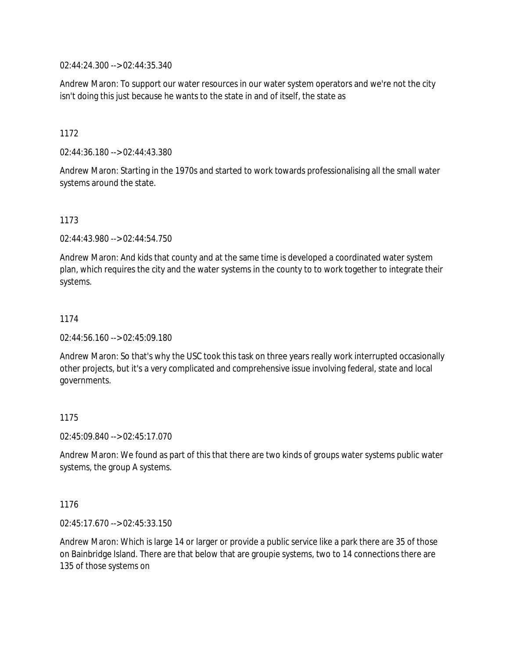02:44:24.300 --> 02:44:35.340

Andrew Maron: To support our water resources in our water system operators and we're not the city isn't doing this just because he wants to the state in and of itself, the state as

1172

02:44:36.180 --> 02:44:43.380

Andrew Maron: Starting in the 1970s and started to work towards professionalising all the small water systems around the state.

# 1173

02:44:43.980 --> 02:44:54.750

Andrew Maron: And kids that county and at the same time is developed a coordinated water system plan, which requires the city and the water systems in the county to to work together to integrate their systems.

### 1174

02:44:56.160 --> 02:45:09.180

Andrew Maron: So that's why the USC took this task on three years really work interrupted occasionally other projects, but it's a very complicated and comprehensive issue involving federal, state and local governments.

### 1175

02:45:09.840 --> 02:45:17.070

Andrew Maron: We found as part of this that there are two kinds of groups water systems public water systems, the group A systems.

### 1176

02:45:17.670 --> 02:45:33.150

Andrew Maron: Which is large 14 or larger or provide a public service like a park there are 35 of those on Bainbridge Island. There are that below that are groupie systems, two to 14 connections there are 135 of those systems on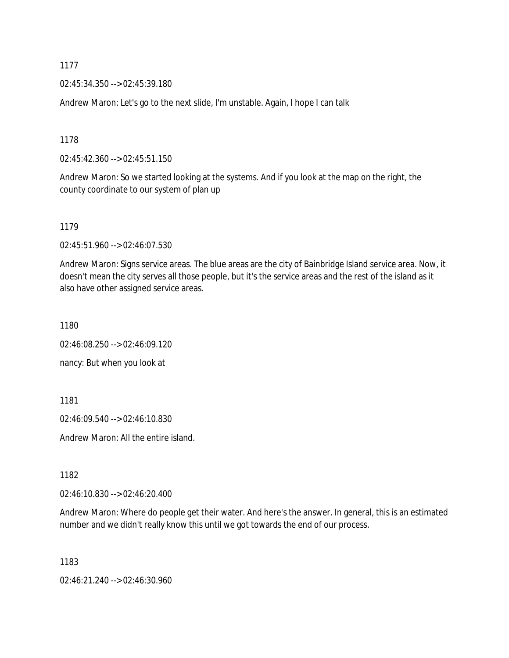02:45:34.350 --> 02:45:39.180

Andrew Maron: Let's go to the next slide, I'm unstable. Again, I hope I can talk

1178

02:45:42.360 --> 02:45:51.150

Andrew Maron: So we started looking at the systems. And if you look at the map on the right, the county coordinate to our system of plan up

1179

02:45:51.960 --> 02:46:07.530

Andrew Maron: Signs service areas. The blue areas are the city of Bainbridge Island service area. Now, it doesn't mean the city serves all those people, but it's the service areas and the rest of the island as it also have other assigned service areas.

1180

02:46:08.250 --> 02:46:09.120

nancy: But when you look at

1181

02:46:09.540 --> 02:46:10.830

Andrew Maron: All the entire island.

1182

02:46:10.830 --> 02:46:20.400

Andrew Maron: Where do people get their water. And here's the answer. In general, this is an estimated number and we didn't really know this until we got towards the end of our process.

1183

02:46:21.240 --> 02:46:30.960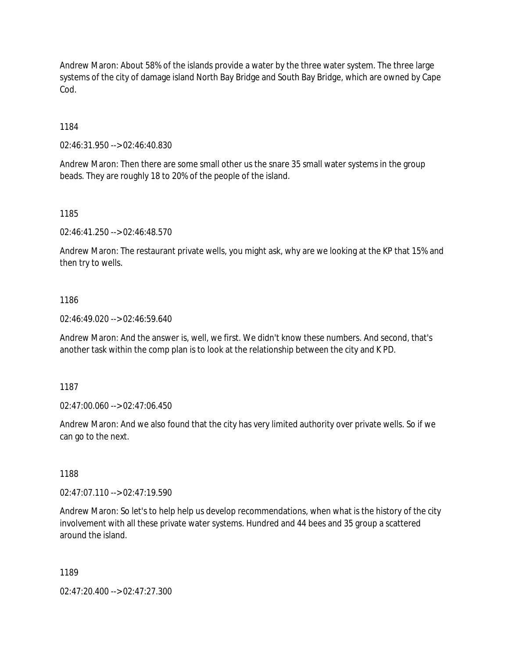Andrew Maron: About 58% of the islands provide a water by the three water system. The three large systems of the city of damage island North Bay Bridge and South Bay Bridge, which are owned by Cape Cod.

1184

02:46:31.950 --> 02:46:40.830

Andrew Maron: Then there are some small other us the snare 35 small water systems in the group beads. They are roughly 18 to 20% of the people of the island.

1185

02:46:41.250 --> 02:46:48.570

Andrew Maron: The restaurant private wells, you might ask, why are we looking at the KP that 15% and then try to wells.

1186

02:46:49.020 --> 02:46:59.640

Andrew Maron: And the answer is, well, we first. We didn't know these numbers. And second, that's another task within the comp plan is to look at the relationship between the city and K PD.

1187

02:47:00.060 --> 02:47:06.450

Andrew Maron: And we also found that the city has very limited authority over private wells. So if we can go to the next.

1188

02:47:07.110 --> 02:47:19.590

Andrew Maron: So let's to help help us develop recommendations, when what is the history of the city involvement with all these private water systems. Hundred and 44 bees and 35 group a scattered around the island.

1189

02:47:20.400 --> 02:47:27.300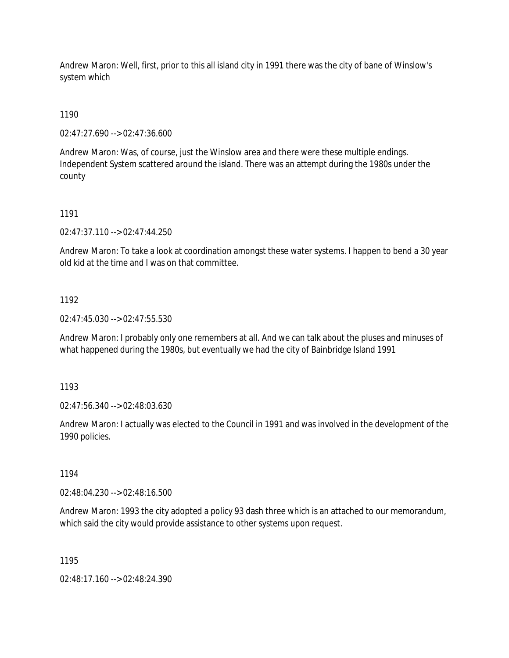Andrew Maron: Well, first, prior to this all island city in 1991 there was the city of bane of Winslow's system which

1190

02:47:27.690 --> 02:47:36.600

Andrew Maron: Was, of course, just the Winslow area and there were these multiple endings. Independent System scattered around the island. There was an attempt during the 1980s under the county

#### 1191

02:47:37.110 --> 02:47:44.250

Andrew Maron: To take a look at coordination amongst these water systems. I happen to bend a 30 year old kid at the time and I was on that committee.

#### 1192

02:47:45.030 --> 02:47:55.530

Andrew Maron: I probably only one remembers at all. And we can talk about the pluses and minuses of what happened during the 1980s, but eventually we had the city of Bainbridge Island 1991

1193

02:47:56.340 --> 02:48:03.630

Andrew Maron: I actually was elected to the Council in 1991 and was involved in the development of the 1990 policies.

1194

02:48:04.230 --> 02:48:16.500

Andrew Maron: 1993 the city adopted a policy 93 dash three which is an attached to our memorandum, which said the city would provide assistance to other systems upon request.

1195

02:48:17.160 --> 02:48:24.390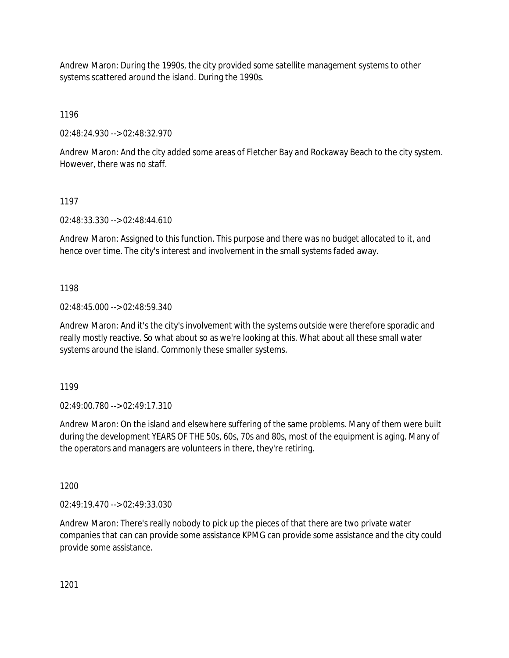Andrew Maron: During the 1990s, the city provided some satellite management systems to other systems scattered around the island. During the 1990s.

1196

02:48:24.930 --> 02:48:32.970

Andrew Maron: And the city added some areas of Fletcher Bay and Rockaway Beach to the city system. However, there was no staff.

# 1197

02:48:33.330 --> 02:48:44.610

Andrew Maron: Assigned to this function. This purpose and there was no budget allocated to it, and hence over time. The city's interest and involvement in the small systems faded away.

# 1198

02:48:45.000 --> 02:48:59.340

Andrew Maron: And it's the city's involvement with the systems outside were therefore sporadic and really mostly reactive. So what about so as we're looking at this. What about all these small water systems around the island. Commonly these smaller systems.

1199

02:49:00.780 --> 02:49:17.310

Andrew Maron: On the island and elsewhere suffering of the same problems. Many of them were built during the development YEARS OF THE 50s, 60s, 70s and 80s, most of the equipment is aging. Many of the operators and managers are volunteers in there, they're retiring.

1200

02:49:19.470 --> 02:49:33.030

Andrew Maron: There's really nobody to pick up the pieces of that there are two private water companies that can can provide some assistance KPMG can provide some assistance and the city could provide some assistance.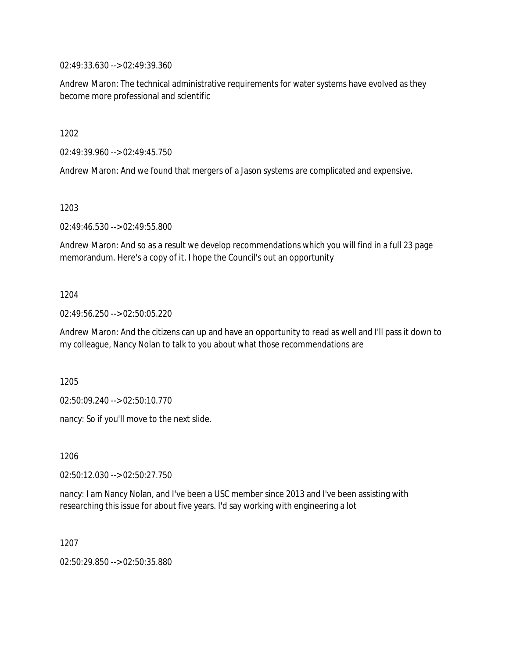02:49:33.630 --> 02:49:39.360

Andrew Maron: The technical administrative requirements for water systems have evolved as they become more professional and scientific

1202

02:49:39.960 --> 02:49:45.750

Andrew Maron: And we found that mergers of a Jason systems are complicated and expensive.

1203

02:49:46.530 --> 02:49:55.800

Andrew Maron: And so as a result we develop recommendations which you will find in a full 23 page memorandum. Here's a copy of it. I hope the Council's out an opportunity

### 1204

02:49:56.250 --> 02:50:05.220

Andrew Maron: And the citizens can up and have an opportunity to read as well and I'll pass it down to my colleague, Nancy Nolan to talk to you about what those recommendations are

1205

02:50:09.240 --> 02:50:10.770

nancy: So if you'll move to the next slide.

1206

02:50:12.030 --> 02:50:27.750

nancy: I am Nancy Nolan, and I've been a USC member since 2013 and I've been assisting with researching this issue for about five years. I'd say working with engineering a lot

1207

02:50:29.850 --> 02:50:35.880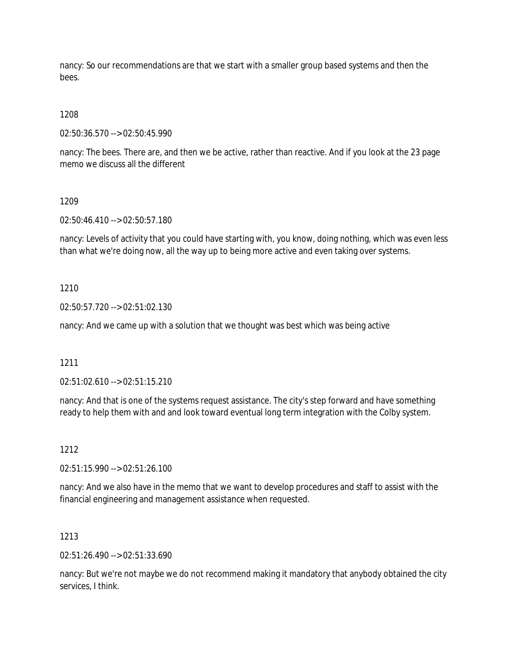nancy: So our recommendations are that we start with a smaller group based systems and then the bees.

# 1208

02:50:36.570 --> 02:50:45.990

nancy: The bees. There are, and then we be active, rather than reactive. And if you look at the 23 page memo we discuss all the different

### 1209

02:50:46.410 --> 02:50:57.180

nancy: Levels of activity that you could have starting with, you know, doing nothing, which was even less than what we're doing now, all the way up to being more active and even taking over systems.

### 1210

02:50:57.720 --> 02:51:02.130

nancy: And we came up with a solution that we thought was best which was being active

### 1211

02:51:02.610 --> 02:51:15.210

nancy: And that is one of the systems request assistance. The city's step forward and have something ready to help them with and and look toward eventual long term integration with the Colby system.

### 1212

02:51:15.990 --> 02:51:26.100

nancy: And we also have in the memo that we want to develop procedures and staff to assist with the financial engineering and management assistance when requested.

### 1213

02:51:26.490 --> 02:51:33.690

nancy: But we're not maybe we do not recommend making it mandatory that anybody obtained the city services, I think.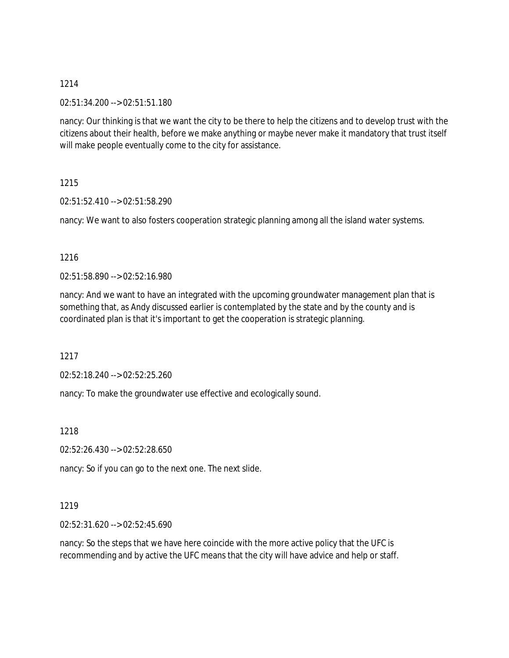### 02:51:34.200 --> 02:51:51.180

nancy: Our thinking is that we want the city to be there to help the citizens and to develop trust with the citizens about their health, before we make anything or maybe never make it mandatory that trust itself will make people eventually come to the city for assistance.

# 1215

02:51:52.410 --> 02:51:58.290

nancy: We want to also fosters cooperation strategic planning among all the island water systems.

# 1216

02:51:58.890 --> 02:52:16.980

nancy: And we want to have an integrated with the upcoming groundwater management plan that is something that, as Andy discussed earlier is contemplated by the state and by the county and is coordinated plan is that it's important to get the cooperation is strategic planning.

1217

02:52:18.240 --> 02:52:25.260

nancy: To make the groundwater use effective and ecologically sound.

1218

02:52:26.430 --> 02:52:28.650

nancy: So if you can go to the next one. The next slide.

### 1219

02:52:31.620 --> 02:52:45.690

nancy: So the steps that we have here coincide with the more active policy that the UFC is recommending and by active the UFC means that the city will have advice and help or staff.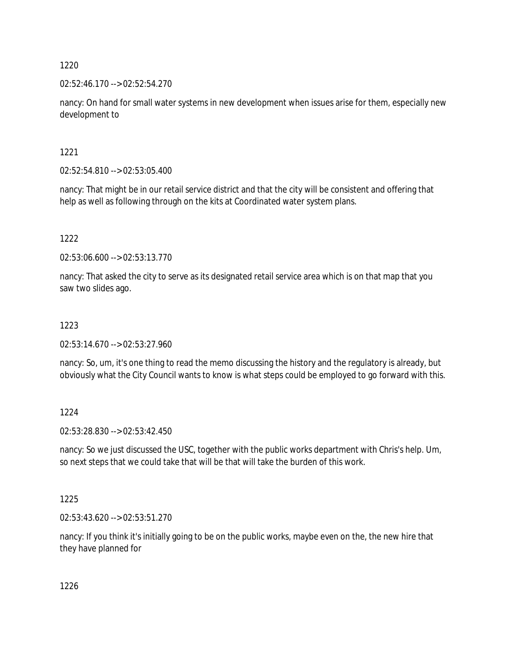02:52:46.170 --> 02:52:54.270

nancy: On hand for small water systems in new development when issues arise for them, especially new development to

1221

02:52:54.810 --> 02:53:05.400

nancy: That might be in our retail service district and that the city will be consistent and offering that help as well as following through on the kits at Coordinated water system plans.

1222

02:53:06.600 --> 02:53:13.770

nancy: That asked the city to serve as its designated retail service area which is on that map that you saw two slides ago.

1223

02:53:14.670 --> 02:53:27.960

nancy: So, um, it's one thing to read the memo discussing the history and the regulatory is already, but obviously what the City Council wants to know is what steps could be employed to go forward with this.

1224

02:53:28.830 --> 02:53:42.450

nancy: So we just discussed the USC, together with the public works department with Chris's help. Um, so next steps that we could take that will be that will take the burden of this work.

1225

02:53:43.620 --> 02:53:51.270

nancy: If you think it's initially going to be on the public works, maybe even on the, the new hire that they have planned for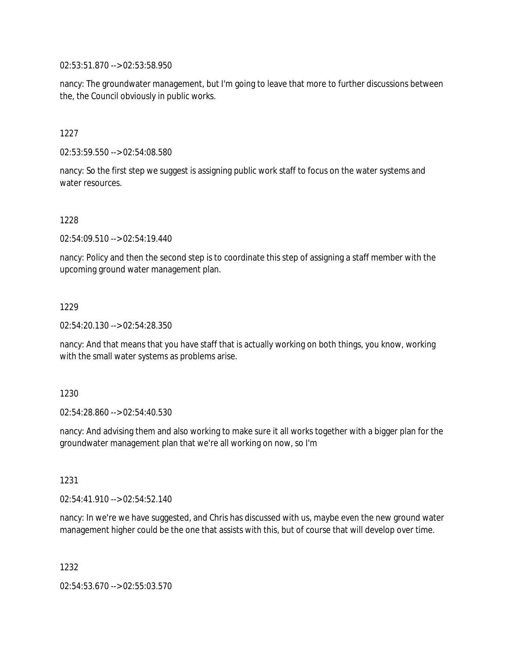02:53:51.870 --> 02:53:58.950

nancy: The groundwater management, but I'm going to leave that more to further discussions between the, the Council obviously in public works.

1227

02:53:59.550 --> 02:54:08.580

nancy: So the first step we suggest is assigning public work staff to focus on the water systems and water resources.

1228

02:54:09.510 --> 02:54:19.440

nancy: Policy and then the second step is to coordinate this step of assigning a staff member with the upcoming ground water management plan.

1229

02:54:20.130 --> 02:54:28.350

nancy: And that means that you have staff that is actually working on both things, you know, working with the small water systems as problems arise.

1230

02:54:28.860 --> 02:54:40.530

nancy: And advising them and also working to make sure it all works together with a bigger plan for the groundwater management plan that we're all working on now, so I'm

1231

02:54:41.910 --> 02:54:52.140

nancy: In we're we have suggested, and Chris has discussed with us, maybe even the new ground water management higher could be the one that assists with this, but of course that will develop over time.

1232

02:54:53.670 --> 02:55:03.570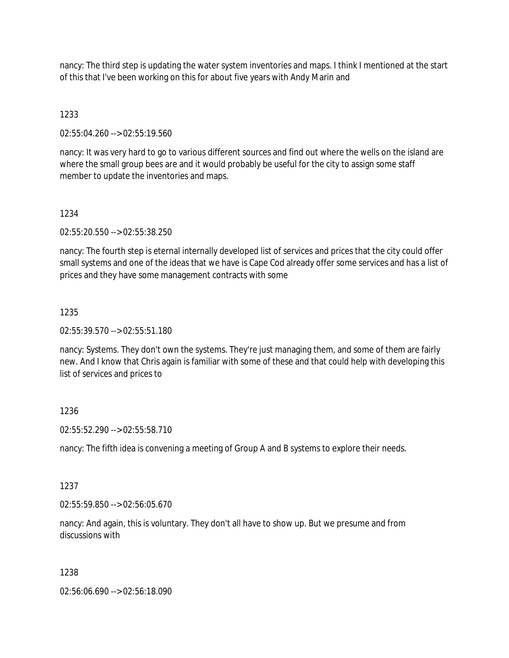nancy: The third step is updating the water system inventories and maps. I think I mentioned at the start of this that I've been working on this for about five years with Andy Marin and

# 1233

02:55:04.260 --> 02:55:19.560

nancy: It was very hard to go to various different sources and find out where the wells on the island are where the small group bees are and it would probably be useful for the city to assign some staff member to update the inventories and maps.

# 1234

02:55:20.550 --> 02:55:38.250

nancy: The fourth step is eternal internally developed list of services and prices that the city could offer small systems and one of the ideas that we have is Cape Cod already offer some services and has a list of prices and they have some management contracts with some

# 1235

02:55:39.570 --> 02:55:51.180

nancy: Systems. They don't own the systems. They're just managing them, and some of them are fairly new. And I know that Chris again is familiar with some of these and that could help with developing this list of services and prices to

# 1236

02:55:52.290 --> 02:55:58.710

nancy: The fifth idea is convening a meeting of Group A and B systems to explore their needs.

### 1237

02:55:59.850 --> 02:56:05.670

nancy: And again, this is voluntary. They don't all have to show up. But we presume and from discussions with

### 1238

02:56:06.690 --> 02:56:18.090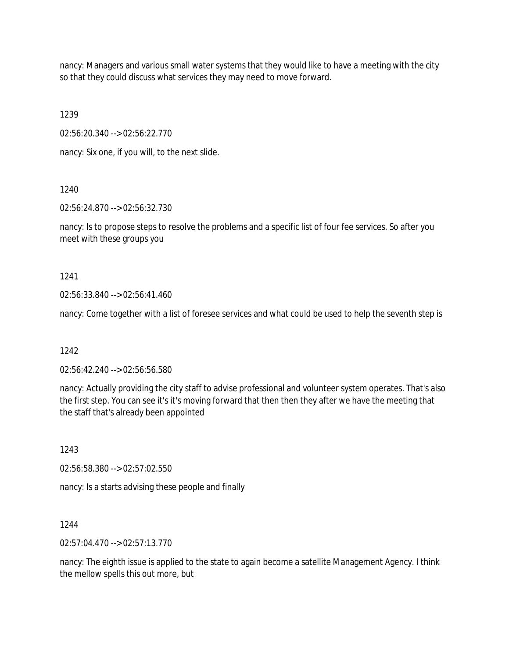nancy: Managers and various small water systems that they would like to have a meeting with the city so that they could discuss what services they may need to move forward.

1239

02:56:20.340 --> 02:56:22.770

nancy: Six one, if you will, to the next slide.

1240

02:56:24.870 --> 02:56:32.730

nancy: Is to propose steps to resolve the problems and a specific list of four fee services. So after you meet with these groups you

1241

02:56:33.840 --> 02:56:41.460

nancy: Come together with a list of foresee services and what could be used to help the seventh step is

1242

02:56:42.240 --> 02:56:56.580

nancy: Actually providing the city staff to advise professional and volunteer system operates. That's also the first step. You can see it's it's moving forward that then then they after we have the meeting that the staff that's already been appointed

1243

02:56:58.380 --> 02:57:02.550

nancy: Is a starts advising these people and finally

1244

02:57:04.470 --> 02:57:13.770

nancy: The eighth issue is applied to the state to again become a satellite Management Agency. I think the mellow spells this out more, but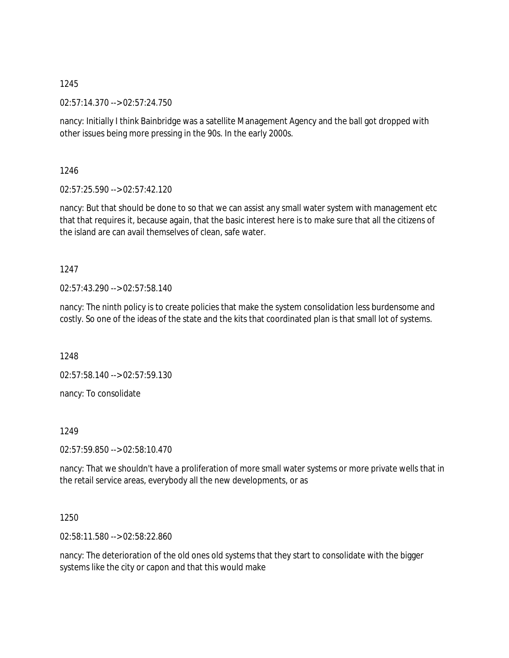02:57:14.370 --> 02:57:24.750

nancy: Initially I think Bainbridge was a satellite Management Agency and the ball got dropped with other issues being more pressing in the 90s. In the early 2000s.

1246

02:57:25.590 --> 02:57:42.120

nancy: But that should be done to so that we can assist any small water system with management etc that that requires it, because again, that the basic interest here is to make sure that all the citizens of the island are can avail themselves of clean, safe water.

1247

02:57:43.290 --> 02:57:58.140

nancy: The ninth policy is to create policies that make the system consolidation less burdensome and costly. So one of the ideas of the state and the kits that coordinated plan is that small lot of systems.

1248

02:57:58.140 --> 02:57:59.130

nancy: To consolidate

1249

02:57:59.850 --> 02:58:10.470

nancy: That we shouldn't have a proliferation of more small water systems or more private wells that in the retail service areas, everybody all the new developments, or as

1250

02:58:11.580 --> 02:58:22.860

nancy: The deterioration of the old ones old systems that they start to consolidate with the bigger systems like the city or capon and that this would make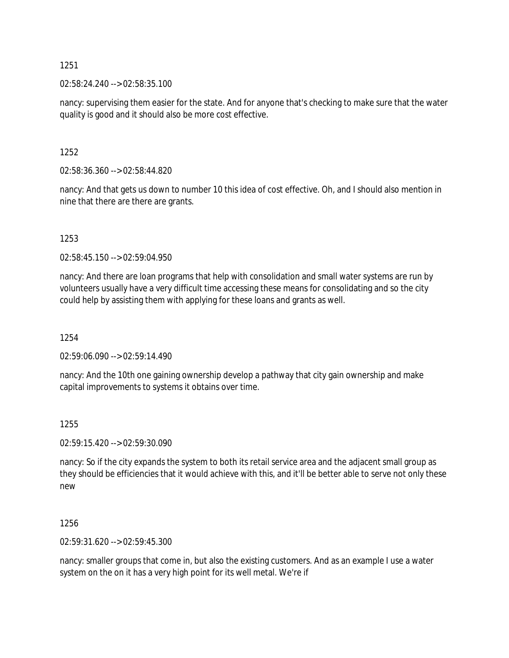02:58:24.240 --> 02:58:35.100

nancy: supervising them easier for the state. And for anyone that's checking to make sure that the water quality is good and it should also be more cost effective.

1252

02:58:36.360 --> 02:58:44.820

nancy: And that gets us down to number 10 this idea of cost effective. Oh, and I should also mention in nine that there are there are grants.

1253

02:58:45.150 --> 02:59:04.950

nancy: And there are loan programs that help with consolidation and small water systems are run by volunteers usually have a very difficult time accessing these means for consolidating and so the city could help by assisting them with applying for these loans and grants as well.

1254

02:59:06.090 --> 02:59:14.490

nancy: And the 10th one gaining ownership develop a pathway that city gain ownership and make capital improvements to systems it obtains over time.

1255

02:59:15.420 --> 02:59:30.090

nancy: So if the city expands the system to both its retail service area and the adjacent small group as they should be efficiencies that it would achieve with this, and it'll be better able to serve not only these new

1256

02:59:31.620 --> 02:59:45.300

nancy: smaller groups that come in, but also the existing customers. And as an example I use a water system on the on it has a very high point for its well metal. We're if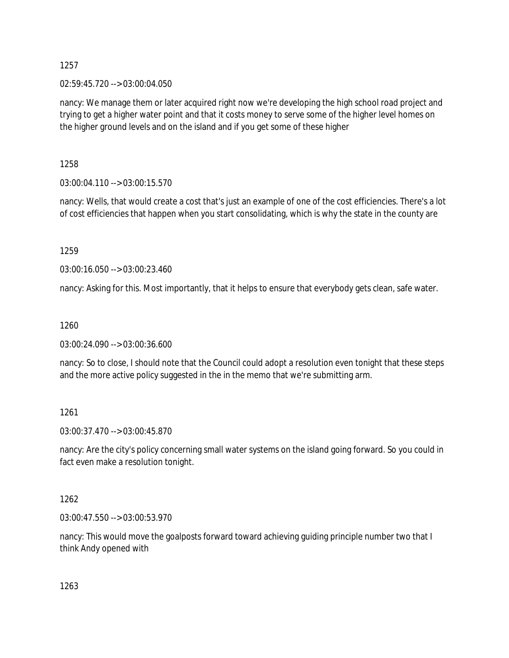### 02:59:45.720 --> 03:00:04.050

nancy: We manage them or later acquired right now we're developing the high school road project and trying to get a higher water point and that it costs money to serve some of the higher level homes on the higher ground levels and on the island and if you get some of these higher

1258

03:00:04.110 --> 03:00:15.570

nancy: Wells, that would create a cost that's just an example of one of the cost efficiencies. There's a lot of cost efficiencies that happen when you start consolidating, which is why the state in the county are

1259

03:00:16.050 --> 03:00:23.460

nancy: Asking for this. Most importantly, that it helps to ensure that everybody gets clean, safe water.

1260

03:00:24.090 --> 03:00:36.600

nancy: So to close, I should note that the Council could adopt a resolution even tonight that these steps and the more active policy suggested in the in the memo that we're submitting arm.

### 1261

03:00:37.470 --> 03:00:45.870

nancy: Are the city's policy concerning small water systems on the island going forward. So you could in fact even make a resolution tonight.

1262

03:00:47.550 --> 03:00:53.970

nancy: This would move the goalposts forward toward achieving guiding principle number two that I think Andy opened with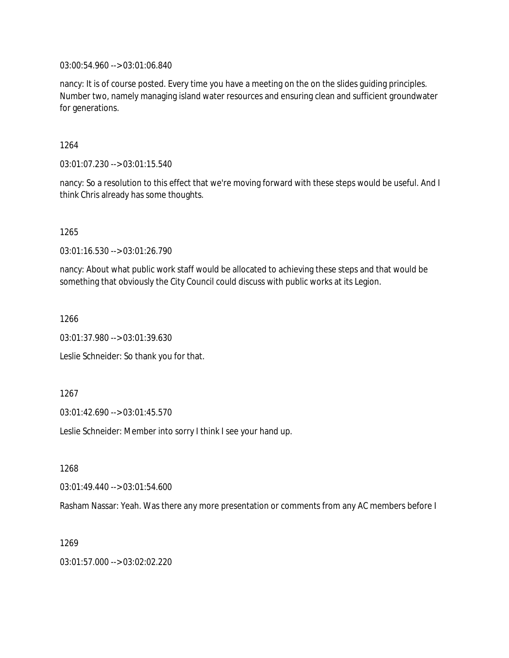03:00:54.960 --> 03:01:06.840

nancy: It is of course posted. Every time you have a meeting on the on the slides guiding principles. Number two, namely managing island water resources and ensuring clean and sufficient groundwater for generations.

1264

03:01:07.230 --> 03:01:15.540

nancy: So a resolution to this effect that we're moving forward with these steps would be useful. And I think Chris already has some thoughts.

1265

03:01:16.530 --> 03:01:26.790

nancy: About what public work staff would be allocated to achieving these steps and that would be something that obviously the City Council could discuss with public works at its Legion.

1266

03:01:37.980 --> 03:01:39.630

Leslie Schneider: So thank you for that.

1267

03:01:42.690 --> 03:01:45.570

Leslie Schneider: Member into sorry I think I see your hand up.

1268

03:01:49.440 --> 03:01:54.600

Rasham Nassar: Yeah. Was there any more presentation or comments from any AC members before I

1269

03:01:57.000 --> 03:02:02.220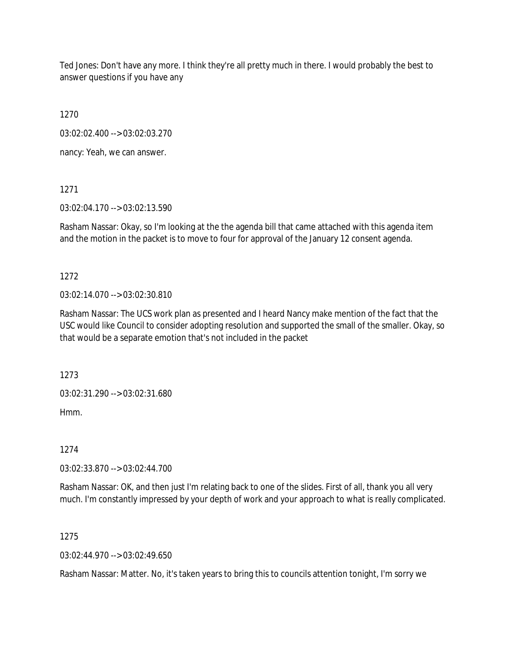Ted Jones: Don't have any more. I think they're all pretty much in there. I would probably the best to answer questions if you have any

1270

03:02:02.400 --> 03:02:03.270

nancy: Yeah, we can answer.

1271

03:02:04.170 --> 03:02:13.590

Rasham Nassar: Okay, so I'm looking at the the agenda bill that came attached with this agenda item and the motion in the packet is to move to four for approval of the January 12 consent agenda.

1272

03:02:14.070 --> 03:02:30.810

Rasham Nassar: The UCS work plan as presented and I heard Nancy make mention of the fact that the USC would like Council to consider adopting resolution and supported the small of the smaller. Okay, so that would be a separate emotion that's not included in the packet

1273

03:02:31.290 --> 03:02:31.680

Hmm.

1274

03:02:33.870 --> 03:02:44.700

Rasham Nassar: OK, and then just I'm relating back to one of the slides. First of all, thank you all very much. I'm constantly impressed by your depth of work and your approach to what is really complicated.

1275

 $03.02.44.970 -5.03.02.49.650$ 

Rasham Nassar: Matter. No, it's taken years to bring this to councils attention tonight, I'm sorry we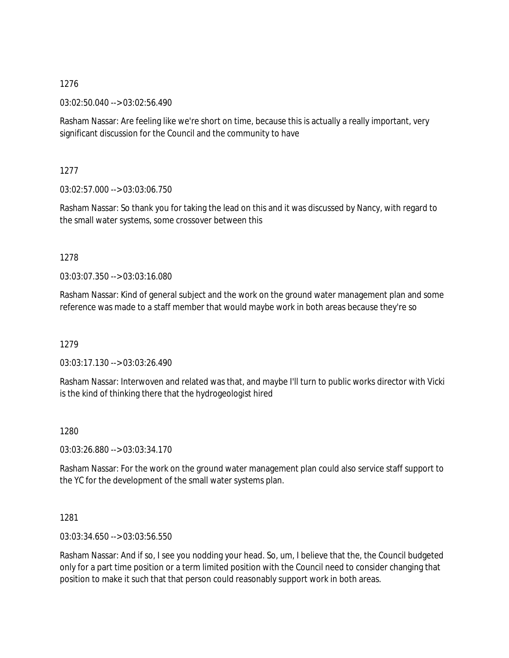03:02:50.040 --> 03:02:56.490

Rasham Nassar: Are feeling like we're short on time, because this is actually a really important, very significant discussion for the Council and the community to have

1277

03:02:57.000 --> 03:03:06.750

Rasham Nassar: So thank you for taking the lead on this and it was discussed by Nancy, with regard to the small water systems, some crossover between this

### 1278

03:03:07.350 --> 03:03:16.080

Rasham Nassar: Kind of general subject and the work on the ground water management plan and some reference was made to a staff member that would maybe work in both areas because they're so

1279

03:03:17.130 --> 03:03:26.490

Rasham Nassar: Interwoven and related was that, and maybe I'll turn to public works director with Vicki is the kind of thinking there that the hydrogeologist hired

1280

03:03:26.880 --> 03:03:34.170

Rasham Nassar: For the work on the ground water management plan could also service staff support to the YC for the development of the small water systems plan.

1281

03:03:34.650 --> 03:03:56.550

Rasham Nassar: And if so, I see you nodding your head. So, um, I believe that the, the Council budgeted only for a part time position or a term limited position with the Council need to consider changing that position to make it such that that person could reasonably support work in both areas.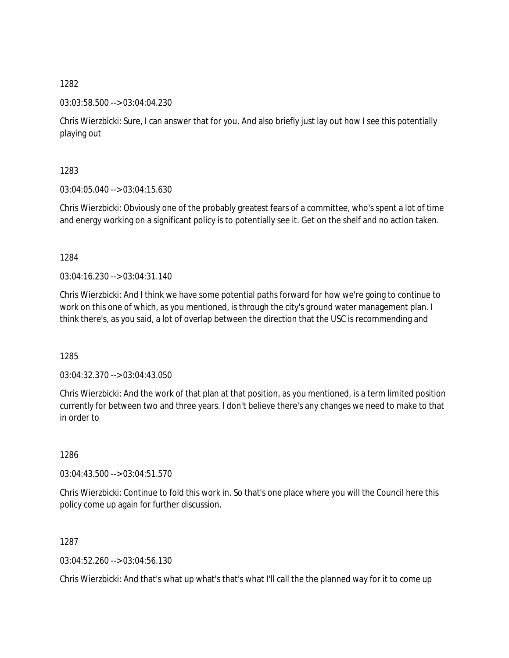03:03:58.500 --> 03:04:04.230

Chris Wierzbicki: Sure, I can answer that for you. And also briefly just lay out how I see this potentially playing out

1283

03:04:05.040 --> 03:04:15.630

Chris Wierzbicki: Obviously one of the probably greatest fears of a committee, who's spent a lot of time and energy working on a significant policy is to potentially see it. Get on the shelf and no action taken.

1284

 $03:04:16.230 \rightarrow 03:04:31.140$ 

Chris Wierzbicki: And I think we have some potential paths forward for how we're going to continue to work on this one of which, as you mentioned, is through the city's ground water management plan. I think there's, as you said, a lot of overlap between the direction that the USC is recommending and

1285

03:04:32.370 --> 03:04:43.050

Chris Wierzbicki: And the work of that plan at that position, as you mentioned, is a term limited position currently for between two and three years. I don't believe there's any changes we need to make to that in order to

1286

03:04:43.500 --> 03:04:51.570

Chris Wierzbicki: Continue to fold this work in. So that's one place where you will the Council here this policy come up again for further discussion.

1287

03:04:52.260 --> 03:04:56.130

Chris Wierzbicki: And that's what up what's that's what I'll call the the planned way for it to come up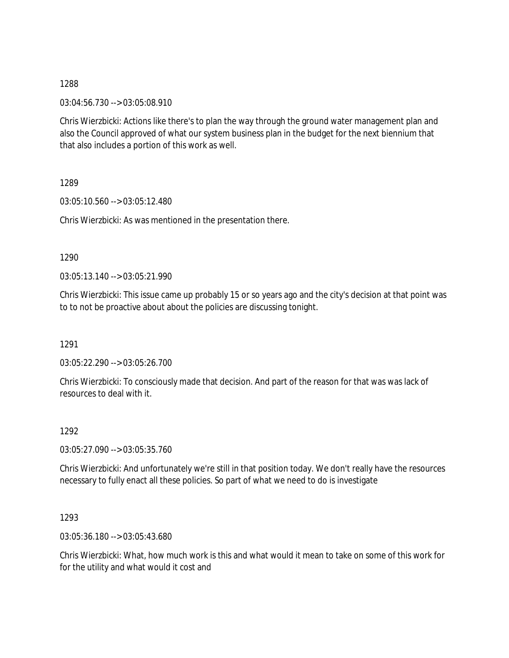03:04:56.730 --> 03:05:08.910

Chris Wierzbicki: Actions like there's to plan the way through the ground water management plan and also the Council approved of what our system business plan in the budget for the next biennium that that also includes a portion of this work as well.

1289

03:05:10.560 --> 03:05:12.480

Chris Wierzbicki: As was mentioned in the presentation there.

1290

03:05:13.140 --> 03:05:21.990

Chris Wierzbicki: This issue came up probably 15 or so years ago and the city's decision at that point was to to not be proactive about about the policies are discussing tonight.

1291

03:05:22.290 --> 03:05:26.700

Chris Wierzbicki: To consciously made that decision. And part of the reason for that was was lack of resources to deal with it.

1292

03:05:27.090 --> 03:05:35.760

Chris Wierzbicki: And unfortunately we're still in that position today. We don't really have the resources necessary to fully enact all these policies. So part of what we need to do is investigate

1293

03:05:36.180 --> 03:05:43.680

Chris Wierzbicki: What, how much work is this and what would it mean to take on some of this work for for the utility and what would it cost and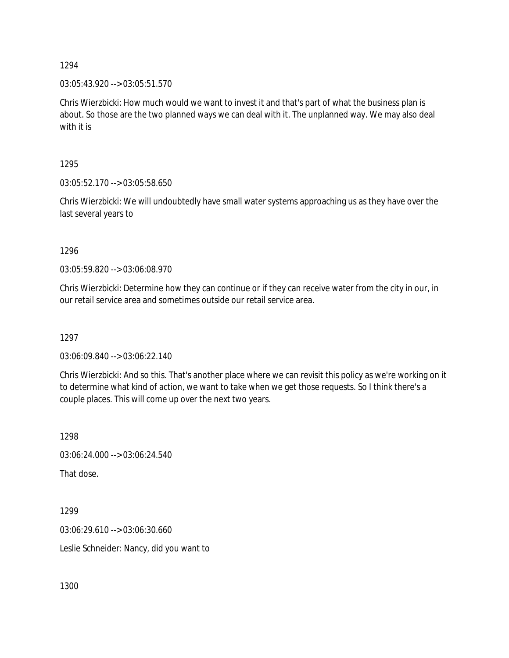03:05:43.920 --> 03:05:51.570

Chris Wierzbicki: How much would we want to invest it and that's part of what the business plan is about. So those are the two planned ways we can deal with it. The unplanned way. We may also deal with it is

1295

03:05:52.170 --> 03:05:58.650

Chris Wierzbicki: We will undoubtedly have small water systems approaching us as they have over the last several years to

1296

03:05:59.820 --> 03:06:08.970

Chris Wierzbicki: Determine how they can continue or if they can receive water from the city in our, in our retail service area and sometimes outside our retail service area.

1297

03:06:09.840 --> 03:06:22.140

Chris Wierzbicki: And so this. That's another place where we can revisit this policy as we're working on it to determine what kind of action, we want to take when we get those requests. So I think there's a couple places. This will come up over the next two years.

1298

03:06:24.000 --> 03:06:24.540

That dose.

1299 03:06:29.610 --> 03:06:30.660 Leslie Schneider: Nancy, did you want to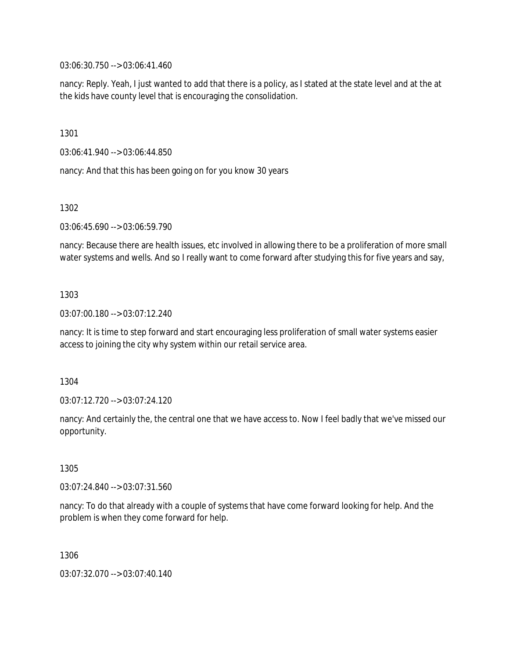03:06:30.750 --> 03:06:41.460

nancy: Reply. Yeah, I just wanted to add that there is a policy, as I stated at the state level and at the at the kids have county level that is encouraging the consolidation.

1301

03:06:41.940 --> 03:06:44.850

nancy: And that this has been going on for you know 30 years

1302

03:06:45.690 --> 03:06:59.790

nancy: Because there are health issues, etc involved in allowing there to be a proliferation of more small water systems and wells. And so I really want to come forward after studying this for five years and say,

1303

03:07:00.180 --> 03:07:12.240

nancy: It is time to step forward and start encouraging less proliferation of small water systems easier access to joining the city why system within our retail service area.

1304

03:07:12.720 --> 03:07:24.120

nancy: And certainly the, the central one that we have access to. Now I feel badly that we've missed our opportunity.

1305

03:07:24.840 --> 03:07:31.560

nancy: To do that already with a couple of systems that have come forward looking for help. And the problem is when they come forward for help.

1306

03:07:32.070 --> 03:07:40.140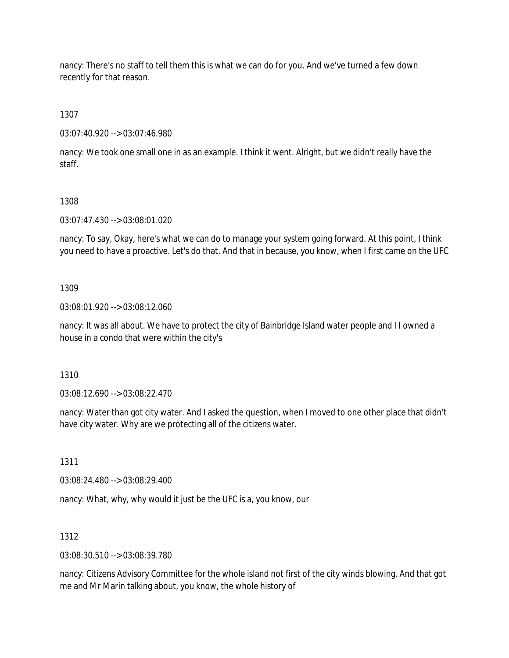nancy: There's no staff to tell them this is what we can do for you. And we've turned a few down recently for that reason.

1307

03:07:40.920 --> 03:07:46.980

nancy: We took one small one in as an example. I think it went. Alright, but we didn't really have the staff.

# 1308

03:07:47.430 --> 03:08:01.020

nancy: To say, Okay, here's what we can do to manage your system going forward. At this point, I think you need to have a proactive. Let's do that. And that in because, you know, when I first came on the UFC

# 1309

03:08:01.920 --> 03:08:12.060

nancy: It was all about. We have to protect the city of Bainbridge Island water people and I I owned a house in a condo that were within the city's

1310

03:08:12.690 --> 03:08:22.470

nancy: Water than got city water. And I asked the question, when I moved to one other place that didn't have city water. Why are we protecting all of the citizens water.

1311

03:08:24.480 --> 03:08:29.400

nancy: What, why, why would it just be the UFC is a, you know, our

# 1312

03:08:30.510 --> 03:08:39.780

nancy: Citizens Advisory Committee for the whole island not first of the city winds blowing. And that got me and Mr Marin talking about, you know, the whole history of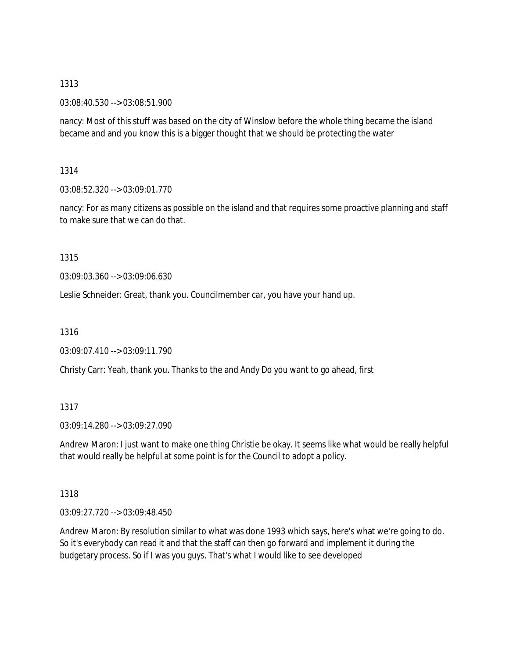03:08:40.530 --> 03:08:51.900

nancy: Most of this stuff was based on the city of Winslow before the whole thing became the island became and and you know this is a bigger thought that we should be protecting the water

# 1314

03:08:52.320 --> 03:09:01.770

nancy: For as many citizens as possible on the island and that requires some proactive planning and staff to make sure that we can do that.

# 1315

03:09:03.360 --> 03:09:06.630

Leslie Schneider: Great, thank you. Councilmember car, you have your hand up.

1316

03:09:07.410 --> 03:09:11.790

Christy Carr: Yeah, thank you. Thanks to the and Andy Do you want to go ahead, first

# 1317

03:09:14.280 --> 03:09:27.090

Andrew Maron: I just want to make one thing Christie be okay. It seems like what would be really helpful that would really be helpful at some point is for the Council to adopt a policy.

# 1318

03:09:27.720 --> 03:09:48.450

Andrew Maron: By resolution similar to what was done 1993 which says, here's what we're going to do. So it's everybody can read it and that the staff can then go forward and implement it during the budgetary process. So if I was you guys. That's what I would like to see developed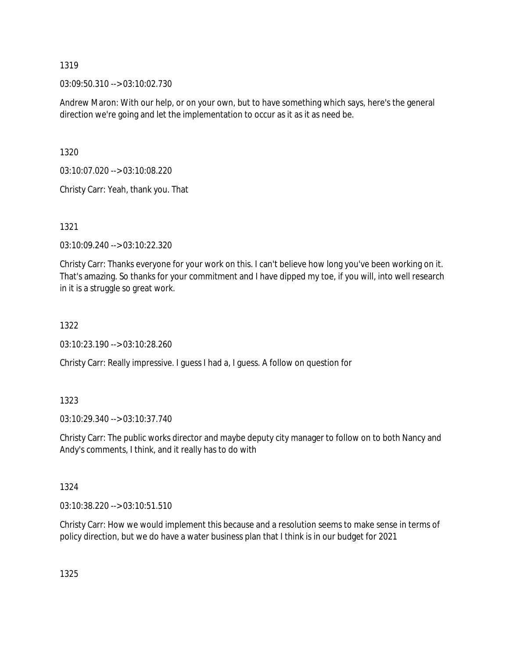03:09:50.310 --> 03:10:02.730

Andrew Maron: With our help, or on your own, but to have something which says, here's the general direction we're going and let the implementation to occur as it as it as need be.

1320

03:10:07.020 --> 03:10:08.220

Christy Carr: Yeah, thank you. That

1321

03:10:09.240 --> 03:10:22.320

Christy Carr: Thanks everyone for your work on this. I can't believe how long you've been working on it. That's amazing. So thanks for your commitment and I have dipped my toe, if you will, into well research in it is a struggle so great work.

### 1322

03:10:23.190 --> 03:10:28.260

Christy Carr: Really impressive. I guess I had a, I guess. A follow on question for

### 1323

03:10:29.340 --> 03:10:37.740

Christy Carr: The public works director and maybe deputy city manager to follow on to both Nancy and Andy's comments, I think, and it really has to do with

### 1324

03:10:38.220 --> 03:10:51.510

Christy Carr: How we would implement this because and a resolution seems to make sense in terms of policy direction, but we do have a water business plan that I think is in our budget for 2021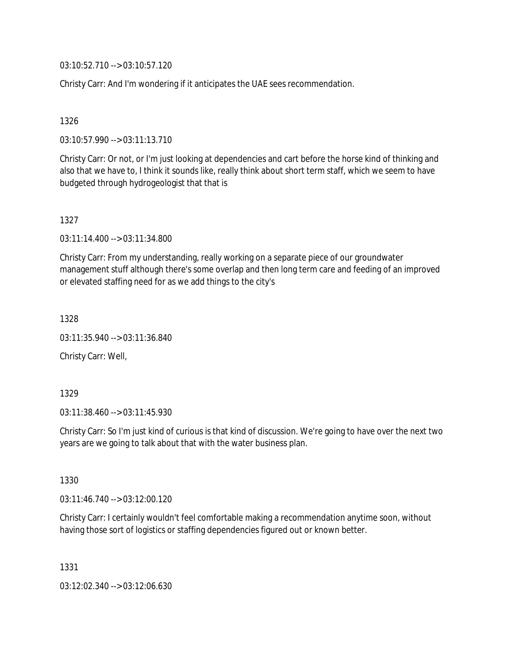03:10:52.710 --> 03:10:57.120

Christy Carr: And I'm wondering if it anticipates the UAE sees recommendation.

### 1326

03:10:57.990 --> 03:11:13.710

Christy Carr: Or not, or I'm just looking at dependencies and cart before the horse kind of thinking and also that we have to, I think it sounds like, really think about short term staff, which we seem to have budgeted through hydrogeologist that that is

#### 1327

03:11:14.400 --> 03:11:34.800

Christy Carr: From my understanding, really working on a separate piece of our groundwater management stuff although there's some overlap and then long term care and feeding of an improved or elevated staffing need for as we add things to the city's

1328

03:11:35.940 --> 03:11:36.840

Christy Carr: Well,

#### 1329

03:11:38.460 --> 03:11:45.930

Christy Carr: So I'm just kind of curious is that kind of discussion. We're going to have over the next two years are we going to talk about that with the water business plan.

1330

03:11:46.740 --> 03:12:00.120

Christy Carr: I certainly wouldn't feel comfortable making a recommendation anytime soon, without having those sort of logistics or staffing dependencies figured out or known better.

1331

03:12:02.340 --> 03:12:06.630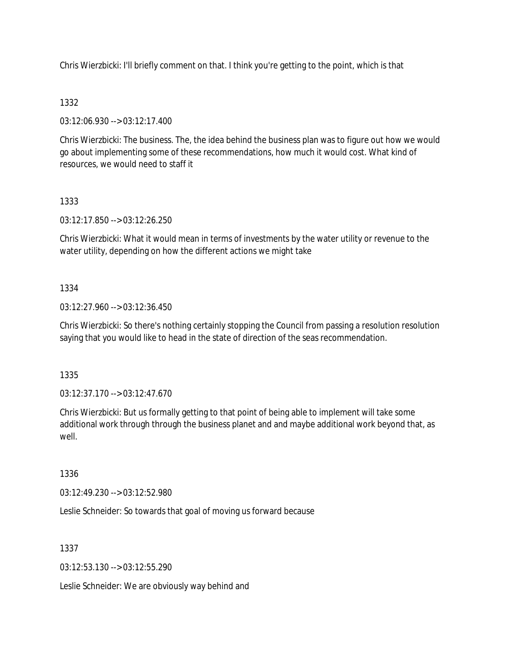Chris Wierzbicki: I'll briefly comment on that. I think you're getting to the point, which is that

# 1332

03:12:06.930 --> 03:12:17.400

Chris Wierzbicki: The business. The, the idea behind the business plan was to figure out how we would go about implementing some of these recommendations, how much it would cost. What kind of resources, we would need to staff it

# 1333

03:12:17.850 --> 03:12:26.250

Chris Wierzbicki: What it would mean in terms of investments by the water utility or revenue to the water utility, depending on how the different actions we might take

# 1334

03:12:27.960 --> 03:12:36.450

Chris Wierzbicki: So there's nothing certainly stopping the Council from passing a resolution resolution saying that you would like to head in the state of direction of the seas recommendation.

1335

03:12:37.170 --> 03:12:47.670

Chris Wierzbicki: But us formally getting to that point of being able to implement will take some additional work through through the business planet and and maybe additional work beyond that, as well.

1336

03:12:49.230 --> 03:12:52.980

Leslie Schneider: So towards that goal of moving us forward because

1337

03:12:53.130 --> 03:12:55.290

Leslie Schneider: We are obviously way behind and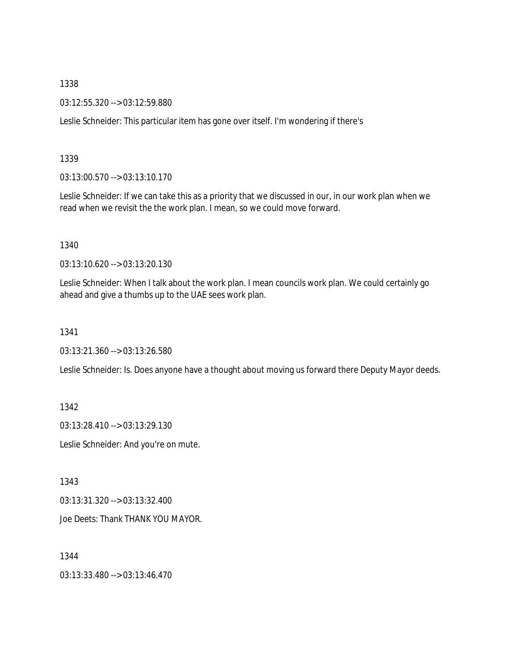03:12:55.320 --> 03:12:59.880

Leslie Schneider: This particular item has gone over itself. I'm wondering if there's

### 1339

03:13:00.570 --> 03:13:10.170

Leslie Schneider: If we can take this as a priority that we discussed in our, in our work plan when we read when we revisit the the work plan. I mean, so we could move forward.

#### 1340

03:13:10.620 --> 03:13:20.130

Leslie Schneider: When I talk about the work plan. I mean councils work plan. We could certainly go ahead and give a thumbs up to the UAE sees work plan.

1341

03:13:21.360 --> 03:13:26.580

Leslie Schneider: Is. Does anyone have a thought about moving us forward there Deputy Mayor deeds.

1342

03:13:28.410 --> 03:13:29.130

Leslie Schneider: And you're on mute.

1343

03:13:31.320 --> 03:13:32.400

Joe Deets: Thank THANK YOU MAYOR.

1344

03:13:33.480 --> 03:13:46.470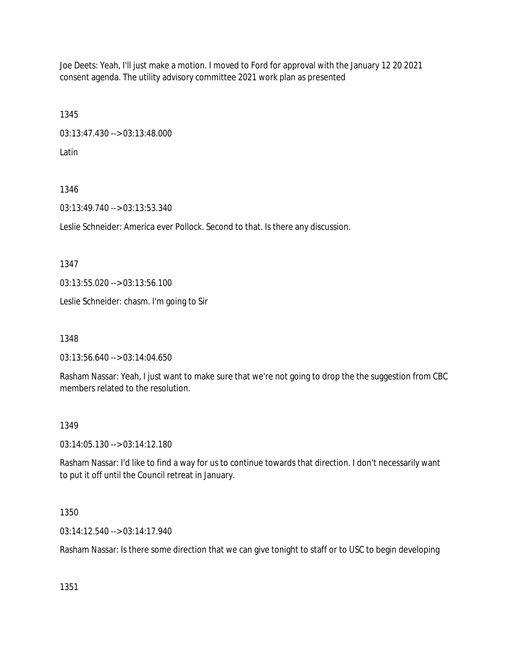Joe Deets: Yeah, I'll just make a motion. I moved to Ford for approval with the January 12 20 2021 consent agenda. The utility advisory committee 2021 work plan as presented

1345 03:13:47.430 --> 03:13:48.000

Latin

# 1346

03:13:49.740 --> 03:13:53.340

Leslie Schneider: America ever Pollock. Second to that. Is there any discussion.

1347

03:13:55.020 --> 03:13:56.100

Leslie Schneider: chasm. I'm going to Sir

1348

03:13:56.640 --> 03:14:04.650

Rasham Nassar: Yeah, I just want to make sure that we're not going to drop the the suggestion from CBC members related to the resolution.

# 1349

03:14:05.130 --> 03:14:12.180

Rasham Nassar: I'd like to find a way for us to continue towards that direction. I don't necessarily want to put it off until the Council retreat in January.

1350

03:14:12.540 --> 03:14:17.940

Rasham Nassar: Is there some direction that we can give tonight to staff or to USC to begin developing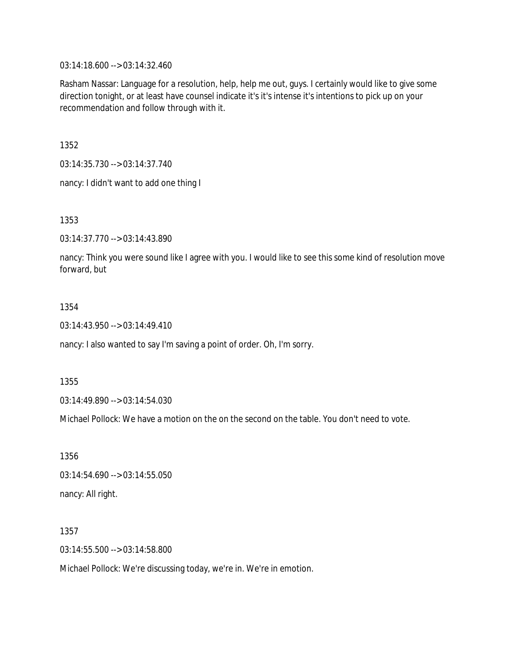03:14:18.600 --> 03:14:32.460

Rasham Nassar: Language for a resolution, help, help me out, guys. I certainly would like to give some direction tonight, or at least have counsel indicate it's it's intense it's intentions to pick up on your recommendation and follow through with it.

1352

03:14:35.730 --> 03:14:37.740

nancy: I didn't want to add one thing I

1353

03:14:37.770 --> 03:14:43.890

nancy: Think you were sound like I agree with you. I would like to see this some kind of resolution move forward, but

### 1354

03:14:43.950 --> 03:14:49.410

nancy: I also wanted to say I'm saving a point of order. Oh, I'm sorry.

1355

03:14:49.890 --> 03:14:54.030

Michael Pollock: We have a motion on the on the second on the table. You don't need to vote.

1356 03:14:54.690 --> 03:14:55.050 nancy: All right.

1357 03:14:55.500 --> 03:14:58.800

Michael Pollock: We're discussing today, we're in. We're in emotion.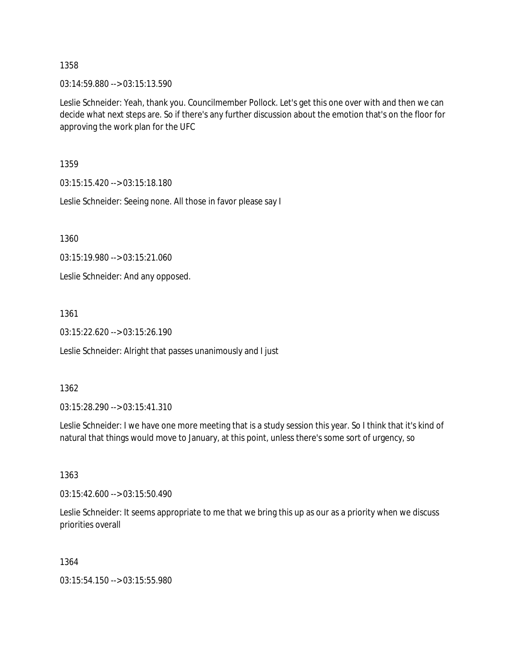03:14:59.880 --> 03:15:13.590

Leslie Schneider: Yeah, thank you. Councilmember Pollock. Let's get this one over with and then we can decide what next steps are. So if there's any further discussion about the emotion that's on the floor for approving the work plan for the UFC

1359

03:15:15.420 --> 03:15:18.180

Leslie Schneider: Seeing none. All those in favor please say I

1360

03:15:19.980 --> 03:15:21.060

Leslie Schneider: And any opposed.

1361

03:15:22.620 --> 03:15:26.190

Leslie Schneider: Alright that passes unanimously and I just

1362

03:15:28.290 --> 03:15:41.310

Leslie Schneider: I we have one more meeting that is a study session this year. So I think that it's kind of natural that things would move to January, at this point, unless there's some sort of urgency, so

1363

03:15:42.600 --> 03:15:50.490

Leslie Schneider: It seems appropriate to me that we bring this up as our as a priority when we discuss priorities overall

1364

03:15:54.150 --> 03:15:55.980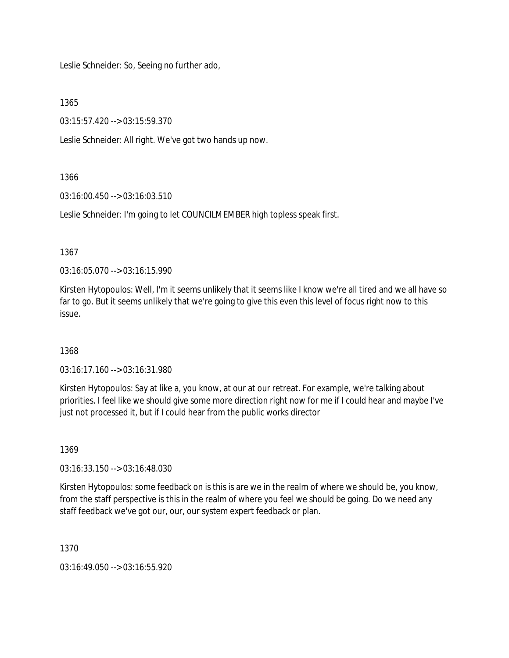Leslie Schneider: So, Seeing no further ado,

1365

03:15:57.420 --> 03:15:59.370

Leslie Schneider: All right. We've got two hands up now.

# 1366

03:16:00.450 --> 03:16:03.510

Leslie Schneider: I'm going to let COUNCILMEMBER high topless speak first.

1367

03:16:05.070 --> 03:16:15.990

Kirsten Hytopoulos: Well, I'm it seems unlikely that it seems like I know we're all tired and we all have so far to go. But it seems unlikely that we're going to give this even this level of focus right now to this issue.

# 1368

03:16:17.160 --> 03:16:31.980

Kirsten Hytopoulos: Say at like a, you know, at our at our retreat. For example, we're talking about priorities. I feel like we should give some more direction right now for me if I could hear and maybe I've just not processed it, but if I could hear from the public works director

1369

03:16:33.150 --> 03:16:48.030

Kirsten Hytopoulos: some feedback on is this is are we in the realm of where we should be, you know, from the staff perspective is this in the realm of where you feel we should be going. Do we need any staff feedback we've got our, our, our system expert feedback or plan.

1370

03:16:49.050 --> 03:16:55.920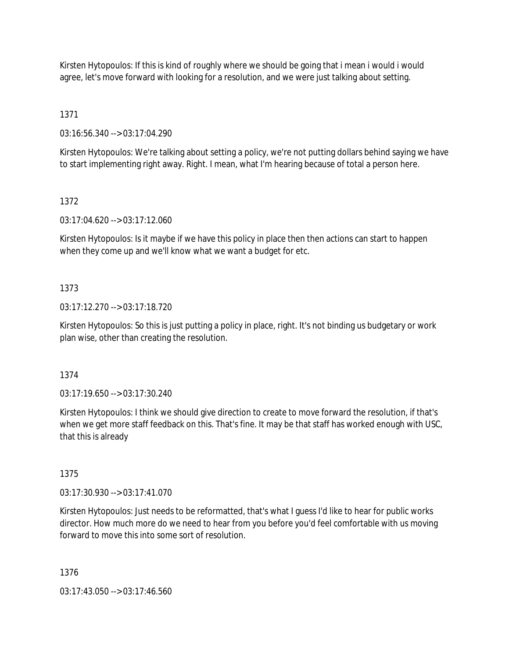Kirsten Hytopoulos: If this is kind of roughly where we should be going that i mean i would i would agree, let's move forward with looking for a resolution, and we were just talking about setting.

1371

03:16:56.340 --> 03:17:04.290

Kirsten Hytopoulos: We're talking about setting a policy, we're not putting dollars behind saying we have to start implementing right away. Right. I mean, what I'm hearing because of total a person here.

## 1372

03:17:04.620 --> 03:17:12.060

Kirsten Hytopoulos: Is it maybe if we have this policy in place then then actions can start to happen when they come up and we'll know what we want a budget for etc.

## 1373

03:17:12.270 --> 03:17:18.720

Kirsten Hytopoulos: So this is just putting a policy in place, right. It's not binding us budgetary or work plan wise, other than creating the resolution.

### 1374

03:17:19.650 --> 03:17:30.240

Kirsten Hytopoulos: I think we should give direction to create to move forward the resolution, if that's when we get more staff feedback on this. That's fine. It may be that staff has worked enough with USC, that this is already

### 1375

03:17:30.930 --> 03:17:41.070

Kirsten Hytopoulos: Just needs to be reformatted, that's what I guess I'd like to hear for public works director. How much more do we need to hear from you before you'd feel comfortable with us moving forward to move this into some sort of resolution.

1376

03:17:43.050 --> 03:17:46.560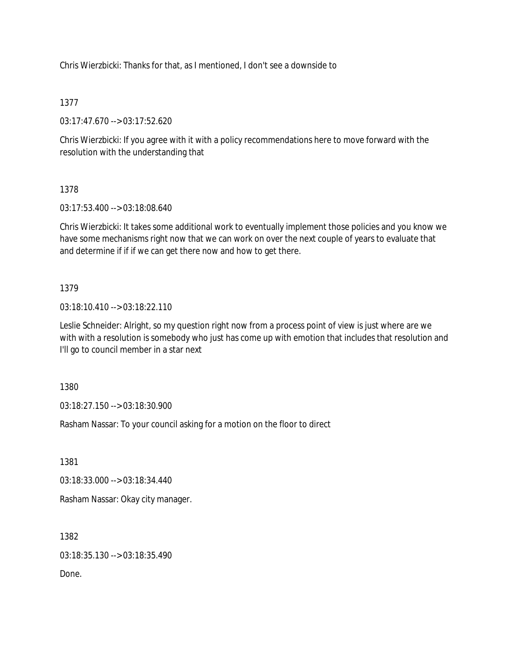Chris Wierzbicki: Thanks for that, as I mentioned, I don't see a downside to

## 1377

03:17:47.670 --> 03:17:52.620

Chris Wierzbicki: If you agree with it with a policy recommendations here to move forward with the resolution with the understanding that

## 1378

03:17:53.400 --> 03:18:08.640

Chris Wierzbicki: It takes some additional work to eventually implement those policies and you know we have some mechanisms right now that we can work on over the next couple of years to evaluate that and determine if if if we can get there now and how to get there.

## 1379

03:18:10.410 --> 03:18:22.110

Leslie Schneider: Alright, so my question right now from a process point of view is just where are we with with a resolution is somebody who just has come up with emotion that includes that resolution and I'll go to council member in a star next

1380

03:18:27.150 --> 03:18:30.900

Rasham Nassar: To your council asking for a motion on the floor to direct

1381

03:18:33.000 --> 03:18:34.440

Rasham Nassar: Okay city manager.

1382

03:18:35.130 --> 03:18:35.490

Done.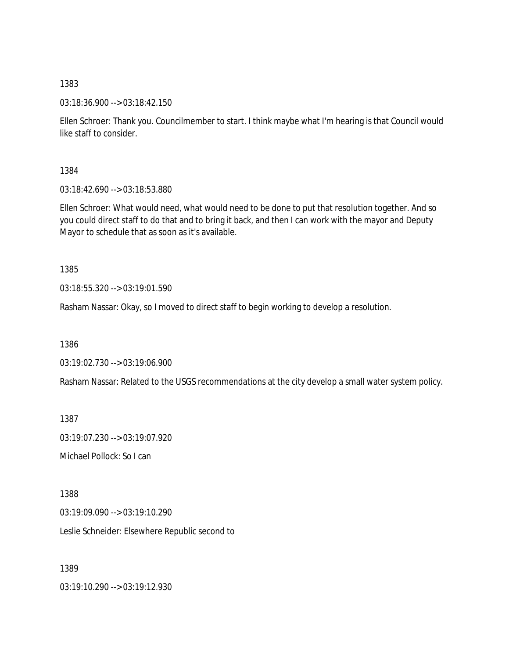03:18:36.900 --> 03:18:42.150

Ellen Schroer: Thank you. Councilmember to start. I think maybe what I'm hearing is that Council would like staff to consider.

1384

03:18:42.690 --> 03:18:53.880

Ellen Schroer: What would need, what would need to be done to put that resolution together. And so you could direct staff to do that and to bring it back, and then I can work with the mayor and Deputy Mayor to schedule that as soon as it's available.

1385

03:18:55.320 --> 03:19:01.590

Rasham Nassar: Okay, so I moved to direct staff to begin working to develop a resolution.

1386

03:19:02.730 --> 03:19:06.900

Rasham Nassar: Related to the USGS recommendations at the city develop a small water system policy.

1387

03:19:07.230 --> 03:19:07.920

Michael Pollock: So I can

1388

03:19:09.090 --> 03:19:10.290

Leslie Schneider: Elsewhere Republic second to

1389

03:19:10.290 --> 03:19:12.930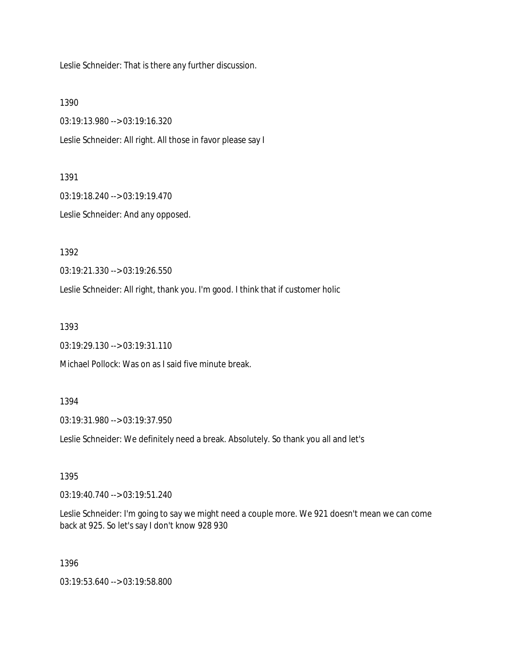Leslie Schneider: That is there any further discussion.

1390

03:19:13.980 --> 03:19:16.320

Leslie Schneider: All right. All those in favor please say I

1391

03:19:18.240 --> 03:19:19.470

Leslie Schneider: And any opposed.

1392

03:19:21.330 --> 03:19:26.550

Leslie Schneider: All right, thank you. I'm good. I think that if customer holic

1393

03:19:29.130 --> 03:19:31.110

Michael Pollock: Was on as I said five minute break.

1394

03:19:31.980 --> 03:19:37.950

Leslie Schneider: We definitely need a break. Absolutely. So thank you all and let's

1395

03:19:40.740 --> 03:19:51.240

Leslie Schneider: I'm going to say we might need a couple more. We 921 doesn't mean we can come back at 925. So let's say I don't know 928 930

1396

03:19:53.640 --> 03:19:58.800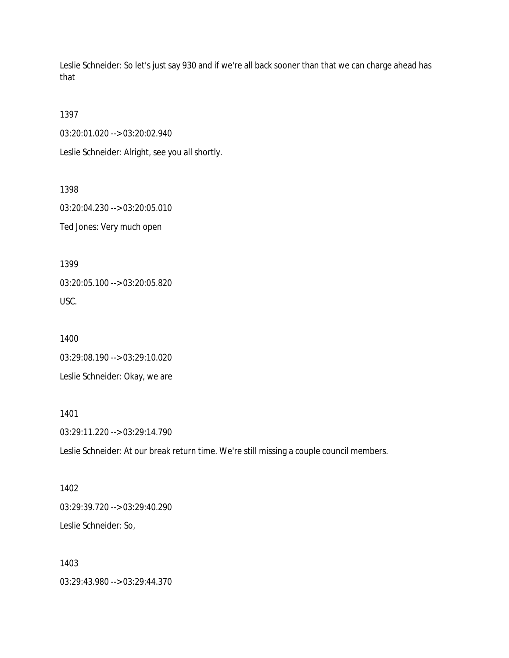Leslie Schneider: So let's just say 930 and if we're all back sooner than that we can charge ahead has that

1397

03:20:01.020 --> 03:20:02.940

Leslie Schneider: Alright, see you all shortly.

1398

03:20:04.230 --> 03:20:05.010

Ted Jones: Very much open

1399

03:20:05.100 --> 03:20:05.820 USC.

1400 03:29:08.190 --> 03:29:10.020 Leslie Schneider: Okay, we are

1401 03:29:11.220 --> 03:29:14.790

Leslie Schneider: At our break return time. We're still missing a couple council members.

1402 03:29:39.720 --> 03:29:40.290 Leslie Schneider: So,

1403 03:29:43.980 --> 03:29:44.370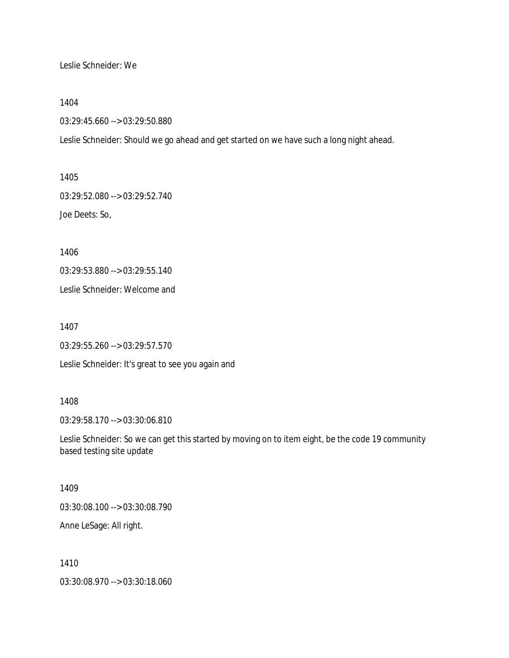Leslie Schneider: We

1404

03:29:45.660 --> 03:29:50.880

Leslie Schneider: Should we go ahead and get started on we have such a long night ahead.

1405 03:29:52.080 --> 03:29:52.740 Joe Deets: So,

1406

03:29:53.880 --> 03:29:55.140

Leslie Schneider: Welcome and

1407

03:29:55.260 --> 03:29:57.570

Leslie Schneider: It's great to see you again and

1408

03:29:58.170 --> 03:30:06.810

Leslie Schneider: So we can get this started by moving on to item eight, be the code 19 community based testing site update

1409

03:30:08.100 --> 03:30:08.790

Anne LeSage: All right.

1410

03:30:08.970 --> 03:30:18.060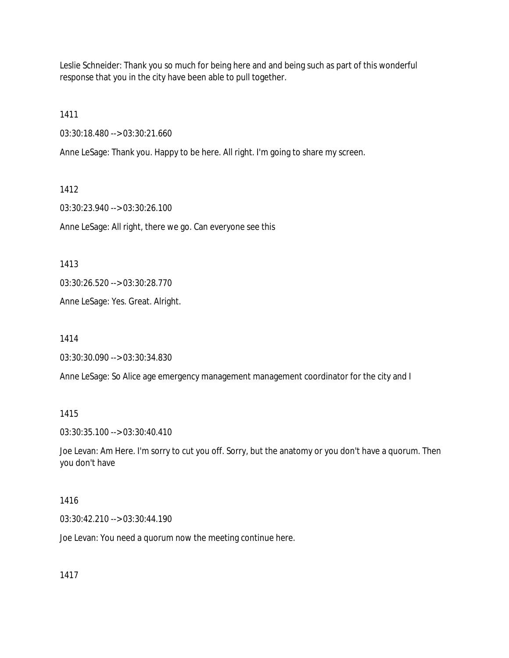Leslie Schneider: Thank you so much for being here and and being such as part of this wonderful response that you in the city have been able to pull together.

1411

03:30:18.480 --> 03:30:21.660

Anne LeSage: Thank you. Happy to be here. All right. I'm going to share my screen.

1412 03:30:23.940 --> 03:30:26.100 Anne LeSage: All right, there we go. Can everyone see this

1413

03:30:26.520 --> 03:30:28.770

Anne LeSage: Yes. Great. Alright.

1414

03:30:30.090 --> 03:30:34.830

Anne LeSage: So Alice age emergency management management coordinator for the city and I

1415

03:30:35.100 --> 03:30:40.410

Joe Levan: Am Here. I'm sorry to cut you off. Sorry, but the anatomy or you don't have a quorum. Then you don't have

1416

03:30:42.210 --> 03:30:44.190

Joe Levan: You need a quorum now the meeting continue here.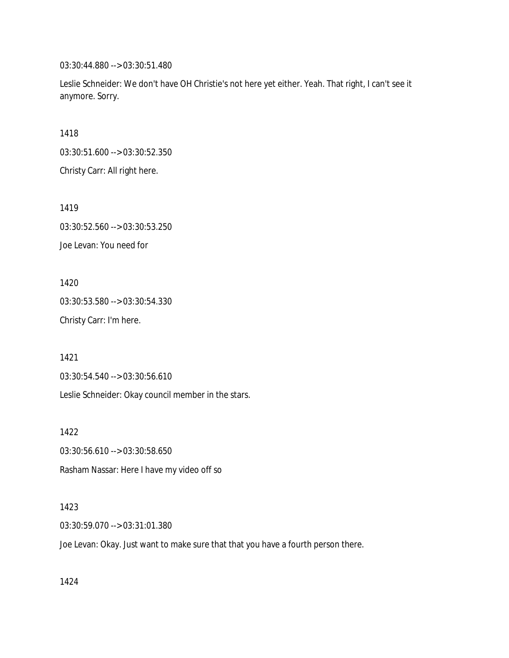03:30:44.880 --> 03:30:51.480

Leslie Schneider: We don't have OH Christie's not here yet either. Yeah. That right, I can't see it anymore. Sorry.

1418

03:30:51.600 --> 03:30:52.350

Christy Carr: All right here.

1419

03:30:52.560 --> 03:30:53.250 Joe Levan: You need for

1420 03:30:53.580 --> 03:30:54.330 Christy Carr: I'm here.

1421

03:30:54.540 --> 03:30:56.610

Leslie Schneider: Okay council member in the stars.

1422 03:30:56.610 --> 03:30:58.650 Rasham Nassar: Here I have my video off so

#### 1423

03:30:59.070 --> 03:31:01.380

Joe Levan: Okay. Just want to make sure that that you have a fourth person there.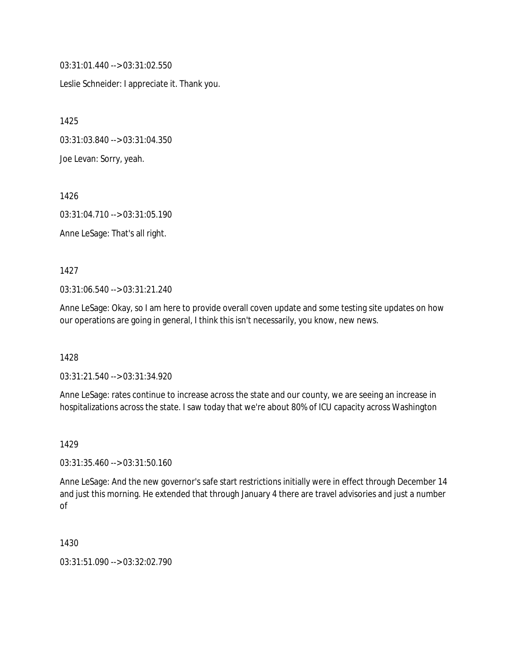03:31:01.440 --> 03:31:02.550

Leslie Schneider: I appreciate it. Thank you.

1425

03:31:03.840 --> 03:31:04.350

Joe Levan: Sorry, yeah.

1426

03:31:04.710 --> 03:31:05.190

Anne LeSage: That's all right.

1427

03:31:06.540 --> 03:31:21.240

Anne LeSage: Okay, so I am here to provide overall coven update and some testing site updates on how our operations are going in general, I think this isn't necessarily, you know, new news.

1428

03:31:21.540 --> 03:31:34.920

Anne LeSage: rates continue to increase across the state and our county, we are seeing an increase in hospitalizations across the state. I saw today that we're about 80% of ICU capacity across Washington

1429

03:31:35.460 --> 03:31:50.160

Anne LeSage: And the new governor's safe start restrictions initially were in effect through December 14 and just this morning. He extended that through January 4 there are travel advisories and just a number of

1430

03:31:51.090 --> 03:32:02.790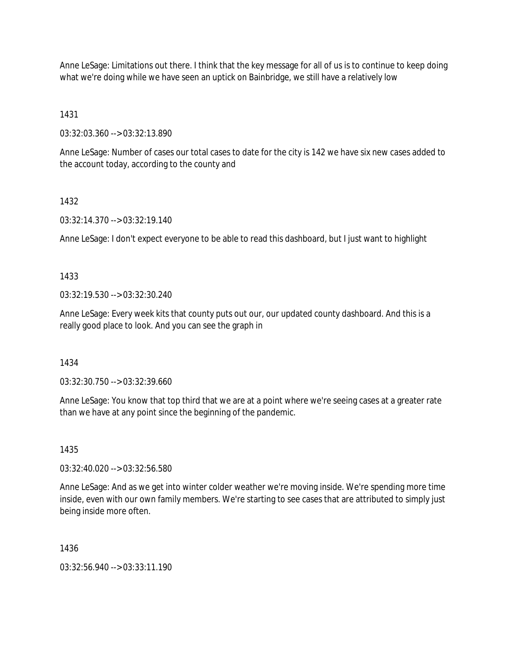Anne LeSage: Limitations out there. I think that the key message for all of us is to continue to keep doing what we're doing while we have seen an uptick on Bainbridge, we still have a relatively low

1431

03:32:03.360 --> 03:32:13.890

Anne LeSage: Number of cases our total cases to date for the city is 142 we have six new cases added to the account today, according to the county and

## 1432

03:32:14.370 --> 03:32:19.140

Anne LeSage: I don't expect everyone to be able to read this dashboard, but I just want to highlight

1433

03:32:19.530 --> 03:32:30.240

Anne LeSage: Every week kits that county puts out our, our updated county dashboard. And this is a really good place to look. And you can see the graph in

1434

03:32:30.750 --> 03:32:39.660

Anne LeSage: You know that top third that we are at a point where we're seeing cases at a greater rate than we have at any point since the beginning of the pandemic.

1435

03:32:40.020 --> 03:32:56.580

Anne LeSage: And as we get into winter colder weather we're moving inside. We're spending more time inside, even with our own family members. We're starting to see cases that are attributed to simply just being inside more often.

1436

03:32:56.940 --> 03:33:11.190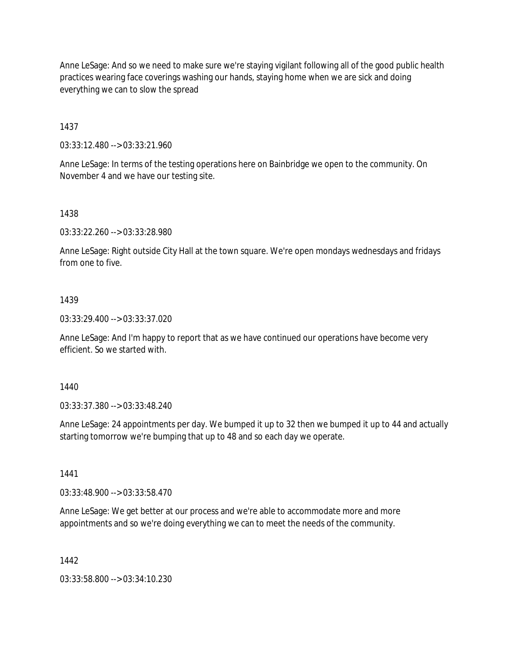Anne LeSage: And so we need to make sure we're staying vigilant following all of the good public health practices wearing face coverings washing our hands, staying home when we are sick and doing everything we can to slow the spread

1437

03:33:12.480 --> 03:33:21.960

Anne LeSage: In terms of the testing operations here on Bainbridge we open to the community. On November 4 and we have our testing site.

1438

03:33:22.260 --> 03:33:28.980

Anne LeSage: Right outside City Hall at the town square. We're open mondays wednesdays and fridays from one to five.

### 1439

03:33:29.400 --> 03:33:37.020

Anne LeSage: And I'm happy to report that as we have continued our operations have become very efficient. So we started with.

1440

03:33:37.380 --> 03:33:48.240

Anne LeSage: 24 appointments per day. We bumped it up to 32 then we bumped it up to 44 and actually starting tomorrow we're bumping that up to 48 and so each day we operate.

1441

03:33:48.900 --> 03:33:58.470

Anne LeSage: We get better at our process and we're able to accommodate more and more appointments and so we're doing everything we can to meet the needs of the community.

1442

03:33:58.800 --> 03:34:10.230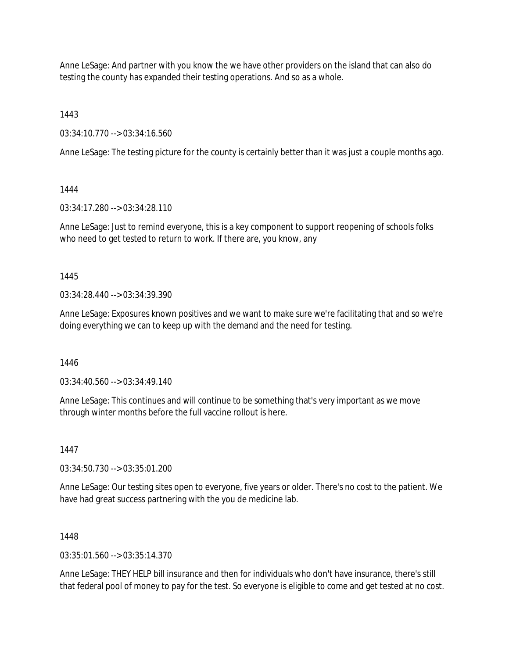Anne LeSage: And partner with you know the we have other providers on the island that can also do testing the county has expanded their testing operations. And so as a whole.

1443

03:34:10.770 --> 03:34:16.560

Anne LeSage: The testing picture for the county is certainly better than it was just a couple months ago.

1444

03:34:17.280 --> 03:34:28.110

Anne LeSage: Just to remind everyone, this is a key component to support reopening of schools folks who need to get tested to return to work. If there are, you know, any

1445

03:34:28.440 --> 03:34:39.390

Anne LeSage: Exposures known positives and we want to make sure we're facilitating that and so we're doing everything we can to keep up with the demand and the need for testing.

1446

03:34:40.560 --> 03:34:49.140

Anne LeSage: This continues and will continue to be something that's very important as we move through winter months before the full vaccine rollout is here.

1447

03:34:50.730 --> 03:35:01.200

Anne LeSage: Our testing sites open to everyone, five years or older. There's no cost to the patient. We have had great success partnering with the you de medicine lab.

1448

 $03:35:01.560 \rightarrow 03:35:14.370$ 

Anne LeSage: THEY HELP bill insurance and then for individuals who don't have insurance, there's still that federal pool of money to pay for the test. So everyone is eligible to come and get tested at no cost.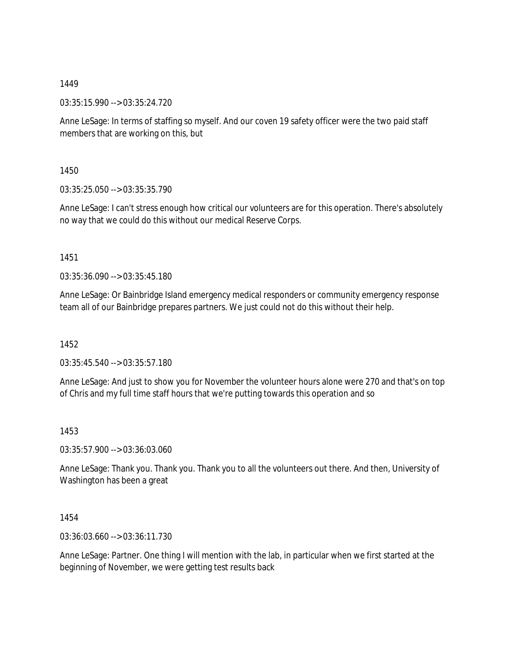03:35:15.990 --> 03:35:24.720

Anne LeSage: In terms of staffing so myself. And our coven 19 safety officer were the two paid staff members that are working on this, but

1450

03:35:25.050 --> 03:35:35.790

Anne LeSage: I can't stress enough how critical our volunteers are for this operation. There's absolutely no way that we could do this without our medical Reserve Corps.

1451

03:35:36.090 --> 03:35:45.180

Anne LeSage: Or Bainbridge Island emergency medical responders or community emergency response team all of our Bainbridge prepares partners. We just could not do this without their help.

1452

03:35:45.540 --> 03:35:57.180

Anne LeSage: And just to show you for November the volunteer hours alone were 270 and that's on top of Chris and my full time staff hours that we're putting towards this operation and so

1453

03:35:57.900 --> 03:36:03.060

Anne LeSage: Thank you. Thank you. Thank you to all the volunteers out there. And then, University of Washington has been a great

1454

03:36:03.660 --> 03:36:11.730

Anne LeSage: Partner. One thing I will mention with the lab, in particular when we first started at the beginning of November, we were getting test results back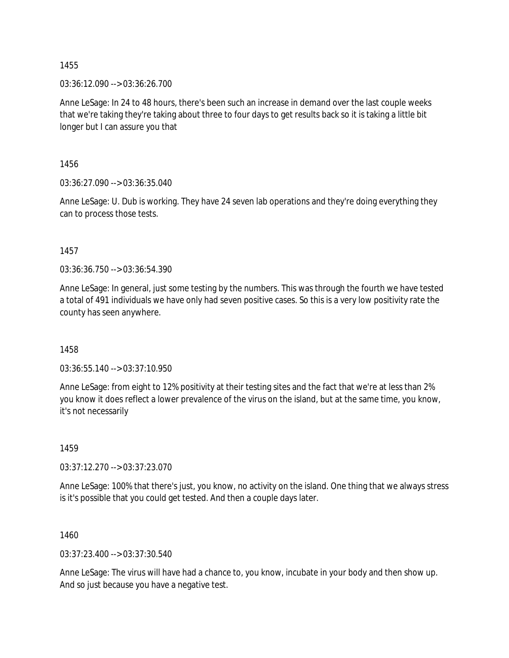03:36:12.090 --> 03:36:26.700

Anne LeSage: In 24 to 48 hours, there's been such an increase in demand over the last couple weeks that we're taking they're taking about three to four days to get results back so it is taking a little bit longer but I can assure you that

1456

03:36:27.090 --> 03:36:35.040

Anne LeSage: U. Dub is working. They have 24 seven lab operations and they're doing everything they can to process those tests.

1457

03:36:36.750 --> 03:36:54.390

Anne LeSage: In general, just some testing by the numbers. This was through the fourth we have tested a total of 491 individuals we have only had seven positive cases. So this is a very low positivity rate the county has seen anywhere.

1458

03:36:55.140 --> 03:37:10.950

Anne LeSage: from eight to 12% positivity at their testing sites and the fact that we're at less than 2% you know it does reflect a lower prevalence of the virus on the island, but at the same time, you know, it's not necessarily

1459

03:37:12.270 --> 03:37:23.070

Anne LeSage: 100% that there's just, you know, no activity on the island. One thing that we always stress is it's possible that you could get tested. And then a couple days later.

1460

03:37:23.400 --> 03:37:30.540

Anne LeSage: The virus will have had a chance to, you know, incubate in your body and then show up. And so just because you have a negative test.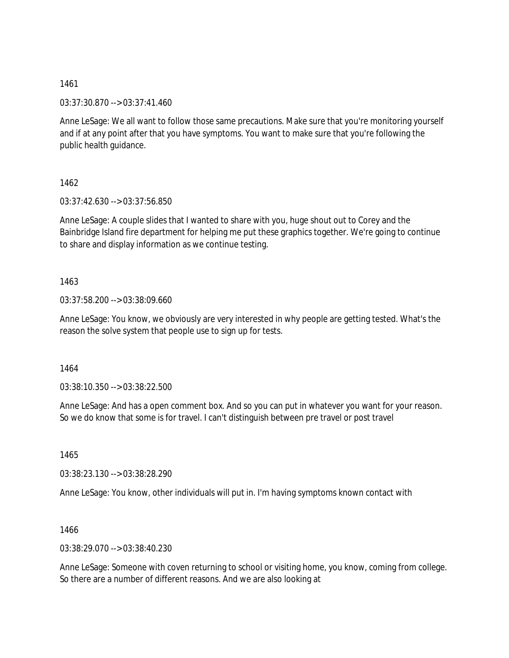03:37:30.870 --> 03:37:41.460

Anne LeSage: We all want to follow those same precautions. Make sure that you're monitoring yourself and if at any point after that you have symptoms. You want to make sure that you're following the public health guidance.

1462

03:37:42.630 --> 03:37:56.850

Anne LeSage: A couple slides that I wanted to share with you, huge shout out to Corey and the Bainbridge Island fire department for helping me put these graphics together. We're going to continue to share and display information as we continue testing.

1463

03:37:58.200 --> 03:38:09.660

Anne LeSage: You know, we obviously are very interested in why people are getting tested. What's the reason the solve system that people use to sign up for tests.

1464

03:38:10.350 --> 03:38:22.500

Anne LeSage: And has a open comment box. And so you can put in whatever you want for your reason. So we do know that some is for travel. I can't distinguish between pre travel or post travel

1465

03:38:23.130 --> 03:38:28.290

Anne LeSage: You know, other individuals will put in. I'm having symptoms known contact with

1466

03:38:29.070 --> 03:38:40.230

Anne LeSage: Someone with coven returning to school or visiting home, you know, coming from college. So there are a number of different reasons. And we are also looking at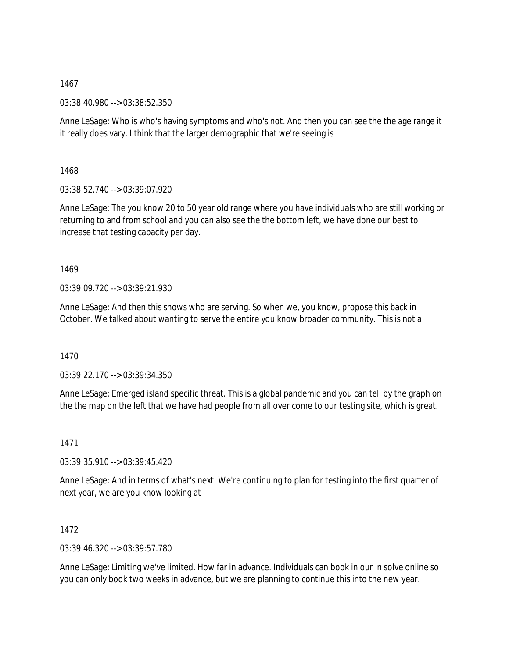03:38:40.980 --> 03:38:52.350

Anne LeSage: Who is who's having symptoms and who's not. And then you can see the the age range it it really does vary. I think that the larger demographic that we're seeing is

1468

03:38:52.740 --> 03:39:07.920

Anne LeSage: The you know 20 to 50 year old range where you have individuals who are still working or returning to and from school and you can also see the the bottom left, we have done our best to increase that testing capacity per day.

1469

03:39:09.720 --> 03:39:21.930

Anne LeSage: And then this shows who are serving. So when we, you know, propose this back in October. We talked about wanting to serve the entire you know broader community. This is not a

1470

03:39:22.170 --> 03:39:34.350

Anne LeSage: Emerged island specific threat. This is a global pandemic and you can tell by the graph on the the map on the left that we have had people from all over come to our testing site, which is great.

1471

03:39:35.910 --> 03:39:45.420

Anne LeSage: And in terms of what's next. We're continuing to plan for testing into the first quarter of next year, we are you know looking at

1472

03:39:46.320 --> 03:39:57.780

Anne LeSage: Limiting we've limited. How far in advance. Individuals can book in our in solve online so you can only book two weeks in advance, but we are planning to continue this into the new year.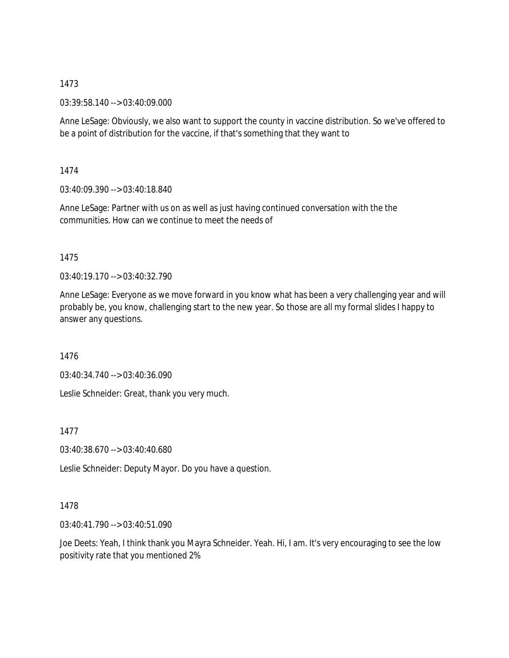03:39:58.140 --> 03:40:09.000

Anne LeSage: Obviously, we also want to support the county in vaccine distribution. So we've offered to be a point of distribution for the vaccine, if that's something that they want to

1474

03:40:09.390 --> 03:40:18.840

Anne LeSage: Partner with us on as well as just having continued conversation with the the communities. How can we continue to meet the needs of

1475

03:40:19.170 --> 03:40:32.790

Anne LeSage: Everyone as we move forward in you know what has been a very challenging year and will probably be, you know, challenging start to the new year. So those are all my formal slides I happy to answer any questions.

1476

03:40:34.740 --> 03:40:36.090

Leslie Schneider: Great, thank you very much.

1477

03:40:38.670 --> 03:40:40.680

Leslie Schneider: Deputy Mayor. Do you have a question.

### 1478

03:40:41.790 --> 03:40:51.090

Joe Deets: Yeah, I think thank you Mayra Schneider. Yeah. Hi, I am. It's very encouraging to see the low positivity rate that you mentioned 2%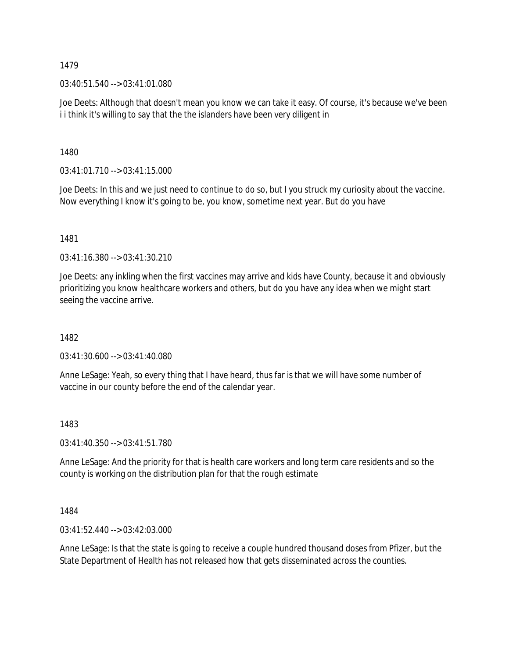03:40:51.540 --> 03:41:01.080

Joe Deets: Although that doesn't mean you know we can take it easy. Of course, it's because we've been i i think it's willing to say that the the islanders have been very diligent in

1480

 $03:41:01.710 \rightarrow 03:41:15.000$ 

Joe Deets: In this and we just need to continue to do so, but I you struck my curiosity about the vaccine. Now everything I know it's going to be, you know, sometime next year. But do you have

1481

03:41:16.380 --> 03:41:30.210

Joe Deets: any inkling when the first vaccines may arrive and kids have County, because it and obviously prioritizing you know healthcare workers and others, but do you have any idea when we might start seeing the vaccine arrive.

1482

03:41:30.600 --> 03:41:40.080

Anne LeSage: Yeah, so every thing that I have heard, thus far is that we will have some number of vaccine in our county before the end of the calendar year.

1483

03:41:40.350 --> 03:41:51.780

Anne LeSage: And the priority for that is health care workers and long term care residents and so the county is working on the distribution plan for that the rough estimate

1484

03:41:52.440 --> 03:42:03.000

Anne LeSage: Is that the state is going to receive a couple hundred thousand doses from Pfizer, but the State Department of Health has not released how that gets disseminated across the counties.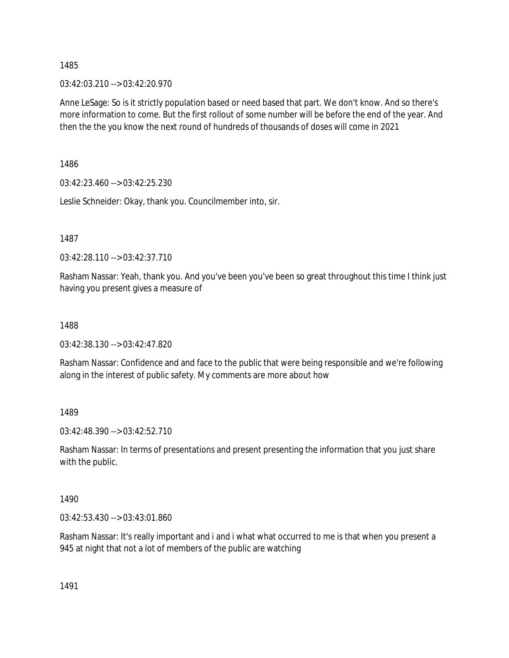03:42:03.210 --> 03:42:20.970

Anne LeSage: So is it strictly population based or need based that part. We don't know. And so there's more information to come. But the first rollout of some number will be before the end of the year. And then the the you know the next round of hundreds of thousands of doses will come in 2021

1486

03:42:23.460 --> 03:42:25.230

Leslie Schneider: Okay, thank you. Councilmember into, sir.

1487

03:42:28.110 --> 03:42:37.710

Rasham Nassar: Yeah, thank you. And you've been you've been so great throughout this time I think just having you present gives a measure of

1488

03:42:38.130 --> 03:42:47.820

Rasham Nassar: Confidence and and face to the public that were being responsible and we're following along in the interest of public safety. My comments are more about how

1489

03:42:48.390 --> 03:42:52.710

Rasham Nassar: In terms of presentations and present presenting the information that you just share with the public.

1490

03:42:53.430 --> 03:43:01.860

Rasham Nassar: It's really important and i and i what what occurred to me is that when you present a 945 at night that not a lot of members of the public are watching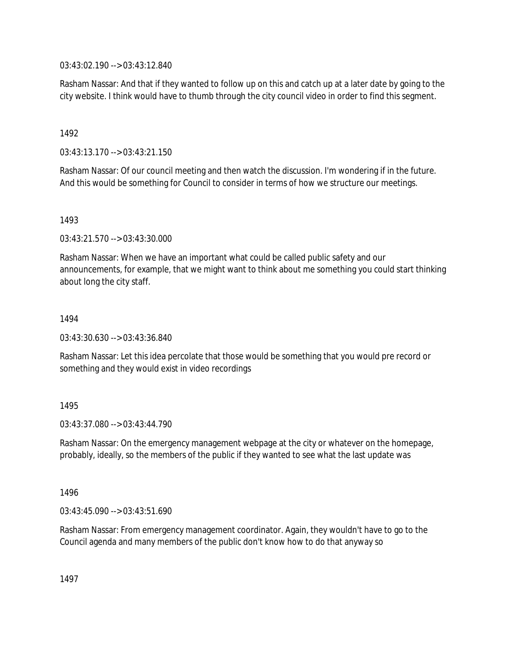03:43:02.190 --> 03:43:12.840

Rasham Nassar: And that if they wanted to follow up on this and catch up at a later date by going to the city website. I think would have to thumb through the city council video in order to find this segment.

1492

03:43:13.170 --> 03:43:21.150

Rasham Nassar: Of our council meeting and then watch the discussion. I'm wondering if in the future. And this would be something for Council to consider in terms of how we structure our meetings.

1493

03:43:21.570 --> 03:43:30.000

Rasham Nassar: When we have an important what could be called public safety and our announcements, for example, that we might want to think about me something you could start thinking about long the city staff.

1494

03:43:30.630 --> 03:43:36.840

Rasham Nassar: Let this idea percolate that those would be something that you would pre record or something and they would exist in video recordings

1495

03:43:37.080 --> 03:43:44.790

Rasham Nassar: On the emergency management webpage at the city or whatever on the homepage, probably, ideally, so the members of the public if they wanted to see what the last update was

1496

03:43:45.090 --> 03:43:51.690

Rasham Nassar: From emergency management coordinator. Again, they wouldn't have to go to the Council agenda and many members of the public don't know how to do that anyway so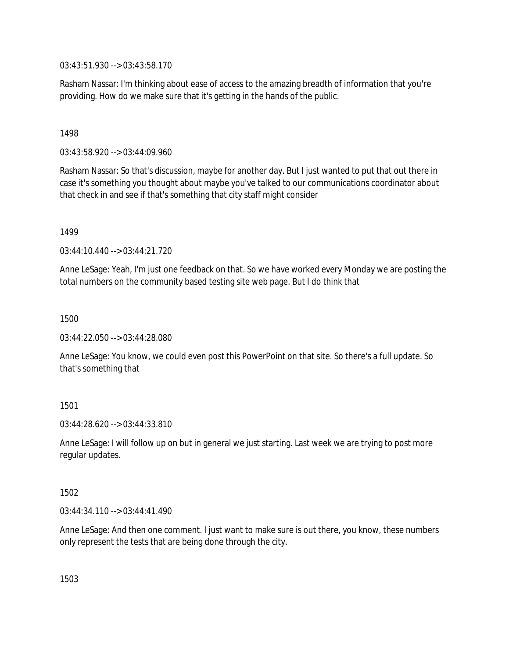03:43:51.930 --> 03:43:58.170

Rasham Nassar: I'm thinking about ease of access to the amazing breadth of information that you're providing. How do we make sure that it's getting in the hands of the public.

### 1498

03:43:58.920 --> 03:44:09.960

Rasham Nassar: So that's discussion, maybe for another day. But I just wanted to put that out there in case it's something you thought about maybe you've talked to our communications coordinator about that check in and see if that's something that city staff might consider

1499

03:44:10.440 --> 03:44:21.720

Anne LeSage: Yeah, I'm just one feedback on that. So we have worked every Monday we are posting the total numbers on the community based testing site web page. But I do think that

1500

03:44:22.050 --> 03:44:28.080

Anne LeSage: You know, we could even post this PowerPoint on that site. So there's a full update. So that's something that

# 1501

03:44:28.620 --> 03:44:33.810

Anne LeSage: I will follow up on but in general we just starting. Last week we are trying to post more regular updates.

### 1502

03:44:34.110 --> 03:44:41.490

Anne LeSage: And then one comment. I just want to make sure is out there, you know, these numbers only represent the tests that are being done through the city.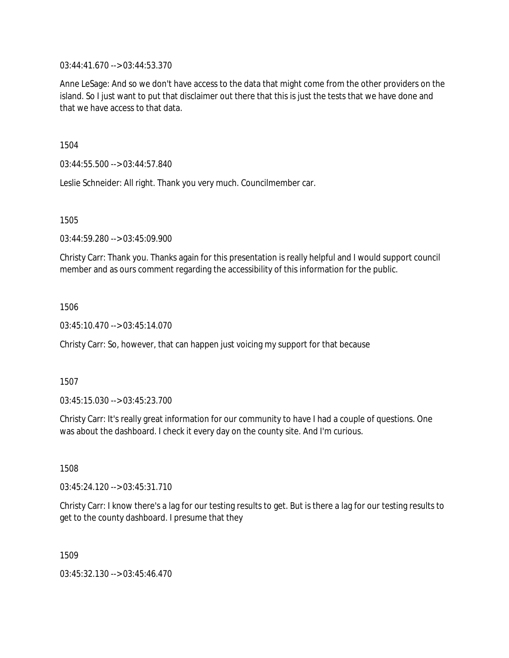03:44:41.670 --> 03:44:53.370

Anne LeSage: And so we don't have access to the data that might come from the other providers on the island. So I just want to put that disclaimer out there that this is just the tests that we have done and that we have access to that data.

1504

03:44:55.500 --> 03:44:57.840

Leslie Schneider: All right. Thank you very much. Councilmember car.

1505

03:44:59.280 --> 03:45:09.900

Christy Carr: Thank you. Thanks again for this presentation is really helpful and I would support council member and as ours comment regarding the accessibility of this information for the public.

1506

03:45:10.470 --> 03:45:14.070

Christy Carr: So, however, that can happen just voicing my support for that because

1507

03:45:15.030 --> 03:45:23.700

Christy Carr: It's really great information for our community to have I had a couple of questions. One was about the dashboard. I check it every day on the county site. And I'm curious.

1508

03:45:24.120 --> 03:45:31.710

Christy Carr: I know there's a lag for our testing results to get. But is there a lag for our testing results to get to the county dashboard. I presume that they

1509

03:45:32.130 --> 03:45:46.470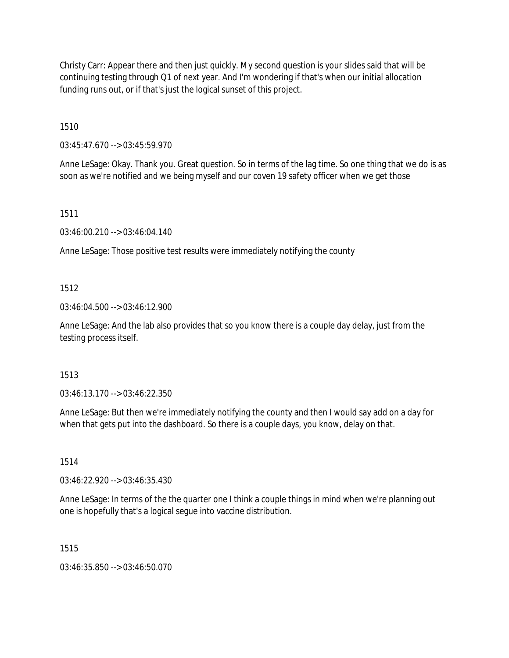Christy Carr: Appear there and then just quickly. My second question is your slides said that will be continuing testing through Q1 of next year. And I'm wondering if that's when our initial allocation funding runs out, or if that's just the logical sunset of this project.

1510

03:45:47.670 --> 03:45:59.970

Anne LeSage: Okay. Thank you. Great question. So in terms of the lag time. So one thing that we do is as soon as we're notified and we being myself and our coven 19 safety officer when we get those

1511

03:46:00.210 --> 03:46:04.140

Anne LeSage: Those positive test results were immediately notifying the county

# 1512

03:46:04.500 --> 03:46:12.900

Anne LeSage: And the lab also provides that so you know there is a couple day delay, just from the testing process itself.

# 1513

03:46:13.170 --> 03:46:22.350

Anne LeSage: But then we're immediately notifying the county and then I would say add on a day for when that gets put into the dashboard. So there is a couple days, you know, delay on that.

1514

03:46:22.920 --> 03:46:35.430

Anne LeSage: In terms of the the quarter one I think a couple things in mind when we're planning out one is hopefully that's a logical segue into vaccine distribution.

1515

03:46:35.850 --> 03:46:50.070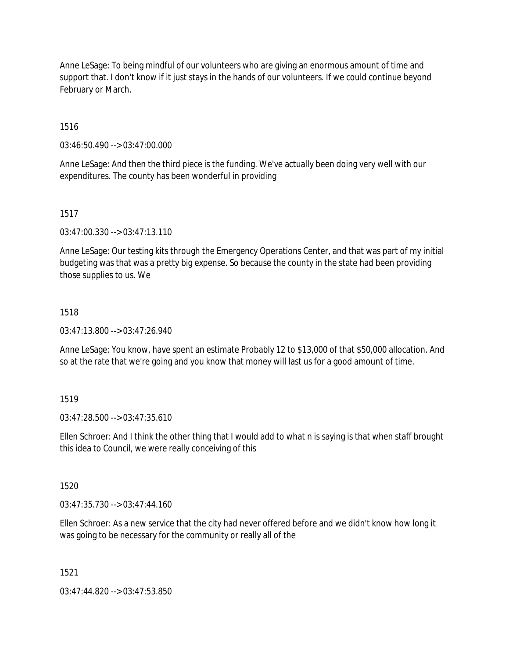Anne LeSage: To being mindful of our volunteers who are giving an enormous amount of time and support that. I don't know if it just stays in the hands of our volunteers. If we could continue beyond February or March.

1516

03:46:50.490 --> 03:47:00.000

Anne LeSage: And then the third piece is the funding. We've actually been doing very well with our expenditures. The county has been wonderful in providing

### 1517

03:47:00.330 --> 03:47:13.110

Anne LeSage: Our testing kits through the Emergency Operations Center, and that was part of my initial budgeting was that was a pretty big expense. So because the county in the state had been providing those supplies to us. We

### 1518

03:47:13.800 --> 03:47:26.940

Anne LeSage: You know, have spent an estimate Probably 12 to \$13,000 of that \$50,000 allocation. And so at the rate that we're going and you know that money will last us for a good amount of time.

### 1519

03:47:28.500 --> 03:47:35.610

Ellen Schroer: And I think the other thing that I would add to what n is saying is that when staff brought this idea to Council, we were really conceiving of this

### 1520

 $03:47:35.730 \rightarrow 03:47:44.160$ 

Ellen Schroer: As a new service that the city had never offered before and we didn't know how long it was going to be necessary for the community or really all of the

### 1521

03:47:44.820 --> 03:47:53.850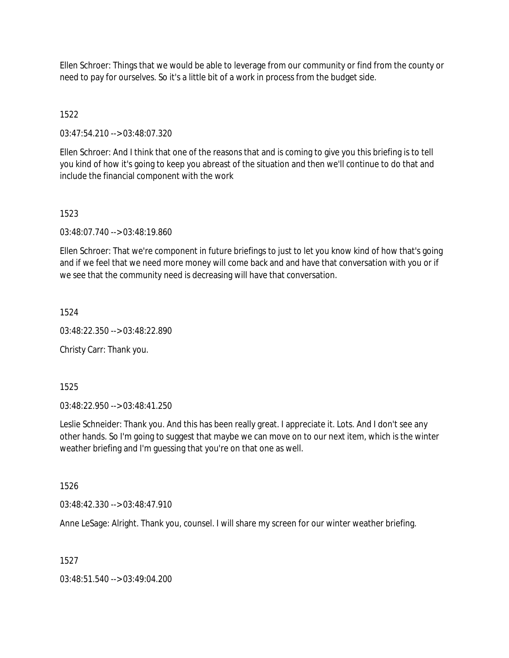Ellen Schroer: Things that we would be able to leverage from our community or find from the county or need to pay for ourselves. So it's a little bit of a work in process from the budget side.

## 1522

03:47:54.210 --> 03:48:07.320

Ellen Schroer: And I think that one of the reasons that and is coming to give you this briefing is to tell you kind of how it's going to keep you abreast of the situation and then we'll continue to do that and include the financial component with the work

### 1523

03:48:07.740 --> 03:48:19.860

Ellen Schroer: That we're component in future briefings to just to let you know kind of how that's going and if we feel that we need more money will come back and and have that conversation with you or if we see that the community need is decreasing will have that conversation.

1524

03:48:22.350 --> 03:48:22.890

Christy Carr: Thank you.

1525

03:48:22.950 --> 03:48:41.250

Leslie Schneider: Thank you. And this has been really great. I appreciate it. Lots. And I don't see any other hands. So I'm going to suggest that maybe we can move on to our next item, which is the winter weather briefing and I'm guessing that you're on that one as well.

1526

03:48:42.330 --> 03:48:47.910

Anne LeSage: Alright. Thank you, counsel. I will share my screen for our winter weather briefing.

1527

03:48:51.540 --> 03:49:04.200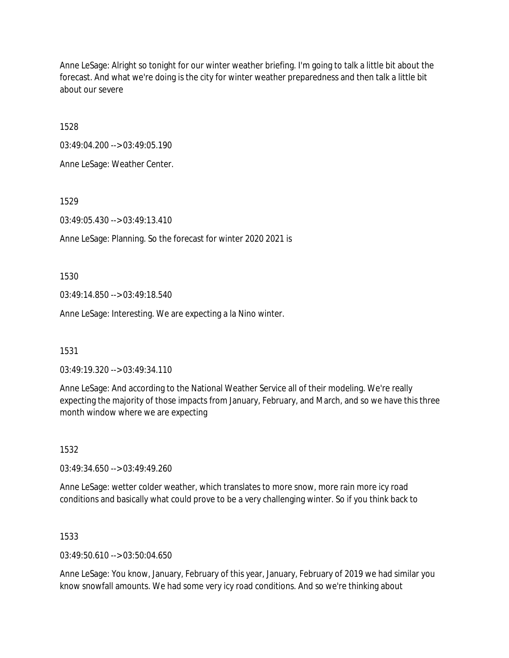Anne LeSage: Alright so tonight for our winter weather briefing. I'm going to talk a little bit about the forecast. And what we're doing is the city for winter weather preparedness and then talk a little bit about our severe

1528

03:49:04.200 --> 03:49:05.190

Anne LeSage: Weather Center.

1529

03:49:05.430 --> 03:49:13.410

Anne LeSage: Planning. So the forecast for winter 2020 2021 is

1530

03:49:14.850 --> 03:49:18.540

Anne LeSage: Interesting. We are expecting a la Nino winter.

1531

03:49:19.320 --> 03:49:34.110

Anne LeSage: And according to the National Weather Service all of their modeling. We're really expecting the majority of those impacts from January, February, and March, and so we have this three month window where we are expecting

1532

03:49:34.650 --> 03:49:49.260

Anne LeSage: wetter colder weather, which translates to more snow, more rain more icy road conditions and basically what could prove to be a very challenging winter. So if you think back to

1533

03:49:50.610 --> 03:50:04.650

Anne LeSage: You know, January, February of this year, January, February of 2019 we had similar you know snowfall amounts. We had some very icy road conditions. And so we're thinking about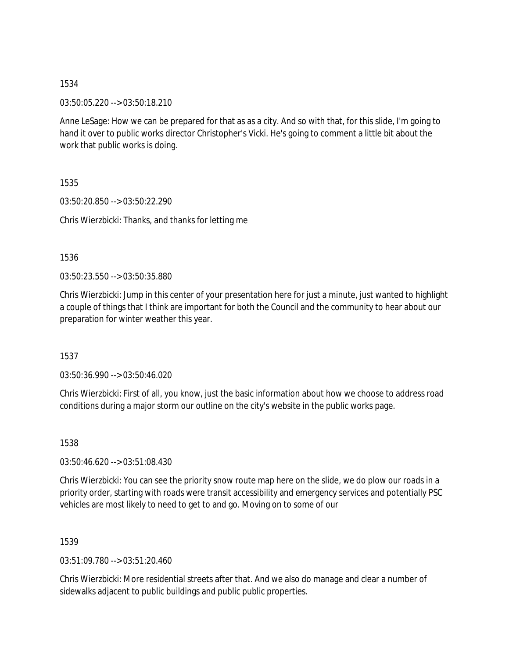03:50:05.220 --> 03:50:18.210

Anne LeSage: How we can be prepared for that as as a city. And so with that, for this slide, I'm going to hand it over to public works director Christopher's Vicki. He's going to comment a little bit about the work that public works is doing.

1535

03:50:20.850 --> 03:50:22.290

Chris Wierzbicki: Thanks, and thanks for letting me

1536

03:50:23.550 --> 03:50:35.880

Chris Wierzbicki: Jump in this center of your presentation here for just a minute, just wanted to highlight a couple of things that I think are important for both the Council and the community to hear about our preparation for winter weather this year.

1537

03:50:36.990 --> 03:50:46.020

Chris Wierzbicki: First of all, you know, just the basic information about how we choose to address road conditions during a major storm our outline on the city's website in the public works page.

1538

03:50:46.620 --> 03:51:08.430

Chris Wierzbicki: You can see the priority snow route map here on the slide, we do plow our roads in a priority order, starting with roads were transit accessibility and emergency services and potentially PSC vehicles are most likely to need to get to and go. Moving on to some of our

1539

03:51:09.780 --> 03:51:20.460

Chris Wierzbicki: More residential streets after that. And we also do manage and clear a number of sidewalks adjacent to public buildings and public public properties.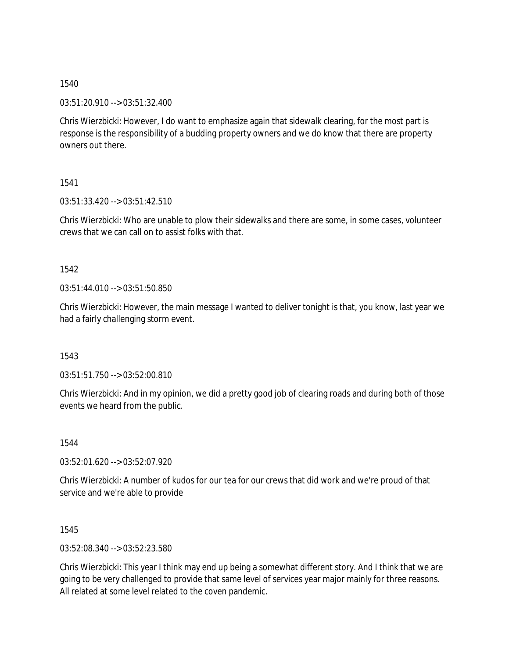03:51:20.910 --> 03:51:32.400

Chris Wierzbicki: However, I do want to emphasize again that sidewalk clearing, for the most part is response is the responsibility of a budding property owners and we do know that there are property owners out there.

1541

03:51:33.420 --> 03:51:42.510

Chris Wierzbicki: Who are unable to plow their sidewalks and there are some, in some cases, volunteer crews that we can call on to assist folks with that.

1542

03:51:44.010 --> 03:51:50.850

Chris Wierzbicki: However, the main message I wanted to deliver tonight is that, you know, last year we had a fairly challenging storm event.

1543

03:51:51.750 --> 03:52:00.810

Chris Wierzbicki: And in my opinion, we did a pretty good job of clearing roads and during both of those events we heard from the public.

1544

03:52:01.620 --> 03:52:07.920

Chris Wierzbicki: A number of kudos for our tea for our crews that did work and we're proud of that service and we're able to provide

1545

03:52:08.340 --> 03:52:23.580

Chris Wierzbicki: This year I think may end up being a somewhat different story. And I think that we are going to be very challenged to provide that same level of services year major mainly for three reasons. All related at some level related to the coven pandemic.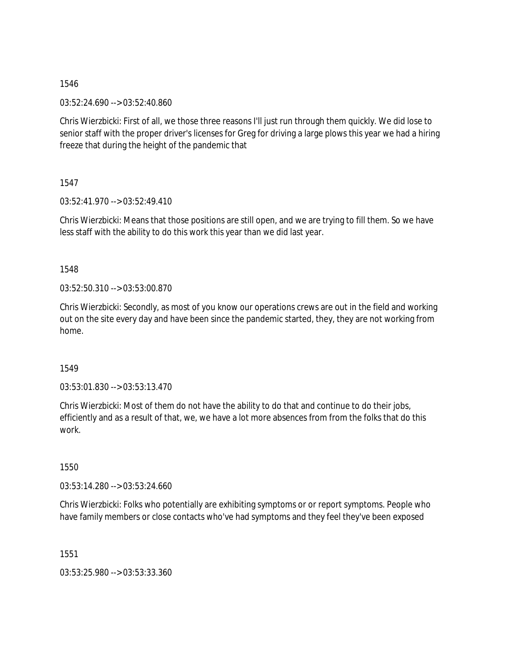03:52:24.690 --> 03:52:40.860

Chris Wierzbicki: First of all, we those three reasons I'll just run through them quickly. We did lose to senior staff with the proper driver's licenses for Greg for driving a large plows this year we had a hiring freeze that during the height of the pandemic that

1547

03:52:41.970 --> 03:52:49.410

Chris Wierzbicki: Means that those positions are still open, and we are trying to fill them. So we have less staff with the ability to do this work this year than we did last year.

1548

03:52:50.310 --> 03:53:00.870

Chris Wierzbicki: Secondly, as most of you know our operations crews are out in the field and working out on the site every day and have been since the pandemic started, they, they are not working from home.

1549

 $03:53:01.830 \rightarrow 03:53:13.470$ 

Chris Wierzbicki: Most of them do not have the ability to do that and continue to do their jobs, efficiently and as a result of that, we, we have a lot more absences from from the folks that do this work.

1550

03:53:14.280 --> 03:53:24.660

Chris Wierzbicki: Folks who potentially are exhibiting symptoms or or report symptoms. People who have family members or close contacts who've had symptoms and they feel they've been exposed

1551

03:53:25.980 --> 03:53:33.360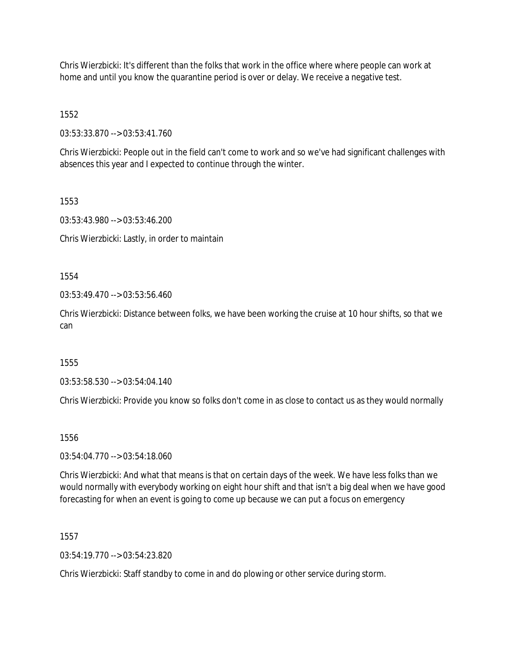Chris Wierzbicki: It's different than the folks that work in the office where where people can work at home and until you know the quarantine period is over or delay. We receive a negative test.

1552

03:53:33.870 --> 03:53:41.760

Chris Wierzbicki: People out in the field can't come to work and so we've had significant challenges with absences this year and I expected to continue through the winter.

1553

03:53:43.980 --> 03:53:46.200

Chris Wierzbicki: Lastly, in order to maintain

1554

 $03:53:49.470 \rightarrow 03:53:56.460$ 

Chris Wierzbicki: Distance between folks, we have been working the cruise at 10 hour shifts, so that we can

1555

03:53:58.530 --> 03:54:04.140

Chris Wierzbicki: Provide you know so folks don't come in as close to contact us as they would normally

1556

03:54:04.770 --> 03:54:18.060

Chris Wierzbicki: And what that means is that on certain days of the week. We have less folks than we would normally with everybody working on eight hour shift and that isn't a big deal when we have good forecasting for when an event is going to come up because we can put a focus on emergency

1557

 $03:54:19.770 \rightarrow 03:54:23.820$ 

Chris Wierzbicki: Staff standby to come in and do plowing or other service during storm.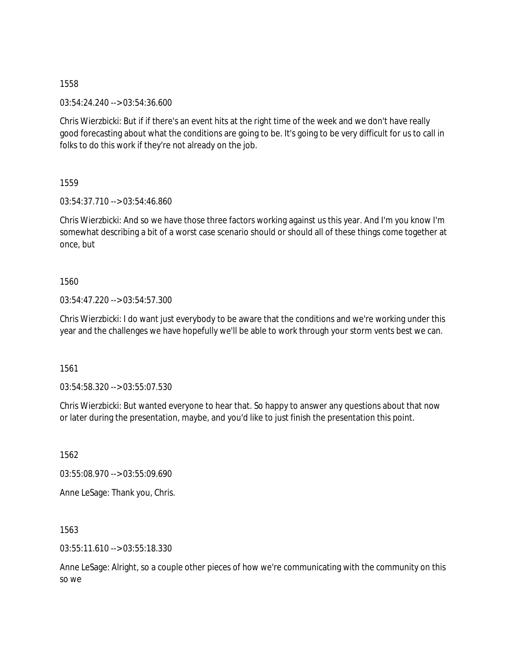03:54:24.240 --> 03:54:36.600

Chris Wierzbicki: But if if there's an event hits at the right time of the week and we don't have really good forecasting about what the conditions are going to be. It's going to be very difficult for us to call in folks to do this work if they're not already on the job.

1559

03:54:37.710 --> 03:54:46.860

Chris Wierzbicki: And so we have those three factors working against us this year. And I'm you know I'm somewhat describing a bit of a worst case scenario should or should all of these things come together at once, but

1560

03:54:47.220 --> 03:54:57.300

Chris Wierzbicki: I do want just everybody to be aware that the conditions and we're working under this year and the challenges we have hopefully we'll be able to work through your storm vents best we can.

1561

03:54:58.320 --> 03:55:07.530

Chris Wierzbicki: But wanted everyone to hear that. So happy to answer any questions about that now or later during the presentation, maybe, and you'd like to just finish the presentation this point.

1562 03:55:08.970 --> 03:55:09.690 Anne LeSage: Thank you, Chris.

1563

03:55:11.610 --> 03:55:18.330

Anne LeSage: Alright, so a couple other pieces of how we're communicating with the community on this so we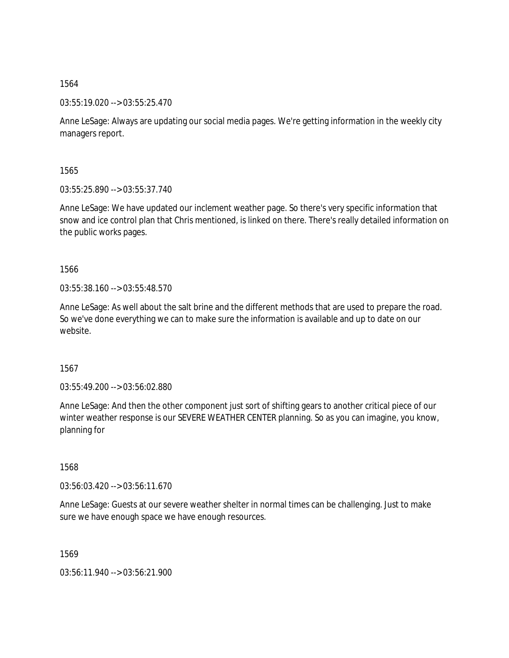03:55:19.020 --> 03:55:25.470

Anne LeSage: Always are updating our social media pages. We're getting information in the weekly city managers report.

1565

03:55:25.890 --> 03:55:37.740

Anne LeSage: We have updated our inclement weather page. So there's very specific information that snow and ice control plan that Chris mentioned, is linked on there. There's really detailed information on the public works pages.

1566

03:55:38.160 --> 03:55:48.570

Anne LeSage: As well about the salt brine and the different methods that are used to prepare the road. So we've done everything we can to make sure the information is available and up to date on our website.

1567

03:55:49.200 --> 03:56:02.880

Anne LeSage: And then the other component just sort of shifting gears to another critical piece of our winter weather response is our SEVERE WEATHER CENTER planning. So as you can imagine, you know, planning for

1568

03:56:03.420 --> 03:56:11.670

Anne LeSage: Guests at our severe weather shelter in normal times can be challenging. Just to make sure we have enough space we have enough resources.

1569

03:56:11.940 --> 03:56:21.900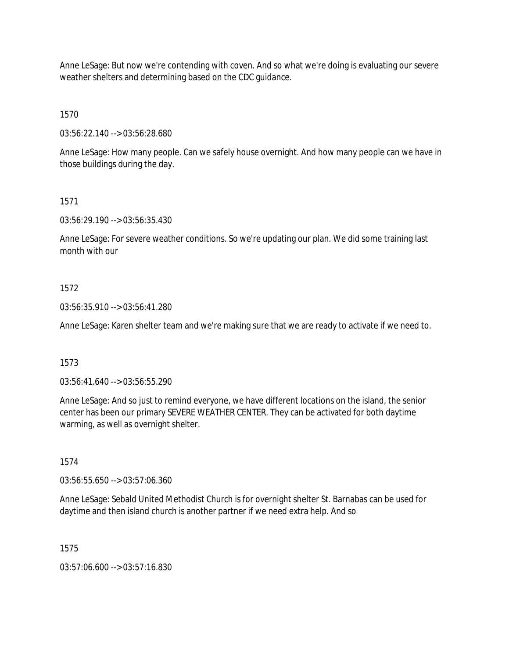Anne LeSage: But now we're contending with coven. And so what we're doing is evaluating our severe weather shelters and determining based on the CDC guidance.

1570

03:56:22.140 --> 03:56:28.680

Anne LeSage: How many people. Can we safely house overnight. And how many people can we have in those buildings during the day.

# 1571

03:56:29.190 --> 03:56:35.430

Anne LeSage: For severe weather conditions. So we're updating our plan. We did some training last month with our

# 1572

03:56:35.910 --> 03:56:41.280

Anne LeSage: Karen shelter team and we're making sure that we are ready to activate if we need to.

# 1573

03:56:41.640 --> 03:56:55.290

Anne LeSage: And so just to remind everyone, we have different locations on the island, the senior center has been our primary SEVERE WEATHER CENTER. They can be activated for both daytime warming, as well as overnight shelter.

### 1574

03:56:55.650 --> 03:57:06.360

Anne LeSage: Sebald United Methodist Church is for overnight shelter St. Barnabas can be used for daytime and then island church is another partner if we need extra help. And so

1575

03:57:06.600 --> 03:57:16.830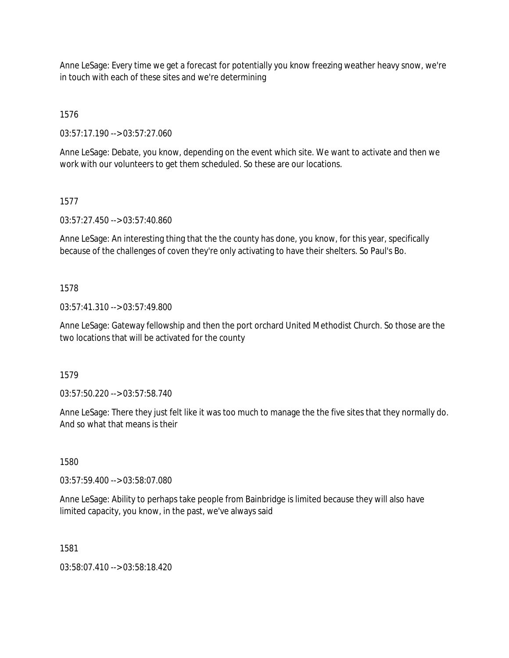Anne LeSage: Every time we get a forecast for potentially you know freezing weather heavy snow, we're in touch with each of these sites and we're determining

1576

03:57:17.190 --> 03:57:27.060

Anne LeSage: Debate, you know, depending on the event which site. We want to activate and then we work with our volunteers to get them scheduled. So these are our locations.

## 1577

03:57:27.450 --> 03:57:40.860

Anne LeSage: An interesting thing that the the county has done, you know, for this year, specifically because of the challenges of coven they're only activating to have their shelters. So Paul's Bo.

## 1578

03:57:41.310 --> 03:57:49.800

Anne LeSage: Gateway fellowship and then the port orchard United Methodist Church. So those are the two locations that will be activated for the county

1579

03:57:50.220 --> 03:57:58.740

Anne LeSage: There they just felt like it was too much to manage the the five sites that they normally do. And so what that means is their

1580

03:57:59.400 --> 03:58:07.080

Anne LeSage: Ability to perhaps take people from Bainbridge is limited because they will also have limited capacity, you know, in the past, we've always said

1581

03:58:07.410 --> 03:58:18.420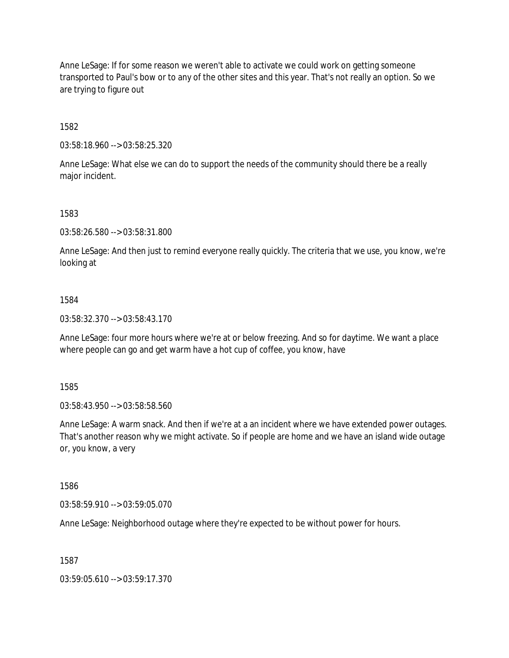Anne LeSage: If for some reason we weren't able to activate we could work on getting someone transported to Paul's bow or to any of the other sites and this year. That's not really an option. So we are trying to figure out

1582

03:58:18.960 --> 03:58:25.320

Anne LeSage: What else we can do to support the needs of the community should there be a really major incident.

1583

03:58:26.580 --> 03:58:31.800

Anne LeSage: And then just to remind everyone really quickly. The criteria that we use, you know, we're looking at

#### 1584

03:58:32.370 --> 03:58:43.170

Anne LeSage: four more hours where we're at or below freezing. And so for daytime. We want a place where people can go and get warm have a hot cup of coffee, you know, have

1585

03:58:43.950 --> 03:58:58.560

Anne LeSage: A warm snack. And then if we're at a an incident where we have extended power outages. That's another reason why we might activate. So if people are home and we have an island wide outage or, you know, a very

1586

03:58:59.910 --> 03:59:05.070

Anne LeSage: Neighborhood outage where they're expected to be without power for hours.

1587

03:59:05.610 --> 03:59:17.370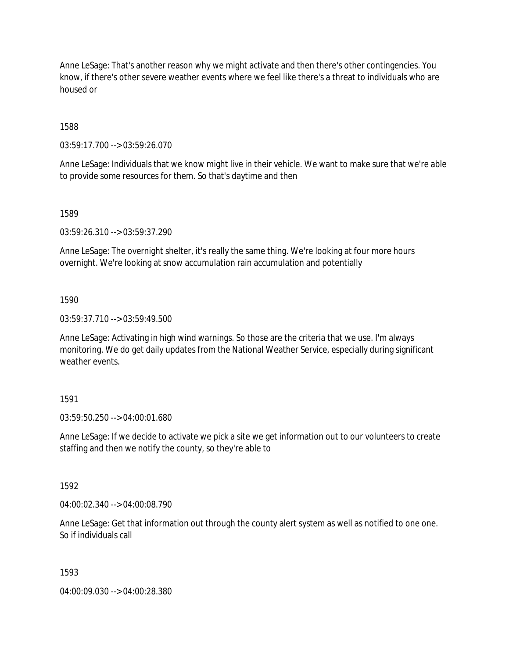Anne LeSage: That's another reason why we might activate and then there's other contingencies. You know, if there's other severe weather events where we feel like there's a threat to individuals who are housed or

1588

03:59:17.700 --> 03:59:26.070

Anne LeSage: Individuals that we know might live in their vehicle. We want to make sure that we're able to provide some resources for them. So that's daytime and then

1589

03:59:26.310 --> 03:59:37.290

Anne LeSage: The overnight shelter, it's really the same thing. We're looking at four more hours overnight. We're looking at snow accumulation rain accumulation and potentially

1590

03:59:37.710 --> 03:59:49.500

Anne LeSage: Activating in high wind warnings. So those are the criteria that we use. I'm always monitoring. We do get daily updates from the National Weather Service, especially during significant weather events.

### 1591

03:59:50.250 --> 04:00:01.680

Anne LeSage: If we decide to activate we pick a site we get information out to our volunteers to create staffing and then we notify the county, so they're able to

1592

04:00:02.340 --> 04:00:08.790

Anne LeSage: Get that information out through the county alert system as well as notified to one one. So if individuals call

1593

04:00:09.030 --> 04:00:28.380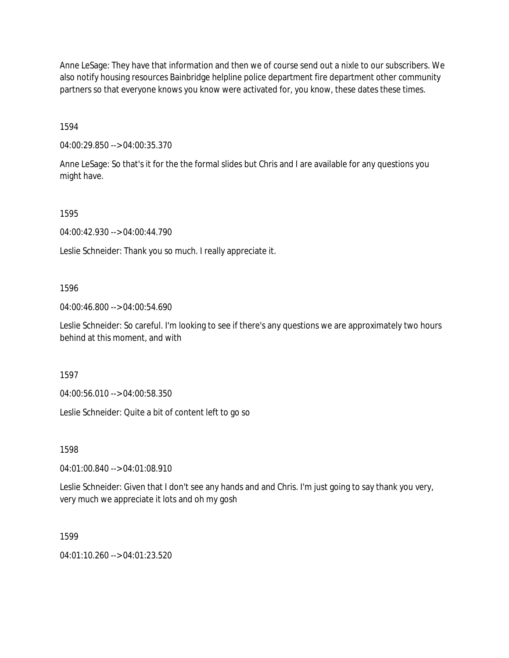Anne LeSage: They have that information and then we of course send out a nixle to our subscribers. We also notify housing resources Bainbridge helpline police department fire department other community partners so that everyone knows you know were activated for, you know, these dates these times.

1594

04:00:29.850 --> 04:00:35.370

Anne LeSage: So that's it for the the formal slides but Chris and I are available for any questions you might have.

1595

04:00:42.930 --> 04:00:44.790

Leslie Schneider: Thank you so much. I really appreciate it.

1596

04:00:46.800 --> 04:00:54.690

Leslie Schneider: So careful. I'm looking to see if there's any questions we are approximately two hours behind at this moment, and with

1597

04:00:56.010 --> 04:00:58.350

Leslie Schneider: Quite a bit of content left to go so

1598

04:01:00.840 --> 04:01:08.910

Leslie Schneider: Given that I don't see any hands and and Chris. I'm just going to say thank you very, very much we appreciate it lots and oh my gosh

1599

04:01:10.260 --> 04:01:23.520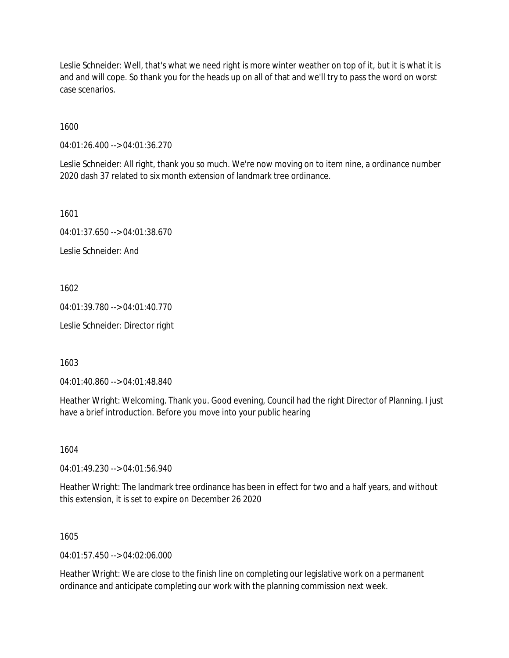Leslie Schneider: Well, that's what we need right is more winter weather on top of it, but it is what it is and and will cope. So thank you for the heads up on all of that and we'll try to pass the word on worst case scenarios.

1600

04:01:26.400 --> 04:01:36.270

Leslie Schneider: All right, thank you so much. We're now moving on to item nine, a ordinance number 2020 dash 37 related to six month extension of landmark tree ordinance.

1601

04:01:37.650 --> 04:01:38.670

Leslie Schneider: And

1602

04:01:39.780 --> 04:01:40.770

Leslie Schneider: Director right

1603

04:01:40.860 --> 04:01:48.840

Heather Wright: Welcoming. Thank you. Good evening, Council had the right Director of Planning. I just have a brief introduction. Before you move into your public hearing

1604

04:01:49.230 --> 04:01:56.940

Heather Wright: The landmark tree ordinance has been in effect for two and a half years, and without this extension, it is set to expire on December 26 2020

1605

 $04.01.57.450 -> 04.02.06.000$ 

Heather Wright: We are close to the finish line on completing our legislative work on a permanent ordinance and anticipate completing our work with the planning commission next week.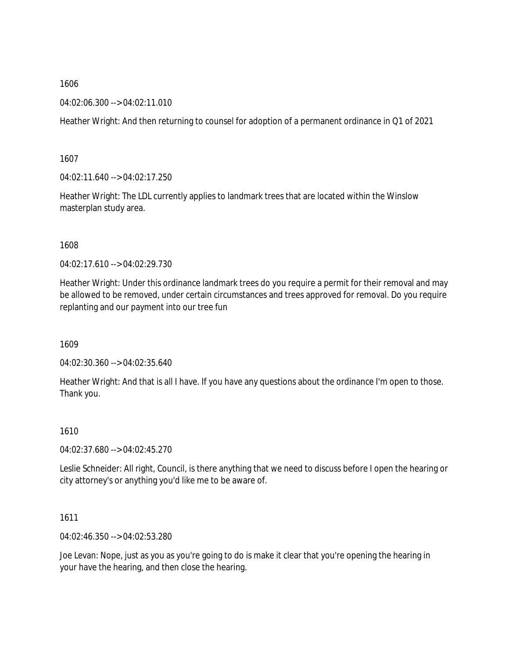04:02:06.300 --> 04:02:11.010

Heather Wright: And then returning to counsel for adoption of a permanent ordinance in Q1 of 2021

1607

04:02:11.640 --> 04:02:17.250

Heather Wright: The LDL currently applies to landmark trees that are located within the Winslow masterplan study area.

1608

04:02:17.610 --> 04:02:29.730

Heather Wright: Under this ordinance landmark trees do you require a permit for their removal and may be allowed to be removed, under certain circumstances and trees approved for removal. Do you require replanting and our payment into our tree fun

1609

04:02:30.360 --> 04:02:35.640

Heather Wright: And that is all I have. If you have any questions about the ordinance I'm open to those. Thank you.

1610

04:02:37.680 --> 04:02:45.270

Leslie Schneider: All right, Council, is there anything that we need to discuss before I open the hearing or city attorney's or anything you'd like me to be aware of.

1611

04:02:46.350 --> 04:02:53.280

Joe Levan: Nope, just as you as you're going to do is make it clear that you're opening the hearing in your have the hearing, and then close the hearing.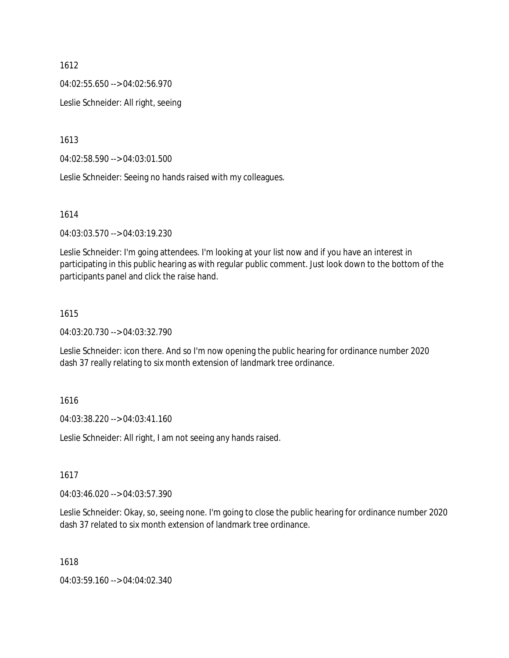04:02:55.650 --> 04:02:56.970

Leslie Schneider: All right, seeing

1613

04:02:58.590 --> 04:03:01.500

Leslie Schneider: Seeing no hands raised with my colleagues.

1614

04:03:03.570 --> 04:03:19.230

Leslie Schneider: I'm going attendees. I'm looking at your list now and if you have an interest in participating in this public hearing as with regular public comment. Just look down to the bottom of the participants panel and click the raise hand.

#### 1615

04:03:20.730 --> 04:03:32.790

Leslie Schneider: icon there. And so I'm now opening the public hearing for ordinance number 2020 dash 37 really relating to six month extension of landmark tree ordinance.

1616

04:03:38.220 --> 04:03:41.160

Leslie Schneider: All right, I am not seeing any hands raised.

1617

04:03:46.020 --> 04:03:57.390

Leslie Schneider: Okay, so, seeing none. I'm going to close the public hearing for ordinance number 2020 dash 37 related to six month extension of landmark tree ordinance.

1618

04:03:59.160 --> 04:04:02.340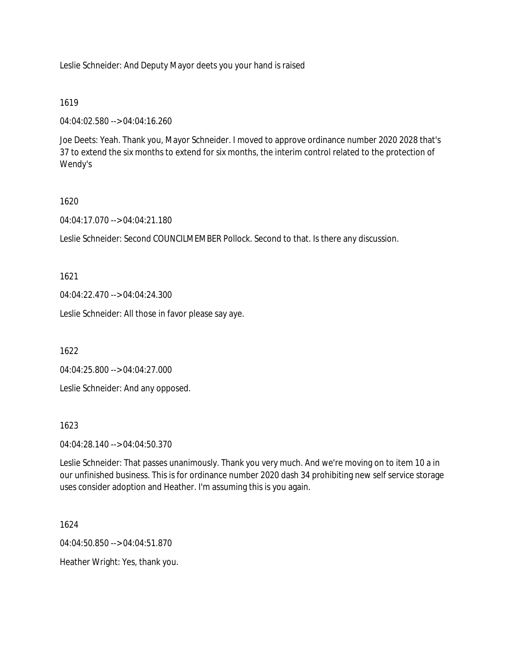Leslie Schneider: And Deputy Mayor deets you your hand is raised

## 1619

04:04:02.580 --> 04:04:16.260

Joe Deets: Yeah. Thank you, Mayor Schneider. I moved to approve ordinance number 2020 2028 that's 37 to extend the six months to extend for six months, the interim control related to the protection of Wendy's

# 1620

04:04:17.070 --> 04:04:21.180

Leslie Schneider: Second COUNCILMEMBER Pollock. Second to that. Is there any discussion.

1621

04:04:22.470 --> 04:04:24.300

Leslie Schneider: All those in favor please say aye.

1622

04:04:25.800 --> 04:04:27.000

Leslie Schneider: And any opposed.

## 1623

04:04:28.140 --> 04:04:50.370

Leslie Schneider: That passes unanimously. Thank you very much. And we're moving on to item 10 a in our unfinished business. This is for ordinance number 2020 dash 34 prohibiting new self service storage uses consider adoption and Heather. I'm assuming this is you again.

1624

04:04:50.850 --> 04:04:51.870

Heather Wright: Yes, thank you.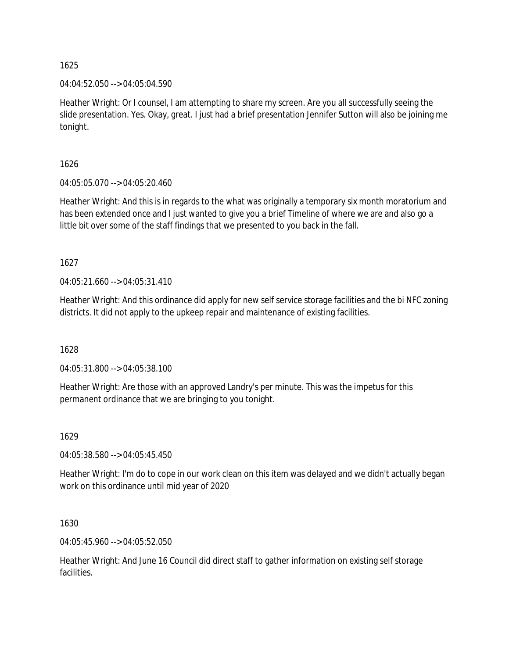04:04:52.050 --> 04:05:04.590

Heather Wright: Or I counsel, I am attempting to share my screen. Are you all successfully seeing the slide presentation. Yes. Okay, great. I just had a brief presentation Jennifer Sutton will also be joining me tonight.

1626

04:05:05.070 --> 04:05:20.460

Heather Wright: And this is in regards to the what was originally a temporary six month moratorium and has been extended once and I just wanted to give you a brief Timeline of where we are and also go a little bit over some of the staff findings that we presented to you back in the fall.

1627

04:05:21.660 --> 04:05:31.410

Heather Wright: And this ordinance did apply for new self service storage facilities and the bi NFC zoning districts. It did not apply to the upkeep repair and maintenance of existing facilities.

1628

04:05:31.800 --> 04:05:38.100

Heather Wright: Are those with an approved Landry's per minute. This was the impetus for this permanent ordinance that we are bringing to you tonight.

1629

04:05:38.580 --> 04:05:45.450

Heather Wright: I'm do to cope in our work clean on this item was delayed and we didn't actually began work on this ordinance until mid year of 2020

1630

04:05:45.960 --> 04:05:52.050

Heather Wright: And June 16 Council did direct staff to gather information on existing self storage facilities.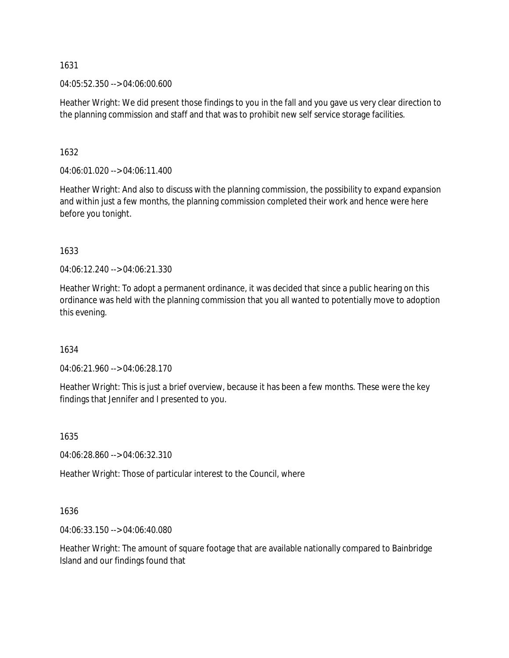04:05:52.350 --> 04:06:00.600

Heather Wright: We did present those findings to you in the fall and you gave us very clear direction to the planning commission and staff and that was to prohibit new self service storage facilities.

## 1632

04:06:01.020 --> 04:06:11.400

Heather Wright: And also to discuss with the planning commission, the possibility to expand expansion and within just a few months, the planning commission completed their work and hence were here before you tonight.

1633

04:06:12.240 --> 04:06:21.330

Heather Wright: To adopt a permanent ordinance, it was decided that since a public hearing on this ordinance was held with the planning commission that you all wanted to potentially move to adoption this evening.

## 1634

04:06:21.960 --> 04:06:28.170

Heather Wright: This is just a brief overview, because it has been a few months. These were the key findings that Jennifer and I presented to you.

1635

04:06:28.860 --> 04:06:32.310

Heather Wright: Those of particular interest to the Council, where

1636

04:06:33.150 --> 04:06:40.080

Heather Wright: The amount of square footage that are available nationally compared to Bainbridge Island and our findings found that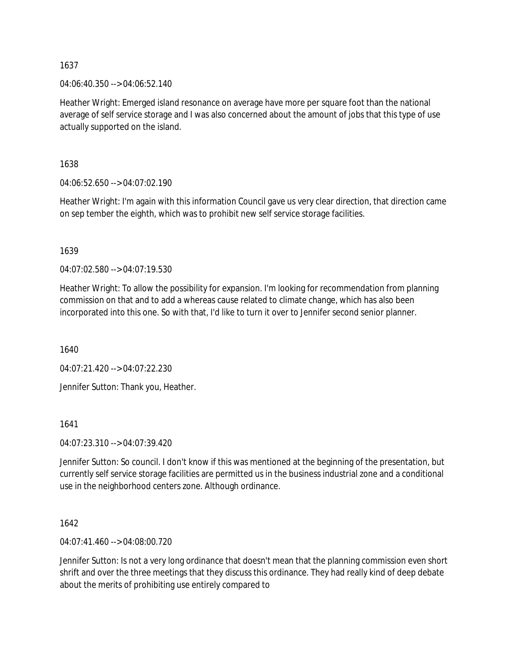04:06:40.350 --> 04:06:52.140

Heather Wright: Emerged island resonance on average have more per square foot than the national average of self service storage and I was also concerned about the amount of jobs that this type of use actually supported on the island.

1638

04:06:52.650 --> 04:07:02.190

Heather Wright: I'm again with this information Council gave us very clear direction, that direction came on sep tember the eighth, which was to prohibit new self service storage facilities.

1639

04:07:02.580 --> 04:07:19.530

Heather Wright: To allow the possibility for expansion. I'm looking for recommendation from planning commission on that and to add a whereas cause related to climate change, which has also been incorporated into this one. So with that, I'd like to turn it over to Jennifer second senior planner.

1640

04:07:21.420 --> 04:07:22.230

Jennifer Sutton: Thank you, Heather.

1641

04:07:23.310 --> 04:07:39.420

Jennifer Sutton: So council. I don't know if this was mentioned at the beginning of the presentation, but currently self service storage facilities are permitted us in the business industrial zone and a conditional use in the neighborhood centers zone. Although ordinance.

1642

04:07:41.460 --> 04:08:00.720

Jennifer Sutton: Is not a very long ordinance that doesn't mean that the planning commission even short shrift and over the three meetings that they discuss this ordinance. They had really kind of deep debate about the merits of prohibiting use entirely compared to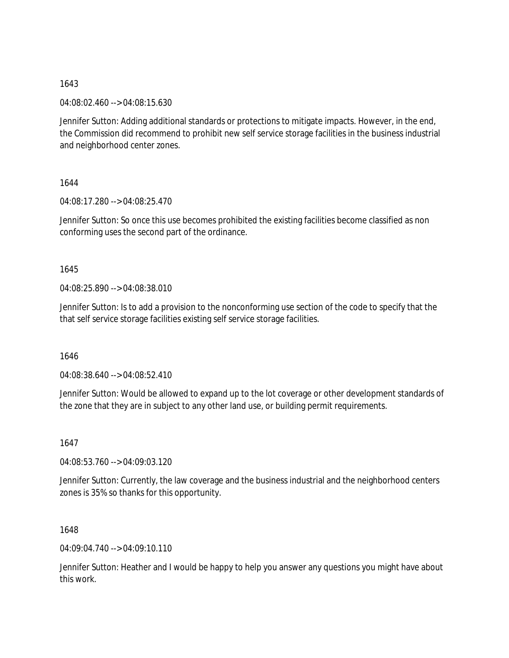04:08:02.460 --> 04:08:15.630

Jennifer Sutton: Adding additional standards or protections to mitigate impacts. However, in the end, the Commission did recommend to prohibit new self service storage facilities in the business industrial and neighborhood center zones.

1644

04:08:17.280 --> 04:08:25.470

Jennifer Sutton: So once this use becomes prohibited the existing facilities become classified as non conforming uses the second part of the ordinance.

1645

04:08:25.890 --> 04:08:38.010

Jennifer Sutton: Is to add a provision to the nonconforming use section of the code to specify that the that self service storage facilities existing self service storage facilities.

1646

04:08:38.640 --> 04:08:52.410

Jennifer Sutton: Would be allowed to expand up to the lot coverage or other development standards of the zone that they are in subject to any other land use, or building permit requirements.

1647

04:08:53.760 --> 04:09:03.120

Jennifer Sutton: Currently, the law coverage and the business industrial and the neighborhood centers zones is 35% so thanks for this opportunity.

1648

04:09:04.740 --> 04:09:10.110

Jennifer Sutton: Heather and I would be happy to help you answer any questions you might have about this work.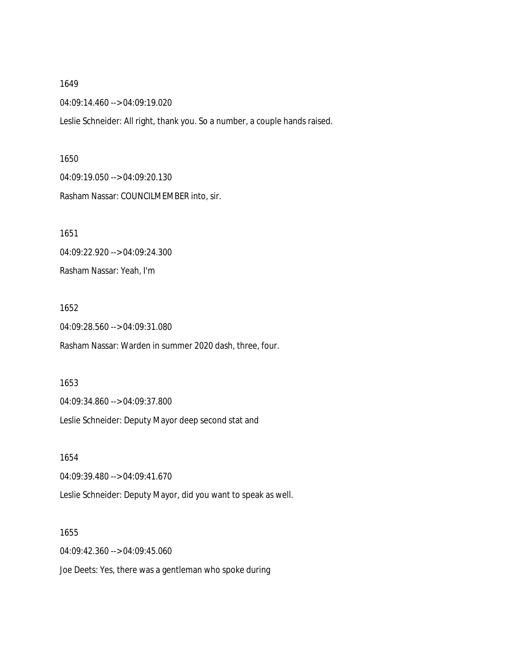04:09:14.460 --> 04:09:19.020

Leslie Schneider: All right, thank you. So a number, a couple hands raised.

1650 04:09:19.050 --> 04:09:20.130 Rasham Nassar: COUNCILMEMBER into, sir.

1651 04:09:22.920 --> 04:09:24.300 Rasham Nassar: Yeah, I'm

1652

04:09:28.560 --> 04:09:31.080

Rasham Nassar: Warden in summer 2020 dash, three, four.

1653 04:09:34.860 --> 04:09:37.800 Leslie Schneider: Deputy Mayor deep second stat and

1654 04:09:39.480 --> 04:09:41.670 Leslie Schneider: Deputy Mayor, did you want to speak as well.

1655 04:09:42.360 --> 04:09:45.060 Joe Deets: Yes, there was a gentleman who spoke during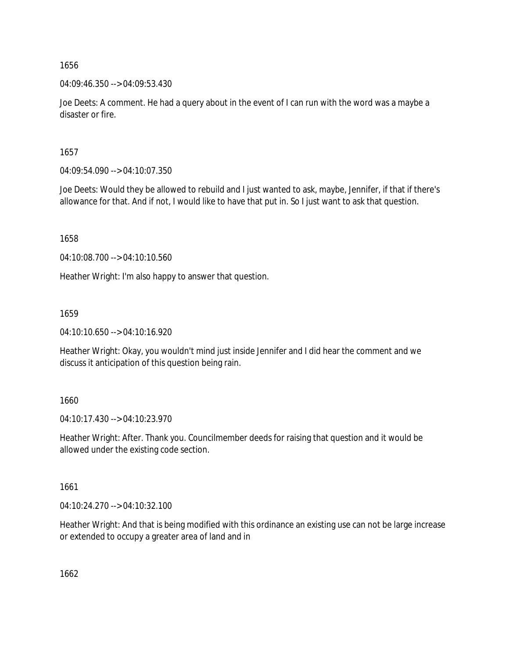04:09:46.350 --> 04:09:53.430

Joe Deets: A comment. He had a query about in the event of I can run with the word was a maybe a disaster or fire.

1657

04:09:54.090 --> 04:10:07.350

Joe Deets: Would they be allowed to rebuild and I just wanted to ask, maybe, Jennifer, if that if there's allowance for that. And if not, I would like to have that put in. So I just want to ask that question.

1658

04:10:08.700 --> 04:10:10.560

Heather Wright: I'm also happy to answer that question.

1659

04:10:10.650 --> 04:10:16.920

Heather Wright: Okay, you wouldn't mind just inside Jennifer and I did hear the comment and we discuss it anticipation of this question being rain.

1660

04:10:17.430 --> 04:10:23.970

Heather Wright: After. Thank you. Councilmember deeds for raising that question and it would be allowed under the existing code section.

1661

04:10:24.270 --> 04:10:32.100

Heather Wright: And that is being modified with this ordinance an existing use can not be large increase or extended to occupy a greater area of land and in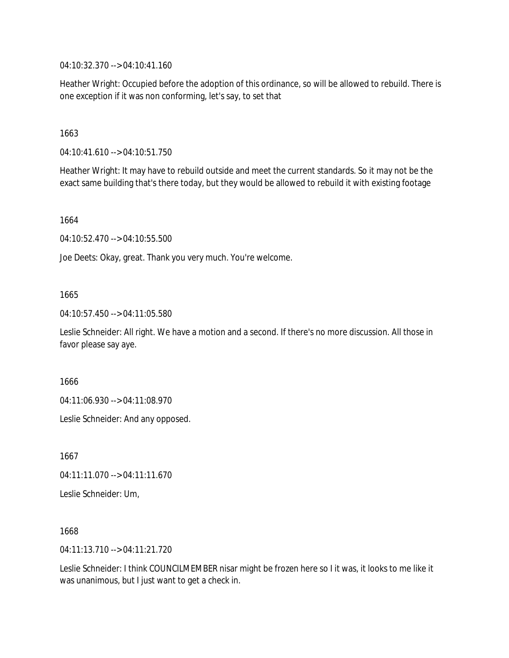04:10:32.370 --> 04:10:41.160

Heather Wright: Occupied before the adoption of this ordinance, so will be allowed to rebuild. There is one exception if it was non conforming, let's say, to set that

1663

04:10:41.610 --> 04:10:51.750

Heather Wright: It may have to rebuild outside and meet the current standards. So it may not be the exact same building that's there today, but they would be allowed to rebuild it with existing footage

1664

04:10:52.470 --> 04:10:55.500

Joe Deets: Okay, great. Thank you very much. You're welcome.

## 1665

04:10:57.450 --> 04:11:05.580

Leslie Schneider: All right. We have a motion and a second. If there's no more discussion. All those in favor please say aye.

1666

04:11:06.930 --> 04:11:08.970

Leslie Schneider: And any opposed.

1667

04:11:11.070 --> 04:11:11.670

Leslie Schneider: Um,

1668

04:11:13.710 --> 04:11:21.720

Leslie Schneider: I think COUNCILMEMBER nisar might be frozen here so I it was, it looks to me like it was unanimous, but I just want to get a check in.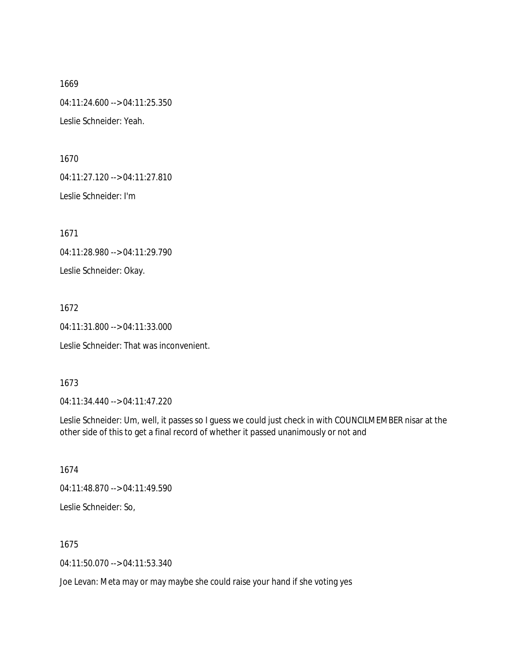1669 04:11:24.600 --> 04:11:25.350 Leslie Schneider: Yeah.

1670

04:11:27.120 --> 04:11:27.810

Leslie Schneider: I'm

1671

04:11:28.980 --> 04:11:29.790

Leslie Schneider: Okay.

1672

04:11:31.800 --> 04:11:33.000

Leslie Schneider: That was inconvenient.

## 1673

04:11:34.440 --> 04:11:47.220

Leslie Schneider: Um, well, it passes so I guess we could just check in with COUNCILMEMBER nisar at the other side of this to get a final record of whether it passed unanimously or not and

1674

04:11:48.870 --> 04:11:49.590

Leslie Schneider: So,

1675

04:11:50.070 --> 04:11:53.340

Joe Levan: Meta may or may maybe she could raise your hand if she voting yes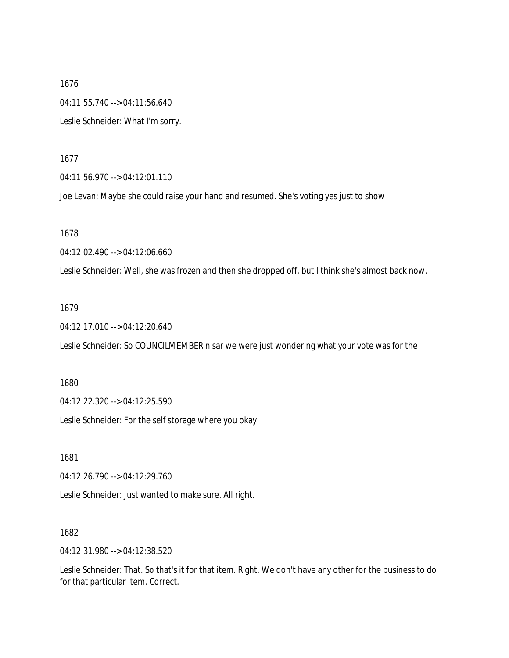1676 04:11:55.740 --> 04:11:56.640 Leslie Schneider: What I'm sorry.

1677

04:11:56.970 --> 04:12:01.110

Joe Levan: Maybe she could raise your hand and resumed. She's voting yes just to show

1678

04:12:02.490 --> 04:12:06.660

Leslie Schneider: Well, she was frozen and then she dropped off, but I think she's almost back now.

#### 1679

04:12:17.010 --> 04:12:20.640

Leslie Schneider: So COUNCILMEMBER nisar we were just wondering what your vote was for the

1680

04:12:22.320 --> 04:12:25.590

Leslie Schneider: For the self storage where you okay

1681

04:12:26.790 --> 04:12:29.760

Leslie Schneider: Just wanted to make sure. All right.

1682

04:12:31.980 --> 04:12:38.520

Leslie Schneider: That. So that's it for that item. Right. We don't have any other for the business to do for that particular item. Correct.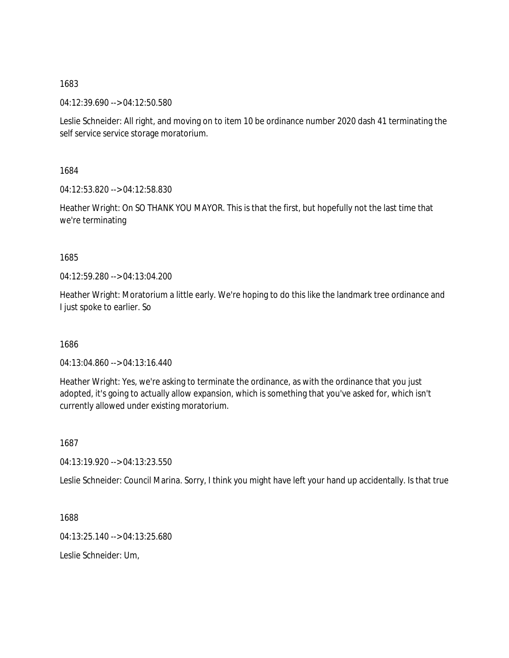04:12:39.690 --> 04:12:50.580

Leslie Schneider: All right, and moving on to item 10 be ordinance number 2020 dash 41 terminating the self service service storage moratorium.

1684

04:12:53.820 --> 04:12:58.830

Heather Wright: On SO THANK YOU MAYOR. This is that the first, but hopefully not the last time that we're terminating

1685

04:12:59.280 --> 04:13:04.200

Heather Wright: Moratorium a little early. We're hoping to do this like the landmark tree ordinance and I just spoke to earlier. So

1686

04:13:04.860 --> 04:13:16.440

Heather Wright: Yes, we're asking to terminate the ordinance, as with the ordinance that you just adopted, it's going to actually allow expansion, which is something that you've asked for, which isn't currently allowed under existing moratorium.

1687

04:13:19.920 --> 04:13:23.550

Leslie Schneider: Council Marina. Sorry, I think you might have left your hand up accidentally. Is that true

1688

04:13:25.140 --> 04:13:25.680

Leslie Schneider: Um,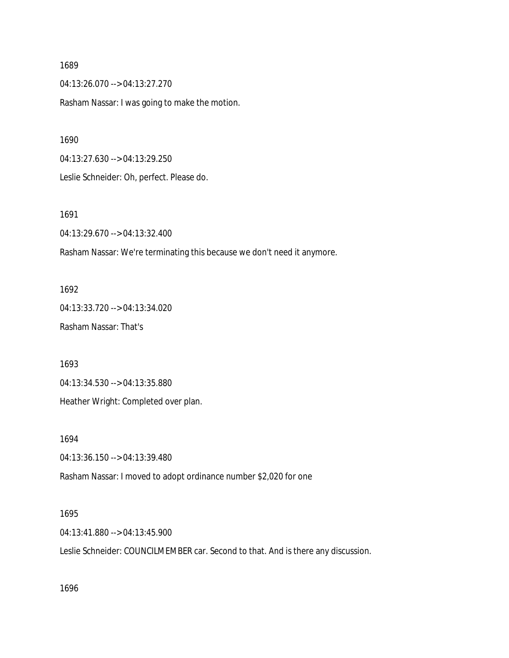04:13:26.070 --> 04:13:27.270

Rasham Nassar: I was going to make the motion.

1690

04:13:27.630 --> 04:13:29.250

Leslie Schneider: Oh, perfect. Please do.

1691

04:13:29.670 --> 04:13:32.400

Rasham Nassar: We're terminating this because we don't need it anymore.

1692 04:13:33.720 --> 04:13:34.020 Rasham Nassar: That's

1693

04:13:34.530 --> 04:13:35.880

Heather Wright: Completed over plan.

1694

04:13:36.150 --> 04:13:39.480

Rasham Nassar: I moved to adopt ordinance number \$2,020 for one

1695

04:13:41.880 --> 04:13:45.900

Leslie Schneider: COUNCILMEMBER car. Second to that. And is there any discussion.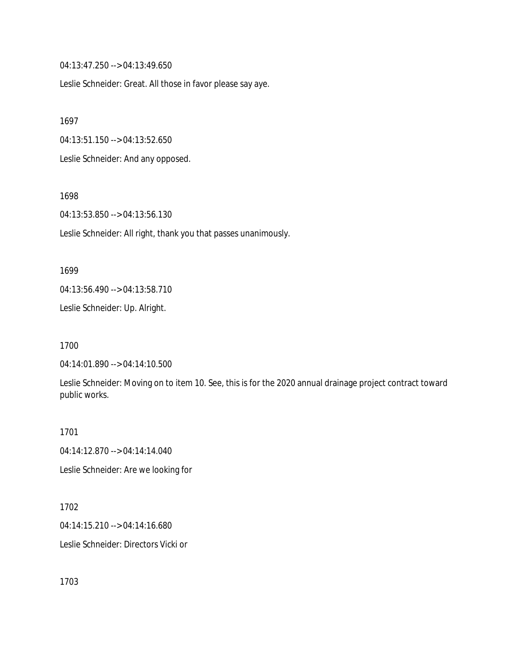04:13:47.250 --> 04:13:49.650

Leslie Schneider: Great. All those in favor please say aye.

1697

04:13:51.150 --> 04:13:52.650

Leslie Schneider: And any opposed.

1698

04:13:53.850 --> 04:13:56.130

Leslie Schneider: All right, thank you that passes unanimously.

1699

04:13:56.490 --> 04:13:58.710

Leslie Schneider: Up. Alright.

1700

04:14:01.890 --> 04:14:10.500

Leslie Schneider: Moving on to item 10. See, this is for the 2020 annual drainage project contract toward public works.

1701

04:14:12.870 --> 04:14:14.040

Leslie Schneider: Are we looking for

1702

04:14:15.210 --> 04:14:16.680

Leslie Schneider: Directors Vicki or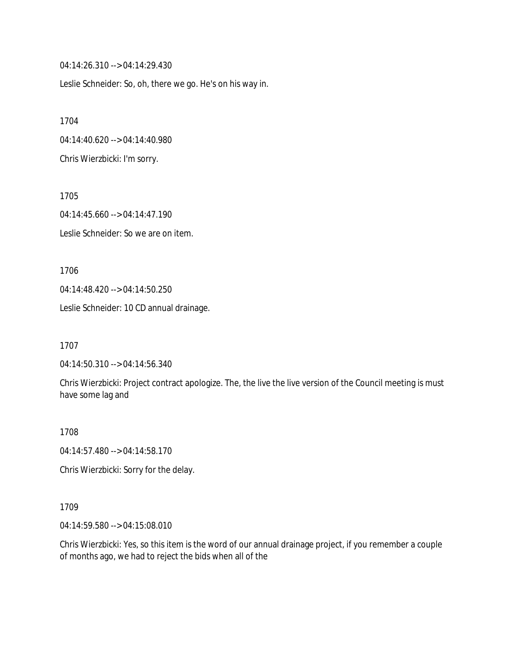04:14:26.310 --> 04:14:29.430

Leslie Schneider: So, oh, there we go. He's on his way in.

1704 04:14:40.620 --> 04:14:40.980 Chris Wierzbicki: I'm sorry.

1705 04:14:45.660 --> 04:14:47.190 Leslie Schneider: So we are on item.

1706 04:14:48.420 --> 04:14:50.250

Leslie Schneider: 10 CD annual drainage.

1707

04:14:50.310 --> 04:14:56.340

Chris Wierzbicki: Project contract apologize. The, the live the live version of the Council meeting is must have some lag and

1708

04:14:57.480 --> 04:14:58.170

Chris Wierzbicki: Sorry for the delay.

1709

04:14:59.580 --> 04:15:08.010

Chris Wierzbicki: Yes, so this item is the word of our annual drainage project, if you remember a couple of months ago, we had to reject the bids when all of the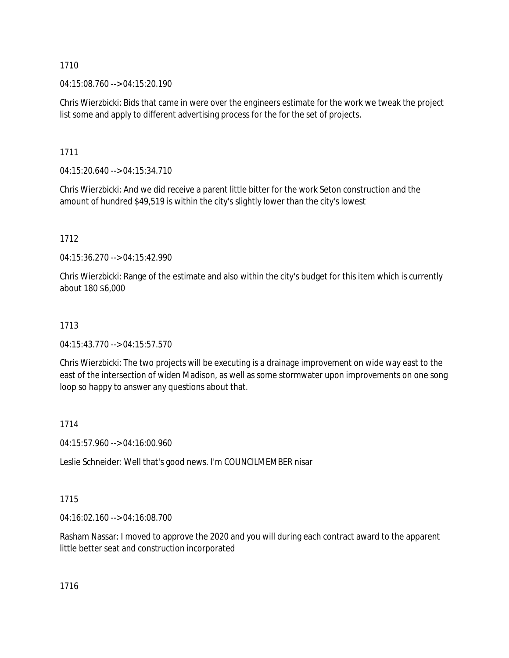04:15:08.760 --> 04:15:20.190

Chris Wierzbicki: Bids that came in were over the engineers estimate for the work we tweak the project list some and apply to different advertising process for the for the set of projects.

1711

04:15:20.640 --> 04:15:34.710

Chris Wierzbicki: And we did receive a parent little bitter for the work Seton construction and the amount of hundred \$49,519 is within the city's slightly lower than the city's lowest

1712

04:15:36.270 --> 04:15:42.990

Chris Wierzbicki: Range of the estimate and also within the city's budget for this item which is currently about 180 \$6,000

# 1713

04:15:43.770 --> 04:15:57.570

Chris Wierzbicki: The two projects will be executing is a drainage improvement on wide way east to the east of the intersection of widen Madison, as well as some stormwater upon improvements on one song loop so happy to answer any questions about that.

## 1714

04:15:57.960 --> 04:16:00.960

Leslie Schneider: Well that's good news. I'm COUNCILMEMBER nisar

# 1715

04:16:02.160 --> 04:16:08.700

Rasham Nassar: I moved to approve the 2020 and you will during each contract award to the apparent little better seat and construction incorporated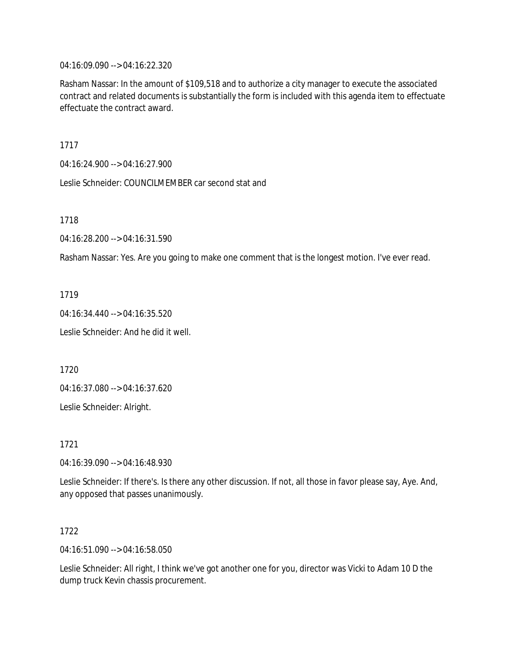04:16:09.090 --> 04:16:22.320

Rasham Nassar: In the amount of \$109,518 and to authorize a city manager to execute the associated contract and related documents is substantially the form is included with this agenda item to effectuate effectuate the contract award.

1717

04:16:24.900 --> 04:16:27.900

Leslie Schneider: COUNCILMEMBER car second stat and

1718

04:16:28.200 --> 04:16:31.590

Rasham Nassar: Yes. Are you going to make one comment that is the longest motion. I've ever read.

1719

04:16:34.440 --> 04:16:35.520

Leslie Schneider: And he did it well.

1720

04:16:37.080 --> 04:16:37.620

Leslie Schneider: Alright.

1721

04:16:39.090 --> 04:16:48.930

Leslie Schneider: If there's. Is there any other discussion. If not, all those in favor please say, Aye. And, any opposed that passes unanimously.

1722

04:16:51.090 --> 04:16:58.050

Leslie Schneider: All right, I think we've got another one for you, director was Vicki to Adam 10 D the dump truck Kevin chassis procurement.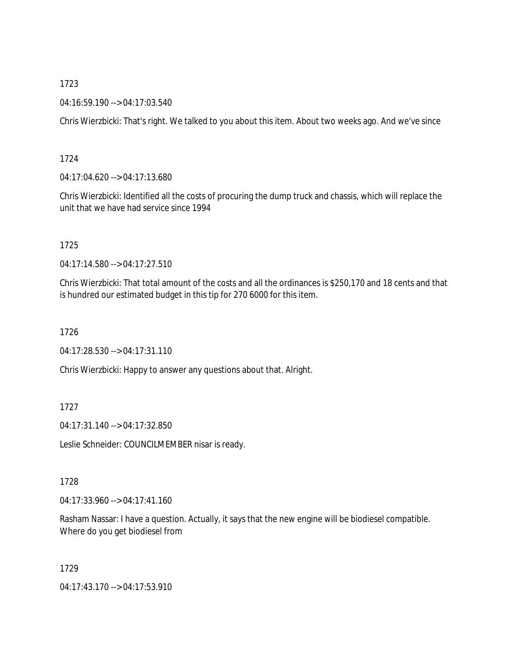04:16:59.190 --> 04:17:03.540

Chris Wierzbicki: That's right. We talked to you about this item. About two weeks ago. And we've since

# 1724

04:17:04.620 --> 04:17:13.680

Chris Wierzbicki: Identified all the costs of procuring the dump truck and chassis, which will replace the unit that we have had service since 1994

# 1725

04:17:14.580 --> 04:17:27.510

Chris Wierzbicki: That total amount of the costs and all the ordinances is \$250,170 and 18 cents and that is hundred our estimated budget in this tip for 270 6000 for this item.

1726

04:17:28.530 --> 04:17:31.110

Chris Wierzbicki: Happy to answer any questions about that. Alright.

# 1727

04:17:31.140 --> 04:17:32.850

Leslie Schneider: COUNCILMEMBER nisar is ready.

## 1728

04:17:33.960 --> 04:17:41.160

Rasham Nassar: I have a question. Actually, it says that the new engine will be biodiesel compatible. Where do you get biodiesel from

1729

04:17:43.170 --> 04:17:53.910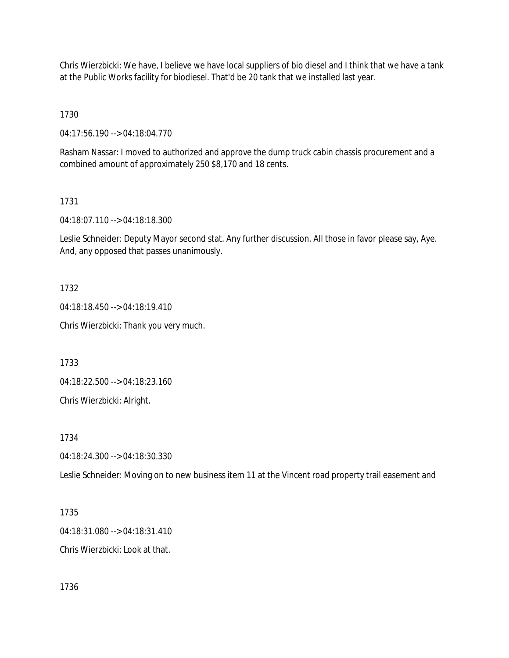Chris Wierzbicki: We have, I believe we have local suppliers of bio diesel and I think that we have a tank at the Public Works facility for biodiesel. That'd be 20 tank that we installed last year.

1730

04:17:56.190 --> 04:18:04.770

Rasham Nassar: I moved to authorized and approve the dump truck cabin chassis procurement and a combined amount of approximately 250 \$8,170 and 18 cents.

1731

04:18:07.110 --> 04:18:18.300

Leslie Schneider: Deputy Mayor second stat. Any further discussion. All those in favor please say, Aye. And, any opposed that passes unanimously.

1732

04:18:18.450 --> 04:18:19.410

Chris Wierzbicki: Thank you very much.

1733

04:18:22.500 --> 04:18:23.160

Chris Wierzbicki: Alright.

1734

04:18:24.300 --> 04:18:30.330

Leslie Schneider: Moving on to new business item 11 at the Vincent road property trail easement and

1735 04:18:31.080 --> 04:18:31.410 Chris Wierzbicki: Look at that.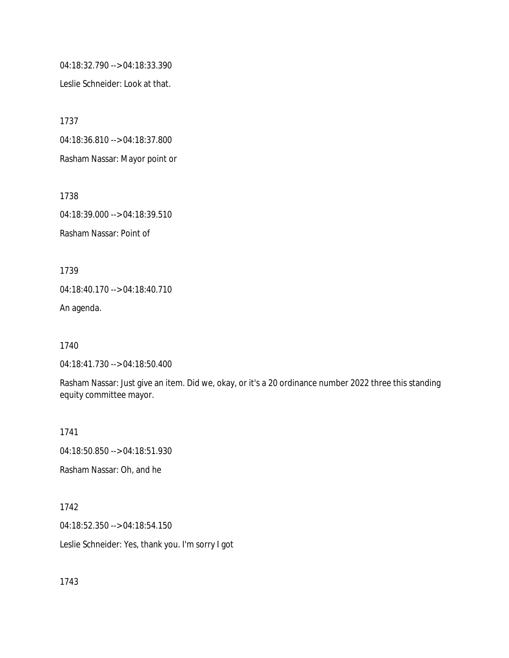04:18:32.790 --> 04:18:33.390

Leslie Schneider: Look at that.

1737 04:18:36.810 --> 04:18:37.800 Rasham Nassar: Mayor point or

1738 04:18:39.000 --> 04:18:39.510 Rasham Nassar: Point of

1739 04:18:40.170 --> 04:18:40.710

An agenda.

1740

04:18:41.730 --> 04:18:50.400

Rasham Nassar: Just give an item. Did we, okay, or it's a 20 ordinance number 2022 three this standing equity committee mayor.

1741 04:18:50.850 --> 04:18:51.930

Rasham Nassar: Oh, and he

1742

04:18:52.350 --> 04:18:54.150

Leslie Schneider: Yes, thank you. I'm sorry I got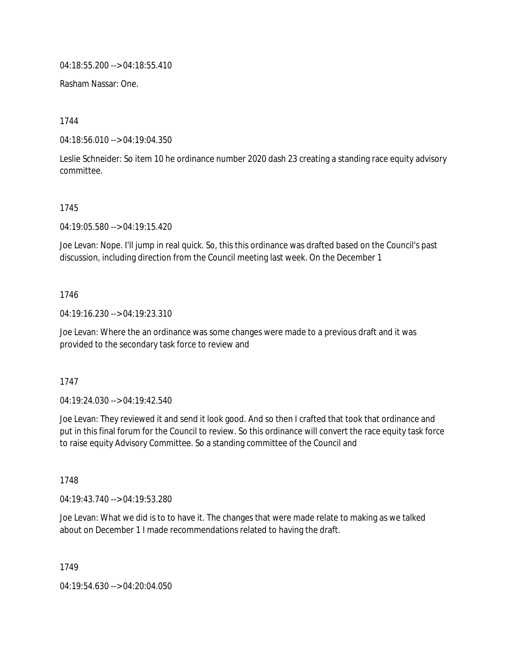04:18:55.200 --> 04:18:55.410

Rasham Nassar: One.

1744

04:18:56.010 --> 04:19:04.350

Leslie Schneider: So item 10 he ordinance number 2020 dash 23 creating a standing race equity advisory committee.

## 1745

04:19:05.580 --> 04:19:15.420

Joe Levan: Nope. I'll jump in real quick. So, this this ordinance was drafted based on the Council's past discussion, including direction from the Council meeting last week. On the December 1

## 1746

04:19:16.230 --> 04:19:23.310

Joe Levan: Where the an ordinance was some changes were made to a previous draft and it was provided to the secondary task force to review and

## 1747

04:19:24.030 --> 04:19:42.540

Joe Levan: They reviewed it and send it look good. And so then I crafted that took that ordinance and put in this final forum for the Council to review. So this ordinance will convert the race equity task force to raise equity Advisory Committee. So a standing committee of the Council and

1748

04:19:43.740 --> 04:19:53.280

Joe Levan: What we did is to to have it. The changes that were made relate to making as we talked about on December 1 I made recommendations related to having the draft.

1749

04:19:54.630 --> 04:20:04.050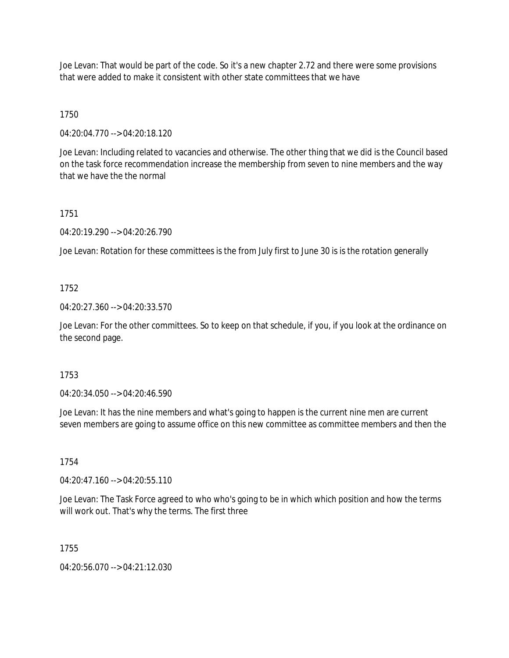Joe Levan: That would be part of the code. So it's a new chapter 2.72 and there were some provisions that were added to make it consistent with other state committees that we have

1750

04:20:04.770 --> 04:20:18.120

Joe Levan: Including related to vacancies and otherwise. The other thing that we did is the Council based on the task force recommendation increase the membership from seven to nine members and the way that we have the the normal

1751

04:20:19.290 --> 04:20:26.790

Joe Levan: Rotation for these committees is the from July first to June 30 is is the rotation generally

## 1752

04:20:27.360 --> 04:20:33.570

Joe Levan: For the other committees. So to keep on that schedule, if you, if you look at the ordinance on the second page.

## 1753

04:20:34.050 --> 04:20:46.590

Joe Levan: It has the nine members and what's going to happen is the current nine men are current seven members are going to assume office on this new committee as committee members and then the

## 1754

04:20:47.160 --> 04:20:55.110

Joe Levan: The Task Force agreed to who who's going to be in which which position and how the terms will work out. That's why the terms. The first three

## 1755

04:20:56.070 --> 04:21:12.030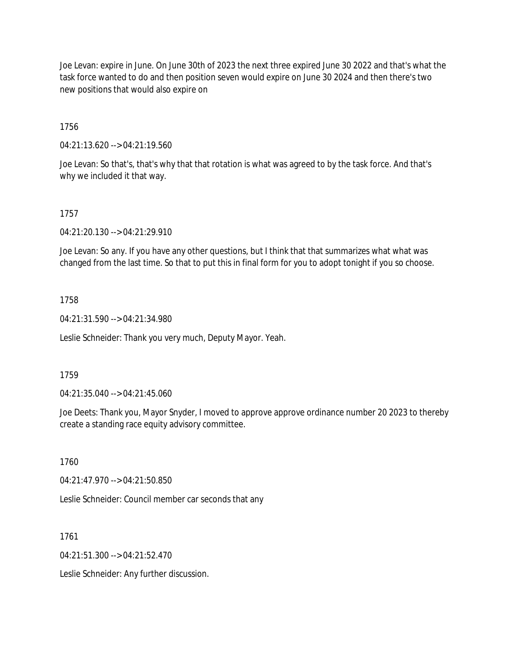Joe Levan: expire in June. On June 30th of 2023 the next three expired June 30 2022 and that's what the task force wanted to do and then position seven would expire on June 30 2024 and then there's two new positions that would also expire on

# 1756

04:21:13.620 --> 04:21:19.560

Joe Levan: So that's, that's why that that rotation is what was agreed to by the task force. And that's why we included it that way.

# 1757

04:21:20.130 --> 04:21:29.910

Joe Levan: So any. If you have any other questions, but I think that that summarizes what what was changed from the last time. So that to put this in final form for you to adopt tonight if you so choose.

## 1758

04:21:31.590 --> 04:21:34.980

Leslie Schneider: Thank you very much, Deputy Mayor. Yeah.

## 1759

04:21:35.040 --> 04:21:45.060

Joe Deets: Thank you, Mayor Snyder, I moved to approve approve ordinance number 20 2023 to thereby create a standing race equity advisory committee.

1760

04:21:47.970 --> 04:21:50.850

Leslie Schneider: Council member car seconds that any

1761

 $04.21:51.300 \rightarrow 04.21:52.470$ 

Leslie Schneider: Any further discussion.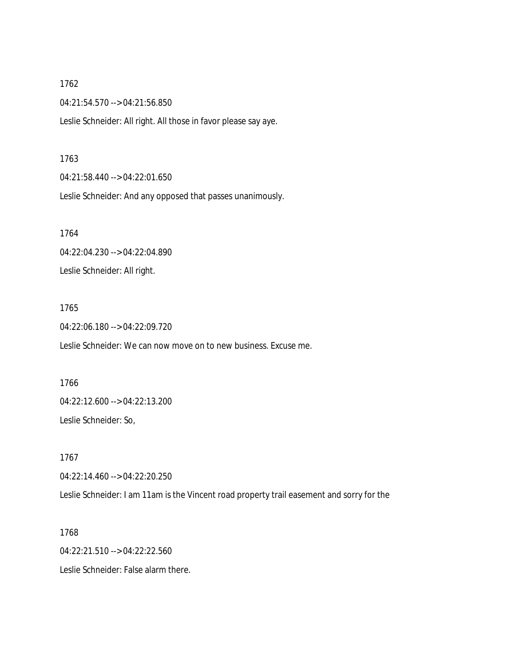04:21:54.570 --> 04:21:56.850

Leslie Schneider: All right. All those in favor please say aye.

#### 1763

04:21:58.440 --> 04:22:01.650

Leslie Schneider: And any opposed that passes unanimously.

1764

# 04:22:04.230 --> 04:22:04.890

Leslie Schneider: All right.

#### 1765

04:22:06.180 --> 04:22:09.720

Leslie Schneider: We can now move on to new business. Excuse me.

1766 04:22:12.600 --> 04:22:13.200

Leslie Schneider: So,

1767 04:22:14.460 --> 04:22:20.250

Leslie Schneider: I am 11am is the Vincent road property trail easement and sorry for the

1768 04:22:21.510 --> 04:22:22.560 Leslie Schneider: False alarm there.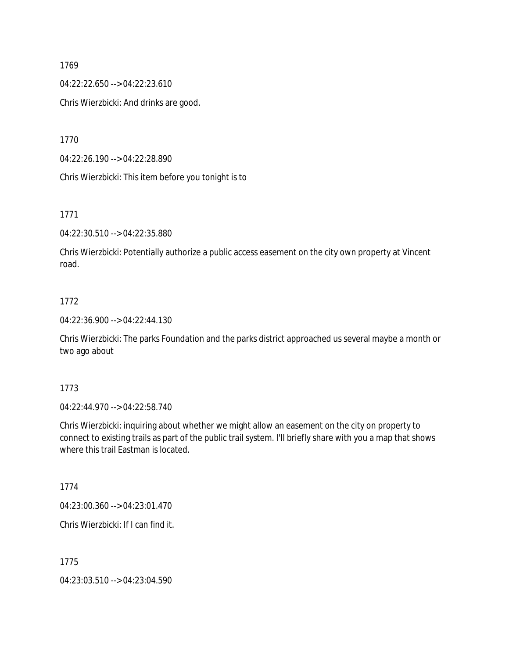04:22:22.650 --> 04:22:23.610

Chris Wierzbicki: And drinks are good.

1770

04:22:26.190 --> 04:22:28.890

Chris Wierzbicki: This item before you tonight is to

1771

04:22:30.510 --> 04:22:35.880

Chris Wierzbicki: Potentially authorize a public access easement on the city own property at Vincent road.

# 1772

04:22:36.900 --> 04:22:44.130

Chris Wierzbicki: The parks Foundation and the parks district approached us several maybe a month or two ago about

## 1773

04:22:44.970 --> 04:22:58.740

Chris Wierzbicki: inquiring about whether we might allow an easement on the city on property to connect to existing trails as part of the public trail system. I'll briefly share with you a map that shows where this trail Eastman is located.

1774

04:23:00.360 --> 04:23:01.470

Chris Wierzbicki: If I can find it.

1775

04:23:03.510 --> 04:23:04.590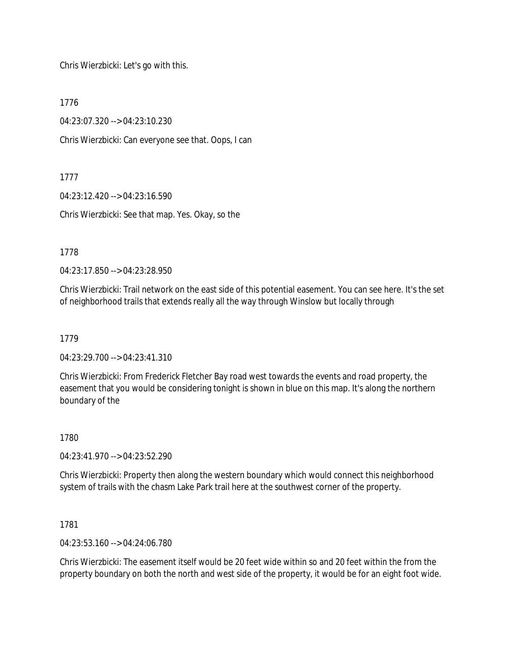Chris Wierzbicki: Let's go with this.

1776

04:23:07.320 --> 04:23:10.230

Chris Wierzbicki: Can everyone see that. Oops, I can

1777

04:23:12.420 --> 04:23:16.590

Chris Wierzbicki: See that map. Yes. Okay, so the

1778

04:23:17.850 --> 04:23:28.950

Chris Wierzbicki: Trail network on the east side of this potential easement. You can see here. It's the set of neighborhood trails that extends really all the way through Winslow but locally through

1779

04:23:29.700 --> 04:23:41.310

Chris Wierzbicki: From Frederick Fletcher Bay road west towards the events and road property, the easement that you would be considering tonight is shown in blue on this map. It's along the northern boundary of the

1780

04:23:41.970 --> 04:23:52.290

Chris Wierzbicki: Property then along the western boundary which would connect this neighborhood system of trails with the chasm Lake Park trail here at the southwest corner of the property.

1781

04:23:53.160 --> 04:24:06.780

Chris Wierzbicki: The easement itself would be 20 feet wide within so and 20 feet within the from the property boundary on both the north and west side of the property, it would be for an eight foot wide.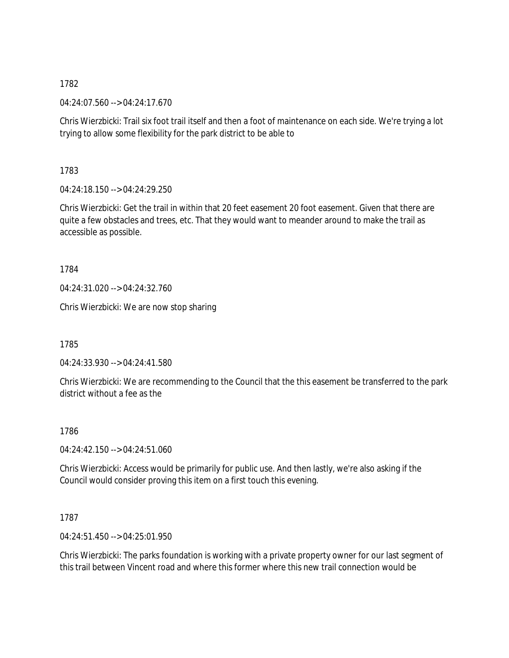04:24:07.560 --> 04:24:17.670

Chris Wierzbicki: Trail six foot trail itself and then a foot of maintenance on each side. We're trying a lot trying to allow some flexibility for the park district to be able to

1783

04:24:18.150 --> 04:24:29.250

Chris Wierzbicki: Get the trail in within that 20 feet easement 20 foot easement. Given that there are quite a few obstacles and trees, etc. That they would want to meander around to make the trail as accessible as possible.

1784

04:24:31.020 --> 04:24:32.760

Chris Wierzbicki: We are now stop sharing

1785

04:24:33.930 --> 04:24:41.580

Chris Wierzbicki: We are recommending to the Council that the this easement be transferred to the park district without a fee as the

1786

04:24:42.150 --> 04:24:51.060

Chris Wierzbicki: Access would be primarily for public use. And then lastly, we're also asking if the Council would consider proving this item on a first touch this evening.

1787

04:24:51.450 --> 04:25:01.950

Chris Wierzbicki: The parks foundation is working with a private property owner for our last segment of this trail between Vincent road and where this former where this new trail connection would be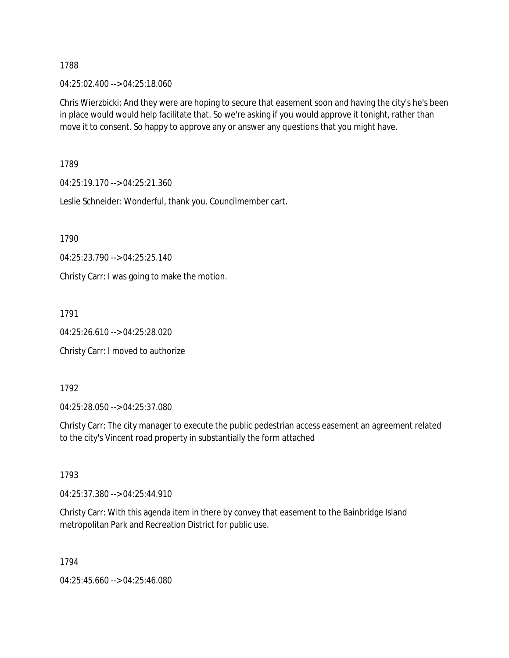04:25:02.400 --> 04:25:18.060

Chris Wierzbicki: And they were are hoping to secure that easement soon and having the city's he's been in place would would help facilitate that. So we're asking if you would approve it tonight, rather than move it to consent. So happy to approve any or answer any questions that you might have.

1789

04:25:19.170 --> 04:25:21.360

Leslie Schneider: Wonderful, thank you. Councilmember cart.

1790

04:25:23.790 --> 04:25:25.140

Christy Carr: I was going to make the motion.

1791

04:25:26.610 --> 04:25:28.020

Christy Carr: I moved to authorize

1792

04:25:28.050 --> 04:25:37.080

Christy Carr: The city manager to execute the public pedestrian access easement an agreement related to the city's Vincent road property in substantially the form attached

1793

04:25:37.380 --> 04:25:44.910

Christy Carr: With this agenda item in there by convey that easement to the Bainbridge Island metropolitan Park and Recreation District for public use.

1794

04:25:45.660 --> 04:25:46.080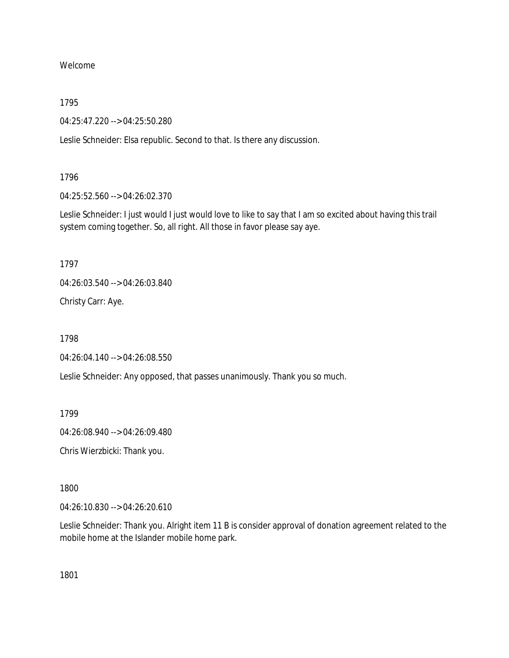Welcome

1795

04:25:47.220 --> 04:25:50.280

Leslie Schneider: Elsa republic. Second to that. Is there any discussion.

1796

04:25:52.560 --> 04:26:02.370

Leslie Schneider: I just would I just would love to like to say that I am so excited about having this trail system coming together. So, all right. All those in favor please say aye.

1797

04:26:03.540 --> 04:26:03.840

Christy Carr: Aye.

1798

04:26:04.140 --> 04:26:08.550

Leslie Schneider: Any opposed, that passes unanimously. Thank you so much.

1799

04:26:08.940 --> 04:26:09.480

Chris Wierzbicki: Thank you.

1800

04:26:10.830 --> 04:26:20.610

Leslie Schneider: Thank you. Alright item 11 B is consider approval of donation agreement related to the mobile home at the Islander mobile home park.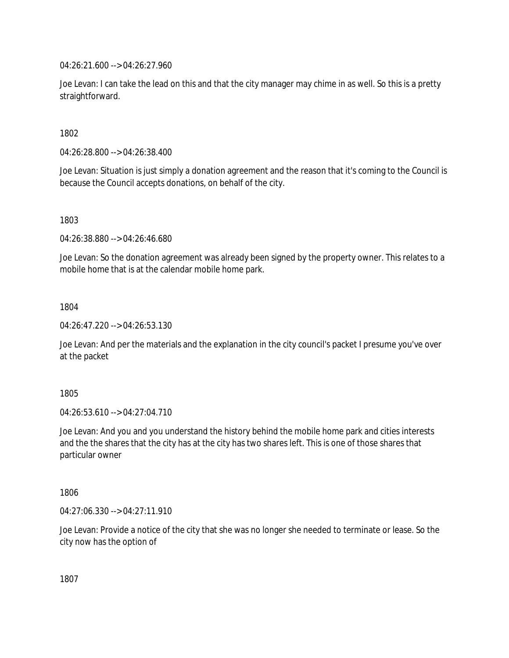04:26:21.600 --> 04:26:27.960

Joe Levan: I can take the lead on this and that the city manager may chime in as well. So this is a pretty straightforward.

1802

04:26:28.800 --> 04:26:38.400

Joe Levan: Situation is just simply a donation agreement and the reason that it's coming to the Council is because the Council accepts donations, on behalf of the city.

1803

04:26:38.880 --> 04:26:46.680

Joe Levan: So the donation agreement was already been signed by the property owner. This relates to a mobile home that is at the calendar mobile home park.

1804

04:26:47.220 --> 04:26:53.130

Joe Levan: And per the materials and the explanation in the city council's packet I presume you've over at the packet

1805

04:26:53.610 --> 04:27:04.710

Joe Levan: And you and you understand the history behind the mobile home park and cities interests and the the shares that the city has at the city has two shares left. This is one of those shares that particular owner

1806

04:27:06.330 --> 04:27:11.910

Joe Levan: Provide a notice of the city that she was no longer she needed to terminate or lease. So the city now has the option of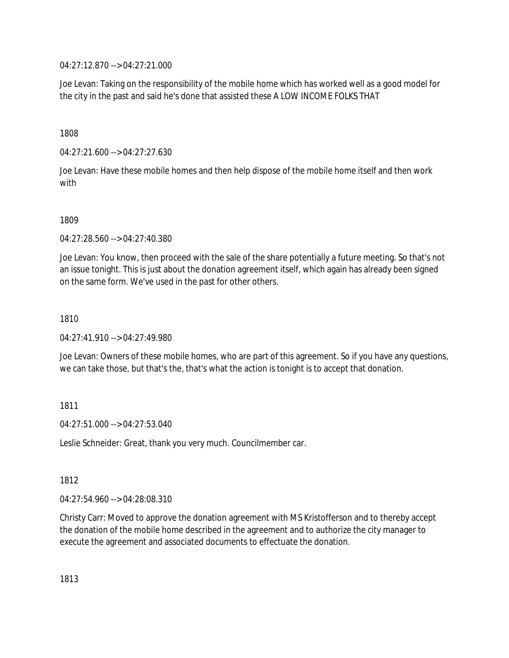04:27:12.870 --> 04:27:21.000

Joe Levan: Taking on the responsibility of the mobile home which has worked well as a good model for the city in the past and said he's done that assisted these A LOW INCOME FOLKS THAT

1808

04:27:21.600 --> 04:27:27.630

Joe Levan: Have these mobile homes and then help dispose of the mobile home itself and then work with

1809

04:27:28.560 --> 04:27:40.380

Joe Levan: You know, then proceed with the sale of the share potentially a future meeting. So that's not an issue tonight. This is just about the donation agreement itself, which again has already been signed on the same form. We've used in the past for other others.

1810

04:27:41.910 --> 04:27:49.980

Joe Levan: Owners of these mobile homes, who are part of this agreement. So if you have any questions, we can take those, but that's the, that's what the action is tonight is to accept that donation.

1811

 $04.27:51.000 -> 04.27:53.040$ 

Leslie Schneider: Great, thank you very much. Councilmember car.

1812

04:27:54.960 --> 04:28:08.310

Christy Carr: Moved to approve the donation agreement with MS Kristofferson and to thereby accept the donation of the mobile home described in the agreement and to authorize the city manager to execute the agreement and associated documents to effectuate the donation.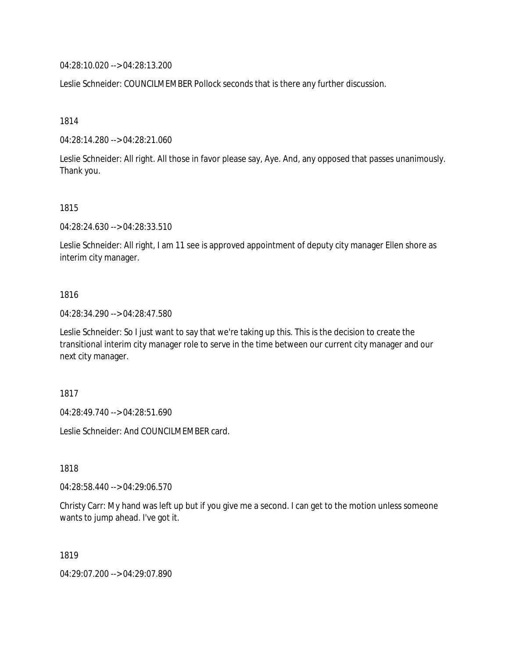04:28:10.020 --> 04:28:13.200

Leslie Schneider: COUNCILMEMBER Pollock seconds that is there any further discussion.

1814

04:28:14.280 --> 04:28:21.060

Leslie Schneider: All right. All those in favor please say, Aye. And, any opposed that passes unanimously. Thank you.

#### 1815

04:28:24.630 --> 04:28:33.510

Leslie Schneider: All right, I am 11 see is approved appointment of deputy city manager Ellen shore as interim city manager.

#### 1816

04:28:34.290 --> 04:28:47.580

Leslie Schneider: So I just want to say that we're taking up this. This is the decision to create the transitional interim city manager role to serve in the time between our current city manager and our next city manager.

1817

04:28:49.740 --> 04:28:51.690

Leslie Schneider: And COUNCILMEMBER card.

1818

04:28:58.440 --> 04:29:06.570

Christy Carr: My hand was left up but if you give me a second. I can get to the motion unless someone wants to jump ahead. I've got it.

1819

04:29:07.200 --> 04:29:07.890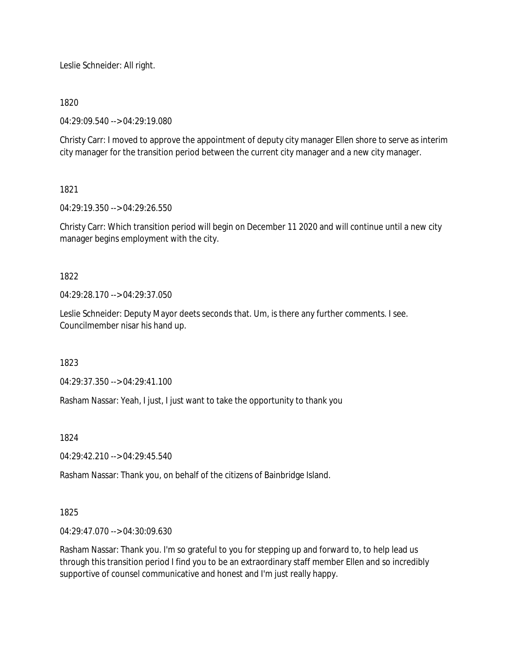Leslie Schneider: All right.

# 1820

04:29:09.540 --> 04:29:19.080

Christy Carr: I moved to approve the appointment of deputy city manager Ellen shore to serve as interim city manager for the transition period between the current city manager and a new city manager.

# 1821

04:29:19.350 --> 04:29:26.550

Christy Carr: Which transition period will begin on December 11 2020 and will continue until a new city manager begins employment with the city.

# 1822

04:29:28.170 --> 04:29:37.050

Leslie Schneider: Deputy Mayor deets seconds that. Um, is there any further comments. I see. Councilmember nisar his hand up.

1823

04:29:37.350 --> 04:29:41.100

Rasham Nassar: Yeah, I just, I just want to take the opportunity to thank you

1824

04:29:42.210 --> 04:29:45.540

Rasham Nassar: Thank you, on behalf of the citizens of Bainbridge Island.

# 1825

04:29:47.070 --> 04:30:09.630

Rasham Nassar: Thank you. I'm so grateful to you for stepping up and forward to, to help lead us through this transition period I find you to be an extraordinary staff member Ellen and so incredibly supportive of counsel communicative and honest and I'm just really happy.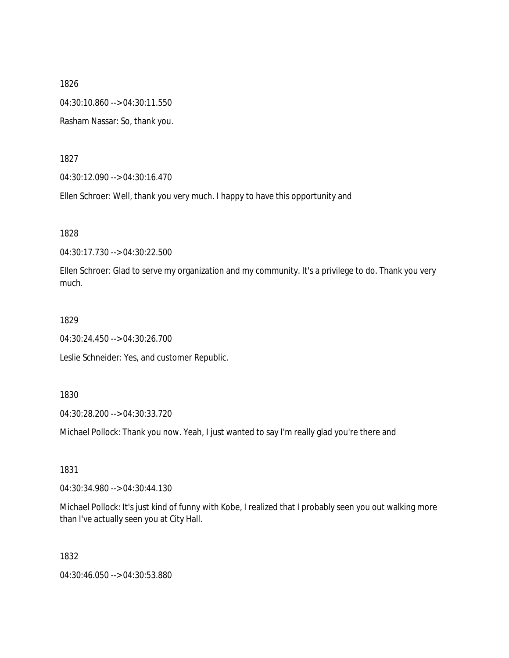1826 04:30:10.860 --> 04:30:11.550

Rasham Nassar: So, thank you.

1827

04:30:12.090 --> 04:30:16.470

Ellen Schroer: Well, thank you very much. I happy to have this opportunity and

1828

04:30:17.730 --> 04:30:22.500

Ellen Schroer: Glad to serve my organization and my community. It's a privilege to do. Thank you very much.

1829

04:30:24.450 --> 04:30:26.700

Leslie Schneider: Yes, and customer Republic.

1830

04:30:28.200 --> 04:30:33.720

Michael Pollock: Thank you now. Yeah, I just wanted to say I'm really glad you're there and

1831

04:30:34.980 --> 04:30:44.130

Michael Pollock: It's just kind of funny with Kobe, I realized that I probably seen you out walking more than I've actually seen you at City Hall.

1832

04:30:46.050 --> 04:30:53.880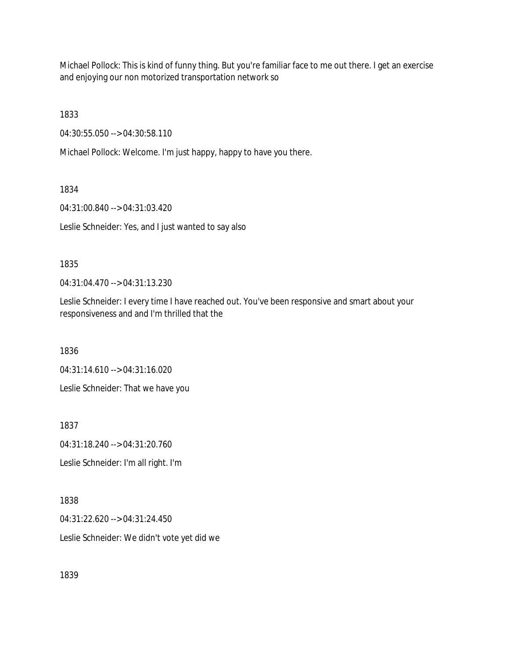Michael Pollock: This is kind of funny thing. But you're familiar face to me out there. I get an exercise and enjoying our non motorized transportation network so

1833

04:30:55.050 --> 04:30:58.110

Michael Pollock: Welcome. I'm just happy, happy to have you there.

1834

04:31:00.840 --> 04:31:03.420

Leslie Schneider: Yes, and I just wanted to say also

#### 1835

04:31:04.470 --> 04:31:13.230

Leslie Schneider: I every time I have reached out. You've been responsive and smart about your responsiveness and and I'm thrilled that the

1836

04:31:14.610 --> 04:31:16.020

Leslie Schneider: That we have you

1837

04:31:18.240 --> 04:31:20.760

Leslie Schneider: I'm all right. I'm

1838

04:31:22.620 --> 04:31:24.450

Leslie Schneider: We didn't vote yet did we

1839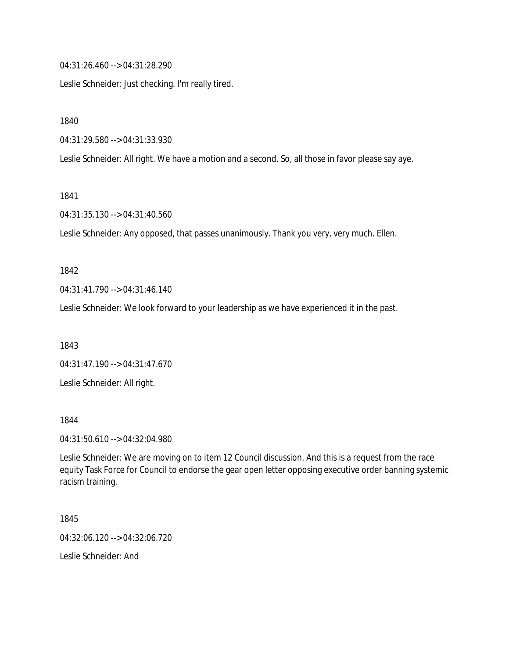04:31:26.460 --> 04:31:28.290

Leslie Schneider: Just checking. I'm really tired.

1840

04:31:29.580 --> 04:31:33.930

Leslie Schneider: All right. We have a motion and a second. So, all those in favor please say aye.

1841

04:31:35.130 --> 04:31:40.560

Leslie Schneider: Any opposed, that passes unanimously. Thank you very, very much. Ellen.

#### 1842

04:31:41.790 --> 04:31:46.140

Leslie Schneider: We look forward to your leadership as we have experienced it in the past.

1843

04:31:47.190 --> 04:31:47.670

Leslie Schneider: All right.

1844

04:31:50.610 --> 04:32:04.980

Leslie Schneider: We are moving on to item 12 Council discussion. And this is a request from the race equity Task Force for Council to endorse the gear open letter opposing executive order banning systemic racism training.

1845

04:32:06.120 --> 04:32:06.720

Leslie Schneider: And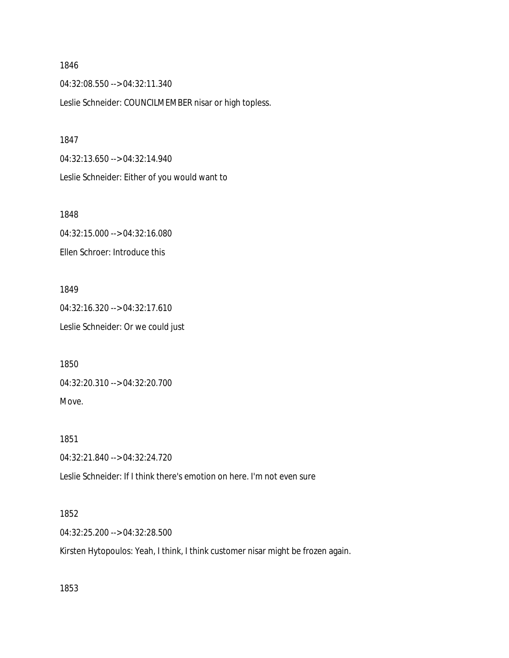04:32:08.550 --> 04:32:11.340

Leslie Schneider: COUNCILMEMBER nisar or high topless.

1847

04:32:13.650 --> 04:32:14.940 Leslie Schneider: Either of you would want to

1848

04:32:15.000 --> 04:32:16.080 Ellen Schroer: Introduce this

1849 04:32:16.320 --> 04:32:17.610 Leslie Schneider: Or we could just

1850 04:32:20.310 --> 04:32:20.700 Move.

1851 04:32:21.840 --> 04:32:24.720

Leslie Schneider: If I think there's emotion on here. I'm not even sure

1852

04:32:25.200 --> 04:32:28.500

Kirsten Hytopoulos: Yeah, I think, I think customer nisar might be frozen again.

1853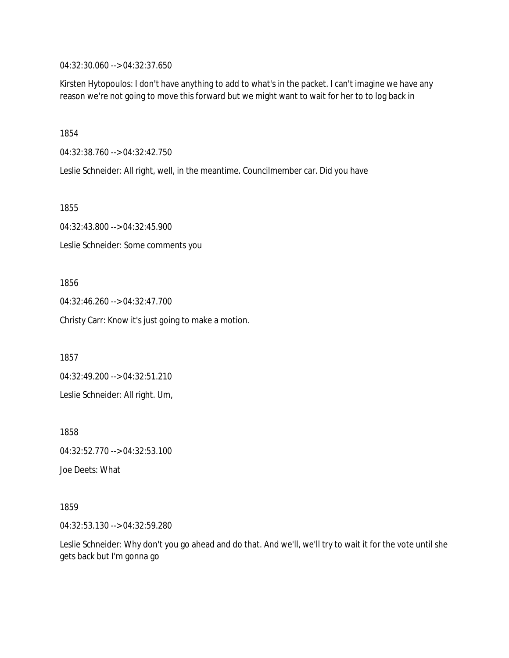04:32:30.060 --> 04:32:37.650

Kirsten Hytopoulos: I don't have anything to add to what's in the packet. I can't imagine we have any reason we're not going to move this forward but we might want to wait for her to to log back in

1854

04:32:38.760 --> 04:32:42.750

Leslie Schneider: All right, well, in the meantime. Councilmember car. Did you have

1855

04:32:43.800 --> 04:32:45.900 Leslie Schneider: Some comments you

1856

04:32:46.260 --> 04:32:47.700

Christy Carr: Know it's just going to make a motion.

1857

04:32:49.200 --> 04:32:51.210

Leslie Schneider: All right. Um,

1858

04:32:52.770 --> 04:32:53.100

Joe Deets: What

1859

04:32:53.130 --> 04:32:59.280

Leslie Schneider: Why don't you go ahead and do that. And we'll, we'll try to wait it for the vote until she gets back but I'm gonna go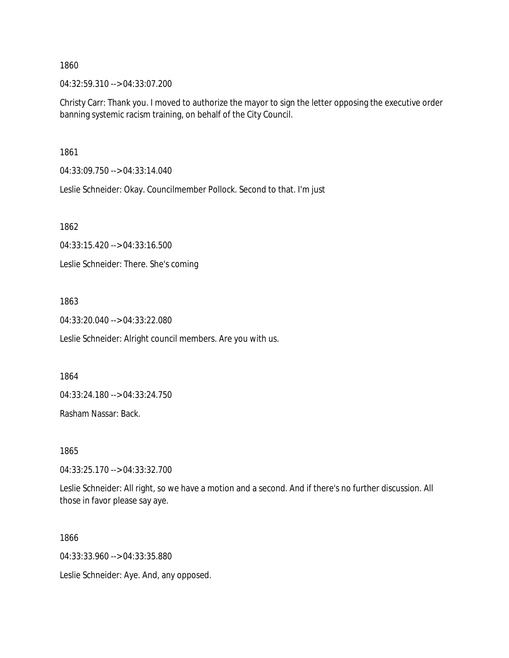04:32:59.310 --> 04:33:07.200

Christy Carr: Thank you. I moved to authorize the mayor to sign the letter opposing the executive order banning systemic racism training, on behalf of the City Council.

1861

04:33:09.750 --> 04:33:14.040

Leslie Schneider: Okay. Councilmember Pollock. Second to that. I'm just

1862

04:33:15.420 --> 04:33:16.500

Leslie Schneider: There. She's coming

#### 1863

04:33:20.040 --> 04:33:22.080

Leslie Schneider: Alright council members. Are you with us.

1864

04:33:24.180 --> 04:33:24.750

Rasham Nassar: Back.

1865

04:33:25.170 --> 04:33:32.700

Leslie Schneider: All right, so we have a motion and a second. And if there's no further discussion. All those in favor please say aye.

1866

04:33:33.960 --> 04:33:35.880

Leslie Schneider: Aye. And, any opposed.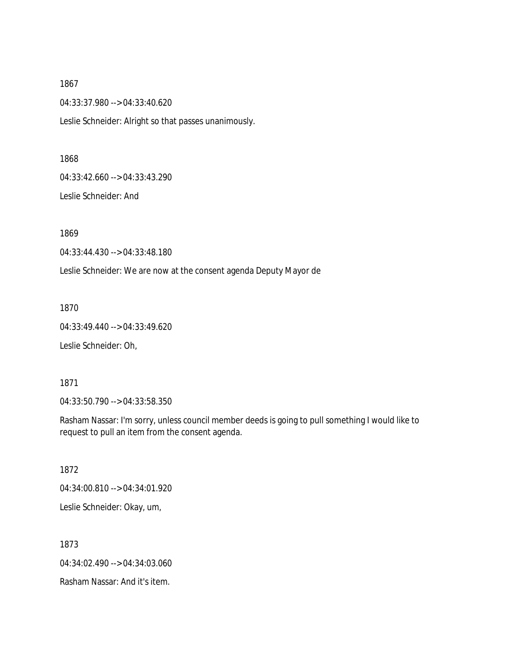1867 04:33:37.980 --> 04:33:40.620 Leslie Schneider: Alright so that passes unanimously.

1868

04:33:42.660 --> 04:33:43.290

Leslie Schneider: And

1869

04:33:44.430 --> 04:33:48.180

Leslie Schneider: We are now at the consent agenda Deputy Mayor de

1870

04:33:49.440 --> 04:33:49.620

Leslie Schneider: Oh,

1871

04:33:50.790 --> 04:33:58.350

Rasham Nassar: I'm sorry, unless council member deeds is going to pull something I would like to request to pull an item from the consent agenda.

1872

04:34:00.810 --> 04:34:01.920

Leslie Schneider: Okay, um,

1873

04:34:02.490 --> 04:34:03.060

Rasham Nassar: And it's item.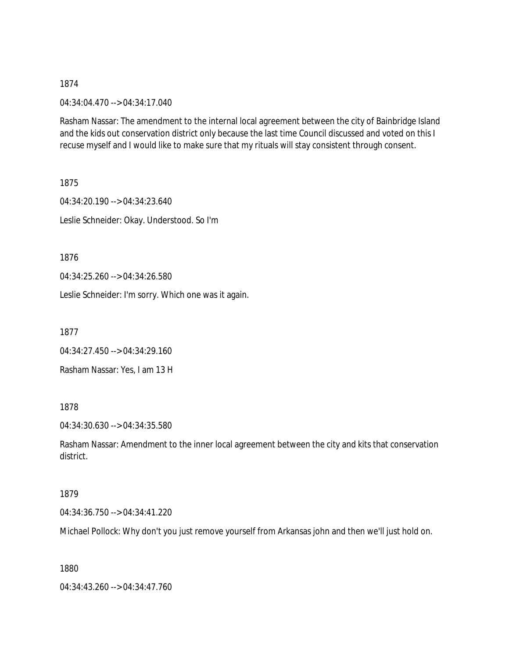04:34:04.470 --> 04:34:17.040

Rasham Nassar: The amendment to the internal local agreement between the city of Bainbridge Island and the kids out conservation district only because the last time Council discussed and voted on this I recuse myself and I would like to make sure that my rituals will stay consistent through consent.

1875

04:34:20.190 --> 04:34:23.640 Leslie Schneider: Okay. Understood. So I'm

1876

04:34:25.260 --> 04:34:26.580

Leslie Schneider: I'm sorry. Which one was it again.

1877

04:34:27.450 --> 04:34:29.160 Rasham Nassar: Yes, I am 13 H

1878

04:34:30.630 --> 04:34:35.580

Rasham Nassar: Amendment to the inner local agreement between the city and kits that conservation district.

#### 1879

04:34:36.750 --> 04:34:41.220

Michael Pollock: Why don't you just remove yourself from Arkansas john and then we'll just hold on.

1880

04:34:43.260 --> 04:34:47.760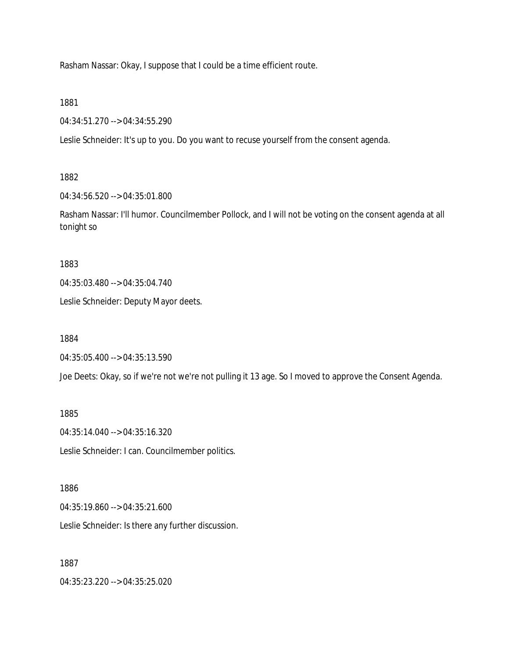Rasham Nassar: Okay, I suppose that I could be a time efficient route.

1881

04:34:51.270 --> 04:34:55.290

Leslie Schneider: It's up to you. Do you want to recuse yourself from the consent agenda.

1882

04:34:56.520 --> 04:35:01.800

Rasham Nassar: I'll humor. Councilmember Pollock, and I will not be voting on the consent agenda at all tonight so

1883

04:35:03.480 --> 04:35:04.740

Leslie Schneider: Deputy Mayor deets.

1884

04:35:05.400 --> 04:35:13.590

Joe Deets: Okay, so if we're not we're not pulling it 13 age. So I moved to approve the Consent Agenda.

1885

04:35:14.040 --> 04:35:16.320

Leslie Schneider: I can. Councilmember politics.

1886

04:35:19.860 --> 04:35:21.600

Leslie Schneider: Is there any further discussion.

1887

04:35:23.220 --> 04:35:25.020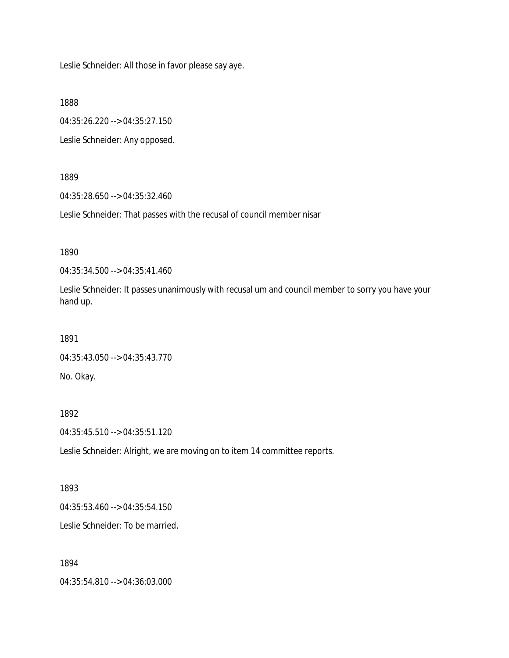Leslie Schneider: All those in favor please say aye.

1888

04:35:26.220 --> 04:35:27.150

Leslie Schneider: Any opposed.

#### 1889

04:35:28.650 --> 04:35:32.460

Leslie Schneider: That passes with the recusal of council member nisar

# 1890

04:35:34.500 --> 04:35:41.460

Leslie Schneider: It passes unanimously with recusal um and council member to sorry you have your hand up.

#### 1891

```
04:35:43.050 --> 04:35:43.770
```
No. Okay.

## 1892

04:35:45.510 --> 04:35:51.120

Leslie Schneider: Alright, we are moving on to item 14 committee reports.

## 1893

04:35:53.460 --> 04:35:54.150 Leslie Schneider: To be married.

## 1894

04:35:54.810 --> 04:36:03.000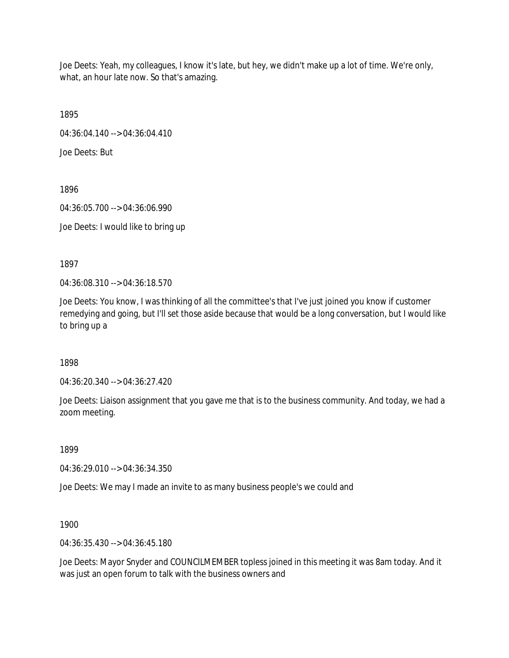Joe Deets: Yeah, my colleagues, I know it's late, but hey, we didn't make up a lot of time. We're only, what, an hour late now. So that's amazing.

1895

04:36:04.140 --> 04:36:04.410

Joe Deets: But

1896

04:36:05.700 --> 04:36:06.990 Joe Deets: I would like to bring up

1897

04:36:08.310 --> 04:36:18.570

Joe Deets: You know, I was thinking of all the committee's that I've just joined you know if customer remedying and going, but I'll set those aside because that would be a long conversation, but I would like to bring up a

1898

04:36:20.340 --> 04:36:27.420

Joe Deets: Liaison assignment that you gave me that is to the business community. And today, we had a zoom meeting.

1899

04:36:29.010 --> 04:36:34.350

Joe Deets: We may I made an invite to as many business people's we could and

1900

04:36:35.430 --> 04:36:45.180

Joe Deets: Mayor Snyder and COUNCILMEMBER topless joined in this meeting it was 8am today. And it was just an open forum to talk with the business owners and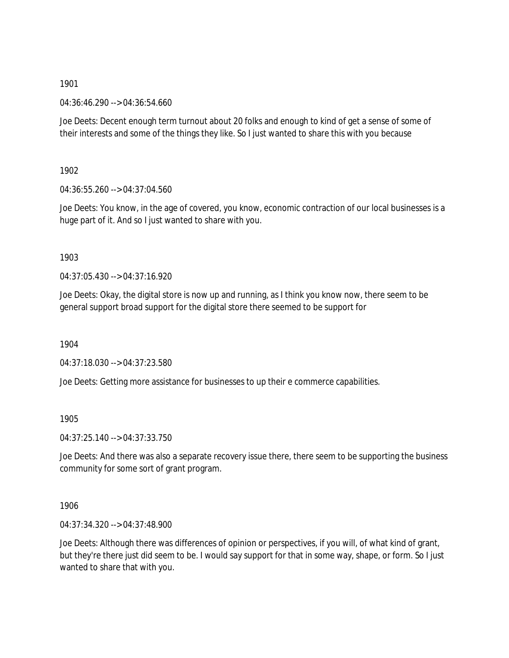04:36:46.290 --> 04:36:54.660

Joe Deets: Decent enough term turnout about 20 folks and enough to kind of get a sense of some of their interests and some of the things they like. So I just wanted to share this with you because

1902

04:36:55.260 --> 04:37:04.560

Joe Deets: You know, in the age of covered, you know, economic contraction of our local businesses is a huge part of it. And so I just wanted to share with you.

1903

04:37:05.430 --> 04:37:16.920

Joe Deets: Okay, the digital store is now up and running, as I think you know now, there seem to be general support broad support for the digital store there seemed to be support for

1904

04:37:18.030 --> 04:37:23.580

Joe Deets: Getting more assistance for businesses to up their e commerce capabilities.

1905

04:37:25.140 --> 04:37:33.750

Joe Deets: And there was also a separate recovery issue there, there seem to be supporting the business community for some sort of grant program.

1906

04:37:34.320 --> 04:37:48.900

Joe Deets: Although there was differences of opinion or perspectives, if you will, of what kind of grant, but they're there just did seem to be. I would say support for that in some way, shape, or form. So I just wanted to share that with you.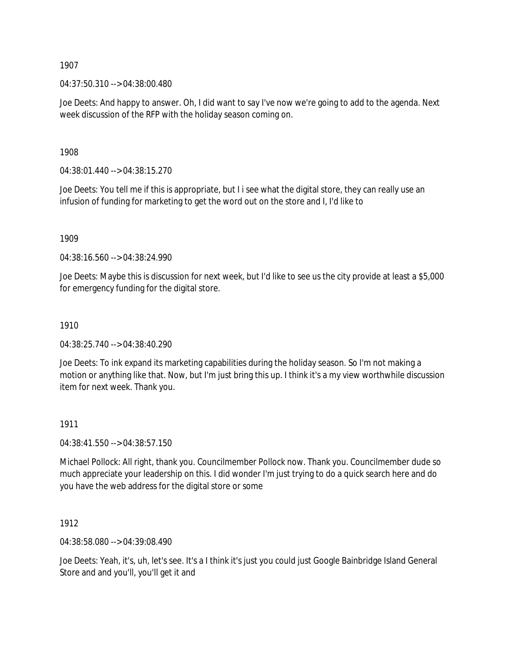04:37:50.310 --> 04:38:00.480

Joe Deets: And happy to answer. Oh, I did want to say I've now we're going to add to the agenda. Next week discussion of the RFP with the holiday season coming on.

1908

04:38:01.440 --> 04:38:15.270

Joe Deets: You tell me if this is appropriate, but I i see what the digital store, they can really use an infusion of funding for marketing to get the word out on the store and I, I'd like to

1909

04:38:16.560 --> 04:38:24.990

Joe Deets: Maybe this is discussion for next week, but I'd like to see us the city provide at least a \$5,000 for emergency funding for the digital store.

## 1910

04:38:25.740 --> 04:38:40.290

Joe Deets: To ink expand its marketing capabilities during the holiday season. So I'm not making a motion or anything like that. Now, but I'm just bring this up. I think it's a my view worthwhile discussion item for next week. Thank you.

## 1911

04:38:41.550 --> 04:38:57.150

Michael Pollock: All right, thank you. Councilmember Pollock now. Thank you. Councilmember dude so much appreciate your leadership on this. I did wonder I'm just trying to do a quick search here and do you have the web address for the digital store or some

1912

04:38:58.080 --> 04:39:08.490

Joe Deets: Yeah, it's, uh, let's see. It's a I think it's just you could just Google Bainbridge Island General Store and and you'll, you'll get it and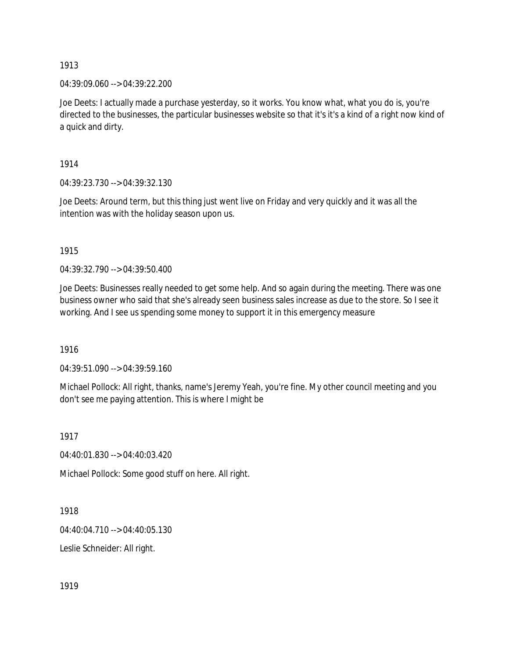04:39:09.060 --> 04:39:22.200

Joe Deets: I actually made a purchase yesterday, so it works. You know what, what you do is, you're directed to the businesses, the particular businesses website so that it's it's a kind of a right now kind of a quick and dirty.

1914

04:39:23.730 --> 04:39:32.130

Joe Deets: Around term, but this thing just went live on Friday and very quickly and it was all the intention was with the holiday season upon us.

1915

04:39:32.790 --> 04:39:50.400

Joe Deets: Businesses really needed to get some help. And so again during the meeting. There was one business owner who said that she's already seen business sales increase as due to the store. So I see it working. And I see us spending some money to support it in this emergency measure

1916

04:39:51.090 --> 04:39:59.160

Michael Pollock: All right, thanks, name's Jeremy Yeah, you're fine. My other council meeting and you don't see me paying attention. This is where I might be

1917

04:40:01.830 --> 04:40:03.420

Michael Pollock: Some good stuff on here. All right.

1918

04:40:04.710 --> 04:40:05.130

Leslie Schneider: All right.

1919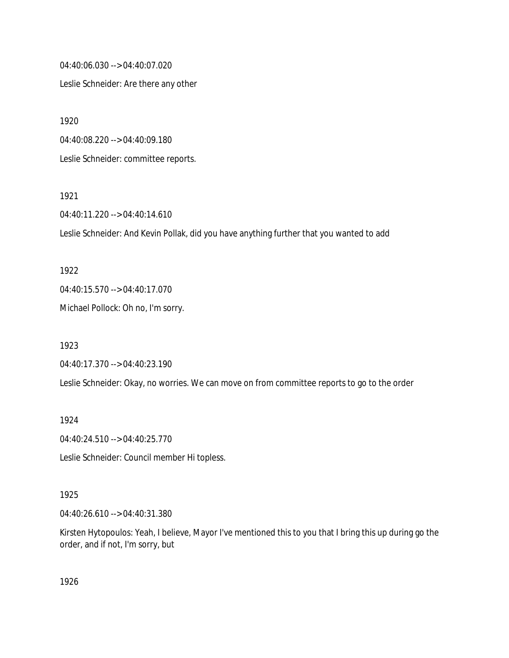04:40:06.030 --> 04:40:07.020

Leslie Schneider: Are there any other

1920

04:40:08.220 --> 04:40:09.180

Leslie Schneider: committee reports.

1921

04:40:11.220 --> 04:40:14.610

Leslie Schneider: And Kevin Pollak, did you have anything further that you wanted to add

1922

04:40:15.570 --> 04:40:17.070

Michael Pollock: Oh no, I'm sorry.

1923

04:40:17.370 --> 04:40:23.190

Leslie Schneider: Okay, no worries. We can move on from committee reports to go to the order

1924

04:40:24.510 --> 04:40:25.770

Leslie Schneider: Council member Hi topless.

1925

04:40:26.610 --> 04:40:31.380

Kirsten Hytopoulos: Yeah, I believe, Mayor I've mentioned this to you that I bring this up during go the order, and if not, I'm sorry, but

1926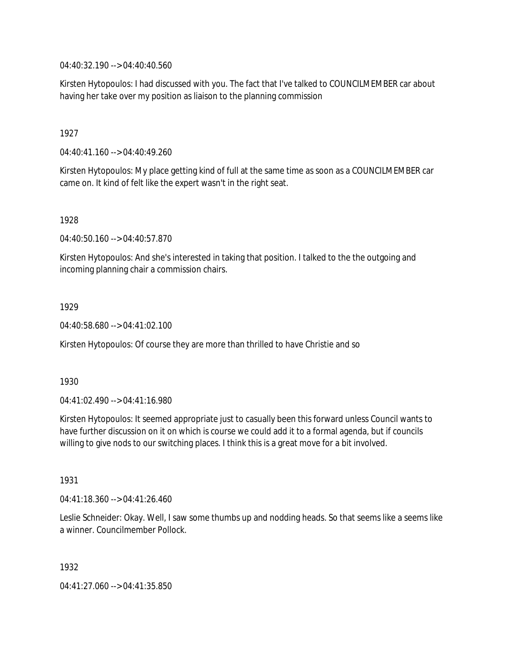04:40:32.190 --> 04:40:40.560

Kirsten Hytopoulos: I had discussed with you. The fact that I've talked to COUNCILMEMBER car about having her take over my position as liaison to the planning commission

1927

04:40:41.160 --> 04:40:49.260

Kirsten Hytopoulos: My place getting kind of full at the same time as soon as a COUNCILMEMBER car came on. It kind of felt like the expert wasn't in the right seat.

1928

04:40:50.160 --> 04:40:57.870

Kirsten Hytopoulos: And she's interested in taking that position. I talked to the the outgoing and incoming planning chair a commission chairs.

1929

04:40:58.680 --> 04:41:02.100

Kirsten Hytopoulos: Of course they are more than thrilled to have Christie and so

1930

04:41:02.490 --> 04:41:16.980

Kirsten Hytopoulos: It seemed appropriate just to casually been this forward unless Council wants to have further discussion on it on which is course we could add it to a formal agenda, but if councils willing to give nods to our switching places. I think this is a great move for a bit involved.

1931

04:41:18.360 --> 04:41:26.460

Leslie Schneider: Okay. Well, I saw some thumbs up and nodding heads. So that seems like a seems like a winner. Councilmember Pollock.

1932

04:41:27.060 --> 04:41:35.850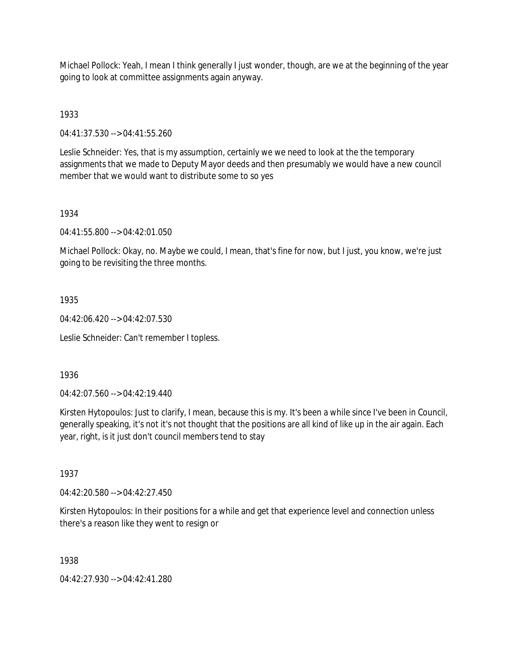Michael Pollock: Yeah, I mean I think generally I just wonder, though, are we at the beginning of the year going to look at committee assignments again anyway.

1933

04:41:37.530 --> 04:41:55.260

Leslie Schneider: Yes, that is my assumption, certainly we we need to look at the the temporary assignments that we made to Deputy Mayor deeds and then presumably we would have a new council member that we would want to distribute some to so yes

## 1934

04:41:55.800 --> 04:42:01.050

Michael Pollock: Okay, no. Maybe we could, I mean, that's fine for now, but I just, you know, we're just going to be revisiting the three months.

## 1935

04:42:06.420 --> 04:42:07.530

Leslie Schneider: Can't remember I topless.

1936

04:42:07.560 --> 04:42:19.440

Kirsten Hytopoulos: Just to clarify, I mean, because this is my. It's been a while since I've been in Council, generally speaking, it's not it's not thought that the positions are all kind of like up in the air again. Each year, right, is it just don't council members tend to stay

1937

04:42:20.580 --> 04:42:27.450

Kirsten Hytopoulos: In their positions for a while and get that experience level and connection unless there's a reason like they went to resign or

1938

04:42:27.930 --> 04:42:41.280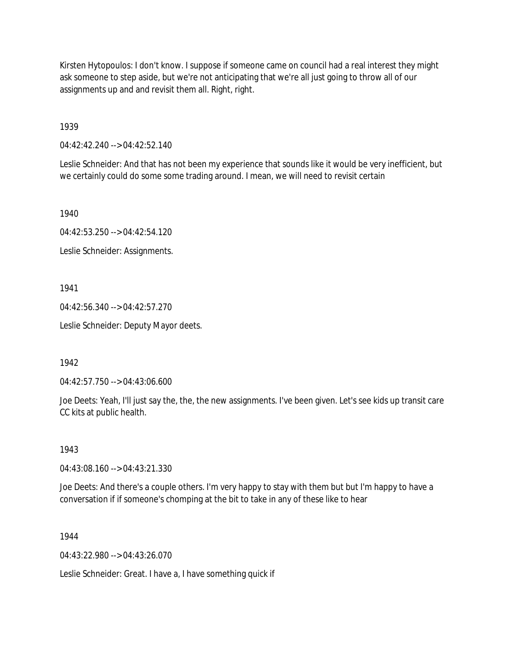Kirsten Hytopoulos: I don't know. I suppose if someone came on council had a real interest they might ask someone to step aside, but we're not anticipating that we're all just going to throw all of our assignments up and and revisit them all. Right, right.

1939

04:42:42.240 --> 04:42:52.140

Leslie Schneider: And that has not been my experience that sounds like it would be very inefficient, but we certainly could do some some trading around. I mean, we will need to revisit certain

1940

04:42:53.250 --> 04:42:54.120

Leslie Schneider: Assignments.

1941

04:42:56.340 --> 04:42:57.270

Leslie Schneider: Deputy Mayor deets.

1942

04:42:57.750 --> 04:43:06.600

Joe Deets: Yeah, I'll just say the, the, the new assignments. I've been given. Let's see kids up transit care CC kits at public health.

1943

04:43:08.160 --> 04:43:21.330

Joe Deets: And there's a couple others. I'm very happy to stay with them but but I'm happy to have a conversation if if someone's chomping at the bit to take in any of these like to hear

1944

 $04.43.22.980 -> 04.43.26.070$ 

Leslie Schneider: Great. I have a, I have something quick if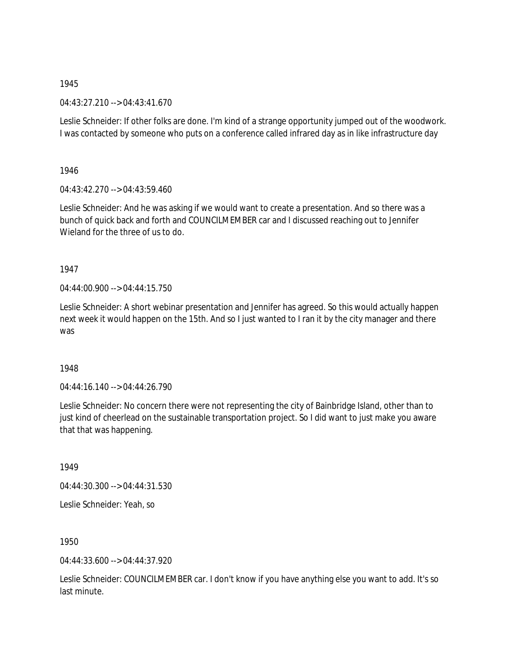04:43:27.210 --> 04:43:41.670

Leslie Schneider: If other folks are done. I'm kind of a strange opportunity jumped out of the woodwork. I was contacted by someone who puts on a conference called infrared day as in like infrastructure day

1946

04:43:42.270 --> 04:43:59.460

Leslie Schneider: And he was asking if we would want to create a presentation. And so there was a bunch of quick back and forth and COUNCILMEMBER car and I discussed reaching out to Jennifer Wieland for the three of us to do.

1947

04:44:00.900 --> 04:44:15.750

Leslie Schneider: A short webinar presentation and Jennifer has agreed. So this would actually happen next week it would happen on the 15th. And so I just wanted to I ran it by the city manager and there was

1948

 $04.44.16.140 -> 04.44.26.790$ 

Leslie Schneider: No concern there were not representing the city of Bainbridge Island, other than to just kind of cheerlead on the sustainable transportation project. So I did want to just make you aware that that was happening.

1949

04:44:30.300 --> 04:44:31.530

Leslie Schneider: Yeah, so

1950

04:44:33.600 --> 04:44:37.920

Leslie Schneider: COUNCILMEMBER car. I don't know if you have anything else you want to add. It's so last minute.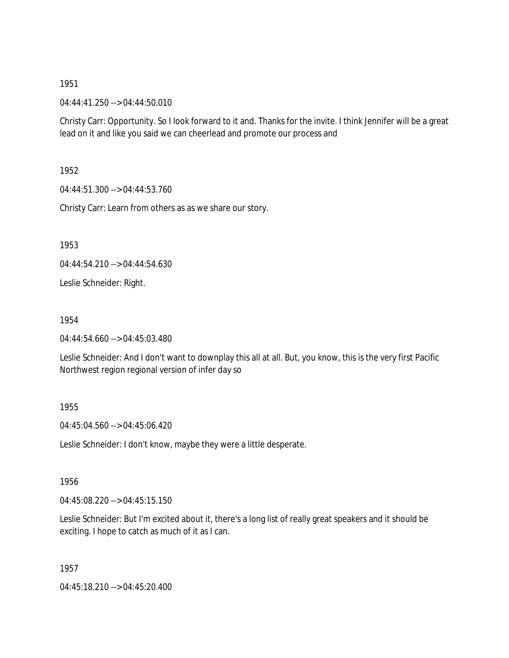04:44:41.250 --> 04:44:50.010

Christy Carr: Opportunity. So I look forward to it and. Thanks for the invite. I think Jennifer will be a great lead on it and like you said we can cheerlead and promote our process and

1952

04:44:51.300 --> 04:44:53.760

Christy Carr: Learn from others as as we share our story.

1953

04:44:54.210 --> 04:44:54.630

Leslie Schneider: Right.

1954

04:44:54.660 --> 04:45:03.480

Leslie Schneider: And I don't want to downplay this all at all. But, you know, this is the very first Pacific Northwest region regional version of infer day so

#### 1955

04:45:04.560 --> 04:45:06.420

Leslie Schneider: I don't know, maybe they were a little desperate.

1956

04:45:08.220 --> 04:45:15.150

Leslie Schneider: But I'm excited about it, there's a long list of really great speakers and it should be exciting. I hope to catch as much of it as I can.

1957

04:45:18.210 --> 04:45:20.400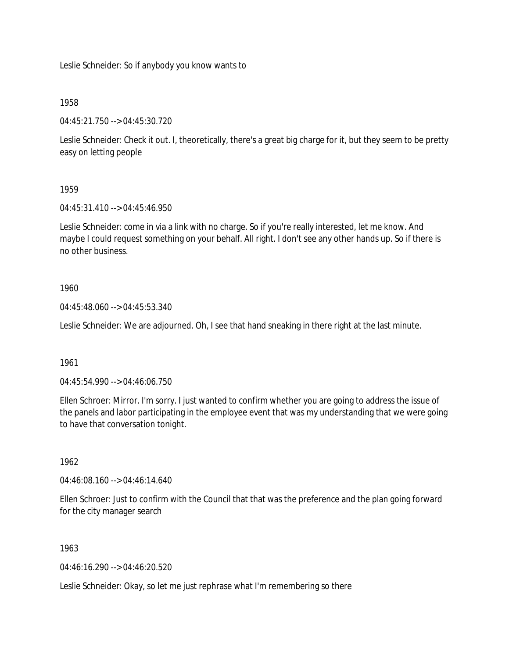Leslie Schneider: So if anybody you know wants to

# 1958

04:45:21.750 --> 04:45:30.720

Leslie Schneider: Check it out. I, theoretically, there's a great big charge for it, but they seem to be pretty easy on letting people

# 1959

04:45:31.410 --> 04:45:46.950

Leslie Schneider: come in via a link with no charge. So if you're really interested, let me know. And maybe I could request something on your behalf. All right. I don't see any other hands up. So if there is no other business.

# 1960

04:45:48.060 --> 04:45:53.340

Leslie Schneider: We are adjourned. Oh, I see that hand sneaking in there right at the last minute.

## 1961

04:45:54.990 --> 04:46:06.750

Ellen Schroer: Mirror. I'm sorry. I just wanted to confirm whether you are going to address the issue of the panels and labor participating in the employee event that was my understanding that we were going to have that conversation tonight.

## 1962

04:46:08.160 --> 04:46:14.640

Ellen Schroer: Just to confirm with the Council that that was the preference and the plan going forward for the city manager search

# 1963

04:46:16.290 --> 04:46:20.520

Leslie Schneider: Okay, so let me just rephrase what I'm remembering so there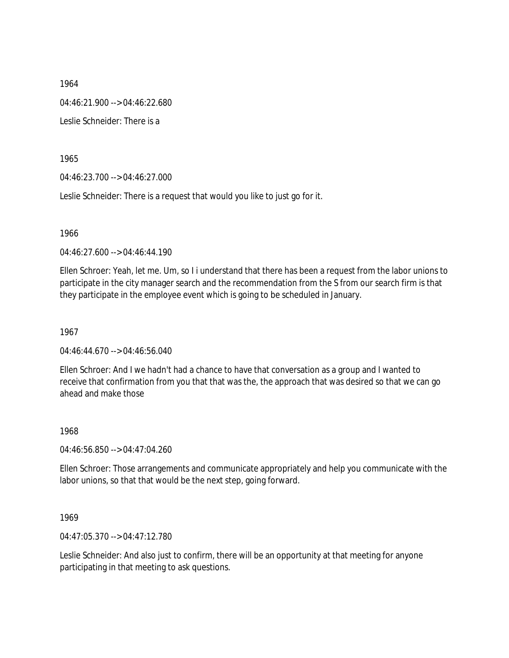1964 04:46:21.900 --> 04:46:22.680 Leslie Schneider: There is a

1965

04:46:23.700 --> 04:46:27.000

Leslie Schneider: There is a request that would you like to just go for it.

1966

04:46:27.600 --> 04:46:44.190

Ellen Schroer: Yeah, let me. Um, so I i understand that there has been a request from the labor unions to participate in the city manager search and the recommendation from the S from our search firm is that they participate in the employee event which is going to be scheduled in January.

1967

04:46:44.670 --> 04:46:56.040

Ellen Schroer: And I we hadn't had a chance to have that conversation as a group and I wanted to receive that confirmation from you that that was the, the approach that was desired so that we can go ahead and make those

1968

04:46:56.850 --> 04:47:04.260

Ellen Schroer: Those arrangements and communicate appropriately and help you communicate with the labor unions, so that that would be the next step, going forward.

1969

04:47:05.370 --> 04:47:12.780

Leslie Schneider: And also just to confirm, there will be an opportunity at that meeting for anyone participating in that meeting to ask questions.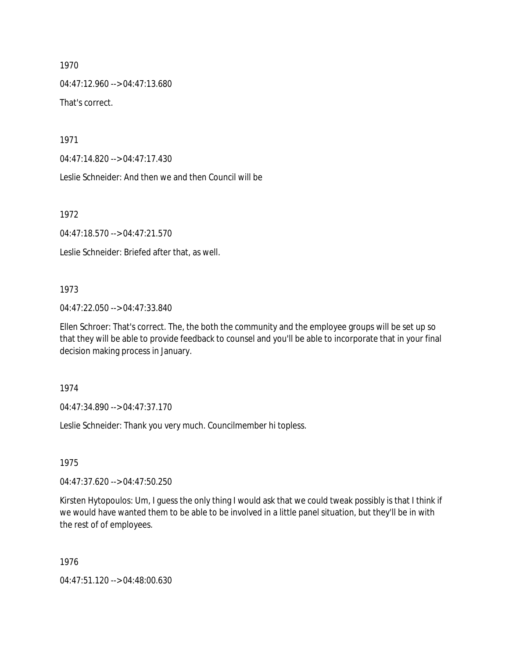04:47:12.960 --> 04:47:13.680 That's correct.

1971

04:47:14.820 --> 04:47:17.430

Leslie Schneider: And then we and then Council will be

1972

04:47:18.570 --> 04:47:21.570

Leslie Schneider: Briefed after that, as well.

#### 1973

04:47:22.050 --> 04:47:33.840

Ellen Schroer: That's correct. The, the both the community and the employee groups will be set up so that they will be able to provide feedback to counsel and you'll be able to incorporate that in your final decision making process in January.

1974

04:47:34.890 --> 04:47:37.170

Leslie Schneider: Thank you very much. Councilmember hi topless.

1975

04:47:37.620 --> 04:47:50.250

Kirsten Hytopoulos: Um, I guess the only thing I would ask that we could tweak possibly is that I think if we would have wanted them to be able to be involved in a little panel situation, but they'll be in with the rest of of employees.

1976

04:47:51.120 --> 04:48:00.630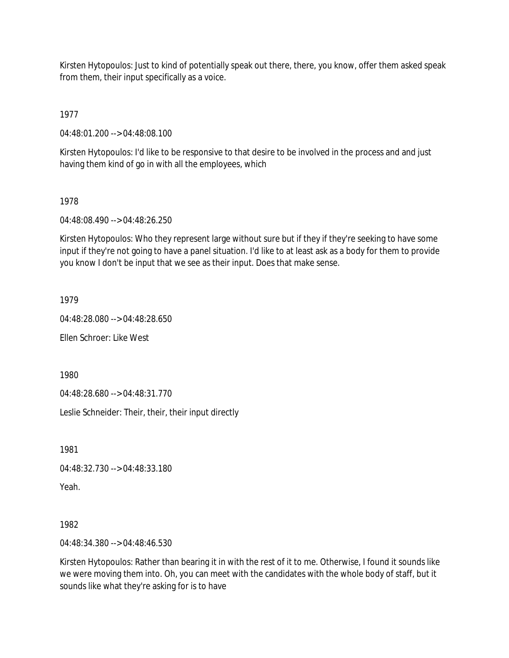Kirsten Hytopoulos: Just to kind of potentially speak out there, there, you know, offer them asked speak from them, their input specifically as a voice.

1977

04:48:01.200 --> 04:48:08.100

Kirsten Hytopoulos: I'd like to be responsive to that desire to be involved in the process and and just having them kind of go in with all the employees, which

# 1978

04:48:08.490 --> 04:48:26.250

Kirsten Hytopoulos: Who they represent large without sure but if they if they're seeking to have some input if they're not going to have a panel situation. I'd like to at least ask as a body for them to provide you know I don't be input that we see as their input. Does that make sense.

1979

04:48:28.080 --> 04:48:28.650

Ellen Schroer: Like West

1980

04:48:28.680 --> 04:48:31.770

Leslie Schneider: Their, their, their input directly

1981

04:48:32.730 --> 04:48:33.180

Yeah.

1982

04:48:34.380 --> 04:48:46.530

Kirsten Hytopoulos: Rather than bearing it in with the rest of it to me. Otherwise, I found it sounds like we were moving them into. Oh, you can meet with the candidates with the whole body of staff, but it sounds like what they're asking for is to have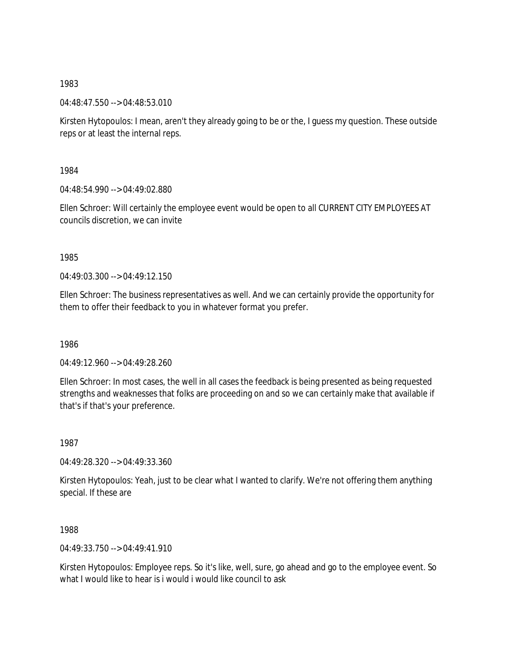04:48:47.550 --> 04:48:53.010

Kirsten Hytopoulos: I mean, aren't they already going to be or the, I guess my question. These outside reps or at least the internal reps.

1984

04:48:54.990 --> 04:49:02.880

Ellen Schroer: Will certainly the employee event would be open to all CURRENT CITY EMPLOYEES AT councils discretion, we can invite

1985

 $04.49.03.300 -> 04.49.12.150$ 

Ellen Schroer: The business representatives as well. And we can certainly provide the opportunity for them to offer their feedback to you in whatever format you prefer.

1986

04:49:12.960 --> 04:49:28.260

Ellen Schroer: In most cases, the well in all cases the feedback is being presented as being requested strengths and weaknesses that folks are proceeding on and so we can certainly make that available if that's if that's your preference.

1987

04:49:28.320 --> 04:49:33.360

Kirsten Hytopoulos: Yeah, just to be clear what I wanted to clarify. We're not offering them anything special. If these are

1988

04:49:33.750 --> 04:49:41.910

Kirsten Hytopoulos: Employee reps. So it's like, well, sure, go ahead and go to the employee event. So what I would like to hear is i would i would like council to ask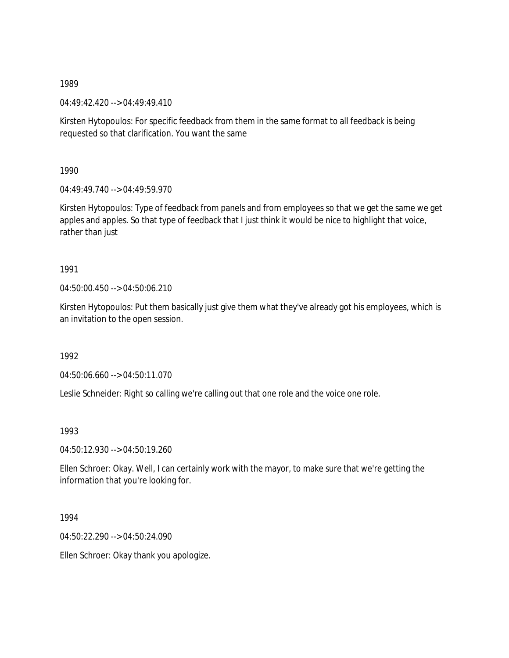04:49:42.420 --> 04:49:49.410

Kirsten Hytopoulos: For specific feedback from them in the same format to all feedback is being requested so that clarification. You want the same

1990

 $04:49:49.740 \rightarrow 04:49:59.970$ 

Kirsten Hytopoulos: Type of feedback from panels and from employees so that we get the same we get apples and apples. So that type of feedback that I just think it would be nice to highlight that voice, rather than just

# 1991

04:50:00.450 --> 04:50:06.210

Kirsten Hytopoulos: Put them basically just give them what they've already got his employees, which is an invitation to the open session.

1992

04:50:06.660 --> 04:50:11.070

Leslie Schneider: Right so calling we're calling out that one role and the voice one role.

1993

04:50:12.930 --> 04:50:19.260

Ellen Schroer: Okay. Well, I can certainly work with the mayor, to make sure that we're getting the information that you're looking for.

1994

04:50:22.290 --> 04:50:24.090

Ellen Schroer: Okay thank you apologize.